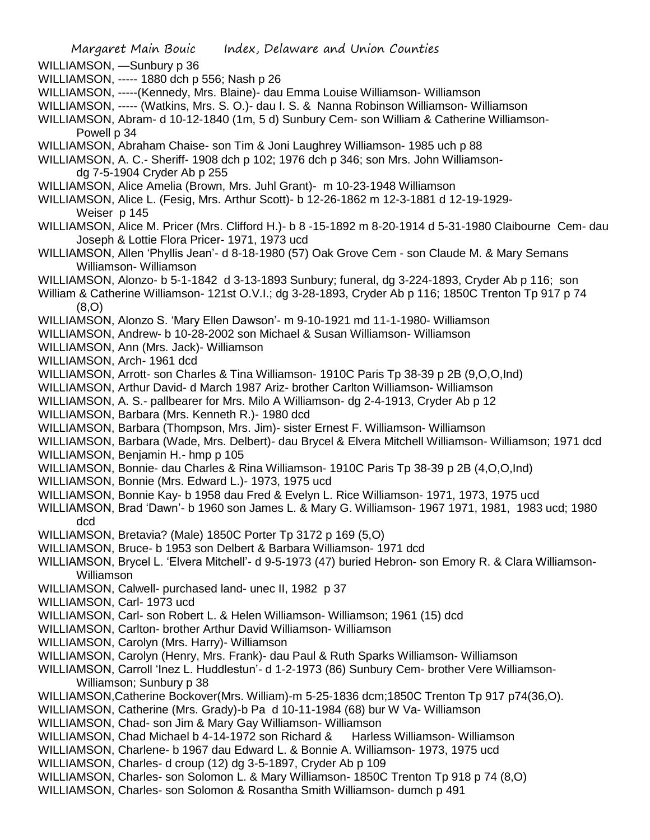- WILLIAMSON, —Sunbury p 36
- WILLIAMSON, ----- 1880 dch p 556; Nash p 26
- WILLIAMSON, -----(Kennedy, Mrs. Blaine)- dau Emma Louise Williamson- Williamson
- WILLIAMSON, ----- (Watkins, Mrs. S. O.)- dau I. S. & Nanna Robinson Williamson- Williamson
- WILLIAMSON, Abram- d 10-12-1840 (1m, 5 d) Sunbury Cem- son William & Catherine Williamson-Powell p 34
- WILLIAMSON, Abraham Chaise- son Tim & Joni Laughrey Williamson- 1985 uch p 88

WILLIAMSON, A. C.- Sheriff- 1908 dch p 102; 1976 dch p 346; son Mrs. John Williamsondg 7-5-1904 Cryder Ab p 255

- WILLIAMSON, Alice Amelia (Brown, Mrs. Juhl Grant)- m 10-23-1948 Williamson
- WILLIAMSON, Alice L. (Fesig, Mrs. Arthur Scott)- b 12-26-1862 m 12-3-1881 d 12-19-1929- Weiser p 145
- WILLIAMSON, Alice M. Pricer (Mrs. Clifford H.)- b 8 -15-1892 m 8-20-1914 d 5-31-1980 Claibourne Cem- dau Joseph & Lottie Flora Pricer- 1971, 1973 ucd
- WILLIAMSON, Allen 'Phyllis Jean'- d 8-18-1980 (57) Oak Grove Cem son Claude M. & Mary Semans Williamson- Williamson
- WILLIAMSON, Alonzo- b 5-1-1842 d 3-13-1893 Sunbury; funeral, dg 3-224-1893, Cryder Ab p 116; son
- William & Catherine Williamson- 121st O.V.I.; dg 3-28-1893, Cryder Ab p 116; 1850C Trenton Tp 917 p 74 (8,O)
- WILLIAMSON, Alonzo S. 'Mary Ellen Dawson'- m 9-10-1921 md 11-1-1980- Williamson
- WILLIAMSON, Andrew- b 10-28-2002 son Michael & Susan Williamson- Williamson
- WILLIAMSON, Ann (Mrs. Jack)- Williamson
- WILLIAMSON, Arch- 1961 dcd
- WILLIAMSON, Arrott- son Charles & Tina Williamson- 1910C Paris Tp 38-39 p 2B (9,O,O,Ind)
- WILLIAMSON, Arthur David- d March 1987 Ariz- brother Carlton Williamson- Williamson
- WILLIAMSON, A. S.- pallbearer for Mrs. Milo A Williamson- dg 2-4-1913, Cryder Ab p 12
- WILLIAMSON, Barbara (Mrs. Kenneth R.)- 1980 dcd
- WILLIAMSON, Barbara (Thompson, Mrs. Jim)- sister Ernest F. Williamson- Williamson
- WILLIAMSON, Barbara (Wade, Mrs. Delbert)- dau Brycel & Elvera Mitchell Williamson- Williamson; 1971 dcd
- WILLIAMSON, Benjamin H.- hmp p 105
- WILLIAMSON, Bonnie- dau Charles & Rina Williamson- 1910C Paris Tp 38-39 p 2B (4,O,O,Ind)
- WILLIAMSON, Bonnie (Mrs. Edward L.)- 1973, 1975 ucd
- WILLIAMSON, Bonnie Kay- b 1958 dau Fred & Evelyn L. Rice Williamson- 1971, 1973, 1975 ucd
- WILLIAMSON, Brad 'Dawn'- b 1960 son James L. & Mary G. Williamson- 1967 1971, 1981, 1983 ucd; 1980 dcd
- WILLIAMSON, Bretavia? (Male) 1850C Porter Tp 3172 p 169 (5,O)
- WILLIAMSON, Bruce- b 1953 son Delbert & Barbara Williamson- 1971 dcd
- WILLIAMSON, Brycel L. 'Elvera Mitchell'- d 9-5-1973 (47) buried Hebron- son Emory R. & Clara Williamson-Williamson
- WILLIAMSON, Calwell- purchased land- unec II, 1982 p 37
- WILLIAMSON, Carl- 1973 ucd
- WILLIAMSON, Carl- son Robert L. & Helen Williamson- Williamson; 1961 (15) dcd
- WILLIAMSON, Carlton- brother Arthur David Williamson- Williamson
- WILLIAMSON, Carolyn (Mrs. Harry)- Williamson
- WILLIAMSON, Carolyn (Henry, Mrs. Frank)- dau Paul & Ruth Sparks Williamson- Williamson
- WILLIAMSON, Carroll 'Inez L. Huddlestun'- d 1-2-1973 (86) Sunbury Cem- brother Vere Williamson-Williamson; Sunbury p 38
- WILLIAMSON,Catherine Bockover(Mrs. William)-m 5-25-1836 dcm;1850C Trenton Tp 917 p74(36,O).
- WILLIAMSON, Catherine (Mrs. Grady)-b Pa d 10-11-1984 (68) bur W Va- Williamson
- WILLIAMSON, Chad- son Jim & Mary Gay Williamson- Williamson
- WILLIAMSON, Chad Michael b 4-14-1972 son Richard & Harless Williamson- Williamson
- WILLIAMSON, Charlene- b 1967 dau Edward L. & Bonnie A. Williamson- 1973, 1975 ucd
- WILLIAMSON, Charles- d croup (12) dg 3-5-1897, Cryder Ab p 109
- WILLIAMSON, Charles- son Solomon L. & Mary Williamson- 1850C Trenton Tp 918 p 74 (8.O)
- WILLIAMSON, Charles- son Solomon & Rosantha Smith Williamson- dumch p 491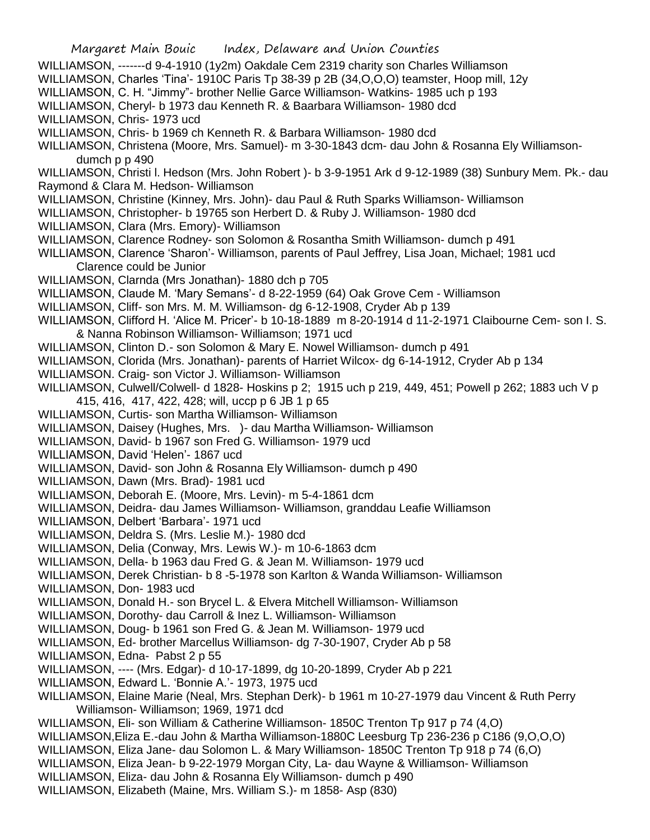Margaret Main Bouic Index, Delaware and Union Counties WILLIAMSON, -------d 9-4-1910 (1y2m) Oakdale Cem 2319 charity son Charles Williamson WILLIAMSON, Charles 'Tina'- 1910C Paris Tp 38-39 p 2B (34,O,O,O) teamster, Hoop mill, 12y WILLIAMSON, C. H. "Jimmy"- brother Nellie Garce Williamson- Watkins- 1985 uch p 193 WILLIAMSON, Cheryl- b 1973 dau Kenneth R. & Baarbara Williamson- 1980 dcd WILLIAMSON, Chris- 1973 ucd WILLIAMSON, Chris- b 1969 ch Kenneth R. & Barbara Williamson- 1980 dcd WILLIAMSON, Christena (Moore, Mrs. Samuel)- m 3-30-1843 dcm- dau John & Rosanna Ely Williamsondumch p p 490 WILLIAMSON, Christi l. Hedson (Mrs. John Robert )- b 3-9-1951 Ark d 9-12-1989 (38) Sunbury Mem. Pk.- dau Raymond & Clara M. Hedson- Williamson WILLIAMSON, Christine (Kinney, Mrs. John)- dau Paul & Ruth Sparks Williamson- Williamson WILLIAMSON, Christopher- b 19765 son Herbert D. & Ruby J. Williamson- 1980 dcd WILLIAMSON, Clara (Mrs. Emory)- Williamson WILLIAMSON, Clarence Rodney- son Solomon & Rosantha Smith Williamson- dumch p 491 WILLIAMSON, Clarence 'Sharon'- Williamson, parents of Paul Jeffrey, Lisa Joan, Michael; 1981 ucd Clarence could be Junior WILLIAMSON, Clarnda (Mrs Jonathan)- 1880 dch p 705 WILLIAMSON, Claude M. 'Mary Semans'- d 8-22-1959 (64) Oak Grove Cem - Williamson WILLIAMSON, Cliff- son Mrs. M. M. Williamson- dg 6-12-1908, Cryder Ab p 139 WILLIAMSON, Clifford H. 'Alice M. Pricer'- b 10-18-1889 m 8-20-1914 d 11-2-1971 Claibourne Cem- son I. S. & Nanna Robinson Williamson- Williamson; 1971 ucd WILLIAMSON, Clinton D.- son Solomon & Mary E. Nowel Williamson- dumch p 491 WILLIAMSON, Clorida (Mrs. Jonathan)- parents of Harriet Wilcox- dg 6-14-1912, Cryder Ab p 134 WILLIAMSON. Craig- son Victor J. Williamson- Williamson WILLIAMSON, Culwell/Colwell- d 1828- Hoskins p 2; 1915 uch p 219, 449, 451; Powell p 262; 1883 uch V p 415, 416, 417, 422, 428; will, uccp p 6 JB 1 p 65 WILLIAMSON, Curtis- son Martha Williamson- Williamson WILLIAMSON, Daisey (Hughes, Mrs. )- dau Martha Williamson- Williamson WILLIAMSON, David- b 1967 son Fred G. Williamson- 1979 ucd WILLIAMSON, David 'Helen'- 1867 ucd WILLIAMSON, David- son John & Rosanna Ely Williamson- dumch p 490 WILLIAMSON, Dawn (Mrs. Brad)- 1981 ucd WILLIAMSON, Deborah E. (Moore, Mrs. Levin)- m 5-4-1861 dcm WILLIAMSON, Deidra- dau James Williamson- Williamson, granddau Leafie Williamson WILLIAMSON, Delbert 'Barbara'- 1971 ucd WILLIAMSON, Deldra S. (Mrs. Leslie M.)- 1980 dcd WILLIAMSON, Delia (Conway, Mrs. Lewis W.)- m 10-6-1863 dcm WILLIAMSON, Della- b 1963 dau Fred G. & Jean M. Williamson- 1979 ucd WILLIAMSON, Derek Christian- b 8 -5-1978 son Karlton & Wanda Williamson- Williamson WILLIAMSON, Don- 1983 ucd WILLIAMSON, Donald H.- son Brycel L. & Elvera Mitchell Williamson- Williamson WILLIAMSON, Dorothy- dau Carroll & Inez L. Williamson- Williamson WILLIAMSON, Doug- b 1961 son Fred G. & Jean M. Williamson- 1979 ucd WILLIAMSON, Ed- brother Marcellus Williamson- dg 7-30-1907, Cryder Ab p 58 WILLIAMSON, Edna- Pabst 2 p 55 WILLIAMSON, ---- (Mrs. Edgar)- d 10-17-1899, dg 10-20-1899, Cryder Ab p 221 WILLIAMSON, Edward L. 'Bonnie A.'- 1973, 1975 ucd WILLIAMSON, Elaine Marie (Neal, Mrs. Stephan Derk)- b 1961 m 10-27-1979 dau Vincent & Ruth Perry Williamson- Williamson; 1969, 1971 dcd WILLIAMSON, Eli- son William & Catherine Williamson- 1850C Trenton Tp 917 p 74 (4,O) WILLIAMSON,Eliza E.-dau John & Martha Williamson-1880C Leesburg Tp 236-236 p C186 (9,O,O,O) WILLIAMSON, Eliza Jane- dau Solomon L. & Mary Williamson- 1850C Trenton Tp 918 p 74 (6,O) WILLIAMSON, Eliza Jean- b 9-22-1979 Morgan City, La- dau Wayne & Williamson- Williamson WILLIAMSON, Eliza- dau John & Rosanna Ely Williamson- dumch p 490 WILLIAMSON, Elizabeth (Maine, Mrs. William S.)- m 1858- Asp (830)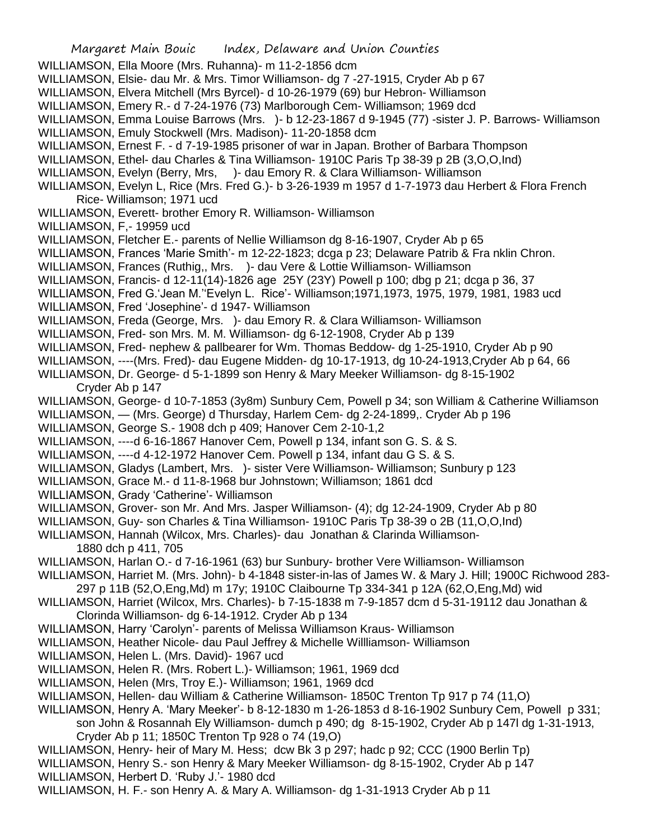Margaret Main Bouic Index, Delaware and Union Counties WILLIAMSON, Ella Moore (Mrs. Ruhanna)- m 11-2-1856 dcm WILLIAMSON, Elsie- dau Mr. & Mrs. Timor Williamson- dg 7 -27-1915, Cryder Ab p 67 WILLIAMSON, Elvera Mitchell (Mrs Byrcel)- d 10-26-1979 (69) bur Hebron- Williamson WILLIAMSON, Emery R.- d 7-24-1976 (73) Marlborough Cem- Williamson; 1969 dcd WILLIAMSON, Emma Louise Barrows (Mrs. )- b 12-23-1867 d 9-1945 (77) -sister J. P. Barrows- Williamson WILLIAMSON, Emuly Stockwell (Mrs. Madison)- 11-20-1858 dcm WILLIAMSON, Ernest F. - d 7-19-1985 prisoner of war in Japan. Brother of Barbara Thompson WILLIAMSON, Ethel- dau Charles & Tina Williamson- 1910C Paris Tp 38-39 p 2B (3,O,O,Ind) WILLIAMSON, Evelyn (Berry, Mrs, )- dau Emory R. & Clara Williamson- Williamson WILLIAMSON, Evelyn L, Rice (Mrs. Fred G.)- b 3-26-1939 m 1957 d 1-7-1973 dau Herbert & Flora French Rice- Williamson; 1971 ucd WILLIAMSON, Everett- brother Emory R. Williamson- Williamson WILLIAMSON, F,- 19959 ucd WILLIAMSON, Fletcher E.- parents of Nellie Williamson dg 8-16-1907, Cryder Ab p 65 WILLIAMSON, Frances 'Marie Smith'- m 12-22-1823; dcga p 23; Delaware Patrib & Fra nklin Chron. WILLIAMSON, Frances (Ruthig,, Mrs. )- dau Vere & Lottie Williamson- Williamson WILLIAMSON, Francis- d 12-11(14)-1826 age 25Y (23Y) Powell p 100; dbg p 21; dcga p 36, 37 WILLIAMSON, Fred G.'Jean M.''Evelyn L. Rice'- Williamson;1971,1973, 1975, 1979, 1981, 1983 ucd WILLIAMSON, Fred 'Josephine'- d 1947- Williamson WILLIAMSON, Freda (George, Mrs. )- dau Emory R. & Clara Williamson- Williamson WILLIAMSON, Fred- son Mrs. M. M. Williamson- dg 6-12-1908, Cryder Ab p 139 WILLIAMSON, Fred- nephew & pallbearer for Wm. Thomas Beddow- dg 1-25-1910, Cryder Ab p 90 WILLIAMSON, ----(Mrs. Fred)- dau Eugene Midden- dg 10-17-1913, dg 10-24-1913,Cryder Ab p 64, 66 WILLIAMSON, Dr. George- d 5-1-1899 son Henry & Mary Meeker Williamson- dg 8-15-1902 Cryder Ab p 147 WILLIAMSON, George- d 10-7-1853 (3y8m) Sunbury Cem, Powell p 34; son William & Catherine Williamson WILLIAMSON, — (Mrs. George) d Thursday, Harlem Cem- dg 2-24-1899,. Cryder Ab p 196 WILLIAMSON, George S.- 1908 dch p 409; Hanover Cem 2-10-1,2 WILLIAMSON, ----d 6-16-1867 Hanover Cem, Powell p 134, infant son G. S. & S. WILLIAMSON, ----d 4-12-1972 Hanover Cem. Powell p 134, infant dau G S. & S. WILLIAMSON, Gladys (Lambert, Mrs. )- sister Vere Williamson- Williamson; Sunbury p 123 WILLIAMSON, Grace M.- d 11-8-1968 bur Johnstown; Williamson; 1861 dcd WILLIAMSON, Grady 'Catherine'- Williamson WILLIAMSON, Grover- son Mr. And Mrs. Jasper Williamson- (4); dg 12-24-1909, Cryder Ab p 80 WILLIAMSON, Guy- son Charles & Tina Williamson- 1910C Paris Tp 38-39 o 2B (11,O,O,Ind) WILLIAMSON, Hannah (Wilcox, Mrs. Charles)- dau Jonathan & Clarinda Williamson-1880 dch p 411, 705 WILLIAMSON, Harlan O.- d 7-16-1961 (63) bur Sunbury- brother Vere Williamson- Williamson WILLIAMSON, Harriet M. (Mrs. John)- b 4-1848 sister-in-las of James W. & Mary J. Hill; 1900C Richwood 283- 297 p 11B (52,O,Eng,Md) m 17y; 1910C Claibourne Tp 334-341 p 12A (62,O,Eng,Md) wid WILLIAMSON, Harriet (Wilcox, Mrs. Charles)- b 7-15-1838 m 7-9-1857 dcm d 5-31-19112 dau Jonathan & Clorinda Williamson- dg 6-14-1912. Cryder Ab p 134 WILLIAMSON, Harry 'Carolyn'- parents of Melissa Williamson Kraus- Williamson WILLIAMSON, Heather Nicole- dau Paul Jeffrey & Michelle Willliamson- Williamson WILLIAMSON, Helen L. (Mrs. David)- 1967 ucd WILLIAMSON, Helen R. (Mrs. Robert L.)- Williamson; 1961, 1969 dcd WILLIAMSON, Helen (Mrs, Troy E.)- Williamson; 1961, 1969 dcd WILLIAMSON, Hellen- dau William & Catherine Williamson- 1850C Trenton Tp 917 p 74 (11,O) WILLIAMSON, Henry A. 'Mary Meeker'- b 8-12-1830 m 1-26-1853 d 8-16-1902 Sunbury Cem, Powell p 331; son John & Rosannah Ely Williamson- dumch p 490; dg 8-15-1902, Cryder Ab p 147l dg 1-31-1913, Cryder Ab p 11; 1850C Trenton Tp 928 o 74 (19,O) WILLIAMSON, Henry- heir of Mary M. Hess; dcw Bk 3 p 297; hadc p 92; CCC (1900 Berlin Tp) WILLIAMSON, Henry S.- son Henry & Mary Meeker Williamson- dg 8-15-1902, Cryder Ab p 147 WILLIAMSON, Herbert D. 'Ruby J.'- 1980 dcd

WILLIAMSON, H. F.- son Henry A. & Mary A. Williamson- dg 1-31-1913 Cryder Ab p 11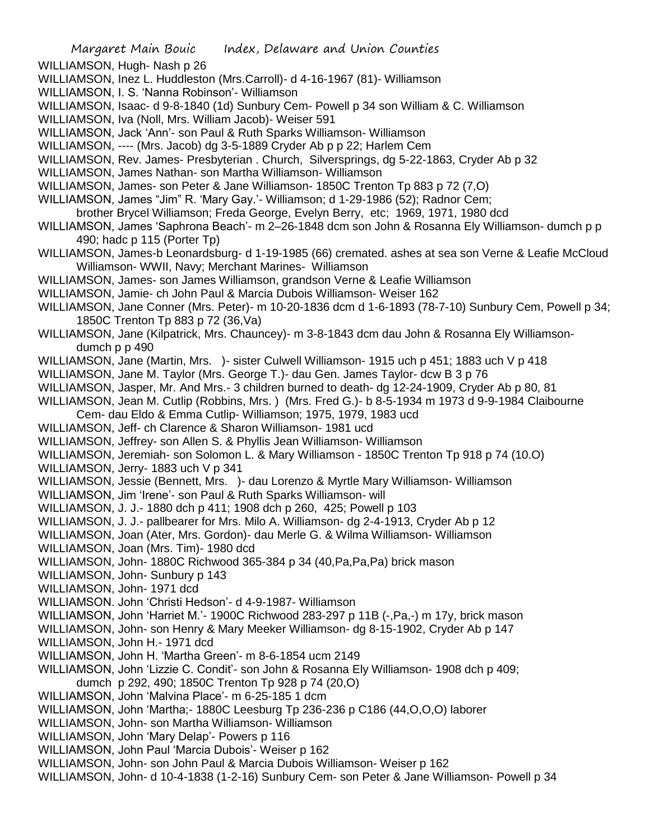WILLIAMSON, Hugh- Nash p 26

- WILLIAMSON, Inez L. Huddleston (Mrs.Carroll)- d 4-16-1967 (81)- Williamson
- WILLIAMSON, I. S. 'Nanna Robinson'- Williamson
- WILLIAMSON, Isaac- d 9-8-1840 (1d) Sunbury Cem- Powell p 34 son William & C. Williamson
- WILLIAMSON, Iva (Noll, Mrs. William Jacob)- Weiser 591
- WILLIAMSON, Jack 'Ann'- son Paul & Ruth Sparks Williamson- Williamson
- WILLIAMSON, ---- (Mrs. Jacob) dg 3-5-1889 Cryder Ab p p 22; Harlem Cem
- WILLIAMSON, Rev. James- Presbyterian . Church, Silversprings, dg 5-22-1863, Cryder Ab p 32
- WILLIAMSON, James Nathan- son Martha Williamson- Williamson
- WILLIAMSON, James- son Peter & Jane Williamson- 1850C Trenton Tp 883 p 72 (7,O)
- WILLIAMSON, James "Jim" R. 'Mary Gay.'- Williamson; d 1-29-1986 (52); Radnor Cem;
- brother Brycel Williamson; Freda George, Evelyn Berry, etc; 1969, 1971, 1980 dcd
- WILLIAMSON, James 'Saphrona Beach'- m 2–26-1848 dcm son John & Rosanna Ely Williamson- dumch p p 490; hadc p 115 (Porter Tp)
- WILLIAMSON, James-b Leonardsburg- d 1-19-1985 (66) cremated. ashes at sea son Verne & Leafie McCloud Williamson- WWII, Navy; Merchant Marines- Williamson
- WILLIAMSON, James- son James Williamson, grandson Verne & Leafie Williamson
- WILLIAMSON, Jamie- ch John Paul & Marcia Dubois Williamson- Weiser 162
- WILLIAMSON, Jane Conner (Mrs. Peter)- m 10-20-1836 dcm d 1-6-1893 (78-7-10) Sunbury Cem, Powell p 34; 1850C Trenton Tp 883 p 72 (36,Va)
- WILLIAMSON, Jane (Kilpatrick, Mrs. Chauncey)- m 3-8-1843 dcm dau John & Rosanna Ely Williamsondumch p p 490
- WILLIAMSON, Jane (Martin, Mrs. )- sister Culwell Williamson- 1915 uch p 451; 1883 uch V p 418
- WILLIAMSON, Jane M. Taylor (Mrs. George T.)- dau Gen. James Taylor- dcw B 3 p 76
- WILLIAMSON, Jasper, Mr. And Mrs.- 3 children burned to death- dg 12-24-1909, Cryder Ab p 80, 81
- WILLIAMSON, Jean M. Cutlip (Robbins, Mrs. ) (Mrs. Fred G.)- b 8-5-1934 m 1973 d 9-9-1984 Claibourne
- Cem- dau Eldo & Emma Cutlip- Williamson; 1975, 1979, 1983 ucd
- WILLIAMSON, Jeff- ch Clarence & Sharon Williamson- 1981 ucd
- WILLIAMSON, Jeffrey- son Allen S. & Phyllis Jean Williamson- Williamson
- WILLIAMSON, Jeremiah- son Solomon L. & Mary Williamson 1850C Trenton Tp 918 p 74 (10.O)
- WILLIAMSON, Jerry- 1883 uch V p 341
- WILLIAMSON, Jessie (Bennett, Mrs. )- dau Lorenzo & Myrtle Mary Williamson- Williamson
- WILLIAMSON, Jim 'Irene'- son Paul & Ruth Sparks Williamson- will
- WILLIAMSON, J. J.- 1880 dch p 411; 1908 dch p 260, 425; Powell p 103
- WILLIAMSON, J. J.- pallbearer for Mrs. Milo A. Williamson- dg 2-4-1913, Cryder Ab p 12
- WILLIAMSON, Joan (Ater, Mrs. Gordon)- dau Merle G. & Wilma Williamson- Williamson
- WILLIAMSON, Joan (Mrs. Tim)- 1980 dcd
- WILLIAMSON, John- 1880C Richwood 365-384 p 34 (40,Pa,Pa,Pa) brick mason
- WILLIAMSON, John- Sunbury p 143
- WILLIAMSON, John- 1971 dcd
- WILLIAMSON. John 'Christi Hedson'- d 4-9-1987- Williamson
- WILLIAMSON, John 'Harriet M.'- 1900C Richwood 283-297 p 11B (-,Pa,-) m 17y, brick mason
- WILLIAMSON, John- son Henry & Mary Meeker Williamson- dg 8-15-1902, Cryder Ab p 147
- WILLIAMSON, John H.- 1971 dcd
- WILLIAMSON, John H. 'Martha Green'- m 8-6-1854 ucm 2149
- WILLIAMSON, John 'Lizzie C. Condit'- son John & Rosanna Ely Williamson- 1908 dch p 409; dumch p 292, 490; 1850C Trenton Tp 928 p 74 (20,O)
- WILLIAMSON, John 'Malvina Place'- m 6-25-185 1 dcm
- WILLIAMSON, John 'Martha;- 1880C Leesburg Tp 236-236 p C186 (44,O,O,O) laborer
- WILLIAMSON, John- son Martha Williamson- Williamson
- WILLIAMSON, John 'Mary Delap'- Powers p 116
- WILLIAMSON, John Paul 'Marcia Dubois'- Weiser p 162
- WILLIAMSON, John- son John Paul & Marcia Dubois Williamson- Weiser p 162
- WILLIAMSON, John- d 10-4-1838 (1-2-16) Sunbury Cem- son Peter & Jane Williamson- Powell p 34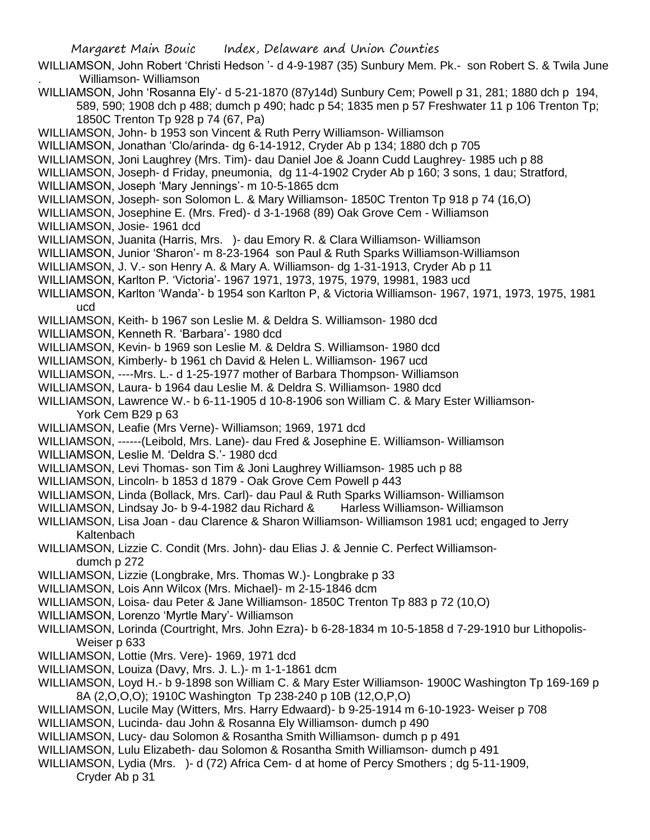WILLIAMSON, John Robert 'Christi Hedson '- d 4-9-1987 (35) Sunbury Mem. Pk.- son Robert S. & Twila June . Williamson- Williamson

WILLIAMSON, John 'Rosanna Ely'- d 5-21-1870 (87y14d) Sunbury Cem; Powell p 31, 281; 1880 dch p 194, 589, 590; 1908 dch p 488; dumch p 490; hadc p 54; 1835 men p 57 Freshwater 11 p 106 Trenton Tp; 1850C Trenton Tp 928 p 74 (67, Pa)

WILLIAMSON, John- b 1953 son Vincent & Ruth Perry Williamson- Williamson

WILLIAMSON, Jonathan 'Clo/arinda- dg 6-14-1912, Cryder Ab p 134; 1880 dch p 705

WILLIAMSON, Joni Laughrey (Mrs. Tim)- dau Daniel Joe & Joann Cudd Laughrey- 1985 uch p 88

WILLIAMSON, Joseph- d Friday, pneumonia, dg 11-4-1902 Cryder Ab p 160; 3 sons, 1 dau; Stratford,

WILLIAMSON, Joseph 'Mary Jennings'- m 10-5-1865 dcm

WILLIAMSON, Joseph- son Solomon L. & Mary Williamson- 1850C Trenton Tp 918 p 74 (16,O)

WILLIAMSON, Josephine E. (Mrs. Fred)- d 3-1-1968 (89) Oak Grove Cem - Williamson

WILLIAMSON, Josie- 1961 dcd

WILLIAMSON, Juanita (Harris, Mrs. )- dau Emory R. & Clara Williamson- Williamson

- WILLIAMSON, Junior 'Sharon'- m 8-23-1964 son Paul & Ruth Sparks Williamson-Williamson
- WILLIAMSON, J. V.- son Henry A. & Mary A. Williamson- dg 1-31-1913, Cryder Ab p 11
- WILLIAMSON, Karlton P. 'Victoria'- 1967 1971, 1973, 1975, 1979, 19981, 1983 ucd
- WILLIAMSON, Karlton 'Wanda'- b 1954 son Karlton P, & Victoria Williamson- 1967, 1971, 1973, 1975, 1981 ucd

WILLIAMSON, Keith- b 1967 son Leslie M. & Deldra S. Williamson- 1980 dcd

- WILLIAMSON, Kenneth R. 'Barbara'- 1980 dcd
- WILLIAMSON, Kevin- b 1969 son Leslie M. & Deldra S. Williamson- 1980 dcd
- WILLIAMSON, Kimberly- b 1961 ch David & Helen L. Williamson- 1967 ucd
- WILLIAMSON, ----Mrs. L.- d 1-25-1977 mother of Barbara Thompson- Williamson
- WILLIAMSON, Laura- b 1964 dau Leslie M. & Deldra S. Williamson- 1980 dcd
- WILLIAMSON, Lawrence W.- b 6-11-1905 d 10-8-1906 son William C. & Mary Ester Williamson-York Cem B29 p 63
- WILLIAMSON, Leafie (Mrs Verne)- Williamson; 1969, 1971 dcd
- WILLIAMSON, ------(Leibold, Mrs. Lane)- dau Fred & Josephine E. Williamson- Williamson
- WILLIAMSON, Leslie M. 'Deldra S.'- 1980 dcd
- WILLIAMSON, Levi Thomas- son Tim & Joni Laughrey Williamson- 1985 uch p 88
- WILLIAMSON, Lincoln- b 1853 d 1879 Oak Grove Cem Powell p 443
- WILLIAMSON, Linda (Bollack, Mrs. Carl)- dau Paul & Ruth Sparks Williamson- Williamson
- WILLIAMSON, Lindsay Jo- b 9-4-1982 dau Richard & Harless Williamson- Williamson
- WILLIAMSON, Lisa Joan dau Clarence & Sharon Williamson- Williamson 1981 ucd; engaged to Jerry Kaltenbach
- WILLIAMSON, Lizzie C. Condit (Mrs. John)- dau Elias J. & Jennie C. Perfect Williamsondumch p 272
- WILLIAMSON, Lizzie (Longbrake, Mrs. Thomas W.)- Longbrake p 33
- WILLIAMSON, Lois Ann Wilcox (Mrs. Michael)- m 2-15-1846 dcm
- WILLIAMSON, Loisa- dau Peter & Jane Williamson- 1850C Trenton Tp 883 p 72 (10,O)
- WILLIAMSON, Lorenzo 'Myrtle Mary'- Williamson
- WILLIAMSON, Lorinda (Courtright, Mrs. John Ezra)- b 6-28-1834 m 10-5-1858 d 7-29-1910 bur Lithopolis-Weiser p 633
- WILLIAMSON, Lottie (Mrs. Vere)- 1969, 1971 dcd
- WILLIAMSON, Louiza (Davy, Mrs. J. L.)- m 1-1-1861 dcm
- WILLIAMSON, Loyd H.- b 9-1898 son William C. & Mary Ester Williamson- 1900C Washington Tp 169-169 p 8A (2,O,O,O); 1910C Washington Tp 238-240 p 10B (12,O,P,O)
- WILLIAMSON, Lucile May (Witters, Mrs. Harry Edwaard)- b 9-25-1914 m 6-10-1923- Weiser p 708
- WILLIAMSON, Lucinda- dau John & Rosanna Ely Williamson- dumch p 490
- WILLIAMSON, Lucy- dau Solomon & Rosantha Smith Williamson- dumch p p 491
- WILLIAMSON, Lulu Elizabeth- dau Solomon & Rosantha Smith Williamson- dumch p 491
- WILLIAMSON, Lydia (Mrs. )- d (72) Africa Cem- d at home of Percy Smothers ; dg 5-11-1909,

Cryder Ab p 31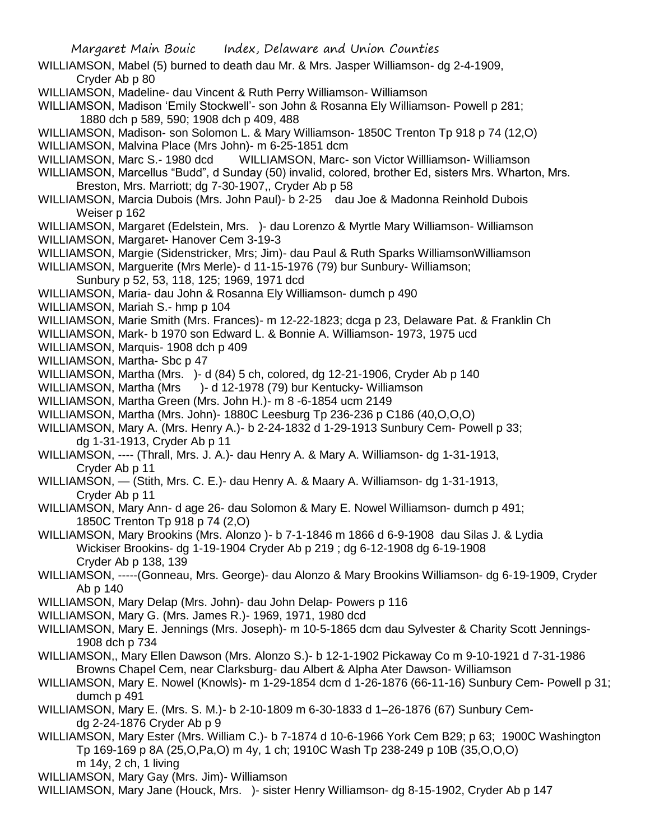WILLIAMSON, Mabel (5) burned to death dau Mr. & Mrs. Jasper Williamson- dg 2-4-1909, Cryder Ab p 80

WILLIAMSON, Madeline- dau Vincent & Ruth Perry Williamson- Williamson

WILLIAMSON, Madison 'Emily Stockwell'- son John & Rosanna Ely Williamson- Powell p 281; 1880 dch p 589, 590; 1908 dch p 409, 488

WILLIAMSON, Madison- son Solomon L. & Mary Williamson- 1850C Trenton Tp 918 p 74 (12,O)

WILLIAMSON, Malvina Place (Mrs John)- m 6-25-1851 dcm

WILLIAMSON, Marc S.- 1980 dcd WILLIAMSON, Marc- son Victor Williamson- Williamson

WILLIAMSON, Marcellus "Budd", d Sunday (50) invalid, colored, brother Ed, sisters Mrs. Wharton, Mrs. Breston, Mrs. Marriott; dg 7-30-1907,, Cryder Ab p 58

WILLIAMSON, Marcia Dubois (Mrs. John Paul)- b 2-25 dau Joe & Madonna Reinhold Dubois Weiser p 162

WILLIAMSON, Margaret (Edelstein, Mrs. )- dau Lorenzo & Myrtle Mary Williamson- Williamson WILLIAMSON, Margaret- Hanover Cem 3-19-3

WILLIAMSON, Margie (Sidenstricker, Mrs; Jim)- dau Paul & Ruth Sparks WilliamsonWilliamson

WILLIAMSON, Marguerite (Mrs Merle)- d 11-15-1976 (79) bur Sunbury- Williamson;

Sunbury p 52, 53, 118, 125; 1969, 1971 dcd

WILLIAMSON, Maria- dau John & Rosanna Ely Williamson- dumch p 490

WILLIAMSON, Mariah S.- hmp p 104

WILLIAMSON, Marie Smith (Mrs. Frances)- m 12-22-1823; dcga p 23, Delaware Pat. & Franklin Ch

WILLIAMSON, Mark- b 1970 son Edward L. & Bonnie A. Williamson- 1973, 1975 ucd

WILLIAMSON, Marquis- 1908 dch p 409

WILLIAMSON, Martha- Sbc p 47

WILLIAMSON, Martha (Mrs. )- d (84) 5 ch, colored, dg 12-21-1906, Cryder Ab p 140

WILLIAMSON, Martha (Mrs )- d 12-1978 (79) bur Kentucky- Williamson

WILLIAMSON, Martha Green (Mrs. John H.)- m 8 -6-1854 ucm 2149

WILLIAMSON, Martha (Mrs. John)- 1880C Leesburg Tp 236-236 p C186 (40,O,O,O)

WILLIAMSON, Mary A. (Mrs. Henry A.)- b 2-24-1832 d 1-29-1913 Sunbury Cem- Powell p 33; dg 1-31-1913, Cryder Ab p 11

WILLIAMSON, ---- (Thrall, Mrs. J. A.)- dau Henry A. & Mary A. Williamson- dg 1-31-1913, Cryder Ab p 11

WILLIAMSON, — (Stith, Mrs. C. E.)- dau Henry A. & Maary A. Williamson- dg 1-31-1913, Cryder Ab p 11

WILLIAMSON, Mary Ann- d age 26- dau Solomon & Mary E. Nowel Williamson- dumch p 491; 1850C Trenton Tp 918 p 74 (2,O)

WILLIAMSON, Mary Brookins (Mrs. Alonzo )- b 7-1-1846 m 1866 d 6-9-1908 dau Silas J. & Lydia Wickiser Brookins- dg 1-19-1904 Cryder Ab p 219 ; dg 6-12-1908 dg 6-19-1908 Cryder Ab p 138, 139

WILLIAMSON, -----(Gonneau, Mrs. George)- dau Alonzo & Mary Brookins Williamson- dg 6-19-1909, Cryder Ab p 140

WILLIAMSON, Mary Delap (Mrs. John)- dau John Delap- Powers p 116

WILLIAMSON, Mary G. (Mrs. James R.)- 1969, 1971, 1980 dcd

WILLIAMSON, Mary E. Jennings (Mrs. Joseph)- m 10-5-1865 dcm dau Sylvester & Charity Scott Jennings-1908 dch p 734

WILLIAMSON,, Mary Ellen Dawson (Mrs. Alonzo S.)- b 12-1-1902 Pickaway Co m 9-10-1921 d 7-31-1986 Browns Chapel Cem, near Clarksburg- dau Albert & Alpha Ater Dawson- Williamson

WILLIAMSON, Mary E. Nowel (Knowls)- m 1-29-1854 dcm d 1-26-1876 (66-11-16) Sunbury Cem- Powell p 31; dumch p 491

WILLIAMSON, Mary E. (Mrs. S. M.)- b 2-10-1809 m 6-30-1833 d 1–26-1876 (67) Sunbury Cemdg 2-24-1876 Cryder Ab p 9

WILLIAMSON, Mary Ester (Mrs. William C.)- b 7-1874 d 10-6-1966 York Cem B29; p 63; 1900C Washington Tp 169-169 p 8A (25,O,Pa,O) m 4y, 1 ch; 1910C Wash Tp 238-249 p 10B (35,O,O,O) m 14y, 2 ch, 1 living

WILLIAMSON, Mary Gay (Mrs. Jim)- Williamson

WILLIAMSON, Mary Jane (Houck, Mrs. )- sister Henry Williamson- dg 8-15-1902, Cryder Ab p 147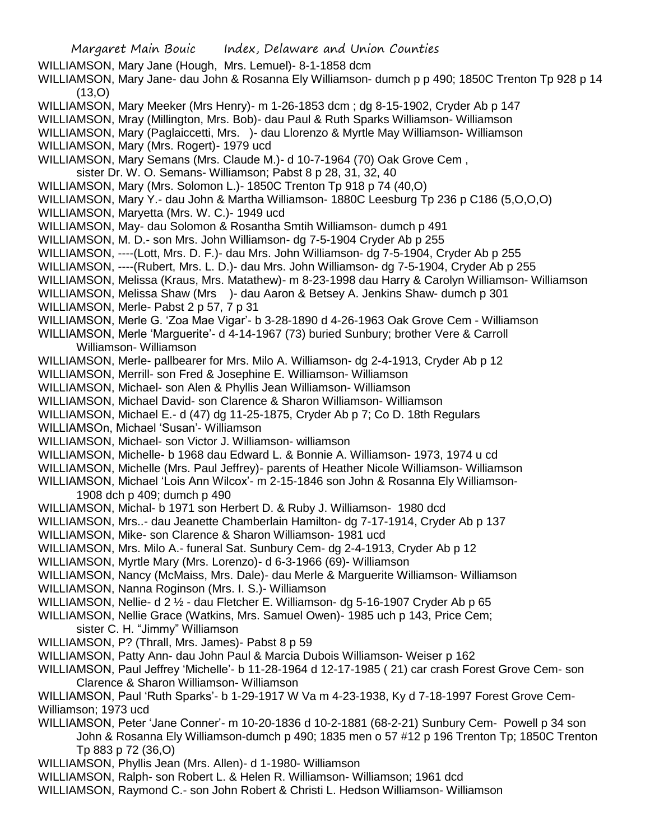Margaret Main Bouic Index, Delaware and Union Counties WILLIAMSON, Mary Jane (Hough, Mrs. Lemuel)- 8-1-1858 dcm WILLIAMSON, Mary Jane- dau John & Rosanna Ely Williamson- dumch p p 490; 1850C Trenton Tp 928 p 14 (13,O) WILLIAMSON, Mary Meeker (Mrs Henry)- m 1-26-1853 dcm ; dg 8-15-1902, Cryder Ab p 147 WILLIAMSON, Mray (Millington, Mrs. Bob)- dau Paul & Ruth Sparks Williamson- Williamson WILLIAMSON, Mary (Paglaiccetti, Mrs. )- dau Llorenzo & Myrtle May Williamson- Williamson WILLIAMSON, Mary (Mrs. Rogert)- 1979 ucd WILLIAMSON, Mary Semans (Mrs. Claude M.)- d 10-7-1964 (70) Oak Grove Cem , sister Dr. W. O. Semans- Williamson; Pabst 8 p 28, 31, 32, 40 WILLIAMSON, Mary (Mrs. Solomon L.)- 1850C Trenton Tp 918 p 74 (40,O) WILLIAMSON, Mary Y.- dau John & Martha Williamson- 1880C Leesburg Tp 236 p C186 (5,O,O,O) WILLIAMSON, Maryetta (Mrs. W. C.)- 1949 ucd WILLIAMSON, May- dau Solomon & Rosantha Smtih Williamson- dumch p 491 WILLIAMSON, M. D.- son Mrs. John Williamson- dg 7-5-1904 Cryder Ab p 255 WILLIAMSON, ----(Lott, Mrs. D. F.)- dau Mrs. John Williamson- dg 7-5-1904, Cryder Ab p 255 WILLIAMSON, ----(Rubert, Mrs. L. D.)- dau Mrs. John Williamson- dg 7-5-1904, Cryder Ab p 255 WILLIAMSON, Melissa (Kraus, Mrs. Matathew)- m 8-23-1998 dau Harry & Carolyn Williamson- Williamson WILLIAMSON, Melissa Shaw (Mrs )- dau Aaron & Betsey A. Jenkins Shaw- dumch p 301 WILLIAMSON, Merle- Pabst 2 p 57, 7 p 31 WILLIAMSON, Merle G. 'Zoa Mae Vigar'- b 3-28-1890 d 4-26-1963 Oak Grove Cem - Williamson WILLIAMSON, Merle 'Marguerite'- d 4-14-1967 (73) buried Sunbury; brother Vere & Carroll Williamson- Williamson WILLIAMSON, Merle- pallbearer for Mrs. Milo A. Williamson- dg 2-4-1913, Cryder Ab p 12 WILLIAMSON, Merrill- son Fred & Josephine E. Williamson- Williamson WILLIAMSON, Michael- son Alen & Phyllis Jean Williamson- Williamson WILLIAMSON, Michael David- son Clarence & Sharon Williamson- Williamson WILLIAMSON, Michael E.- d (47) dg 11-25-1875, Cryder Ab p 7; Co D. 18th Regulars WILLIAMSOn, Michael 'Susan'- Williamson WILLIAMSON, Michael- son Victor J. Williamson- williamson WILLIAMSON, Michelle- b 1968 dau Edward L. & Bonnie A. Williamson- 1973, 1974 u cd WILLIAMSON, Michelle (Mrs. Paul Jeffrey)- parents of Heather Nicole Williamson- Williamson WILLIAMSON, Michael 'Lois Ann Wilcox'- m 2-15-1846 son John & Rosanna Ely Williamson-1908 dch p 409; dumch p 490 WILLIAMSON, Michal- b 1971 son Herbert D. & Ruby J. Williamson- 1980 dcd WILLIAMSON, Mrs..- dau Jeanette Chamberlain Hamilton- dg 7-17-1914, Cryder Ab p 137 WILLIAMSON, Mike- son Clarence & Sharon Williamson- 1981 ucd WILLIAMSON, Mrs. Milo A.- funeral Sat. Sunbury Cem- dg 2-4-1913, Cryder Ab p 12 WILLIAMSON, Myrtle Mary (Mrs. Lorenzo)- d 6-3-1966 (69)- Williamson WILLIAMSON, Nancy (McMaiss, Mrs. Dale)- dau Merle & Marguerite Williamson- Williamson WILLIAMSON, Nanna Roginson (Mrs. I. S.)- Williamson WILLIAMSON, Nellie- d 2 ½ - dau Fletcher E. Williamson- dg 5-16-1907 Cryder Ab p 65 WILLIAMSON, Nellie Grace (Watkins, Mrs. Samuel Owen)- 1985 uch p 143, Price Cem; sister C. H. "Jimmy" Williamson WILLIAMSON, P? (Thrall, Mrs. James)- Pabst 8 p 59 WILLIAMSON, Patty Ann- dau John Paul & Marcia Dubois Williamson- Weiser p 162 WILLIAMSON, Paul Jeffrey 'Michelle'- b 11-28-1964 d 12-17-1985 ( 21) car crash Forest Grove Cem- son Clarence & Sharon Williamson- Williamson WILLIAMSON, Paul 'Ruth Sparks'- b 1-29-1917 W Va m 4-23-1938, Ky d 7-18-1997 Forest Grove Cem-Williamson; 1973 ucd WILLIAMSON, Peter 'Jane Conner'- m 10-20-1836 d 10-2-1881 (68-2-21) Sunbury Cem- Powell p 34 son John & Rosanna Ely Williamson-dumch p 490; 1835 men o 57 #12 p 196 Trenton Tp; 1850C Trenton Tp 883 p 72 (36,O) WILLIAMSON, Phyllis Jean (Mrs. Allen)- d 1-1980- Williamson WILLIAMSON, Ralph- son Robert L. & Helen R. Williamson- Williamson; 1961 dcd WILLIAMSON, Raymond C.- son John Robert & Christi L. Hedson Williamson- Williamson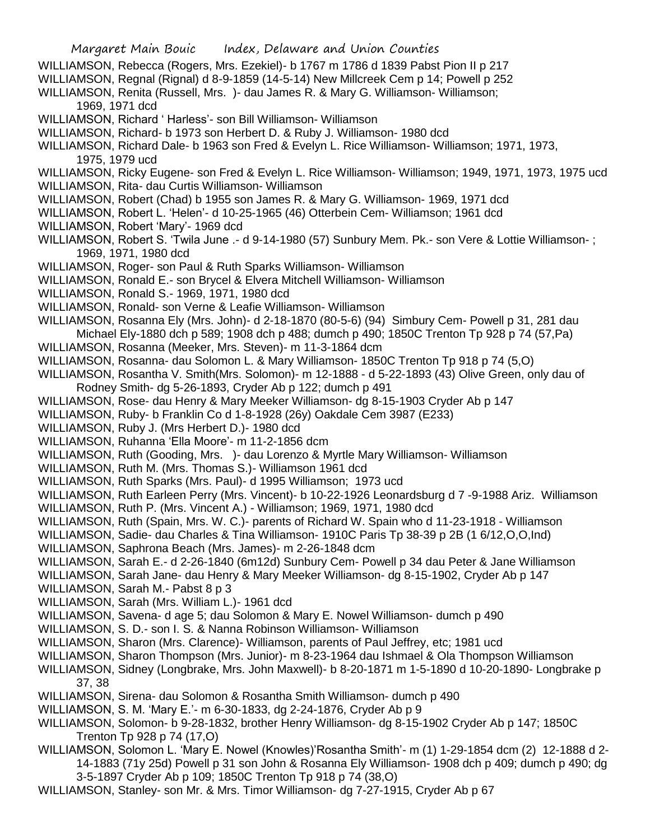- WILLIAMSON, Rebecca (Rogers, Mrs. Ezekiel)- b 1767 m 1786 d 1839 Pabst Pion II p 217
- WILLIAMSON, Regnal (Rignal) d 8-9-1859 (14-5-14) New Millcreek Cem p 14; Powell p 252
- WILLIAMSON, Renita (Russell, Mrs. )- dau James R. & Mary G. Williamson- Williamson; 1969, 1971 dcd
- WILLIAMSON, Richard ' Harless'- son Bill Williamson- Williamson
- WILLIAMSON, Richard- b 1973 son Herbert D. & Ruby J. Williamson- 1980 dcd
- WILLIAMSON, Richard Dale- b 1963 son Fred & Evelyn L. Rice Williamson- Williamson; 1971, 1973, 1975, 1979 ucd
- WILLIAMSON, Ricky Eugene- son Fred & Evelyn L. Rice Williamson- Williamson; 1949, 1971, 1973, 1975 ucd WILLIAMSON, Rita- dau Curtis Williamson- Williamson
- WILLIAMSON, Robert (Chad) b 1955 son James R. & Mary G. Williamson- 1969, 1971 dcd
- WILLIAMSON, Robert L. 'Helen'- d 10-25-1965 (46) Otterbein Cem- Williamson; 1961 dcd
- WILLIAMSON, Robert 'Mary'- 1969 dcd
- WILLIAMSON, Robert S. 'Twila June .- d 9-14-1980 (57) Sunbury Mem. Pk.- son Vere & Lottie Williamson- ; 1969, 1971, 1980 dcd
- WILLIAMSON, Roger- son Paul & Ruth Sparks Williamson- Williamson
- WILLIAMSON, Ronald E.- son Brycel & Elvera Mitchell Williamson- Williamson
- WILLIAMSON, Ronald S.- 1969, 1971, 1980 dcd
- WILLIAMSON, Ronald- son Verne & Leafie Williamson- Williamson
- WILLIAMSON, Rosanna Ely (Mrs. John)- d 2-18-1870 (80-5-6) (94) Simbury Cem- Powell p 31, 281 dau Michael Ely-1880 dch p 589; 1908 dch p 488; dumch p 490; 1850C Trenton Tp 928 p 74 (57,Pa)
- WILLIAMSON, Rosanna (Meeker, Mrs. Steven)- m 11-3-1864 dcm
- WILLIAMSON, Rosanna- dau Solomon L. & Mary Williamson- 1850C Trenton Tp 918 p 74 (5,O)
- WILLIAMSON, Rosantha V. Smith(Mrs. Solomon)- m 12-1888 d 5-22-1893 (43) Olive Green, only dau of Rodney Smith- dg 5-26-1893, Cryder Ab p 122; dumch p 491
- WILLIAMSON, Rose- dau Henry & Mary Meeker Williamson- dg 8-15-1903 Cryder Ab p 147
- WILLIAMSON, Ruby- b Franklin Co d 1-8-1928 (26y) Oakdale Cem 3987 (E233)
- WILLIAMSON, Ruby J. (Mrs Herbert D.)- 1980 dcd
- WILLIAMSON, Ruhanna 'Ella Moore'- m 11-2-1856 dcm
- WILLIAMSON, Ruth (Gooding, Mrs. )- dau Lorenzo & Myrtle Mary Williamson- Williamson
- WILLIAMSON, Ruth M. (Mrs. Thomas S.)- Williamson 1961 dcd
- WILLIAMSON, Ruth Sparks (Mrs. Paul)- d 1995 Williamson; 1973 ucd
- WILLIAMSON, Ruth Earleen Perry (Mrs. Vincent)- b 10-22-1926 Leonardsburg d 7 -9-1988 Ariz. Williamson
- WILLIAMSON, Ruth P. (Mrs. Vincent A.) Williamson; 1969, 1971, 1980 dcd
- WILLIAMSON, Ruth (Spain, Mrs. W. C.)- parents of Richard W. Spain who d 11-23-1918 Williamson
- WILLIAMSON, Sadie- dau Charles & Tina Williamson- 1910C Paris Tp 38-39 p 2B (1 6/12,O,O,Ind)
- WILLIAMSON, Saphrona Beach (Mrs. James)- m 2-26-1848 dcm
- WILLIAMSON, Sarah E.- d 2-26-1840 (6m12d) Sunbury Cem- Powell p 34 dau Peter & Jane Williamson
- WILLIAMSON, Sarah Jane- dau Henry & Mary Meeker Williamson- dg 8-15-1902, Cryder Ab p 147
- WILLIAMSON, Sarah M.- Pabst 8 p 3
- WILLIAMSON, Sarah (Mrs. William L.)- 1961 dcd
- WILLIAMSON, Savena- d age 5; dau Solomon & Mary E. Nowel Williamson- dumch p 490
- WILLIAMSON, S. D.- son I. S. & Nanna Robinson Williamson- Williamson
- WILLIAMSON, Sharon (Mrs. Clarence)- Williamson, parents of Paul Jeffrey, etc; 1981 ucd
- WILLIAMSON, Sharon Thompson (Mrs. Junior)- m 8-23-1964 dau Ishmael & Ola Thompson Williamson
- WILLIAMSON, Sidney (Longbrake, Mrs. John Maxwell)- b 8-20-1871 m 1-5-1890 d 10-20-1890- Longbrake p 37, 38
- WILLIAMSON, Sirena- dau Solomon & Rosantha Smith Williamson- dumch p 490
- WILLIAMSON, S. M. 'Mary E.'- m 6-30-1833, dg 2-24-1876, Cryder Ab p 9
- WILLIAMSON, Solomon- b 9-28-1832, brother Henry Williamson- dg 8-15-1902 Cryder Ab p 147; 1850C Trenton Tp 928 p 74 (17,O)
- WILLIAMSON, Solomon L. 'Mary E. Nowel (Knowles)'Rosantha Smith'- m (1) 1-29-1854 dcm (2) 12-1888 d 2- 14-1883 (71y 25d) Powell p 31 son John & Rosanna Ely Williamson- 1908 dch p 409; dumch p 490; dg 3-5-1897 Cryder Ab p 109; 1850C Trenton Tp 918 p 74 (38,O)
- WILLIAMSON, Stanley- son Mr. & Mrs. Timor Williamson- dg 7-27-1915, Cryder Ab p 67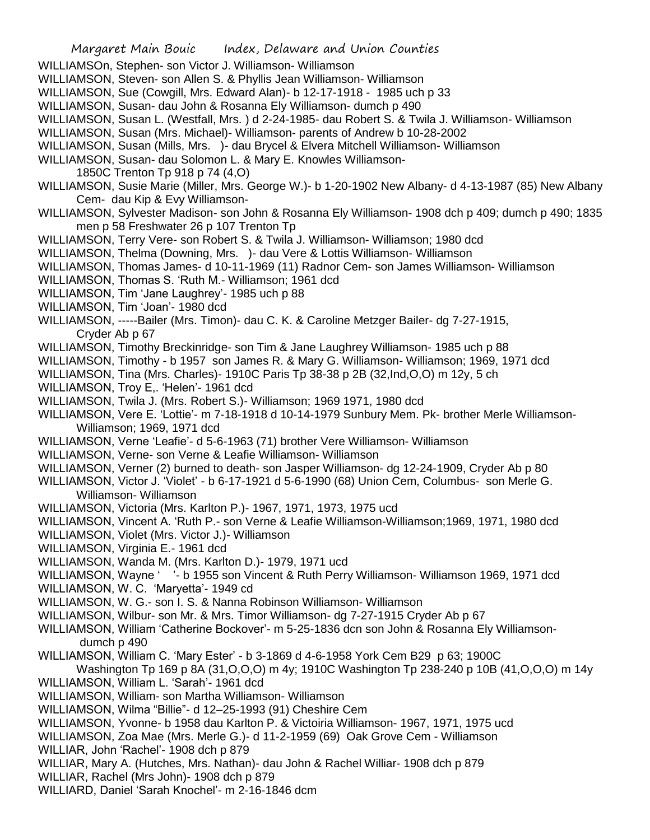- WILLIAMSOn, Stephen- son Victor J. Williamson- Williamson
- WILLIAMSON, Steven- son Allen S. & Phyllis Jean Williamson- Williamson
- WILLIAMSON, Sue (Cowgill, Mrs. Edward Alan)- b 12-17-1918 1985 uch p 33
- WILLIAMSON, Susan- dau John & Rosanna Ely Williamson- dumch p 490
- WILLIAMSON, Susan L. (Westfall, Mrs. ) d 2-24-1985- dau Robert S. & Twila J. Williamson- Williamson
- WILLIAMSON, Susan (Mrs. Michael)- Williamson- parents of Andrew b 10-28-2002
- WILLIAMSON, Susan (Mills, Mrs. )- dau Brycel & Elvera Mitchell Williamson- Williamson
- WILLIAMSON, Susan- dau Solomon L. & Mary E. Knowles Williamson-
- 1850C Trenton Tp 918 p 74 (4,O)
- WILLIAMSON, Susie Marie (Miller, Mrs. George W.)- b 1-20-1902 New Albany- d 4-13-1987 (85) New Albany Cem- dau Kip & Evy Williamson-
- WILLIAMSON, Sylvester Madison- son John & Rosanna Ely Williamson- 1908 dch p 409; dumch p 490; 1835 men p 58 Freshwater 26 p 107 Trenton Tp
- WILLIAMSON, Terry Vere- son Robert S. & Twila J. Williamson- Williamson; 1980 dcd
- WILLIAMSON, Thelma (Downing, Mrs. )- dau Vere & Lottis Williamson- Williamson
- WILLIAMSON, Thomas James- d 10-11-1969 (11) Radnor Cem- son James Williamson- Williamson
- WILLIAMSON, Thomas S. 'Ruth M.- Williamson; 1961 dcd
- WILLIAMSON, Tim 'Jane Laughrey'- 1985 uch p 88
- WILLIAMSON, Tim 'Joan'- 1980 dcd
- WILLIAMSON, -----Bailer (Mrs. Timon)- dau C. K. & Caroline Metzger Bailer- dg 7-27-1915, Cryder Ab p 67
- WILLIAMSON, Timothy Breckinridge- son Tim & Jane Laughrey Williamson- 1985 uch p 88
- WILLIAMSON, Timothy b 1957 son James R. & Mary G. Williamson- Williamson; 1969, 1971 dcd
- WILLIAMSON, Tina (Mrs. Charles)- 1910C Paris Tp 38-38 p 2B (32,Ind,O,O) m 12y, 5 ch
- WILLIAMSON, Troy E,. 'Helen'- 1961 dcd
- WILLIAMSON, Twila J. (Mrs. Robert S.)- Williamson; 1969 1971, 1980 dcd
- WILLIAMSON, Vere E. 'Lottie'- m 7-18-1918 d 10-14-1979 Sunbury Mem. Pk- brother Merle Williamson-Williamson; 1969, 1971 dcd
- WILLIAMSON, Verne 'Leafie'- d 5-6-1963 (71) brother Vere Williamson- Williamson
- WILLIAMSON, Verne- son Verne & Leafie Williamson- Williamson
- WILLIAMSON, Verner (2) burned to death- son Jasper Williamson- dg 12-24-1909, Cryder Ab p 80
- WILLIAMSON, Victor J. 'Violet' b 6-17-1921 d 5-6-1990 (68) Union Cem, Columbus- son Merle G. Williamson- Williamson
- WILLIAMSON, Victoria (Mrs. Karlton P.)- 1967, 1971, 1973, 1975 ucd
- WILLIAMSON, Vincent A. 'Ruth P.- son Verne & Leafie Williamson-Williamson;1969, 1971, 1980 dcd
- WILLIAMSON, Violet (Mrs. Victor J.)- Williamson
- WILLIAMSON, Virginia E.- 1961 dcd
- WILLIAMSON, Wanda M. (Mrs. Karlton D.)- 1979, 1971 ucd
- WILLIAMSON, Wayne ' '- b 1955 son Vincent & Ruth Perry Williamson- Williamson 1969, 1971 dcd
- WILLIAMSON, W. C. 'Maryetta'- 1949 cd
- WILLIAMSON, W. G.- son I. S. & Nanna Robinson Williamson- Williamson
- WILLIAMSON, Wilbur- son Mr. & Mrs. Timor Williamson- dg 7-27-1915 Cryder Ab p 67
- WILLIAMSON, William 'Catherine Bockover'- m 5-25-1836 dcn son John & Rosanna Ely Williamsondumch p 490
- WILLIAMSON, William C. 'Mary Ester' b 3-1869 d 4-6-1958 York Cem B29 p 63; 1900C

Washington Tp 169 p 8A (31,O,O,O) m 4y; 1910C Washington Tp 238-240 p 10B (41,O,O,O) m 14y WILLIAMSON, William L. 'Sarah'- 1961 dcd

- WILLIAMSON, William- son Martha Williamson- Williamson
- WILLIAMSON, Wilma "Billie"- d 12–25-1993 (91) Cheshire Cem
- WILLIAMSON, Yvonne- b 1958 dau Karlton P. & Victoiria Williamson- 1967, 1971, 1975 ucd
- WILLIAMSON, Zoa Mae (Mrs. Merle G.)- d 11-2-1959 (69) Oak Grove Cem Williamson
- WILLIAR, John 'Rachel'- 1908 dch p 879
- WILLIAR, Mary A. (Hutches, Mrs. Nathan)- dau John & Rachel Williar- 1908 dch p 879
- WILLIAR, Rachel (Mrs John)- 1908 dch p 879
- WILLIARD, Daniel 'Sarah Knochel'- m 2-16-1846 dcm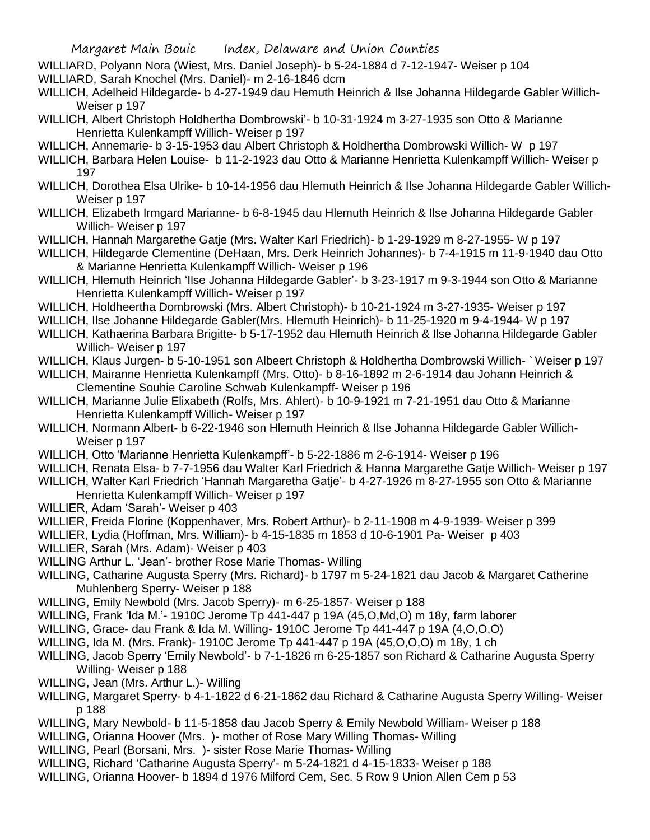WILLIARD, Polyann Nora (Wiest, Mrs. Daniel Joseph)- b 5-24-1884 d 7-12-1947- Weiser p 104

WILLIARD, Sarah Knochel (Mrs. Daniel)- m 2-16-1846 dcm

- WILLICH, Adelheid Hildegarde- b 4-27-1949 dau Hemuth Heinrich & Ilse Johanna Hildegarde Gabler Willich-Weiser p 197
- WILLICH, Albert Christoph Holdhertha Dombrowski'- b 10-31-1924 m 3-27-1935 son Otto & Marianne Henrietta Kulenkampff Willich- Weiser p 197
- WILLICH, Annemarie- b 3-15-1953 dau Albert Christoph & Holdhertha Dombrowski Willich- W p 197
- WILLICH, Barbara Helen Louise- b 11-2-1923 dau Otto & Marianne Henrietta Kulenkampff Willich- Weiser p 197
- WILLICH, Dorothea Elsa Ulrike- b 10-14-1956 dau Hlemuth Heinrich & Ilse Johanna Hildegarde Gabler Willich-Weiser p 197
- WILLICH, Elizabeth Irmgard Marianne- b 6-8-1945 dau Hlemuth Heinrich & Ilse Johanna Hildegarde Gabler Willich- Weiser p 197
- WILLICH, Hannah Margarethe Gatje (Mrs. Walter Karl Friedrich)- b 1-29-1929 m 8-27-1955- W p 197
- WILLICH, Hildegarde Clementine (DeHaan, Mrs. Derk Heinrich Johannes)- b 7-4-1915 m 11-9-1940 dau Otto & Marianne Henrietta Kulenkampff Willich- Weiser p 196
- WILLICH, Hlemuth Heinrich 'Ilse Johanna Hildegarde Gabler'- b 3-23-1917 m 9-3-1944 son Otto & Marianne Henrietta Kulenkampff Willich- Weiser p 197
- WILLICH, Holdheertha Dombrowski (Mrs. Albert Christoph)- b 10-21-1924 m 3-27-1935- Weiser p 197
- WILLICH, Ilse Johanne Hildegarde Gabler(Mrs. Hlemuth Heinrich)- b 11-25-1920 m 9-4-1944- W p 197
- WILLICH, Kathaerina Barbara Brigitte- b 5-17-1952 dau Hlemuth Heinrich & Ilse Johanna Hildegarde Gabler Willich- Weiser p 197
- WILLICH, Klaus Jurgen- b 5-10-1951 son Albeert Christoph & Holdhertha Dombrowski Willich- ` Weiser p 197
- WILLICH, Mairanne Henrietta Kulenkampff (Mrs. Otto)- b 8-16-1892 m 2-6-1914 dau Johann Heinrich & Clementine Souhie Caroline Schwab Kulenkampff- Weiser p 196
- WILLICH, Marianne Julie Elixabeth (Rolfs, Mrs. Ahlert)- b 10-9-1921 m 7-21-1951 dau Otto & Marianne Henrietta Kulenkampff Willich- Weiser p 197
- WILLICH, Normann Albert- b 6-22-1946 son Hlemuth Heinrich & Ilse Johanna Hildegarde Gabler Willich-Weiser p 197
- WILLICH, Otto 'Marianne Henrietta Kulenkampff'- b 5-22-1886 m 2-6-1914- Weiser p 196
- WILLICH, Renata Elsa- b 7-7-1956 dau Walter Karl Friedrich & Hanna Margarethe Gatje Willich- Weiser p 197 WILLICH, Walter Karl Friedrich 'Hannah Margaretha Gatje'- b 4-27-1926 m 8-27-1955 son Otto & Marianne
- Henrietta Kulenkampff Willich- Weiser p 197
- WILLIER, Adam 'Sarah'- Weiser p 403
- WILLIER, Freida Florine (Koppenhaver, Mrs. Robert Arthur)- b 2-11-1908 m 4-9-1939- Weiser p 399
- WILLIER, Lydia (Hoffman, Mrs. William)- b 4-15-1835 m 1853 d 10-6-1901 Pa- Weiser p 403
- WILLIER, Sarah (Mrs. Adam)- Weiser p 403
- WILLING Arthur L. 'Jean'- brother Rose Marie Thomas- Willing
- WILLING, Catharine Augusta Sperry (Mrs. Richard)- b 1797 m 5-24-1821 dau Jacob & Margaret Catherine Muhlenberg Sperry- Weiser p 188
- WILLING, Emily Newbold (Mrs. Jacob Sperry)- m 6-25-1857- Weiser p 188
- WILLING, Frank 'Ida M.'- 1910C Jerome Tp 441-447 p 19A (45,O,Md,O) m 18y, farm laborer
- WILLING, Grace- dau Frank & Ida M. Willing- 1910C Jerome Tp 441-447 p 19A (4,O,O,O)
- WILLING, Ida M. (Mrs. Frank)- 1910C Jerome Tp 441-447 p 19A (45,O,O,O) m 18y, 1 ch
- WILLING, Jacob Sperry 'Emily Newbold'- b 7-1-1826 m 6-25-1857 son Richard & Catharine Augusta Sperry Willing- Weiser p 188
- WILLING, Jean (Mrs. Arthur L.)- Willing
- WILLING, Margaret Sperry- b 4-1-1822 d 6-21-1862 dau Richard & Catharine Augusta Sperry Willing- Weiser p 188
- WILLING, Mary Newbold- b 11-5-1858 dau Jacob Sperry & Emily Newbold William- Weiser p 188
- WILLING, Orianna Hoover (Mrs. )- mother of Rose Mary Willing Thomas- Willing
- WILLING, Pearl (Borsani, Mrs. )- sister Rose Marie Thomas- Willing
- WILLING, Richard 'Catharine Augusta Sperry'- m 5-24-1821 d 4-15-1833- Weiser p 188
- WILLING, Orianna Hoover- b 1894 d 1976 Milford Cem, Sec. 5 Row 9 Union Allen Cem p 53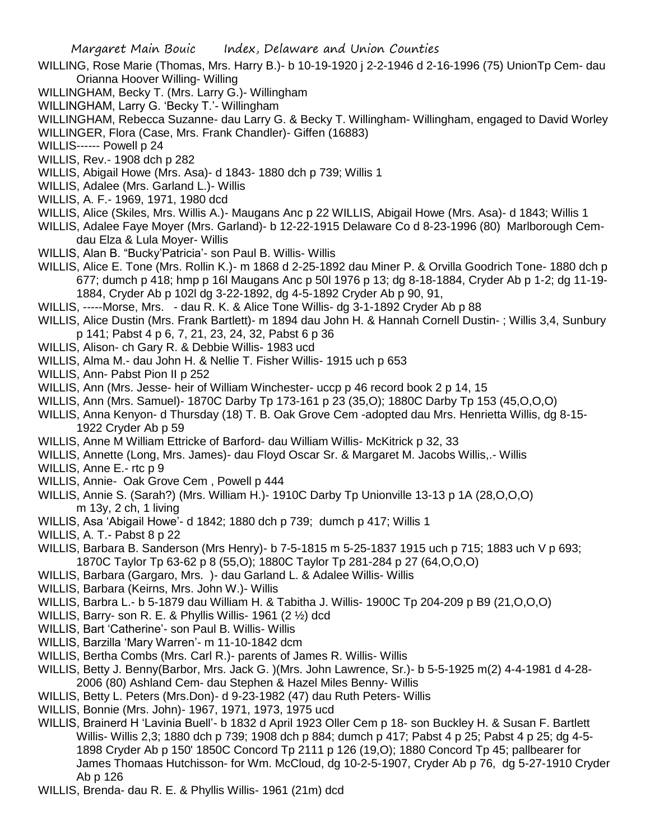- WILLING, Rose Marie (Thomas, Mrs. Harry B.)- b 10-19-1920 j 2-2-1946 d 2-16-1996 (75) UnionTp Cem- dau Orianna Hoover Willing- Willing
- WILLINGHAM, Becky T. (Mrs. Larry G.)- Willingham
- WILLINGHAM, Larry G. 'Becky T.'- Willingham
- WILLINGHAM, Rebecca Suzanne- dau Larry G. & Becky T. Willingham- Willingham, engaged to David Worley
- WILLINGER, Flora (Case, Mrs. Frank Chandler)- Giffen (16883)
- WILLIS------ Powell p 24
- WILLIS, Rev.- 1908 dch p 282
- WILLIS, Abigail Howe (Mrs. Asa)- d 1843- 1880 dch p 739; Willis 1
- WILLIS, Adalee (Mrs. Garland L.)- Willis
- WILLIS, A. F.- 1969, 1971, 1980 dcd
- WILLIS, Alice (Skiles, Mrs. Willis A.)- Maugans Anc p 22 WILLIS, Abigail Howe (Mrs. Asa)- d 1843; Willis 1
- WILLIS, Adalee Faye Moyer (Mrs. Garland)- b 12-22-1915 Delaware Co d 8-23-1996 (80) Marlborough Cemdau Elza & Lula Moyer- Willis
- WILLIS, Alan B. "Bucky'Patricia'- son Paul B. Willis- Willis
- WILLIS, Alice E. Tone (Mrs. Rollin K.)- m 1868 d 2-25-1892 dau Miner P. & Orvilla Goodrich Tone- 1880 dch p 677; dumch p 418; hmp p 16l Maugans Anc p 50l 1976 p 13; dg 8-18-1884, Cryder Ab p 1-2; dg 11-19- 1884, Cryder Ab p 102l dg 3-22-1892, dg 4-5-1892 Cryder Ab p 90, 91,
- WILLIS, -----Morse, Mrs. dau R. K. & Alice Tone Willis- dg 3-1-1892 Cryder Ab p 88
- WILLIS, Alice Dustin (Mrs. Frank Bartlett)- m 1894 dau John H. & Hannah Cornell Dustin- ; Willis 3,4, Sunbury p 141; Pabst 4 p 6, 7, 21, 23, 24, 32, Pabst 6 p 36
- WILLIS, Alison- ch Gary R. & Debbie Willis- 1983 ucd
- WILLIS, Alma M.- dau John H. & Nellie T. Fisher Willis- 1915 uch p 653
- WILLIS, Ann- Pabst Pion II p 252
- WILLIS, Ann (Mrs. Jesse- heir of William Winchester- uccp p 46 record book 2 p 14, 15
- WILLIS, Ann (Mrs. Samuel)- 1870C Darby Tp 173-161 p 23 (35,O); 1880C Darby Tp 153 (45,O,O,O)
- WILLIS, Anna Kenyon- d Thursday (18) T. B. Oak Grove Cem -adopted dau Mrs. Henrietta Willis, dg 8-15- 1922 Cryder Ab p 59
- WILLIS, Anne M William Ettricke of Barford- dau William Willis- McKitrick p 32, 33
- WILLIS, Annette (Long, Mrs. James)- dau Floyd Oscar Sr. & Margaret M. Jacobs Willis,.- Willis
- WILLIS, Anne E.- rtc p 9
- WILLIS, Annie- Oak Grove Cem , Powell p 444
- WILLIS, Annie S. (Sarah?) (Mrs. William H.)- 1910C Darby Tp Unionville 13-13 p 1A (28,O,O,O) m 13y, 2 ch, 1 living
- WILLIS, Asa 'Abigail Howe'- d 1842; 1880 dch p 739; dumch p 417; Willis 1
- WILLIS, A. T.- Pabst 8 p 22
- WILLIS, Barbara B. Sanderson (Mrs Henry)- b 7-5-1815 m 5-25-1837 1915 uch p 715; 1883 uch V p 693; 1870C Taylor Tp 63-62 p 8 (55,O); 1880C Taylor Tp 281-284 p 27 (64,O,O,O)
- WILLIS, Barbara (Gargaro, Mrs. )- dau Garland L. & Adalee Willis- Willis
- WILLIS, Barbara (Keirns, Mrs. John W.)- Willis
- WILLIS, Barbra L.- b 5-1879 dau William H. & Tabitha J. Willis- 1900C Tp 204-209 p B9 (21,O,O,O)
- WILLIS, Barry- son R. E. & Phyllis Willis- 1961 (2 ½) dcd
- WILLIS, Bart 'Catherine'- son Paul B. Willis- Willis
- WILLIS, Barzilla 'Mary Warren'- m 11-10-1842 dcm
- WILLIS, Bertha Combs (Mrs. Carl R.)- parents of James R. Willis- Willis
- WILLIS, Betty J. Benny(Barbor, Mrs. Jack G. )(Mrs. John Lawrence, Sr.)- b 5-5-1925 m(2) 4-4-1981 d 4-28- 2006 (80) Ashland Cem- dau Stephen & Hazel Miles Benny- Willis
- WILLIS, Betty L. Peters (Mrs.Don)- d 9-23-1982 (47) dau Ruth Peters- Willis
- WILLIS, Bonnie (Mrs. John)- 1967, 1971, 1973, 1975 ucd
- WILLIS, Brainerd H 'Lavinia Buell'- b 1832 d April 1923 Oller Cem p 18- son Buckley H. & Susan F. Bartlett Willis- Willis 2,3; 1880 dch p 739; 1908 dch p 884; dumch p 417; Pabst 4 p 25; Pabst 4 p 25; dg 4-5- 1898 Cryder Ab p 150' 1850C Concord Tp 2111 p 126 (19,O); 1880 Concord Tp 45; pallbearer for James Thomaas Hutchisson- for Wm. McCloud, dg 10-2-5-1907, Cryder Ab p 76, dg 5-27-1910 Cryder Ab p 126
- WILLIS, Brenda- dau R. E. & Phyllis Willis- 1961 (21m) dcd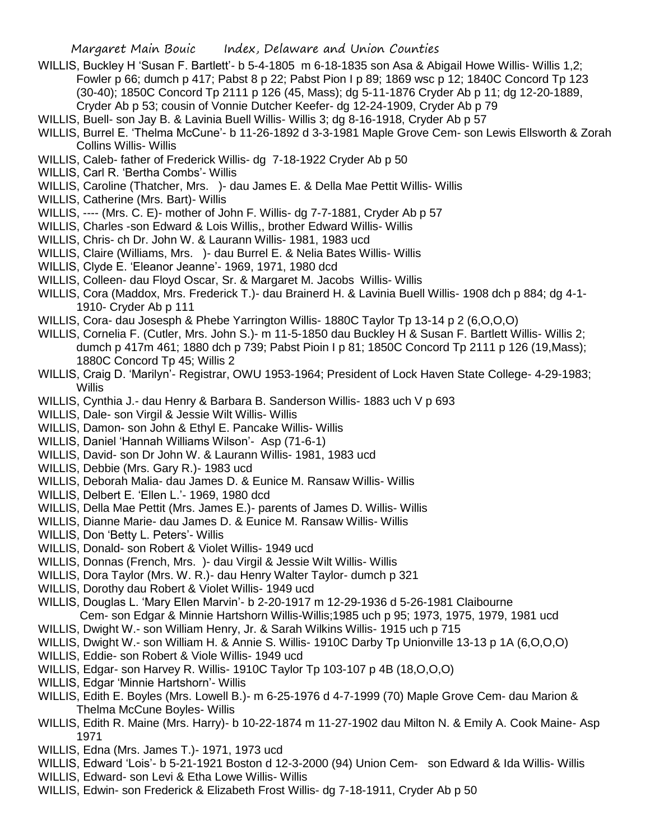- WILLIS, Buckley H 'Susan F. Bartlett'- b 5-4-1805 m 6-18-1835 son Asa & Abigail Howe Willis- Willis 1,2; Fowler p 66; dumch p 417; Pabst 8 p 22; Pabst Pion I p 89; 1869 wsc p 12; 1840C Concord Tp 123 (30-40); 1850C Concord Tp 2111 p 126 (45, Mass); dg 5-11-1876 Cryder Ab p 11; dg 12-20-1889, Cryder Ab p 53; cousin of Vonnie Dutcher Keefer- dg 12-24-1909, Cryder Ab p 79
- WILLIS, Buell- son Jay B. & Lavinia Buell Willis- Willis 3; dg 8-16-1918, Cryder Ab p 57
- WILLIS, Burrel E. 'Thelma McCune'- b 11-26-1892 d 3-3-1981 Maple Grove Cem- son Lewis Ellsworth & Zorah Collins Willis- Willis
- WILLIS, Caleb- father of Frederick Willis- dg 7-18-1922 Cryder Ab p 50
- WILLIS, Carl R. 'Bertha Combs'- Willis
- WILLIS, Caroline (Thatcher, Mrs. )- dau James E. & Della Mae Pettit Willis- Willis
- WILLIS, Catherine (Mrs. Bart)- Willis
- WILLIS, ---- (Mrs. C. E)- mother of John F. Willis- dg 7-7-1881, Cryder Ab p 57
- WILLIS, Charles -son Edward & Lois Willis,, brother Edward Willis- Willis
- WILLIS, Chris- ch Dr. John W. & Laurann Willis- 1981, 1983 ucd
- WILLIS, Claire (Williams, Mrs. )- dau Burrel E. & Nelia Bates Willis- Willis
- WILLIS, Clyde E. 'Eleanor Jeanne'- 1969, 1971, 1980 dcd
- WILLIS, Colleen- dau Floyd Oscar, Sr. & Margaret M. Jacobs Willis- Willis
- WILLIS, Cora (Maddox, Mrs. Frederick T.)- dau Brainerd H. & Lavinia Buell Willis- 1908 dch p 884; dg 4-1- 1910- Cryder Ab p 111
- WILLIS, Cora- dau Josesph & Phebe Yarrington Willis- 1880C Taylor Tp 13-14 p 2 (6,O,O,O)
- WILLIS, Cornelia F. (Cutler, Mrs. John S.)- m 11-5-1850 dau Buckley H & Susan F. Bartlett Willis- Willis 2; dumch p 417m 461; 1880 dch p 739; Pabst Pioin I p 81; 1850C Concord Tp 2111 p 126 (19,Mass); 1880C Concord Tp 45; Willis 2
- WILLIS, Craig D. 'Marilyn'- Registrar, OWU 1953-1964; President of Lock Haven State College- 4-29-1983; **Willis**
- WILLIS, Cynthia J.- dau Henry & Barbara B. Sanderson Willis- 1883 uch V p 693
- WILLIS, Dale- son Virgil & Jessie Wilt Willis- Willis
- WILLIS, Damon- son John & Ethyl E. Pancake Willis- Willis
- WILLIS, Daniel 'Hannah Williams Wilson'- Asp (71-6-1)
- WILLIS, David- son Dr John W. & Laurann Willis- 1981, 1983 ucd
- WILLIS, Debbie (Mrs. Gary R.)- 1983 ucd
- WILLIS, Deborah Malia- dau James D. & Eunice M. Ransaw Willis- Willis
- WILLIS, Delbert E. 'Ellen L.'- 1969, 1980 dcd
- WILLIS, Della Mae Pettit (Mrs. James E.)- parents of James D. Willis- Willis
- WILLIS, Dianne Marie- dau James D. & Eunice M. Ransaw Willis- Willis
- WILLIS, Don 'Betty L. Peters'- Willis
- WILLIS, Donald- son Robert & Violet Willis- 1949 ucd
- WILLIS, Donnas (French, Mrs. )- dau Virgil & Jessie Wilt Willis- Willis
- WILLIS, Dora Taylor (Mrs. W. R.)- dau Henry Walter Taylor- dumch p 321
- WILLIS, Dorothy dau Robert & Violet Willis- 1949 ucd
- WILLIS, Douglas L. 'Mary Ellen Marvin'- b 2-20-1917 m 12-29-1936 d 5-26-1981 Claibourne Cem- son Edgar & Minnie Hartshorn Willis-Willis;1985 uch p 95; 1973, 1975, 1979, 1981 ucd
- WILLIS, Dwight W.- son William Henry, Jr. & Sarah Wilkins Willis- 1915 uch p 715
- WILLIS, Dwight W.- son William H. & Annie S. Willis- 1910C Darby Tp Unionville 13-13 p 1A (6,O,O,O)
- WILLIS, Eddie- son Robert & Viole Willis- 1949 ucd
- WILLIS, Edgar- son Harvey R. Willis- 1910C Taylor Tp 103-107 p 4B (18,O,O,O)
- WILLIS, Edgar 'Minnie Hartshorn'- Willis
- WILLIS, Edith E. Boyles (Mrs. Lowell B.)- m 6-25-1976 d 4-7-1999 (70) Maple Grove Cem- dau Marion & Thelma McCune Boyles- Willis
- WILLIS, Edith R. Maine (Mrs. Harry)- b 10-22-1874 m 11-27-1902 dau Milton N. & Emily A. Cook Maine- Asp 1971
- WILLIS, Edna (Mrs. James T.)- 1971, 1973 ucd
- WILLIS, Edward 'Lois'- b 5-21-1921 Boston d 12-3-2000 (94) Union Cem- son Edward & Ida Willis- Willis
- WILLIS, Edward- son Levi & Etha Lowe Willis- Willis
- WILLIS, Edwin- son Frederick & Elizabeth Frost Willis- dg 7-18-1911, Cryder Ab p 50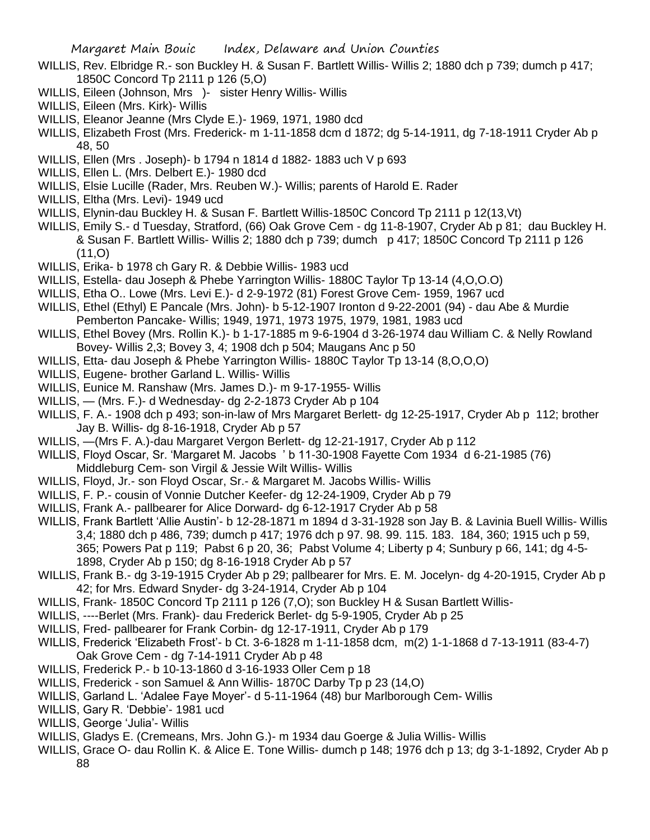- WILLIS, Rev. Elbridge R.- son Buckley H. & Susan F. Bartlett Willis- Willis 2; 1880 dch p 739; dumch p 417; 1850C Concord Tp 2111 p 126 (5,O)
- WILLIS, Eileen (Johnson, Mrs ) sister Henry Willis- Willis
- WILLIS, Eileen (Mrs. Kirk)- Willis
- WILLIS, Eleanor Jeanne (Mrs Clyde E.)- 1969, 1971, 1980 dcd
- WILLIS, Elizabeth Frost (Mrs. Frederick- m 1-11-1858 dcm d 1872; dg 5-14-1911, dg 7-18-1911 Cryder Ab p 48, 50
- WILLIS, Ellen (Mrs . Joseph)- b 1794 n 1814 d 1882- 1883 uch V p 693
- WILLIS, Ellen L. (Mrs. Delbert E.)- 1980 dcd
- WILLIS, Elsie Lucille (Rader, Mrs. Reuben W.)- Willis; parents of Harold E. Rader
- WILLIS, Eltha (Mrs. Levi)- 1949 ucd
- WILLIS, Elynin-dau Buckley H. & Susan F. Bartlett Willis-1850C Concord Tp 2111 p 12(13,Vt)
- WILLIS, Emily S.- d Tuesday, Stratford, (66) Oak Grove Cem dg 11-8-1907, Cryder Ab p 81; dau Buckley H. & Susan F. Bartlett Willis- Willis 2; 1880 dch p 739; dumch p 417; 1850C Concord Tp 2111 p 126  $(11, 0)$
- WILLIS, Erika- b 1978 ch Gary R. & Debbie Willis- 1983 ucd
- WILLIS, Estella- dau Joseph & Phebe Yarrington Willis- 1880C Taylor Tp 13-14 (4,O,O.O)
- WILLIS, Etha O.. Lowe (Mrs. Levi E.)- d 2-9-1972 (81) Forest Grove Cem- 1959, 1967 ucd
- WILLIS, Ethel (Ethyl) E Pancale (Mrs. John)- b 5-12-1907 Ironton d 9-22-2001 (94) dau Abe & Murdie Pemberton Pancake- Willis; 1949, 1971, 1973 1975, 1979, 1981, 1983 ucd
- WILLIS, Ethel Bovey (Mrs. Rollin K.)- b 1-17-1885 m 9-6-1904 d 3-26-1974 dau William C. & Nelly Rowland Bovey- Willis 2,3; Bovey 3, 4; 1908 dch p 504; Maugans Anc p 50
- WILLIS, Etta- dau Joseph & Phebe Yarrington Willis- 1880C Taylor Tp 13-14 (8,O,O,O)
- WILLIS, Eugene- brother Garland L. Willis- Willis
- WILLIS, Eunice M. Ranshaw (Mrs. James D.)- m 9-17-1955- Willis
- WILLIS, (Mrs. F.)- d Wednesday- dg 2-2-1873 Cryder Ab p 104
- WILLIS, F. A.- 1908 dch p 493; son-in-law of Mrs Margaret Berlett- dg 12-25-1917, Cryder Ab p 112; brother Jay B. Willis- dg 8-16-1918, Cryder Ab p 57
- WILLIS, —(Mrs F. A.)-dau Margaret Vergon Berlett- dg 12-21-1917, Cryder Ab p 112
- WILLIS, Floyd Oscar, Sr. 'Margaret M. Jacobs ' b 11-30-1908 Fayette Com 1934 d 6-21-1985 (76) Middleburg Cem- son Virgil & Jessie Wilt Willis- Willis
- WILLIS, Floyd, Jr.- son Floyd Oscar, Sr.- & Margaret M. Jacobs Willis- Willis
- WILLIS, F. P.- cousin of Vonnie Dutcher Keefer- dg 12-24-1909, Cryder Ab p 79
- WILLIS, Frank A.- pallbearer for Alice Dorward- dg 6-12-1917 Cryder Ab p 58
- WILLIS, Frank Bartlett 'Allie Austin'- b 12-28-1871 m 1894 d 3-31-1928 son Jay B. & Lavinia Buell Willis- Willis 3,4; 1880 dch p 486, 739; dumch p 417; 1976 dch p 97. 98. 99. 115. 183. 184, 360; 1915 uch p 59, 365; Powers Pat p 119; Pabst 6 p 20, 36; Pabst Volume 4; Liberty p 4; Sunbury p 66, 141; dg 4-5- 1898, Cryder Ab p 150; dg 8-16-1918 Cryder Ab p 57
- WILLIS, Frank B.- dg 3-19-1915 Cryder Ab p 29; pallbearer for Mrs. E. M. Jocelyn- dg 4-20-1915, Cryder Ab p 42; for Mrs. Edward Snyder- dg 3-24-1914, Cryder Ab p 104
- WILLIS, Frank- 1850C Concord Tp 2111 p 126 (7,0); son Buckley H & Susan Bartlett Willis-
- WILLIS, ----Berlet (Mrs. Frank)- dau Frederick Berlet- dg 5-9-1905, Cryder Ab p 25
- WILLIS, Fred- pallbearer for Frank Corbin- dg 12-17-1911, Cryder Ab p 179
- WILLIS, Frederick 'Elizabeth Frost'- b Ct. 3-6-1828 m 1-11-1858 dcm, m(2) 1-1-1868 d 7-13-1911 (83-4-7) Oak Grove Cem - dg 7-14-1911 Cryder Ab p 48
- WILLIS, Frederick P.- b 10-13-1860 d 3-16-1933 Oller Cem p 18
- WILLIS, Frederick son Samuel & Ann Willis- 1870C Darby Tp p 23 (14,O)
- WILLIS, Garland L. 'Adalee Faye Moyer'- d 5-11-1964 (48) bur Marlborough Cem- Willis
- WILLIS, Gary R. 'Debbie'- 1981 ucd
- WILLIS, George 'Julia'- Willis
- WILLIS, Gladys E. (Cremeans, Mrs. John G.)- m 1934 dau Goerge & Julia Willis- Willis
- WILLIS, Grace O- dau Rollin K. & Alice E. Tone Willis- dumch p 148; 1976 dch p 13; dg 3-1-1892, Cryder Ab p 88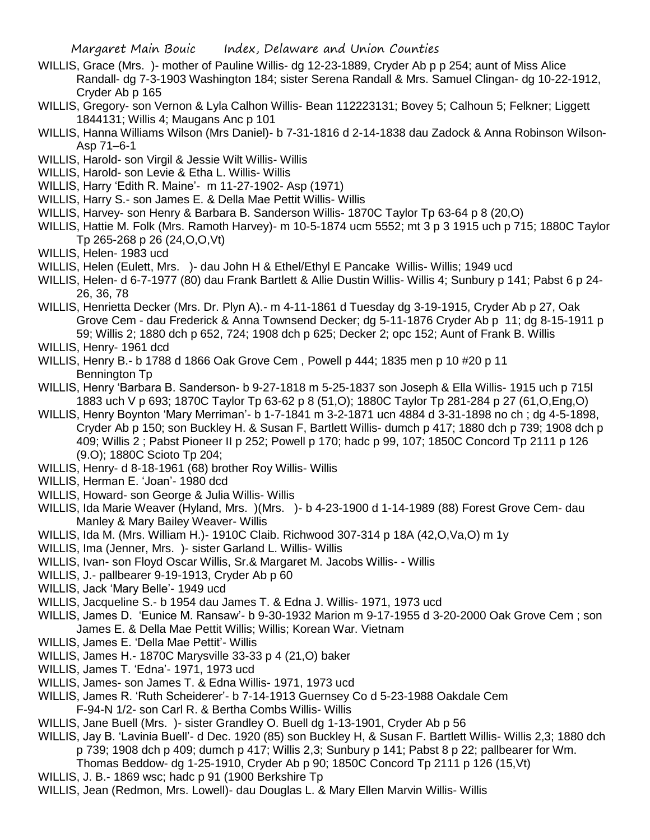- WILLIS, Grace (Mrs. )- mother of Pauline Willis- dg 12-23-1889, Cryder Ab p p 254; aunt of Miss Alice Randall- dg 7-3-1903 Washington 184; sister Serena Randall & Mrs. Samuel Clingan- dg 10-22-1912, Cryder Ab p 165
- WILLIS, Gregory- son Vernon & Lyla Calhon Willis- Bean 112223131; Bovey 5; Calhoun 5; Felkner; Liggett 1844131; Willis 4; Maugans Anc p 101
- WILLIS, Hanna Williams Wilson (Mrs Daniel)- b 7-31-1816 d 2-14-1838 dau Zadock & Anna Robinson Wilson-Asp 71–6-1
- WILLIS, Harold- son Virgil & Jessie Wilt Willis- Willis
- WILLIS, Harold- son Levie & Etha L. Willis- Willis
- WILLIS, Harry 'Edith R. Maine'- m 11-27-1902- Asp (1971)
- WILLIS, Harry S.- son James E. & Della Mae Pettit Willis- Willis
- WILLIS, Harvey- son Henry & Barbara B. Sanderson Willis- 1870C Taylor Tp 63-64 p 8 (20,O)
- WILLIS, Hattie M. Folk (Mrs. Ramoth Harvey)- m 10-5-1874 ucm 5552; mt 3 p 3 1915 uch p 715; 1880C Taylor Tp 265-268 p 26 (24,O,O,Vt)
- WILLIS, Helen- 1983 ucd
- WILLIS, Helen (Eulett, Mrs. )- dau John H & Ethel/Ethyl E Pancake Willis- Willis; 1949 ucd
- WILLIS, Helen- d 6-7-1977 (80) dau Frank Bartlett & Allie Dustin Willis- Willis 4; Sunbury p 141; Pabst 6 p 24- 26, 36, 78
- WILLIS, Henrietta Decker (Mrs. Dr. Plyn A).- m 4-11-1861 d Tuesday dg 3-19-1915, Cryder Ab p 27, Oak Grove Cem - dau Frederick & Anna Townsend Decker; dg 5-11-1876 Cryder Ab p 11; dg 8-15-1911 p 59; Willis 2; 1880 dch p 652, 724; 1908 dch p 625; Decker 2; opc 152; Aunt of Frank B. Willis

WILLIS, Henry- 1961 dcd

- WILLIS, Henry B.- b 1788 d 1866 Oak Grove Cem , Powell p 444; 1835 men p 10 #20 p 11 Bennington Tp
- WILLIS, Henry 'Barbara B. Sanderson- b 9-27-1818 m 5-25-1837 son Joseph & Ella Willis- 1915 uch p 715l 1883 uch V p 693; 1870C Taylor Tp 63-62 p 8 (51,O); 1880C Taylor Tp 281-284 p 27 (61,O,Eng,O)
- WILLIS, Henry Boynton 'Mary Merriman'- b 1-7-1841 m 3-2-1871 ucn 4884 d 3-31-1898 no ch ; dg 4-5-1898, Cryder Ab p 150; son Buckley H. & Susan F, Bartlett Willis- dumch p 417; 1880 dch p 739; 1908 dch p 409; Willis 2 ; Pabst Pioneer II p 252; Powell p 170; hadc p 99, 107; 1850C Concord Tp 2111 p 126 (9.O); 1880C Scioto Tp 204;
- WILLIS, Henry- d 8-18-1961 (68) brother Roy Willis- Willis
- WILLIS, Herman E. 'Joan'- 1980 dcd
- WILLIS, Howard- son George & Julia Willis- Willis
- WILLIS, Ida Marie Weaver (Hyland, Mrs. )(Mrs. )- b 4-23-1900 d 1-14-1989 (88) Forest Grove Cem- dau Manley & Mary Bailey Weaver- Willis
- WILLIS, Ida M. (Mrs. William H.)- 1910C Claib. Richwood 307-314 p 18A (42,O,Va,O) m 1y
- WILLIS, Ima (Jenner, Mrs. )- sister Garland L. Willis- Willis
- WILLIS, Ivan- son Floyd Oscar Willis, Sr.& Margaret M. Jacobs Willis- Willis
- WILLIS, J.- pallbearer 9-19-1913, Cryder Ab p 60
- WILLIS, Jack 'Mary Belle'- 1949 ucd
- WILLIS, Jacqueline S.- b 1954 dau James T. & Edna J. Willis- 1971, 1973 ucd
- WILLIS, James D. 'Eunice M. Ransaw'- b 9-30-1932 Marion m 9-17-1955 d 3-20-2000 Oak Grove Cem ; son James E. & Della Mae Pettit Willis; Willis; Korean War. Vietnam
- WILLIS, James E. 'Della Mae Pettit'- Willis
- WILLIS, James H.- 1870C Marysville 33-33 p 4 (21,O) baker
- WILLIS, James T. 'Edna'- 1971, 1973 ucd
- WILLIS, James- son James T. & Edna Willis- 1971, 1973 ucd
- WILLIS, James R. 'Ruth Scheiderer'- b 7-14-1913 Guernsey Co d 5-23-1988 Oakdale Cem
	- F-94-N 1/2- son Carl R. & Bertha Combs Willis- Willis
- WILLIS, Jane Buell (Mrs. )- sister Grandley O. Buell dg 1-13-1901, Cryder Ab p 56
- WILLIS, Jay B. 'Lavinia Buell'- d Dec. 1920 (85) son Buckley H, & Susan F. Bartlett Willis- Willis 2,3; 1880 dch p 739; 1908 dch p 409; dumch p 417; Willis 2,3; Sunbury p 141; Pabst 8 p 22; pallbearer for Wm.
	- Thomas Beddow- dg 1-25-1910, Cryder Ab p 90; 1850C Concord Tp 2111 p 126 (15,Vt)
- WILLIS, J. B.- 1869 wsc; hadc p 91 (1900 Berkshire Tp
- WILLIS, Jean (Redmon, Mrs. Lowell)- dau Douglas L. & Mary Ellen Marvin Willis- Willis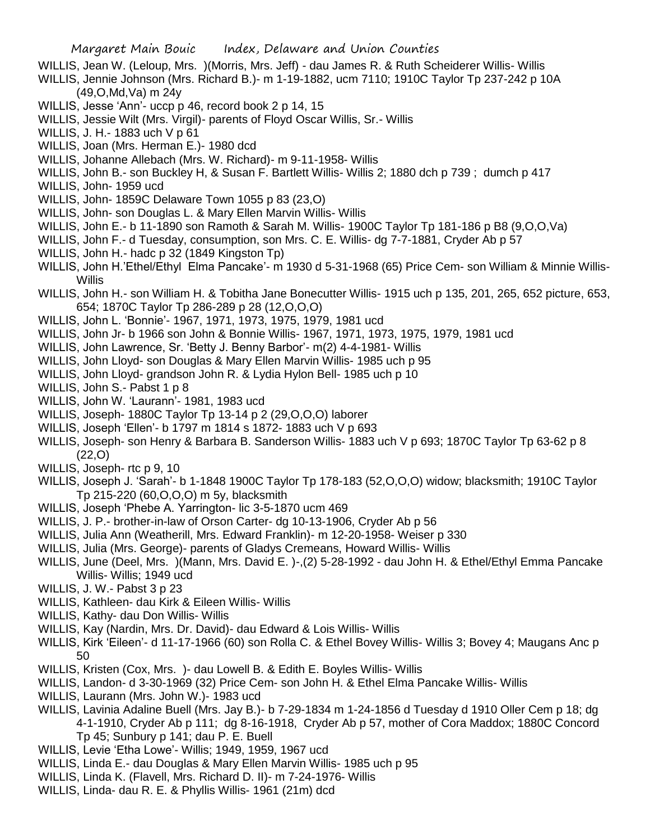- WILLIS, Jean W. (Leloup, Mrs. )(Morris, Mrs. Jeff) dau James R. & Ruth Scheiderer Willis- Willis
- WILLIS, Jennie Johnson (Mrs. Richard B.)- m 1-19-1882, ucm 7110; 1910C Taylor Tp 237-242 p 10A (49,O,Md,Va) m 24y
- WILLIS, Jesse 'Ann'- uccp p 46, record book 2 p 14, 15
- WILLIS, Jessie Wilt (Mrs. Virgil)- parents of Floyd Oscar Willis, Sr.- Willis
- WILLIS, J. H.- 1883 uch V p 61
- WILLIS, Joan (Mrs. Herman E.)- 1980 dcd
- WILLIS, Johanne Allebach (Mrs. W. Richard)- m 9-11-1958- Willis
- WILLIS, John B.- son Buckley H, & Susan F. Bartlett Willis- Willis 2; 1880 dch p 739; dumch p 417
- WILLIS, John- 1959 ucd
- WILLIS, John- 1859C Delaware Town 1055 p 83 (23,O)
- WILLIS, John- son Douglas L. & Mary Ellen Marvin Willis- Willis
- WILLIS, John E.- b 11-1890 son Ramoth & Sarah M. Willis- 1900C Taylor Tp 181-186 p B8 (9,O,O,Va)
- WILLIS, John F.- d Tuesday, consumption, son Mrs. C. E. Willis- dg 7-7-1881, Cryder Ab p 57
- WILLIS, John H.- hadc p 32 (1849 Kingston Tp)
- WILLIS, John H.'Ethel/Ethyl Elma Pancake'- m 1930 d 5-31-1968 (65) Price Cem- son William & Minnie Willis-**Willis**
- WILLIS, John H.- son William H. & Tobitha Jane Bonecutter Willis- 1915 uch p 135, 201, 265, 652 picture, 653, 654; 1870C Taylor Tp 286-289 p 28 (12,O,O,O)
- WILLIS, John L. 'Bonnie'- 1967, 1971, 1973, 1975, 1979, 1981 ucd
- WILLIS, John Jr- b 1966 son John & Bonnie Willis- 1967, 1971, 1973, 1975, 1979, 1981 ucd
- WILLIS, John Lawrence, Sr. 'Betty J. Benny Barbor'- m(2) 4-4-1981- Willis
- WILLIS, John Lloyd- son Douglas & Mary Ellen Marvin Willis- 1985 uch p 95
- WILLIS, John Lloyd- grandson John R. & Lydia Hylon Bell- 1985 uch p 10
- WILLIS, John S.- Pabst 1 p 8
- WILLIS, John W. 'Laurann'- 1981, 1983 ucd
- WILLIS, Joseph- 1880C Taylor Tp 13-14 p 2 (29,O,O,O) laborer
- WILLIS, Joseph 'Ellen'- b 1797 m 1814 s 1872- 1883 uch V p 693
- WILLIS, Joseph- son Henry & Barbara B. Sanderson Willis- 1883 uch V p 693; 1870C Taylor Tp 63-62 p 8 (22,O)
- WILLIS, Joseph- rtc p 9, 10
- WILLIS, Joseph J. 'Sarah'- b 1-1848 1900C Taylor Tp 178-183 (52,O,O,O) widow; blacksmith; 1910C Taylor Tp 215-220 (60,O,O,O) m 5y, blacksmith
- WILLIS, Joseph 'Phebe A. Yarrington- lic 3-5-1870 ucm 469
- WILLIS, J. P.- brother-in-law of Orson Carter- dg 10-13-1906, Cryder Ab p 56
- WILLIS, Julia Ann (Weatherill, Mrs. Edward Franklin)- m 12-20-1958- Weiser p 330
- WILLIS, Julia (Mrs. George)- parents of Gladys Cremeans, Howard Willis- Willis
- WILLIS, June (Deel, Mrs. )(Mann, Mrs. David E. )-,(2) 5-28-1992 dau John H. & Ethel/Ethyl Emma Pancake Willis- Willis; 1949 ucd
- WILLIS, J. W.- Pabst 3 p 23
- WILLIS, Kathleen- dau Kirk & Eileen Willis- Willis
- WILLIS, Kathy- dau Don Willis- Willis
- WILLIS, Kay (Nardin, Mrs. Dr. David)- dau Edward & Lois Willis- Willis
- WILLIS, Kirk 'Eileen'- d 11-17-1966 (60) son Rolla C. & Ethel Bovey Willis- Willis 3; Bovey 4; Maugans Anc p 50
- WILLIS, Kristen (Cox, Mrs. )- dau Lowell B. & Edith E. Boyles Willis- Willis
- WILLIS, Landon- d 3-30-1969 (32) Price Cem- son John H. & Ethel Elma Pancake Willis- Willis
- WILLIS, Laurann (Mrs. John W.)- 1983 ucd
- WILLIS, Lavinia Adaline Buell (Mrs. Jay B.)- b 7-29-1834 m 1-24-1856 d Tuesday d 1910 Oller Cem p 18; dg 4-1-1910, Cryder Ab p 111; dg 8-16-1918, Cryder Ab p 57, mother of Cora Maddox; 1880C Concord Tp 45; Sunbury p 141; dau P. E. Buell
- WILLIS, Levie 'Etha Lowe'- Willis; 1949, 1959, 1967 ucd
- WILLIS, Linda E.- dau Douglas & Mary Ellen Marvin Willis- 1985 uch p 95
- WILLIS, Linda K. (Flavell, Mrs. Richard D. II)- m 7-24-1976- Willis
- WILLIS, Linda- dau R. E. & Phyllis Willis- 1961 (21m) dcd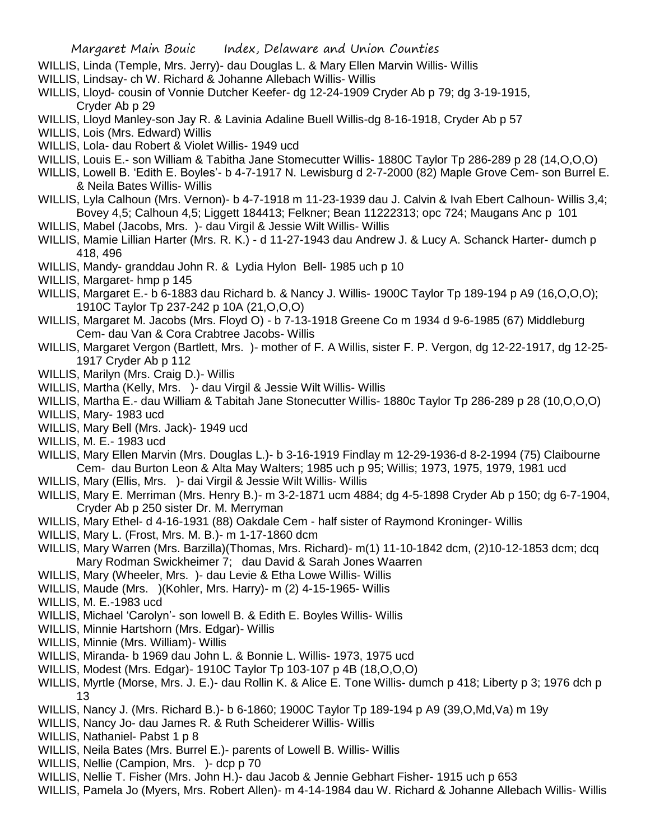- WILLIS, Linda (Temple, Mrs. Jerry)- dau Douglas L. & Mary Ellen Marvin Willis- Willis
- WILLIS, Lindsay- ch W. Richard & Johanne Allebach Willis- Willis
- WILLIS, Lloyd- cousin of Vonnie Dutcher Keefer- dg 12-24-1909 Cryder Ab p 79; dg 3-19-1915, Cryder Ab p 29
- WILLIS, Lloyd Manley-son Jay R. & Lavinia Adaline Buell Willis-dg 8-16-1918, Cryder Ab p 57
- WILLIS, Lois (Mrs. Edward) Willis
- WILLIS, Lola- dau Robert & Violet Willis- 1949 ucd
- WILLIS, Louis E.- son William & Tabitha Jane Stomecutter Willis- 1880C Taylor Tp 286-289 p 28 (14,O,O,O)
- WILLIS, Lowell B. 'Edith E. Boyles'- b 4-7-1917 N. Lewisburg d 2-7-2000 (82) Maple Grove Cem- son Burrel E. & Neila Bates Willis- Willis
- WILLIS, Lyla Calhoun (Mrs. Vernon)- b 4-7-1918 m 11-23-1939 dau J. Calvin & Ivah Ebert Calhoun- Willis 3,4; Bovey 4,5; Calhoun 4,5; Liggett 184413; Felkner; Bean 11222313; opc 724; Maugans Anc p 101
- WILLIS, Mabel (Jacobs, Mrs. )- dau Virgil & Jessie Wilt Willis- Willis
- WILLIS, Mamie Lillian Harter (Mrs. R. K.) d 11-27-1943 dau Andrew J. & Lucy A. Schanck Harter- dumch p 418, 496
- WILLIS, Mandy- granddau John R. & Lydia Hylon Bell- 1985 uch p 10
- WILLIS, Margaret- hmp p 145
- WILLIS, Margaret E.- b 6-1883 dau Richard b. & Nancy J. Willis- 1900C Taylor Tp 189-194 p A9 (16, O, O, O); 1910C Taylor Tp 237-242 p 10A (21,O,O,O)
- WILLIS, Margaret M. Jacobs (Mrs. Floyd O) b 7-13-1918 Greene Co m 1934 d 9-6-1985 (67) Middleburg Cem- dau Van & Cora Crabtree Jacobs- Willis
- WILLIS, Margaret Vergon (Bartlett, Mrs. )- mother of F. A Willis, sister F. P. Vergon, dg 12-22-1917, dg 12-25- 1917 Cryder Ab p 112
- WILLIS, Marilyn (Mrs. Craig D.)- Willis
- WILLIS, Martha (Kelly, Mrs. )- dau Virgil & Jessie Wilt Willis- Willis
- WILLIS, Martha E.- dau William & Tabitah Jane Stonecutter Willis- 1880c Taylor Tp 286-289 p 28 (10,O,O,O)
- WILLIS, Mary- 1983 ucd
- WILLIS, Mary Bell (Mrs. Jack)- 1949 ucd
- WILLIS, M. E.- 1983 ucd
- WILLIS, Mary Ellen Marvin (Mrs. Douglas L.)- b 3-16-1919 Findlay m 12-29-1936-d 8-2-1994 (75) Claibourne Cem- dau Burton Leon & Alta May Walters; 1985 uch p 95; Willis; 1973, 1975, 1979, 1981 ucd
- WILLIS, Mary (Ellis, Mrs. )- dai Virgil & Jessie Wilt Willis- Willis
- WILLIS, Mary E. Merriman (Mrs. Henry B.)- m 3-2-1871 ucm 4884; dg 4-5-1898 Cryder Ab p 150; dg 6-7-1904, Cryder Ab p 250 sister Dr. M. Merryman
- WILLIS, Mary Ethel- d 4-16-1931 (88) Oakdale Cem half sister of Raymond Kroninger- Willis
- WILLIS, Mary L. (Frost, Mrs. M. B.)- m 1-17-1860 dcm
- WILLIS, Mary Warren (Mrs. Barzilla)(Thomas, Mrs. Richard)- m(1) 11-10-1842 dcm, (2)10-12-1853 dcm; dcq Mary Rodman Swickheimer 7; dau David & Sarah Jones Waarren
- WILLIS, Mary (Wheeler, Mrs. )- dau Levie & Etha Lowe Willis- Willis
- WILLIS, Maude (Mrs. )(Kohler, Mrs. Harry)- m (2) 4-15-1965- Willis
- WILLIS, M. E.-1983 ucd
- WILLIS, Michael 'Carolyn'- son lowell B. & Edith E. Boyles Willis- Willis
- WILLIS, Minnie Hartshorn (Mrs. Edgar)- Willis
- WILLIS, Minnie (Mrs. William)- Willis
- WILLIS, Miranda- b 1969 dau John L. & Bonnie L. Willis- 1973, 1975 ucd
- WILLIS, Modest (Mrs. Edgar)- 1910C Taylor Tp 103-107 p 4B (18,O,O,O)
- WILLIS, Myrtle (Morse, Mrs. J. E.)- dau Rollin K. & Alice E. Tone Willis- dumch p 418; Liberty p 3; 1976 dch p 13
- WILLIS, Nancy J. (Mrs. Richard B.)- b 6-1860; 1900C Taylor Tp 189-194 p A9 (39,O,Md,Va) m 19y
- WILLIS, Nancy Jo- dau James R. & Ruth Scheiderer Willis- Willis
- WILLIS, Nathaniel- Pabst 1 p 8
- WILLIS, Neila Bates (Mrs. Burrel E.)- parents of Lowell B. Willis- Willis
- WILLIS, Nellie (Campion, Mrs. )- dcp p 70
- WILLIS, Nellie T. Fisher (Mrs. John H.)- dau Jacob & Jennie Gebhart Fisher- 1915 uch p 653
- WILLIS, Pamela Jo (Myers, Mrs. Robert Allen)- m 4-14-1984 dau W. Richard & Johanne Allebach Willis- Willis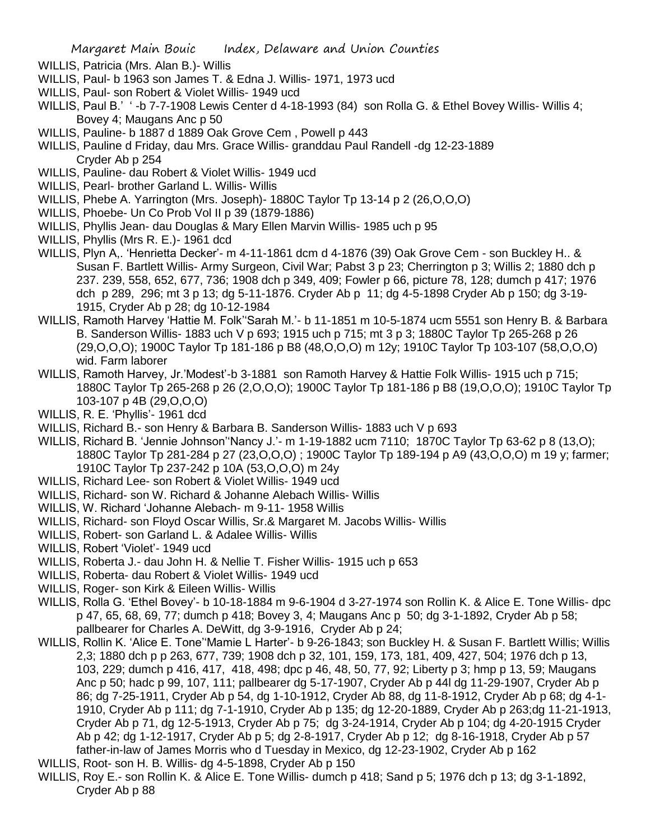- WILLIS, Patricia (Mrs. Alan B.)- Willis
- WILLIS, Paul- b 1963 son James T. & Edna J. Willis- 1971, 1973 ucd
- WILLIS, Paul- son Robert & Violet Willis- 1949 ucd
- WILLIS, Paul B.' ' -b 7-7-1908 Lewis Center d 4-18-1993 (84) son Rolla G. & Ethel Bovey Willis- Willis 4; Bovey 4; Maugans Anc p 50
- WILLIS, Pauline- b 1887 d 1889 Oak Grove Cem , Powell p 443
- WILLIS, Pauline d Friday, dau Mrs. Grace Willis- granddau Paul Randell -dg 12-23-1889 Cryder Ab p 254
- WILLIS, Pauline- dau Robert & Violet Willis- 1949 ucd
- WILLIS, Pearl- brother Garland L. Willis- Willis
- WILLIS, Phebe A. Yarrington (Mrs. Joseph)- 1880C Taylor Tp 13-14 p 2 (26,O,O,O)
- WILLIS, Phoebe- Un Co Prob Vol II p 39 (1879-1886)
- WILLIS, Phyllis Jean- dau Douglas & Mary Ellen Marvin Willis- 1985 uch p 95
- WILLIS, Phyllis (Mrs R. E.)- 1961 dcd
- WILLIS, Plyn A,. 'Henrietta Decker'- m 4-11-1861 dcm d 4-1876 (39) Oak Grove Cem son Buckley H.. & Susan F. Bartlett Willis- Army Surgeon, Civil War; Pabst 3 p 23; Cherrington p 3; Willis 2; 1880 dch p 237. 239, 558, 652, 677, 736; 1908 dch p 349, 409; Fowler p 66, picture 78, 128; dumch p 417; 1976 dch p 289, 296; mt 3 p 13; dg 5-11-1876. Cryder Ab p 11; dg 4-5-1898 Cryder Ab p 150; dg 3-19- 1915, Cryder Ab p 28; dg 10-12-1984
- WILLIS, Ramoth Harvey 'Hattie M. Folk''Sarah M.'- b 11-1851 m 10-5-1874 ucm 5551 son Henry B. & Barbara B. Sanderson Willis- 1883 uch V p 693; 1915 uch p 715; mt 3 p 3; 1880C Taylor Tp 265-268 p 26 (29,O,O,O); 1900C Taylor Tp 181-186 p B8 (48,O,O,O) m 12y; 1910C Taylor Tp 103-107 (58,O,O,O) wid. Farm laborer
- WILLIS, Ramoth Harvey, Jr.'Modest'-b 3-1881 son Ramoth Harvey & Hattie Folk Willis- 1915 uch p 715; 1880C Taylor Tp 265-268 p 26 (2,O,O,O); 1900C Taylor Tp 181-186 p B8 (19,O,O,O); 1910C Taylor Tp 103-107 p 4B (29,O,O,O)
- WILLIS, R. E. 'Phyllis'- 1961 dcd
- WILLIS, Richard B.- son Henry & Barbara B. Sanderson Willis- 1883 uch V p 693
- WILLIS, Richard B. 'Jennie Johnson''Nancy J.'- m 1-19-1882 ucm 7110; 1870C Taylor Tp 63-62 p 8 (13,O); 1880C Taylor Tp 281-284 p 27 (23,O,O,O) ; 1900C Taylor Tp 189-194 p A9 (43,O,O,O) m 19 y; farmer; 1910C Taylor Tp 237-242 p 10A (53,O,O,O) m 24y
- WILLIS, Richard Lee- son Robert & Violet Willis- 1949 ucd
- WILLIS, Richard- son W. Richard & Johanne Alebach Willis- Willis
- WILLIS, W. Richard 'Johanne Alebach- m 9-11- 1958 Willis
- WILLIS, Richard- son Floyd Oscar Willis, Sr.& Margaret M. Jacobs Willis- Willis
- WILLIS, Robert- son Garland L. & Adalee Willis- Willis
- WILLIS, Robert 'Violet'- 1949 ucd
- WILLIS, Roberta J.- dau John H. & Nellie T. Fisher Willis- 1915 uch p 653
- WILLIS, Roberta- dau Robert & Violet Willis- 1949 ucd
- WILLIS, Roger- son Kirk & Eileen Willis- Willis
- WILLIS, Rolla G. 'Ethel Bovey'- b 10-18-1884 m 9-6-1904 d 3-27-1974 son Rollin K. & Alice E. Tone Willis- dpc p 47, 65, 68, 69, 77; dumch p 418; Bovey 3, 4; Maugans Anc p 50; dg 3-1-1892, Cryder Ab p 58; pallbearer for Charles A. DeWitt, dg 3-9-1916, Cryder Ab p 24;
- WILLIS, Rollin K. 'Alice E. Tone''Mamie L Harter'- b 9-26-1843; son Buckley H. & Susan F. Bartlett Willis; Willis 2,3; 1880 dch p p 263, 677, 739; 1908 dch p 32, 101, 159, 173, 181, 409, 427, 504; 1976 dch p 13, 103, 229; dumch p 416, 417, 418, 498; dpc p 46, 48, 50, 77, 92; Liberty p 3; hmp p 13, 59; Maugans Anc p 50; hadc p 99, 107, 111; pallbearer dg 5-17-1907, Cryder Ab p 44l dg 11-29-1907, Cryder Ab p 86; dg 7-25-1911, Cryder Ab p 54, dg 1-10-1912, Cryder Ab 88, dg 11-8-1912, Cryder Ab p 68; dg 4-1- 1910, Cryder Ab p 111; dg 7-1-1910, Cryder Ab p 135; dg 12-20-1889, Cryder Ab p 263;dg 11-21-1913, Cryder Ab p 71, dg 12-5-1913, Cryder Ab p 75; dg 3-24-1914, Cryder Ab p 104; dg 4-20-1915 Cryder Ab p 42; dg 1-12-1917, Cryder Ab p 5; dg 2-8-1917, Cryder Ab p 12; dg 8-16-1918, Cryder Ab p 57 father-in-law of James Morris who d Tuesday in Mexico, dg 12-23-1902, Cryder Ab p 162
- WILLIS, Root- son H. B. Willis- dg 4-5-1898, Cryder Ab p 150
- WILLIS, Roy E.- son Rollin K. & Alice E. Tone Willis- dumch p 418; Sand p 5; 1976 dch p 13; dg 3-1-1892, Cryder Ab p 88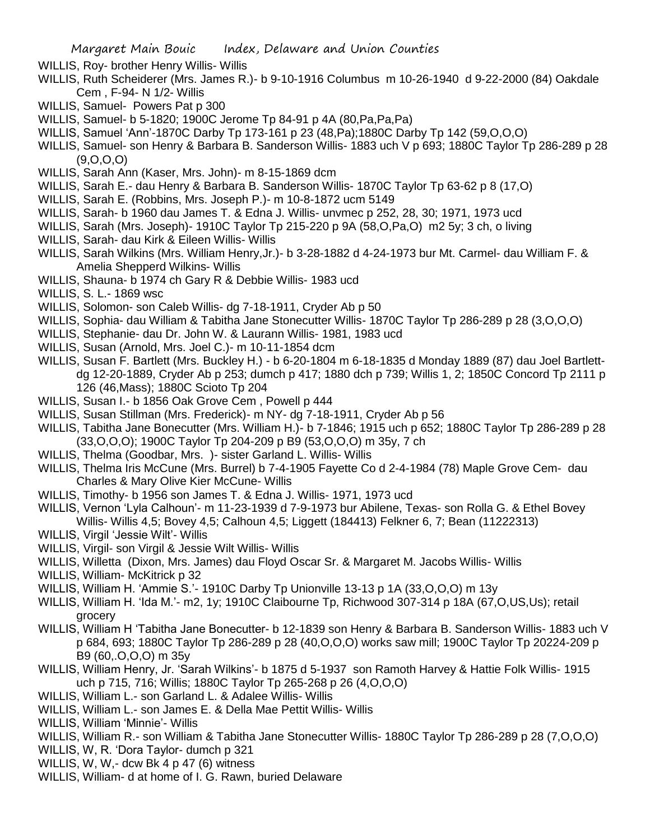- WILLIS, Roy- brother Henry Willis- Willis
- WILLIS, Ruth Scheiderer (Mrs. James R.)- b 9-10-1916 Columbus m 10-26-1940 d 9-22-2000 (84) Oakdale Cem , F-94- N 1/2- Willis
- WILLIS, Samuel- Powers Pat p 300
- WILLIS, Samuel- b 5-1820; 1900C Jerome Tp 84-91 p 4A (80,Pa,Pa,Pa)
- WILLIS, Samuel 'Ann'-1870C Darby Tp 173-161 p 23 (48,Pa);1880C Darby Tp 142 (59,O,O,O)
- WILLIS, Samuel- son Henry & Barbara B. Sanderson Willis- 1883 uch V p 693; 1880C Taylor Tp 286-289 p 28 (9,O,O,O)
- WILLIS, Sarah Ann (Kaser, Mrs. John)- m 8-15-1869 dcm
- WILLIS, Sarah E.- dau Henry & Barbara B. Sanderson Willis- 1870C Taylor Tp 63-62 p 8 (17,O)
- WILLIS, Sarah E. (Robbins, Mrs. Joseph P.)- m 10-8-1872 ucm 5149
- WILLIS, Sarah- b 1960 dau James T. & Edna J. Willis- unvmec p 252, 28, 30; 1971, 1973 ucd
- WILLIS, Sarah (Mrs. Joseph)- 1910C Taylor Tp 215-220 p 9A (58,O,Pa,O) m2 5y; 3 ch, o living
- WILLIS, Sarah- dau Kirk & Eileen Willis- Willis
- WILLIS, Sarah Wilkins (Mrs. William Henry,Jr.)- b 3-28-1882 d 4-24-1973 bur Mt. Carmel- dau William F. & Amelia Shepperd Wilkins- Willis
- WILLIS, Shauna- b 1974 ch Gary R & Debbie Willis- 1983 ucd
- WILLIS, S. L.- 1869 wsc
- WILLIS, Solomon- son Caleb Willis- dg 7-18-1911, Cryder Ab p 50
- WILLIS, Sophia- dau William & Tabitha Jane Stonecutter Willis- 1870C Taylor Tp 286-289 p 28 (3,O,O,O)
- WILLIS, Stephanie- dau Dr. John W. & Laurann Willis- 1981, 1983 ucd
- WILLIS, Susan (Arnold, Mrs. Joel C.)- m 10-11-1854 dcm
- WILLIS, Susan F. Bartlett (Mrs. Buckley H.) b 6-20-1804 m 6-18-1835 d Monday 1889 (87) dau Joel Bartlettdg 12-20-1889, Cryder Ab p 253; dumch p 417; 1880 dch p 739; Willis 1, 2; 1850C Concord Tp 2111 p 126 (46,Mass); 1880C Scioto Tp 204
- WILLIS, Susan I.- b 1856 Oak Grove Cem , Powell p 444
- WILLIS, Susan Stillman (Mrs. Frederick)- m NY- dg 7-18-1911, Cryder Ab p 56
- WILLIS, Tabitha Jane Bonecutter (Mrs. William H.)- b 7-1846; 1915 uch p 652; 1880C Taylor Tp 286-289 p 28 (33,O,O,O); 1900C Taylor Tp 204-209 p B9 (53,O,O,O) m 35y, 7 ch
- WILLIS, Thelma (Goodbar, Mrs. )- sister Garland L. Willis- Willis
- WILLIS, Thelma Iris McCune (Mrs. Burrel) b 7-4-1905 Fayette Co d 2-4-1984 (78) Maple Grove Cem- dau Charles & Mary Olive Kier McCune- Willis
- WILLIS, Timothy- b 1956 son James T. & Edna J. Willis- 1971, 1973 ucd
- WILLIS, Vernon 'Lyla Calhoun'- m 11-23-1939 d 7-9-1973 bur Abilene, Texas- son Rolla G. & Ethel Bovey Willis- Willis 4,5; Bovey 4,5; Calhoun 4,5; Liggett (184413) Felkner 6, 7; Bean (11222313)
- WILLIS, Virgil 'Jessie Wilt'- Willis
- WILLIS, Virgil- son Virgil & Jessie Wilt Willis- Willis
- WILLIS, Willetta (Dixon, Mrs. James) dau Floyd Oscar Sr. & Margaret M. Jacobs Willis- Willis
- WILLIS, William- McKitrick p 32
- WILLIS, William H. 'Ammie S.'- 1910C Darby Tp Unionville 13-13 p 1A (33,O,O,O) m 13y
- WILLIS, William H. 'Ida M.'- m2, 1y; 1910C Claibourne Tp, Richwood 307-314 p 18A (67,O,US,Us); retail grocery
- WILLIS, William H 'Tabitha Jane Bonecutter- b 12-1839 son Henry & Barbara B. Sanderson Willis- 1883 uch V p 684, 693; 1880C Taylor Tp 286-289 p 28 (40,O,O,O) works saw mill; 1900C Taylor Tp 20224-209 p B9 (60,.O,O,O) m 35y
- WILLIS, William Henry, Jr. 'Sarah Wilkins'- b 1875 d 5-1937 son Ramoth Harvey & Hattie Folk Willis- 1915 uch p 715, 716; Willis; 1880C Taylor Tp 265-268 p 26 (4,O,O,O)
- WILLIS, William L.- son Garland L. & Adalee Willis- Willis
- WILLIS, William L.- son James E. & Della Mae Pettit Willis- Willis
- WILLIS, William 'Minnie'- Willis
- WILLIS, William R.- son William & Tabitha Jane Stonecutter Willis- 1880C Taylor Tp 286-289 p 28 (7,O,O,O)
- WILLIS, W, R. 'Dora Taylor- dumch p 321
- WILLIS, W, W,- dcw Bk 4 p 47 (6) witness
- WILLIS, William- d at home of I. G. Rawn, buried Delaware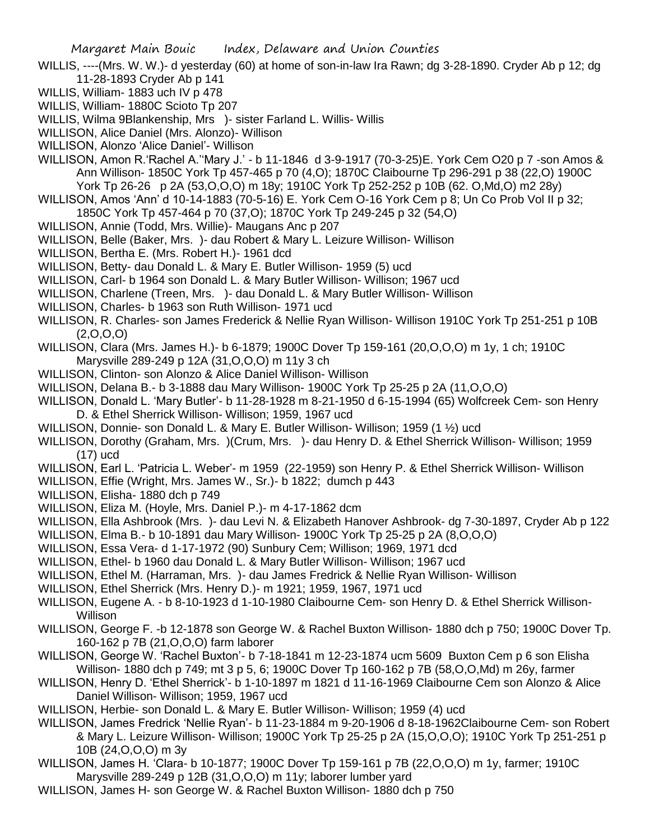- WILLIS, ----(Mrs. W. W.)- d yesterday (60) at home of son-in-law Ira Rawn; dg 3-28-1890. Cryder Ab p 12; dg 11-28-1893 Cryder Ab p 141
- WILLIS, William- 1883 uch IV p 478
- WILLIS, William- 1880C Scioto Tp 207
- WILLIS, Wilma 9Blankenship, Mrs )- sister Farland L. Willis- Willis
- WILLISON, Alice Daniel (Mrs. Alonzo)- Willison
- WILLISON, Alonzo 'Alice Daniel'- Willison
- WILLISON, Amon R.'Rachel A.''Mary J.' b 11-1846 d 3-9-1917 (70-3-25)E. York Cem O20 p 7 -son Amos & Ann Willison- 1850C York Tp 457-465 p 70 (4,O); 1870C Claibourne Tp 296-291 p 38 (22,O) 1900C York Tp 26-26 p 2A (53,O,O,O) m 18y; 1910C York Tp 252-252 p 10B (62. O,Md,O) m2 28y)
- WILLISON, Amos 'Ann' d 10-14-1883 (70-5-16) E. York Cem O-16 York Cem p 8; Un Co Prob Vol II p 32; 1850C York Tp 457-464 p 70 (37,O); 1870C York Tp 249-245 p 32 (54,O)
- WILLISON, Annie (Todd, Mrs. Willie)- Maugans Anc p 207
- WILLISON, Belle (Baker, Mrs. )- dau Robert & Mary L. Leizure Willison- Willison
- WILLISON, Bertha E. (Mrs. Robert H.)- 1961 dcd
- WILLISON, Betty- dau Donald L. & Mary E. Butler Willison- 1959 (5) ucd
- WILLISON, Carl- b 1964 son Donald L. & Mary Butler Willison- Willison; 1967 ucd
- WILLISON, Charlene (Treen, Mrs. )- dau Donald L. & Mary Butler Willison- Willison
- WILLISON, Charles- b 1963 son Ruth Willison- 1971 ucd
- WILLISON, R. Charles- son James Frederick & Nellie Ryan Willison- Willison 1910C York Tp 251-251 p 10B  $(2,0,0,0)$
- WILLISON, Clara (Mrs. James H.)- b 6-1879; 1900C Dover Tp 159-161 (20,O,O,O) m 1y, 1 ch; 1910C Marysville 289-249 p 12A (31,O,O,O) m 11y 3 ch
- WILLISON, Clinton- son Alonzo & Alice Daniel Willison- Willison
- WILLISON, Delana B.- b 3-1888 dau Mary Willison- 1900C York Tp 25-25 p 2A (11,O,O,O)
- WILLISON, Donald L. 'Mary Butler'- b 11-28-1928 m 8-21-1950 d 6-15-1994 (65) Wolfcreek Cem- son Henry D. & Ethel Sherrick Willison- Willison; 1959, 1967 ucd
- WILLISON, Donnie- son Donald L. & Mary E. Butler Willison- Willison; 1959 (1 ½) ucd
- WILLISON, Dorothy (Graham, Mrs. )(Crum, Mrs. )- dau Henry D. & Ethel Sherrick Willison- Willison; 1959 (17) ucd
- WILLISON, Earl L. 'Patricia L. Weber'- m 1959 (22-1959) son Henry P. & Ethel Sherrick Willison- Willison
- WILLISON, Effie (Wright, Mrs. James W., Sr.)- b 1822; dumch p 443
- WILLISON, Elisha- 1880 dch p 749
- WILLISON, Eliza M. (Hoyle, Mrs. Daniel P.)- m 4-17-1862 dcm
- WILLISON, Ella Ashbrook (Mrs. )- dau Levi N. & Elizabeth Hanover Ashbrook- dg 7-30-1897, Cryder Ab p 122
- WILLISON, Elma B.- b 10-1891 dau Mary Willison- 1900C York Tp 25-25 p 2A (8,O,O,O)
- WILLISON, Essa Vera- d 1-17-1972 (90) Sunbury Cem; Willison; 1969, 1971 dcd
- WILLISON, Ethel- b 1960 dau Donald L. & Mary Butler Willison- Willison; 1967 ucd
- WILLISON, Ethel M. (Harraman, Mrs. )- dau James Fredrick & Nellie Ryan Willison- Willison
- WILLISON, Ethel Sherrick (Mrs. Henry D.)- m 1921; 1959, 1967, 1971 ucd
- WILLISON, Eugene A. b 8-10-1923 d 1-10-1980 Claibourne Cem- son Henry D. & Ethel Sherrick Willison-Willison
- WILLISON, George F. -b 12-1878 son George W. & Rachel Buxton Willison- 1880 dch p 750; 1900C Dover Tp. 160-162 p 7B (21,O,O,O) farm laborer
- WILLISON, George W. 'Rachel Buxton'- b 7-18-1841 m 12-23-1874 ucm 5609 Buxton Cem p 6 son Elisha Willison- 1880 dch p 749; mt 3 p 5, 6; 1900C Dover Tp 160-162 p 7B (58,O,O,Md) m 26y, farmer
- WILLISON, Henry D. 'Ethel Sherrick'- b 1-10-1897 m 1821 d 11-16-1969 Claibourne Cem son Alonzo & Alice Daniel Willison- Willison; 1959, 1967 ucd
- WILLISON, Herbie- son Donald L. & Mary E. Butler Willison- Willison; 1959 (4) ucd
- WILLISON, James Fredrick 'Nellie Ryan'- b 11-23-1884 m 9-20-1906 d 8-18-1962Claibourne Cem- son Robert & Mary L. Leizure Willison- Willison; 1900C York Tp 25-25 p 2A (15,O,O,O); 1910C York Tp 251-251 p 10B (24,O,O,O) m 3y
- WILLISON, James H. 'Clara- b 10-1877; 1900C Dover Tp 159-161 p 7B (22,O,O,O) m 1y, farmer; 1910C Marysville 289-249 p 12B (31,O,O,O) m 11y; laborer lumber yard
- WILLISON, James H- son George W. & Rachel Buxton Willison- 1880 dch p 750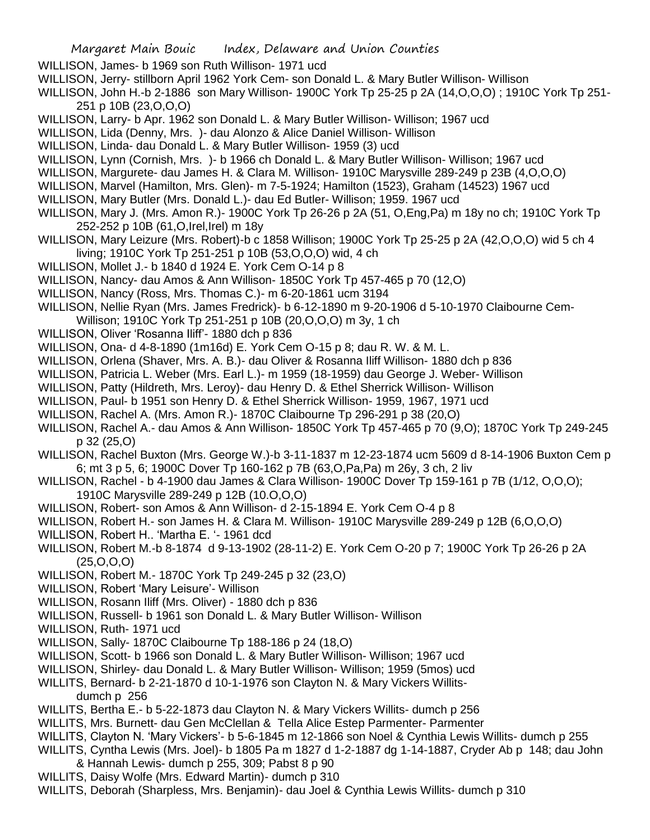- WILLISON, James- b 1969 son Ruth Willison- 1971 ucd
- WILLISON, Jerry- stillborn April 1962 York Cem- son Donald L. & Mary Butler Willison- Willison
- WILLISON, John H.-b 2-1886 son Mary Willison- 1900C York Tp 25-25 p 2A (14,O,O,O) ; 1910C York Tp 251- 251 p 10B (23,O,O,O)
- WILLISON, Larry- b Apr. 1962 son Donald L. & Mary Butler Willison- Willison; 1967 ucd
- WILLISON, Lida (Denny, Mrs. )- dau Alonzo & Alice Daniel Willison- Willison
- WILLISON, Linda- dau Donald L. & Mary Butler Willison- 1959 (3) ucd
- WILLISON, Lynn (Cornish, Mrs. )- b 1966 ch Donald L. & Mary Butler Willison- Willison; 1967 ucd
- WILLISON, Margurete- dau James H. & Clara M. Willison- 1910C Marysville 289-249 p 23B (4,O,O,O)
- WILLISON, Marvel (Hamilton, Mrs. Glen)- m 7-5-1924; Hamilton (1523), Graham (14523) 1967 ucd
- WILLISON, Mary Butler (Mrs. Donald L.)- dau Ed Butler- Willison; 1959. 1967 ucd
- WILLISON, Mary J. (Mrs. Amon R.)- 1900C York Tp 26-26 p 2A (51, O,Eng,Pa) m 18y no ch; 1910C York Tp 252-252 p 10B (61,O,Irel,Irel) m 18y
- WILLISON, Mary Leizure (Mrs. Robert)-b c 1858 Willison; 1900C York Tp 25-25 p 2A (42,O,O,O) wid 5 ch 4 living; 1910C York Tp 251-251 p 10B (53,O,O,O) wid, 4 ch
- WILLISON, Mollet J.- b 1840 d 1924 E. York Cem O-14 p 8
- WILLISON, Nancy- dau Amos & Ann Willison- 1850C York Tp 457-465 p 70 (12,O)
- WILLISON, Nancy (Ross, Mrs. Thomas C.)- m 6-20-1861 ucm 3194
- WILLISON, Nellie Ryan (Mrs. James Fredrick)- b 6-12-1890 m 9-20-1906 d 5-10-1970 Claibourne Cem-
- Willison; 1910C York Tp 251-251 p 10B (20,O,O,O) m 3y, 1 ch
- WILLISON, Oliver 'Rosanna Iliff'- 1880 dch p 836
- WILLISON, Ona- d 4-8-1890 (1m16d) E. York Cem O-15 p 8; dau R. W. & M. L.
- WILLISON, Orlena (Shaver, Mrs. A. B.)- dau Oliver & Rosanna Iliff Willison- 1880 dch p 836
- WILLISON, Patricia L. Weber (Mrs. Earl L.)- m 1959 (18-1959) dau George J. Weber- Willison
- WILLISON, Patty (Hildreth, Mrs. Leroy)- dau Henry D. & Ethel Sherrick Willison- Willison
- WILLISON, Paul- b 1951 son Henry D. & Ethel Sherrick Willison- 1959, 1967, 1971 ucd
- WILLISON, Rachel A. (Mrs. Amon R.)- 1870C Claibourne Tp 296-291 p 38 (20,O)
- WILLISON, Rachel A.- dau Amos & Ann Willison- 1850C York Tp 457-465 p 70 (9,O); 1870C York Tp 249-245 p 32 (25,O)
- WILLISON, Rachel Buxton (Mrs. George W.)-b 3-11-1837 m 12-23-1874 ucm 5609 d 8-14-1906 Buxton Cem p 6; mt 3 p 5, 6; 1900C Dover Tp 160-162 p 7B (63,O,Pa,Pa) m 26y, 3 ch, 2 liv
- WILLISON, Rachel b 4-1900 dau James & Clara Willison- 1900C Dover Tp 159-161 p 7B (1/12, O,O,O); 1910C Marysville 289-249 p 12B (10.O,O,O)
- WILLISON, Robert- son Amos & Ann Willison- d 2-15-1894 E. York Cem O-4 p 8
- WILLISON, Robert H.- son James H. & Clara M. Willison- 1910C Marysville 289-249 p 12B (6,O,O,O)
- WILLISON, Robert H.. 'Martha E. '- 1961 dcd
- WILLISON, Robert M.-b 8-1874 d 9-13-1902 (28-11-2) E. York Cem O-20 p 7; 1900C York Tp 26-26 p 2A  $(25, 0, 0, 0)$
- WILLISON, Robert M.- 1870C York Tp 249-245 p 32 (23,O)
- WILLISON, Robert 'Mary Leisure'- Willison
- WILLISON, Rosann Iliff (Mrs. Oliver) 1880 dch p 836
- WILLISON, Russell- b 1961 son Donald L. & Mary Butler Willison- Willison
- WILLISON, Ruth- 1971 ucd
- WILLISON, Sally- 1870C Claibourne Tp 188-186 p 24 (18,O)
- WILLISON, Scott- b 1966 son Donald L. & Mary Butler Willison- Willison; 1967 ucd
- WILLISON, Shirley- dau Donald L. & Mary Butler Willison- Willison; 1959 (5mos) ucd
- WILLITS, Bernard- b 2-21-1870 d 10-1-1976 son Clayton N. & Mary Vickers Willitsdumch p 256
- WILLITS, Bertha E.- b 5-22-1873 dau Clayton N. & Mary Vickers Willits- dumch p 256
- WILLITS, Mrs. Burnett- dau Gen McClellan & Tella Alice Estep Parmenter- Parmenter
- WILLITS, Clayton N. 'Mary Vickers'- b 5-6-1845 m 12-1866 son Noel & Cynthia Lewis Willits- dumch p 255
- WILLITS, Cyntha Lewis (Mrs. Joel)- b 1805 Pa m 1827 d 1-2-1887 dg 1-14-1887, Cryder Ab p 148; dau John & Hannah Lewis- dumch p 255, 309; Pabst 8 p 90
- WILLITS, Daisy Wolfe (Mrs. Edward Martin)- dumch p 310
- WILLITS, Deborah (Sharpless, Mrs. Benjamin)- dau Joel & Cynthia Lewis Willits- dumch p 310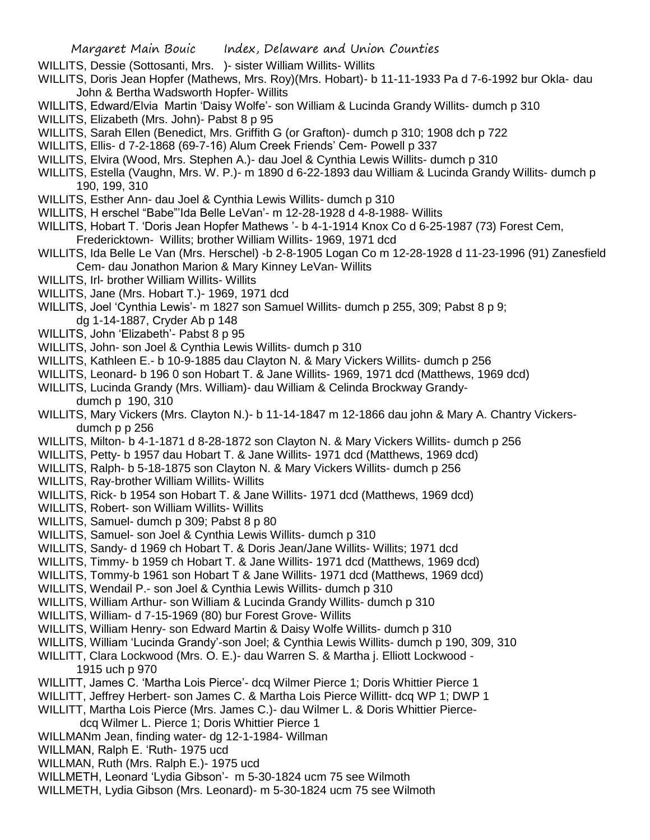- WILLITS, Dessie (Sottosanti, Mrs. ) sister William Willits- Willits
- WILLITS, Doris Jean Hopfer (Mathews, Mrs. Roy)(Mrs. Hobart)- b 11-11-1933 Pa d 7-6-1992 bur Okla- dau John & Bertha Wadsworth Hopfer- Willits
- WILLITS, Edward/Elvia Martin 'Daisy Wolfe'- son William & Lucinda Grandy Willits- dumch p 310
- WILLITS, Elizabeth (Mrs. John)- Pabst 8 p 95
- WILLITS, Sarah Ellen (Benedict, Mrs. Griffith G (or Grafton)- dumch p 310; 1908 dch p 722
- WILLITS, Ellis- d 7-2-1868 (69-7-16) Alum Creek Friends' Cem- Powell p 337
- WILLITS, Elvira (Wood, Mrs. Stephen A.)- dau Joel & Cynthia Lewis Willits- dumch p 310
- WILLITS, Estella (Vaughn, Mrs. W. P.)- m 1890 d 6-22-1893 dau William & Lucinda Grandy Willits- dumch p 190, 199, 310
- WILLITS, Esther Ann- dau Joel & Cynthia Lewis Willits- dumch p 310
- WILLITS, H erschel "Babe"'Ida Belle LeVan'- m 12-28-1928 d 4-8-1988- Willits
- WILLITS, Hobart T. 'Doris Jean Hopfer Mathews '- b 4-1-1914 Knox Co d 6-25-1987 (73) Forest Cem, Fredericktown- Willits; brother William Willits- 1969, 1971 dcd
- WILLITS, Ida Belle Le Van (Mrs. Herschel) -b 2-8-1905 Logan Co m 12-28-1928 d 11-23-1996 (91) Zanesfield Cem- dau Jonathon Marion & Mary Kinney LeVan- Willits
- WILLITS, Irl- brother William Willits- Willits
- WILLITS, Jane (Mrs. Hobart T.)- 1969, 1971 dcd
- WILLITS, Joel 'Cynthia Lewis'- m 1827 son Samuel Willits- dumch p 255, 309; Pabst 8 p 9; dg 1-14-1887, Cryder Ab p 148
- WILLITS, John 'Elizabeth'- Pabst 8 p 95
- WILLITS, John- son Joel & Cynthia Lewis Willits- dumch p 310
- WILLITS, Kathleen E.- b 10-9-1885 dau Clayton N. & Mary Vickers Willits- dumch p 256
- WILLITS, Leonard- b 196 0 son Hobart T. & Jane Willits- 1969, 1971 dcd (Matthews, 1969 dcd)
- WILLITS, Lucinda Grandy (Mrs. William)- dau William & Celinda Brockway Grandydumch p 190, 310
- WILLITS, Mary Vickers (Mrs. Clayton N.)- b 11-14-1847 m 12-1866 dau john & Mary A. Chantry Vickersdumch p p 256
- WILLITS, Milton- b 4-1-1871 d 8-28-1872 son Clayton N. & Mary Vickers Willits- dumch p 256
- WILLITS, Petty- b 1957 dau Hobart T. & Jane Willits- 1971 dcd (Matthews, 1969 dcd)
- WILLITS, Ralph- b 5-18-1875 son Clayton N. & Mary Vickers Willits- dumch p 256
- WILLITS, Ray-brother William Willits- Willits
- WILLITS, Rick- b 1954 son Hobart T. & Jane Willits- 1971 dcd (Matthews, 1969 dcd)
- WILLITS, Robert- son William Willits- Willits
- WILLITS, Samuel- dumch p 309; Pabst 8 p 80
- WILLITS, Samuel- son Joel & Cynthia Lewis Willits- dumch p 310
- WILLITS, Sandy- d 1969 ch Hobart T. & Doris Jean/Jane Willits- Willits; 1971 dcd
- WILLITS, Timmy- b 1959 ch Hobart T. & Jane Willits- 1971 dcd (Matthews, 1969 dcd)
- WILLITS, Tommy-b 1961 son Hobart T & Jane Willits- 1971 dcd (Matthews, 1969 dcd)
- WILLITS, Wendail P.- son Joel & Cynthia Lewis Willits- dumch p 310
- WILLITS, William Arthur- son William & Lucinda Grandy Willits- dumch p 310
- WILLITS, William- d 7-15-1969 (80) bur Forest Grove- Willits
- WILLITS, William Henry- son Edward Martin & Daisy Wolfe Willits- dumch p 310
- WILLITS, William 'Lucinda Grandy'-son Joel; & Cynthia Lewis Willits- dumch p 190, 309, 310
- WILLITT, Clara Lockwood (Mrs. O. E.)- dau Warren S. & Martha j. Elliott Lockwood 1915 uch p 970
- WILLITT, James C. 'Martha Lois Pierce'- dcq Wilmer Pierce 1; Doris Whittier Pierce 1
- WILLITT, Jeffrey Herbert- son James C. & Martha Lois Pierce Willitt- dcq WP 1; DWP 1
- WILLITT, Martha Lois Pierce (Mrs. James C.)- dau Wilmer L. & Doris Whittier Pierce
	- dcq Wilmer L. Pierce 1; Doris Whittier Pierce 1
- WILLMANm Jean, finding water- dg 12-1-1984- Willman
- WILLMAN, Ralph E. 'Ruth- 1975 ucd
- WILLMAN, Ruth (Mrs. Ralph E.)- 1975 ucd
- WILLMETH, Leonard 'Lydia Gibson'- m 5-30-1824 ucm 75 see Wilmoth
- WILLMETH, Lydia Gibson (Mrs. Leonard)- m 5-30-1824 ucm 75 see Wilmoth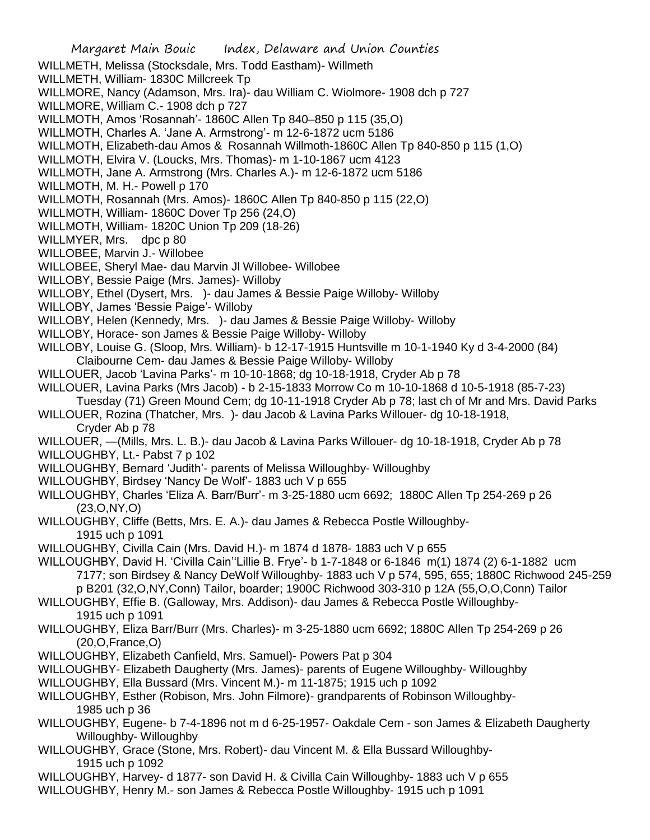Margaret Main Bouic Index, Delaware and Union Counties WILLMETH, Melissa (Stocksdale, Mrs. Todd Eastham)- Willmeth WILLMETH, William- 1830C Millcreek Tp WILLMORE, Nancy (Adamson, Mrs. Ira)- dau William C. Wiolmore- 1908 dch p 727 WILLMORE, William C.- 1908 dch p 727 WILLMOTH, Amos 'Rosannah'- 1860C Allen Tp 840–850 p 115 (35,O) WILLMOTH, Charles A. 'Jane A. Armstrong'- m 12-6-1872 ucm 5186 WILLMOTH, Elizabeth-dau Amos & Rosannah Willmoth-1860C Allen Tp 840-850 p 115 (1,O) WILLMOTH, Elvira V. (Loucks, Mrs. Thomas)- m 1-10-1867 ucm 4123 WILLMOTH, Jane A. Armstrong (Mrs. Charles A.)- m 12-6-1872 ucm 5186 WILLMOTH, M. H.- Powell p 170 WILLMOTH, Rosannah (Mrs. Amos)- 1860C Allen Tp 840-850 p 115 (22,O) WILLMOTH, William- 1860C Dover Tp 256 (24,O) WILLMOTH, William- 1820C Union Tp 209 (18-26) WILLMYER, Mrs. dpc p 80 WILLOBEE, Marvin J.- Willobee WILLOBEE, Sheryl Mae- dau Marvin Jl Willobee- Willobee WILLOBY, Bessie Paige (Mrs. James)- Willoby WILLOBY, Ethel (Dysert, Mrs. )- dau James & Bessie Paige Willoby- Willoby WILLOBY, James 'Bessie Paige'- Willoby WILLOBY, Helen (Kennedy, Mrs. )- dau James & Bessie Paige Willoby- Willoby WILLOBY, Horace- son James & Bessie Paige Willoby- Willoby WILLOBY, Louise G. (Sloop, Mrs. William)- b 12-17-1915 Huntsville m 10-1-1940 Ky d 3-4-2000 (84) Claibourne Cem- dau James & Bessie Paige Willoby- Willoby WILLOUER, Jacob 'Lavina Parks'- m 10-10-1868; dg 10-18-1918, Cryder Ab p 78 WILLOUER, Lavina Parks (Mrs Jacob) - b 2-15-1833 Morrow Co m 10-10-1868 d 10-5-1918 (85-7-23) Tuesday (71) Green Mound Cem; dg 10-11-1918 Cryder Ab p 78; last ch of Mr and Mrs. David Parks WILLOUER, Rozina (Thatcher, Mrs. )- dau Jacob & Lavina Parks Willouer- dg 10-18-1918, Cryder Ab p 78 WILLOUER, —(Mills, Mrs. L. B.)- dau Jacob & Lavina Parks Willouer- dg 10-18-1918, Cryder Ab p 78 WILLOUGHBY, Lt.- Pabst 7 p 102 WILLOUGHBY, Bernard 'Judith'- parents of Melissa Willoughby- Willoughby WILLOUGHBY, Birdsey 'Nancy De Wolf'- 1883 uch V p 655 WILLOUGHBY, Charles 'Eliza A. Barr/Burr'- m 3-25-1880 ucm 6692; 1880C Allen Tp 254-269 p 26 (23,O,NY,O) WILLOUGHBY, Cliffe (Betts, Mrs. E. A.)- dau James & Rebecca Postle Willoughby-1915 uch p 1091 WILLOUGHBY, Civilla Cain (Mrs. David H.)- m 1874 d 1878- 1883 uch V p 655 WILLOUGHBY, David H. 'Civilla Cain''Lillie B. Frye'- b 1-7-1848 or 6-1846 m(1) 1874 (2) 6-1-1882 ucm 7177; son Birdsey & Nancy DeWolf Willoughby- 1883 uch V p 574, 595, 655; 1880C Richwood 245-259 p B201 (32,O,NY,Conn) Tailor, boarder; 1900C Richwood 303-310 p 12A (55,O,O,Conn) Tailor WILLOUGHBY, Effie B. (Galloway, Mrs. Addison)- dau James & Rebecca Postle Willoughby-1915 uch p 1091 WILLOUGHBY, Eliza Barr/Burr (Mrs. Charles)- m 3-25-1880 ucm 6692; 1880C Allen Tp 254-269 p 26 (20,O,France,O) WILLOUGHBY, Elizabeth Canfield, Mrs. Samuel)- Powers Pat p 304 WILLOUGHBY- Elizabeth Daugherty (Mrs. James)- parents of Eugene Willoughby- Willoughby WILLOUGHBY, Ella Bussard (Mrs. Vincent M.)- m 11-1875; 1915 uch p 1092 WILLOUGHBY, Esther (Robison, Mrs. John Filmore)- grandparents of Robinson Willoughby-1985 uch p 36 WILLOUGHBY, Eugene- b 7-4-1896 not m d 6-25-1957- Oakdale Cem - son James & Elizabeth Daugherty Willoughby- Willoughby WILLOUGHBY, Grace (Stone, Mrs. Robert)- dau Vincent M. & Ella Bussard Willoughby-1915 uch p 1092 WILLOUGHBY, Harvey- d 1877- son David H. & Civilla Cain Willoughby- 1883 uch V p 655 WILLOUGHBY, Henry M.- son James & Rebecca Postle Willoughby- 1915 uch p 1091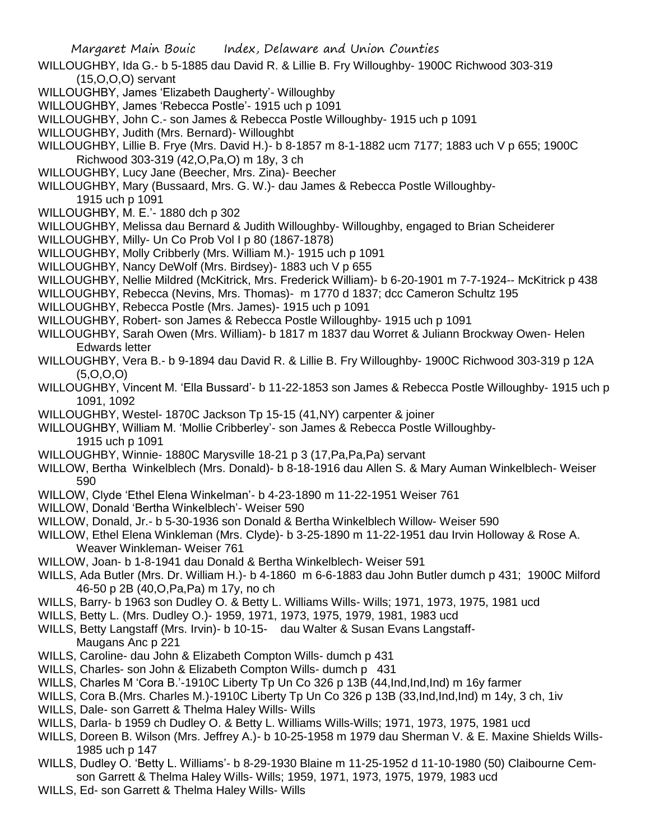- WILLOUGHBY, Ida G.- b 5-1885 dau David R. & Lillie B. Fry Willoughby- 1900C Richwood 303-319 (15,O,O,O) servant
- WILLOUGHBY, James 'Elizabeth Daugherty'- Willoughby
- WILLOUGHBY, James 'Rebecca Postle'- 1915 uch p 1091
- WILLOUGHBY, John C.- son James & Rebecca Postle Willoughby- 1915 uch p 1091
- WILLOUGHBY, Judith (Mrs. Bernard)- Willoughbt
- WILLOUGHBY, Lillie B. Frye (Mrs. David H.)- b 8-1857 m 8-1-1882 ucm 7177; 1883 uch V p 655; 1900C Richwood 303-319 (42,O,Pa,O) m 18y, 3 ch
- WILLOUGHBY, Lucy Jane (Beecher, Mrs. Zina)- Beecher
- WILLOUGHBY, Mary (Bussaard, Mrs. G. W.)- dau James & Rebecca Postle Willoughby-
- 1915 uch p 1091
- WILLOUGHBY, M. E.'- 1880 dch p 302
- WILLOUGHBY, Melissa dau Bernard & Judith Willoughby- Willoughby, engaged to Brian Scheiderer
- WILLOUGHBY, Milly- Un Co Prob Vol I p 80 (1867-1878)
- WILLOUGHBY, Molly Cribberly (Mrs. William M.)- 1915 uch p 1091
- WILLOUGHBY, Nancy DeWolf (Mrs. Birdsey)- 1883 uch V p 655
- WILLOUGHBY, Nellie Mildred (McKitrick, Mrs. Frederick William)- b 6-20-1901 m 7-7-1924-- McKitrick p 438
- WILLOUGHBY, Rebecca (Nevins, Mrs. Thomas)- m 1770 d 1837; dcc Cameron Schultz 195
- WILLOUGHBY, Rebecca Postle (Mrs. James)- 1915 uch p 1091
- WILLOUGHBY, Robert- son James & Rebecca Postle Willoughby- 1915 uch p 1091
- WILLOUGHBY, Sarah Owen (Mrs. William)- b 1817 m 1837 dau Worret & Juliann Brockway Owen- Helen Edwards letter
- WILLOUGHBY, Vera B.- b 9-1894 dau David R. & Lillie B. Fry Willoughby- 1900C Richwood 303-319 p 12A  $(5,0,0,0)$
- WILLOUGHBY, Vincent M. 'Ella Bussard'- b 11-22-1853 son James & Rebecca Postle Willoughby- 1915 uch p 1091, 1092
- WILLOUGHBY, Westel- 1870C Jackson Tp 15-15 (41,NY) carpenter & joiner
- WILLOUGHBY, William M. 'Mollie Cribberley'- son James & Rebecca Postle Willoughby-1915 uch p 1091
- WILLOUGHBY, Winnie- 1880C Marysville 18-21 p 3 (17,Pa,Pa,Pa) servant
- WILLOW, Bertha Winkelblech (Mrs. Donald)- b 8-18-1916 dau Allen S. & Mary Auman Winkelblech- Weiser 590
- WILLOW, Clyde 'Ethel Elena Winkelman'- b 4-23-1890 m 11-22-1951 Weiser 761
- WILLOW, Donald 'Bertha Winkelblech'- Weiser 590
- WILLOW, Donald, Jr.- b 5-30-1936 son Donald & Bertha Winkelblech Willow- Weiser 590
- WILLOW, Ethel Elena Winkleman (Mrs. Clyde)- b 3-25-1890 m 11-22-1951 dau Irvin Holloway & Rose A. Weaver Winkleman- Weiser 761
- WILLOW, Joan- b 1-8-1941 dau Donald & Bertha Winkelblech- Weiser 591
- WILLS, Ada Butler (Mrs. Dr. William H.)- b 4-1860 m 6-6-1883 dau John Butler dumch p 431; 1900C Milford 46-50 p 2B (40,O,Pa,Pa) m 17y, no ch
- WILLS, Barry- b 1963 son Dudley O. & Betty L. Williams Wills- Wills; 1971, 1973, 1975, 1981 ucd
- WILLS, Betty L. (Mrs. Dudley O.)- 1959, 1971, 1973, 1975, 1979, 1981, 1983 ucd
- WILLS, Betty Langstaff (Mrs. Irvin)- b 10-15- dau Walter & Susan Evans Langstaff-Maugans Anc p 221
- WILLS, Caroline- dau John & Elizabeth Compton Wills- dumch p 431
- WILLS, Charles- son John & Elizabeth Compton Wills- dumch p 431
- WILLS, Charles M 'Cora B.'-1910C Liberty Tp Un Co 326 p 13B (44,Ind,Ind,Ind) m 16y farmer
- WILLS, Cora B.(Mrs. Charles M.)-1910C Liberty Tp Un Co 326 p 13B (33,Ind,Ind,Ind) m 14y, 3 ch, 1iv
- WILLS, Dale- son Garrett & Thelma Haley Wills- Wills
- WILLS, Darla- b 1959 ch Dudley O. & Betty L. Williams Wills-Wills; 1971, 1973, 1975, 1981 ucd
- WILLS, Doreen B. Wilson (Mrs. Jeffrey A.)- b 10-25-1958 m 1979 dau Sherman V. & E. Maxine Shields Wills-1985 uch p 147
- WILLS, Dudley O. 'Betty L. Williams'- b 8-29-1930 Blaine m 11-25-1952 d 11-10-1980 (50) Claibourne Cemson Garrett & Thelma Haley Wills- Wills; 1959, 1971, 1973, 1975, 1979, 1983 ucd
- WILLS, Ed- son Garrett & Thelma Haley Wills- Wills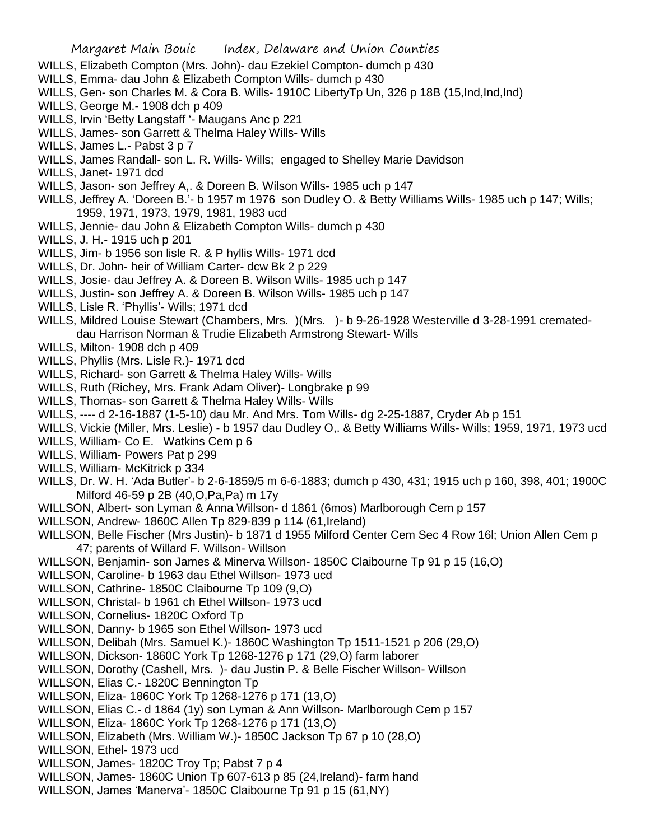- WILLS, Elizabeth Compton (Mrs. John)- dau Ezekiel Compton- dumch p 430
- WILLS, Emma- dau John & Elizabeth Compton Wills- dumch p 430
- WILLS, Gen- son Charles M. & Cora B. Wills- 1910C LibertyTp Un, 326 p 18B (15, Ind, Ind, Ind)
- WILLS, George M.- 1908 dch p 409
- WILLS, Irvin 'Betty Langstaff '- Maugans Anc p 221
- WILLS, James- son Garrett & Thelma Haley Wills- Wills
- WILLS, James L.- Pabst 3 p 7
- WILLS, James Randall- son L. R. Wills- Wills; engaged to Shelley Marie Davidson
- WILLS, Janet- 1971 dcd
- WILLS, Jason- son Jeffrey A,. & Doreen B. Wilson Wills- 1985 uch p 147
- WILLS, Jeffrey A. 'Doreen B.'- b 1957 m 1976 son Dudley O. & Betty Williams Wills- 1985 uch p 147; Wills; 1959, 1971, 1973, 1979, 1981, 1983 ucd
- WILLS, Jennie- dau John & Elizabeth Compton Wills- dumch p 430
- WILLS, J. H.- 1915 uch p 201
- WILLS, Jim- b 1956 son lisle R. & P hyllis Wills- 1971 dcd
- WILLS, Dr. John- heir of William Carter- dcw Bk 2 p 229
- WILLS, Josie- dau Jeffrey A. & Doreen B. Wilson Wills- 1985 uch p 147
- WILLS, Justin- son Jeffrey A. & Doreen B. Wilson Wills- 1985 uch p 147
- WILLS, Lisle R. 'Phyllis'- Wills; 1971 dcd
- WILLS, Mildred Louise Stewart (Chambers, Mrs. )(Mrs. )- b 9-26-1928 Westerville d 3-28-1991 cremateddau Harrison Norman & Trudie Elizabeth Armstrong Stewart- Wills
- WILLS, Milton- 1908 dch p 409
- WILLS, Phyllis (Mrs. Lisle R.)- 1971 dcd
- WILLS, Richard- son Garrett & Thelma Haley Wills- Wills
- WILLS, Ruth (Richey, Mrs. Frank Adam Oliver)- Longbrake p 99
- WILLS, Thomas- son Garrett & Thelma Haley Wills- Wills
- WILLS, ---- d 2-16-1887 (1-5-10) dau Mr. And Mrs. Tom Wills- dg 2-25-1887, Cryder Ab p 151
- WILLS, Vickie (Miller, Mrs. Leslie) b 1957 dau Dudley O,. & Betty Williams Wills- Wills; 1959, 1971, 1973 ucd
- WILLS, William- Co E. Watkins Cem p 6
- WILLS, William- Powers Pat p 299
- WILLS, William- McKitrick p 334
- WILLS, Dr. W. H. 'Ada Butler'- b 2-6-1859/5 m 6-6-1883; dumch p 430, 431; 1915 uch p 160, 398, 401; 1900C Milford 46-59 p 2B (40,O,Pa,Pa) m 17y
- WILLSON, Albert- son Lyman & Anna Willson- d 1861 (6mos) Marlborough Cem p 157
- WILLSON, Andrew- 1860C Allen Tp 829-839 p 114 (61,Ireland)
- WILLSON, Belle Fischer (Mrs Justin)- b 1871 d 1955 Milford Center Cem Sec 4 Row 16l; Union Allen Cem p 47; parents of Willard F. Willson- Willson
- WILLSON, Benjamin- son James & Minerva Willson- 1850C Claibourne Tp 91 p 15 (16,O)
- WILLSON, Caroline- b 1963 dau Ethel Willson- 1973 ucd
- WILLSON, Cathrine- 1850C Claibourne Tp 109 (9,O)
- WILLSON, Christal- b 1961 ch Ethel Willson- 1973 ucd
- WILLSON, Cornelius- 1820C Oxford Tp
- WILLSON, Danny- b 1965 son Ethel Willson- 1973 ucd
- WILLSON, Delibah (Mrs. Samuel K.)- 1860C Washington Tp 1511-1521 p 206 (29,O)
- WILLSON, Dickson- 1860C York Tp 1268-1276 p 171 (29,O) farm laborer
- WILLSON, Dorothy (Cashell, Mrs. )- dau Justin P. & Belle Fischer Willson- Willson
- WILLSON, Elias C.- 1820C Bennington Tp
- WILLSON, Eliza- 1860C York Tp 1268-1276 p 171 (13,O)
- WILLSON, Elias C.- d 1864 (1y) son Lyman & Ann Willson- Marlborough Cem p 157
- WILLSON, Eliza- 1860C York Tp 1268-1276 p 171 (13,O)
- WILLSON, Elizabeth (Mrs. William W.)- 1850C Jackson Tp 67 p 10 (28,O)
- WILLSON, Ethel- 1973 ucd
- WILLSON, James- 1820C Troy Tp; Pabst 7 p 4
- WILLSON, James- 1860C Union Tp 607-613 p 85 (24,Ireland)- farm hand
- WILLSON, James 'Manerva'- 1850C Claibourne Tp 91 p 15 (61,NY)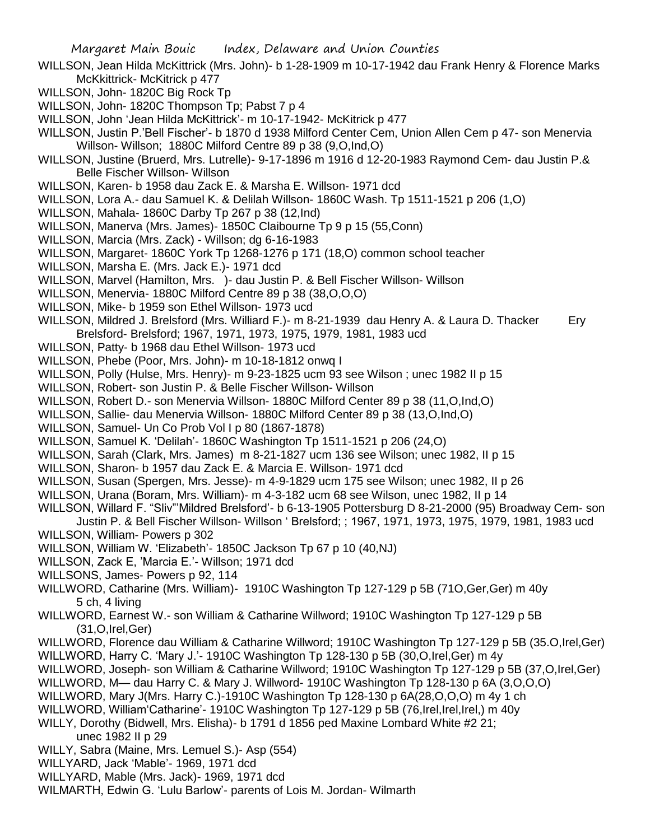- WILLSON, Jean Hilda McKittrick (Mrs. John)- b 1-28-1909 m 10-17-1942 dau Frank Henry & Florence Marks McKkittrick- McKitrick p 477
- WILLSON, John- 1820C Big Rock Tp
- WILLSON, John- 1820C Thompson Tp; Pabst 7 p 4
- WILLSON, John 'Jean Hilda McKittrick'- m 10-17-1942- McKitrick p 477
- WILLSON, Justin P.'Bell Fischer'- b 1870 d 1938 Milford Center Cem, Union Allen Cem p 47- son Menervia Willson- Willson; 1880C Milford Centre 89 p 38 (9,O,Ind,O)
- WILLSON, Justine (Bruerd, Mrs. Lutrelle)- 9-17-1896 m 1916 d 12-20-1983 Raymond Cem- dau Justin P.& Belle Fischer Willson- Willson
- WILLSON, Karen- b 1958 dau Zack E. & Marsha E. Willson- 1971 dcd
- WILLSON, Lora A.- dau Samuel K. & Delilah Willson- 1860C Wash. Tp 1511-1521 p 206 (1,O)
- WILLSON, Mahala- 1860C Darby Tp 267 p 38 (12,Ind)
- WILLSON, Manerva (Mrs. James)- 1850C Claibourne Tp 9 p 15 (55,Conn)
- WILLSON, Marcia (Mrs. Zack) Willson; dg 6-16-1983
- WILLSON, Margaret- 1860C York Tp 1268-1276 p 171 (18,O) common school teacher
- WILLSON, Marsha E. (Mrs. Jack E.)- 1971 dcd
- WILLSON, Marvel (Hamilton, Mrs. )- dau Justin P. & Bell Fischer Willson- Willson
- WILLSON, Menervia- 1880C Milford Centre 89 p 38 (38,O,O,O)
- WILLSON, Mike- b 1959 son Ethel Willson- 1973 ucd
- WILLSON, Mildred J. Brelsford (Mrs. Williard F.)- m 8-21-1939 dau Henry A. & Laura D. Thacker Ery Brelsford- Brelsford; 1967, 1971, 1973, 1975, 1979, 1981, 1983 ucd
- WILLSON, Patty- b 1968 dau Ethel Willson- 1973 ucd
- WILLSON, Phebe (Poor, Mrs. John)- m 10-18-1812 onwq I
- WILLSON, Polly (Hulse, Mrs. Henry)- m 9-23-1825 ucm 93 see Wilson ; unec 1982 II p 15
- WILLSON, Robert- son Justin P. & Belle Fischer Willson- Willson
- WILLSON, Robert D.- son Menervia Willson- 1880C Milford Center 89 p 38 (11,O,Ind,O)
- WILLSON, Sallie- dau Menervia Willson- 1880C Milford Center 89 p 38 (13,O,Ind,O)
- WILLSON, Samuel- Un Co Prob Vol I p 80 (1867-1878)
- WILLSON, Samuel K. 'Delilah'- 1860C Washington Tp 1511-1521 p 206 (24,O)
- WILLSON, Sarah (Clark, Mrs. James) m 8-21-1827 ucm 136 see Wilson; unec 1982, II p 15
- WILLSON, Sharon- b 1957 dau Zack E. & Marcia E. Willson- 1971 dcd
- WILLSON, Susan (Spergen, Mrs. Jesse)- m 4-9-1829 ucm 175 see Wilson; unec 1982, II p 26
- WILLSON, Urana (Boram, Mrs. William)- m 4-3-182 ucm 68 see Wilson, unec 1982, II p 14
- WILLSON, Willard F. "Sliv"'Mildred Brelsford'- b 6-13-1905 Pottersburg D 8-21-2000 (95) Broadway Cem- son
- Justin P. & Bell Fischer Willson- Willson ' Brelsford; ; 1967, 1971, 1973, 1975, 1979, 1981, 1983 ucd WILLSON, William- Powers p 302
- WILLSON, William W. 'Elizabeth'- 1850C Jackson Tp 67 p 10 (40,NJ)
- WILLSON, Zack E, 'Marcia E.'- Willson; 1971 dcd
- WILLSONS, James- Powers p 92, 114
- WILLWORD, Catharine (Mrs. William)- 1910C Washington Tp 127-129 p 5B (71O,Ger,Ger) m 40y 5 ch, 4 living
- WILLWORD, Earnest W.- son William & Catharine Willword; 1910C Washington Tp 127-129 p 5B (31,O,Irel,Ger)
- WILLWORD, Florence dau William & Catharine Willword; 1910C Washington Tp 127-129 p 5B (35.O,Irel,Ger)
- WILLWORD, Harry C. 'Mary J.'- 1910C Washington Tp 128-130 p 5B (30,O,Irel,Ger) m 4y
- WILLWORD, Joseph- son William & Catharine Willword; 1910C Washington Tp 127-129 p 5B (37,O,Irel,Ger)
- WILLWORD, M— dau Harry C. & Mary J. Willword- 1910C Washington Tp 128-130 p 6A (3,O,O,O)
- WILLWORD, Mary J(Mrs. Harry C.)-1910C Washington Tp 128-130 p 6A(28,O,O,O) m 4y 1 ch
- WILLWORD, William'Catharine'- 1910C Washington Tp 127-129 p 5B (76,Irel,Irel,Irel,) m 40y
- WILLY, Dorothy (Bidwell, Mrs. Elisha)- b 1791 d 1856 ped Maxine Lombard White #2 21;
	- unec 1982 II p 29
- WILLY, Sabra (Maine, Mrs. Lemuel S.)- Asp (554)
- WILLYARD, Jack 'Mable'- 1969, 1971 dcd
- WILLYARD, Mable (Mrs. Jack)- 1969, 1971 dcd
- WILMARTH, Edwin G. 'Lulu Barlow'- parents of Lois M. Jordan- Wilmarth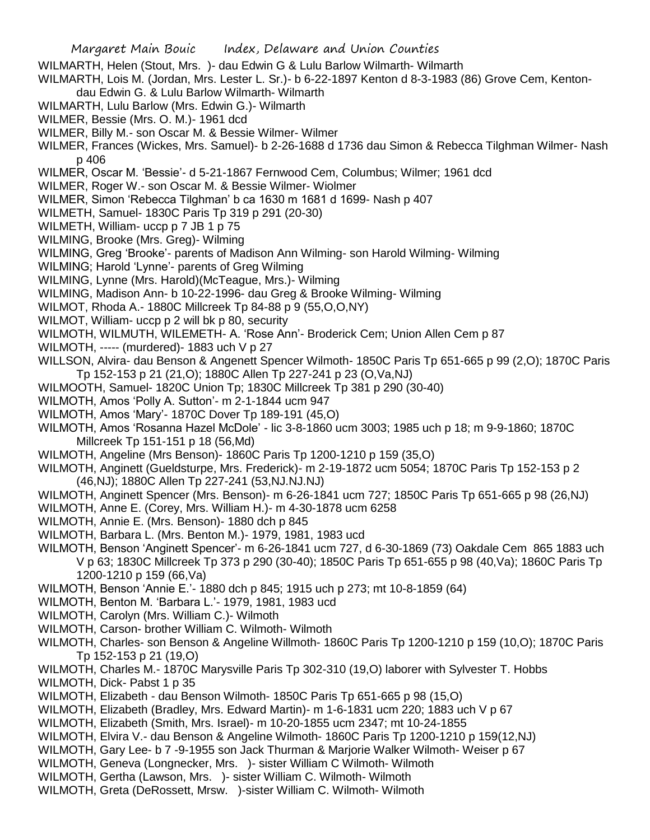- WILMARTH, Helen (Stout, Mrs. )- dau Edwin G & Lulu Barlow Wilmarth- Wilmarth
- WILMARTH, Lois M. (Jordan, Mrs. Lester L. Sr.)- b 6-22-1897 Kenton d 8-3-1983 (86) Grove Cem, Kentondau Edwin G. & Lulu Barlow Wilmarth- Wilmarth
- WILMARTH, Lulu Barlow (Mrs. Edwin G.)- Wilmarth
- WILMER, Bessie (Mrs. O. M.)- 1961 dcd
- WILMER, Billy M.- son Oscar M. & Bessie Wilmer- Wilmer
- WILMER, Frances (Wickes, Mrs. Samuel)- b 2-26-1688 d 1736 dau Simon & Rebecca Tilghman Wilmer- Nash p 406
- WILMER, Oscar M. 'Bessie'- d 5-21-1867 Fernwood Cem, Columbus; Wilmer; 1961 dcd
- WILMER, Roger W.- son Oscar M. & Bessie Wilmer- Wiolmer
- WILMER, Simon 'Rebecca Tilghman' b ca 1630 m 1681 d 1699- Nash p 407
- WILMETH, Samuel- 1830C Paris Tp 319 p 291 (20-30)
- WILMETH, William- uccp p 7 JB 1 p 75
- WILMING, Brooke (Mrs. Greg)- Wilming
- WILMING, Greg 'Brooke'- parents of Madison Ann Wilming- son Harold Wilming- Wilming
- WILMING; Harold 'Lynne'- parents of Greg Wilming
- WILMING, Lynne (Mrs. Harold)(McTeague, Mrs.)- Wilming
- WILMING, Madison Ann- b 10-22-1996- dau Greg & Brooke Wilming- Wilming
- WILMOT, Rhoda A.- 1880C Millcreek Tp 84-88 p 9 (55,O,O,NY)
- WILMOT, William- uccp p 2 will bk p 80, security
- WILMOTH, WILMUTH, WILEMETH- A. 'Rose Ann'- Broderick Cem; Union Allen Cem p 87
- WILMOTH, ----- (murdered)- 1883 uch V p 27
- WILLSON, Alvira- dau Benson & Angenett Spencer Wilmoth- 1850C Paris Tp 651-665 p 99 (2,O); 1870C Paris Tp 152-153 p 21 (21,O); 1880C Allen Tp 227-241 p 23 (O,Va,NJ)
- WILMOOTH, Samuel- 1820C Union Tp; 1830C Millcreek Tp 381 p 290 (30-40)
- WILMOTH, Amos 'Polly A. Sutton'- m 2-1-1844 ucm 947
- WILMOTH, Amos 'Mary'- 1870C Dover Tp 189-191 (45,O)
- WILMOTH, Amos 'Rosanna Hazel McDole' lic 3-8-1860 ucm 3003; 1985 uch p 18; m 9-9-1860; 1870C Millcreek Tp 151-151 p 18 (56,Md)
- WILMOTH, Angeline (Mrs Benson)- 1860C Paris Tp 1200-1210 p 159 (35,O)
- WILMOTH, Anginett (Gueldsturpe, Mrs. Frederick)- m 2-19-1872 ucm 5054; 1870C Paris Tp 152-153 p 2 (46,NJ); 1880C Allen Tp 227-241 (53,NJ.NJ.NJ)
- WILMOTH, Anginett Spencer (Mrs. Benson)- m 6-26-1841 ucm 727; 1850C Paris Tp 651-665 p 98 (26,NJ)
- WILMOTH, Anne E. (Corey, Mrs. William H.)- m 4-30-1878 ucm 6258
- WILMOTH, Annie E. (Mrs. Benson)- 1880 dch p 845
- WILMOTH, Barbara L. (Mrs. Benton M.)- 1979, 1981, 1983 ucd
- WILMOTH, Benson 'Anginett Spencer'- m 6-26-1841 ucm 727, d 6-30-1869 (73) Oakdale Cem 865 1883 uch V p 63; 1830C Millcreek Tp 373 p 290 (30-40); 1850C Paris Tp 651-655 p 98 (40,Va); 1860C Paris Tp 1200-1210 p 159 (66,Va)
- WILMOTH, Benson 'Annie E.'- 1880 dch p 845; 1915 uch p 273; mt 10-8-1859 (64)
- WILMOTH, Benton M. 'Barbara L.'- 1979, 1981, 1983 ucd
- WILMOTH, Carolyn (Mrs. William C.)- Wilmoth
- WILMOTH, Carson- brother William C. Wilmoth- Wilmoth
- WILMOTH, Charles- son Benson & Angeline Willmoth- 1860C Paris Tp 1200-1210 p 159 (10,O); 1870C Paris Tp 152-153 p 21 (19,O)
- WILMOTH, Charles M.- 1870C Marysville Paris Tp 302-310 (19,O) laborer with Sylvester T. Hobbs
- WILMOTH, Dick- Pabst 1 p 35
- WILMOTH, Elizabeth dau Benson Wilmoth- 1850C Paris Tp 651-665 p 98 (15,O)
- WILMOTH, Elizabeth (Bradley, Mrs. Edward Martin)- m 1-6-1831 ucm 220; 1883 uch V p 67
- WILMOTH, Elizabeth (Smith, Mrs. Israel)- m 10-20-1855 ucm 2347; mt 10-24-1855
- WILMOTH, Elvira V.- dau Benson & Angeline Wilmoth- 1860C Paris Tp 1200-1210 p 159(12,NJ)
- WILMOTH, Gary Lee- b 7 -9-1955 son Jack Thurman & Marjorie Walker Wilmoth- Weiser p 67
- WILMOTH, Geneva (Longnecker, Mrs. )- sister William C Wilmoth- Wilmoth
- WILMOTH, Gertha (Lawson, Mrs. )- sister William C. Wilmoth- Wilmoth
- WILMOTH, Greta (DeRossett, Mrsw. )-sister William C. Wilmoth- Wilmoth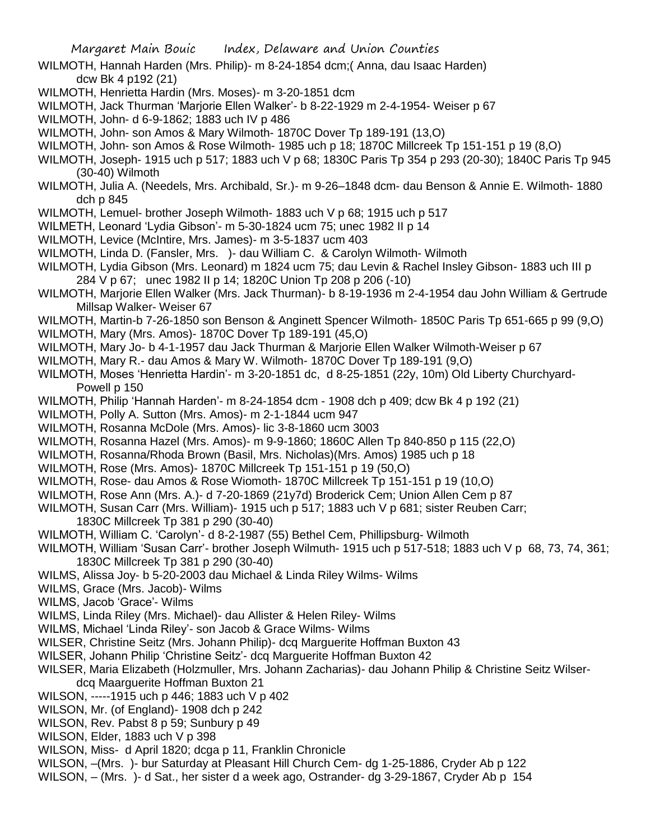- WILMOTH, Hannah Harden (Mrs. Philip)- m 8-24-1854 dcm;( Anna, dau Isaac Harden) dcw Bk 4 p192 (21)
- WILMOTH, Henrietta Hardin (Mrs. Moses)- m 3-20-1851 dcm
- WILMOTH, Jack Thurman 'Marjorie Ellen Walker'- b 8-22-1929 m 2-4-1954- Weiser p 67
- WILMOTH, John- d 6-9-1862; 1883 uch IV p 486
- WILMOTH, John- son Amos & Mary Wilmoth- 1870C Dover Tp 189-191 (13,O)
- WILMOTH, John- son Amos & Rose Wilmoth- 1985 uch p 18; 1870C Millcreek Tp 151-151 p 19 (8,O)
- WILMOTH, Joseph- 1915 uch p 517; 1883 uch V p 68; 1830C Paris Tp 354 p 293 (20-30); 1840C Paris Tp 945 (30-40) Wilmoth
- WILMOTH, Julia A. (Needels, Mrs. Archibald, Sr.)- m 9-26–1848 dcm- dau Benson & Annie E. Wilmoth- 1880 dch p 845
- WILMOTH, Lemuel- brother Joseph Wilmoth- 1883 uch V p 68; 1915 uch p 517
- WILMETH, Leonard 'Lydia Gibson'- m 5-30-1824 ucm 75; unec 1982 II p 14
- WILMOTH, Levice (McIntire, Mrs. James)- m 3-5-1837 ucm 403
- WILMOTH, Linda D. (Fansler, Mrs. )- dau William C. & Carolyn Wilmoth- Wilmoth
- WILMOTH, Lydia Gibson (Mrs. Leonard) m 1824 ucm 75; dau Levin & Rachel Insley Gibson- 1883 uch III p 284 V p 67; unec 1982 II p 14; 1820C Union Tp 208 p 206 (-10)
- WILMOTH, Marjorie Ellen Walker (Mrs. Jack Thurman)- b 8-19-1936 m 2-4-1954 dau John William & Gertrude Millsap Walker- Weiser 67
- WILMOTH, Martin-b 7-26-1850 son Benson & Anginett Spencer Wilmoth- 1850C Paris Tp 651-665 p 99 (9,O)
- WILMOTH, Mary (Mrs. Amos)- 1870C Dover Tp 189-191 (45,O)
- WILMOTH, Mary Jo- b 4-1-1957 dau Jack Thurman & Marjorie Ellen Walker Wilmoth-Weiser p 67
- WILMOTH, Mary R.- dau Amos & Mary W. Wilmoth- 1870C Dover Tp 189-191 (9,O)
- WILMOTH, Moses 'Henrietta Hardin'- m 3-20-1851 dc, d 8-25-1851 (22y, 10m) Old Liberty Churchyard-Powell p 150
- WILMOTH, Philip 'Hannah Harden'- m 8-24-1854 dcm 1908 dch p 409; dcw Bk 4 p 192 (21)
- WILMOTH, Polly A. Sutton (Mrs. Amos)- m 2-1-1844 ucm 947
- WILMOTH, Rosanna McDole (Mrs. Amos)- lic 3-8-1860 ucm 3003
- WILMOTH, Rosanna Hazel (Mrs. Amos)- m 9-9-1860; 1860C Allen Tp 840-850 p 115 (22,O)
- WILMOTH, Rosanna/Rhoda Brown (Basil, Mrs. Nicholas)(Mrs. Amos) 1985 uch p 18
- WILMOTH, Rose (Mrs. Amos)- 1870C Millcreek Tp 151-151 p 19 (50,O)
- WILMOTH, Rose- dau Amos & Rose Wiomoth- 1870C Millcreek Tp 151-151 p 19 (10,O)
- WILMOTH, Rose Ann (Mrs. A.)- d 7-20-1869 (21y7d) Broderick Cem; Union Allen Cem p 87
- WILMOTH, Susan Carr (Mrs. William)- 1915 uch p 517; 1883 uch V p 681; sister Reuben Carr;
	- 1830C Millcreek Tp 381 p 290 (30-40)
- WILMOTH, William C. 'Carolyn'- d 8-2-1987 (55) Bethel Cem, Phillipsburg- Wilmoth
- WILMOTH, William 'Susan Carr'- brother Joseph Wilmuth- 1915 uch p 517-518; 1883 uch V p 68, 73, 74, 361; 1830C Millcreek Tp 381 p 290 (30-40)
- WILMS, Alissa Joy- b 5-20-2003 dau Michael & Linda Riley Wilms- Wilms
- WILMS, Grace (Mrs. Jacob)- Wilms
- WILMS, Jacob 'Grace'- Wilms
- WILMS, Linda Riley (Mrs. Michael)- dau Allister & Helen Riley- Wilms
- WILMS, Michael 'Linda Riley'- son Jacob & Grace Wilms- Wilms
- WILSER, Christine Seitz (Mrs. Johann Philip)- dcq Marguerite Hoffman Buxton 43
- WILSER, Johann Philip 'Christine Seitz'- dcq Marguerite Hoffman Buxton 42
- WILSER, Maria Elizabeth (Holzmuller, Mrs. Johann Zacharias)- dau Johann Philip & Christine Seitz Wilserdcq Maarguerite Hoffman Buxton 21
- WILSON, -----1915 uch p 446; 1883 uch V p 402
- WILSON, Mr. (of England)- 1908 dch p 242
- WILSON, Rev. Pabst 8 p 59; Sunbury p 49
- WILSON, Elder, 1883 uch V p 398
- WILSON, Miss- d April 1820; dcga p 11, Franklin Chronicle
- WILSON, –(Mrs. )- bur Saturday at Pleasant Hill Church Cem- dg 1-25-1886, Cryder Ab p 122
- WILSON, (Mrs. )- d Sat., her sister d a week ago, Ostrander- dg 3-29-1867, Cryder Ab p 154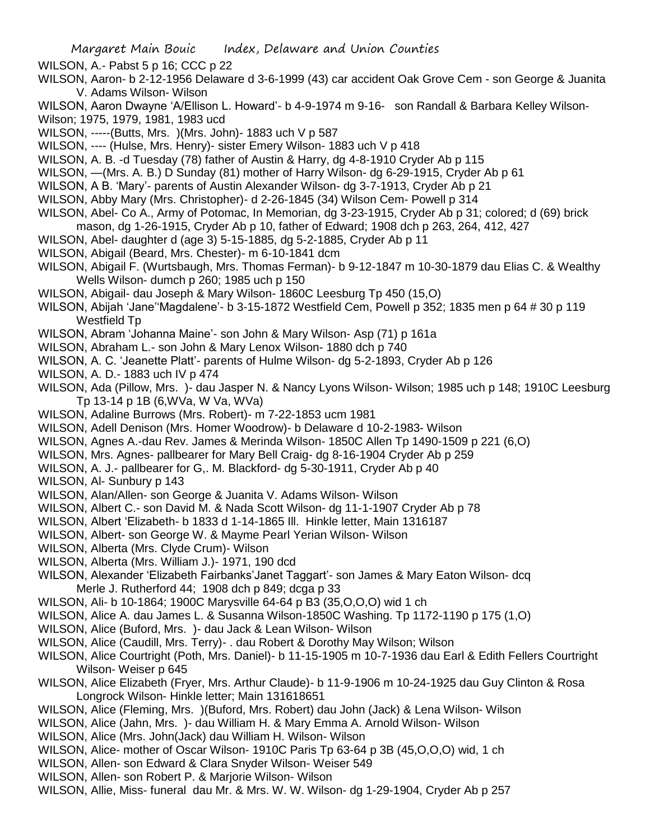WILSON, A.- Pabst 5 p 16; CCC p 22

- WILSON, Aaron- b 2-12-1956 Delaware d 3-6-1999 (43) car accident Oak Grove Cem son George & Juanita V. Adams Wilson- Wilson
- WILSON, Aaron Dwayne 'A/Ellison L. Howard'- b 4-9-1974 m 9-16- son Randall & Barbara Kelley Wilson-Wilson; 1975, 1979, 1981, 1983 ucd
- WILSON, -----(Butts, Mrs. )(Mrs. John)- 1883 uch V p 587

WILSON, ---- (Hulse, Mrs. Henry)- sister Emery Wilson- 1883 uch V p 418

WILSON, A. B. -d Tuesday (78) father of Austin & Harry, dg 4-8-1910 Cryder Ab p 115

WILSON, —(Mrs. A. B.) D Sunday (81) mother of Harry Wilson- dg 6-29-1915, Cryder Ab p 61

WILSON, A B. 'Mary'- parents of Austin Alexander Wilson- dg 3-7-1913, Cryder Ab p 21

- WILSON, Abby Mary (Mrs. Christopher)- d 2-26-1845 (34) Wilson Cem- Powell p 314
- WILSON, Abel- Co A., Army of Potomac, In Memorian, dg 3-23-1915, Cryder Ab p 31; colored; d (69) brick
- mason, dg 1-26-1915, Cryder Ab p 10, father of Edward; 1908 dch p 263, 264, 412, 427
- WILSON, Abel- daughter d (age 3) 5-15-1885, dg 5-2-1885, Cryder Ab p 11
- WILSON, Abigail (Beard, Mrs. Chester)- m 6-10-1841 dcm
- WILSON, Abigail F. (Wurtsbaugh, Mrs. Thomas Ferman)- b 9-12-1847 m 10-30-1879 dau Elias C. & Wealthy Wells Wilson- dumch p 260; 1985 uch p 150
- WILSON, Abigail- dau Joseph & Mary Wilson- 1860C Leesburg Tp 450 (15,O)
- WILSON, Abijah 'Jane''Magdalene'- b 3-15-1872 Westfield Cem, Powell p 352; 1835 men p 64 # 30 p 119 Westfield Tp
- WILSON, Abram 'Johanna Maine'- son John & Mary Wilson- Asp (71) p 161a
- WILSON, Abraham L.- son John & Mary Lenox Wilson- 1880 dch p 740
- WILSON, A. C. 'Jeanette Platt'- parents of Hulme Wilson- dg 5-2-1893, Cryder Ab p 126
- WILSON, A. D.- 1883 uch IV p 474
- WILSON, Ada (Pillow, Mrs. )- dau Jasper N. & Nancy Lyons Wilson- Wilson; 1985 uch p 148; 1910C Leesburg Tp 13-14 p 1B (6,WVa, W Va, WVa)
- WILSON, Adaline Burrows (Mrs. Robert)- m 7-22-1853 ucm 1981
- WILSON, Adell Denison (Mrs. Homer Woodrow)- b Delaware d 10-2-1983- Wilson
- WILSON, Agnes A.-dau Rev. James & Merinda Wilson- 1850C Allen Tp 1490-1509 p 221 (6,O)
- WILSON, Mrs. Agnes- pallbearer for Mary Bell Craig- dg 8-16-1904 Cryder Ab p 259
- WILSON, A. J.- pallbearer for G,. M. Blackford- dg 5-30-1911, Cryder Ab p 40
- WILSON, Al- Sunbury p 143

WILSON, Alan/Allen- son George & Juanita V. Adams Wilson- Wilson

WILSON, Albert C.- son David M. & Nada Scott Wilson- dg 11-1-1907 Cryder Ab p 78

- WILSON, Albert 'Elizabeth- b 1833 d 1-14-1865 Ill. Hinkle letter, Main 1316187
- WILSON, Albert- son George W. & Mayme Pearl Yerian Wilson- Wilson
- WILSON, Alberta (Mrs. Clyde Crum)- Wilson
- WILSON, Alberta (Mrs. William J.)- 1971, 190 dcd
- WILSON, Alexander 'Elizabeth Fairbanks'Janet Taggart'- son James & Mary Eaton Wilson- dcq Merle J. Rutherford 44; 1908 dch p 849; dcga p 33
- WILSON, Ali- b 10-1864; 1900C Marysville 64-64 p B3 (35,O,O,O) wid 1 ch
- WILSON, Alice A. dau James L. & Susanna Wilson-1850C Washing. Tp 1172-1190 p 175 (1,O)
- WILSON, Alice (Buford, Mrs. )- dau Jack & Lean Wilson- Wilson
- WILSON, Alice (Caudill, Mrs. Terry)- . dau Robert & Dorothy May Wilson; Wilson
- WILSON, Alice Courtright (Poth, Mrs. Daniel)- b 11-15-1905 m 10-7-1936 dau Earl & Edith Fellers Courtright Wilson- Weiser p 645
- WILSON, Alice Elizabeth (Fryer, Mrs. Arthur Claude)- b 11-9-1906 m 10-24-1925 dau Guy Clinton & Rosa Longrock Wilson- Hinkle letter; Main 131618651
- WILSON, Alice (Fleming, Mrs. )(Buford, Mrs. Robert) dau John (Jack) & Lena Wilson- Wilson
- WILSON, Alice (Jahn, Mrs. )- dau William H. & Mary Emma A. Arnold Wilson- Wilson
- WILSON, Alice (Mrs. John(Jack) dau William H. Wilson- Wilson
- WILSON, Alice- mother of Oscar Wilson- 1910C Paris Tp 63-64 p 3B (45,O,O,O) wid, 1 ch
- WILSON, Allen- son Edward & Clara Snyder Wilson- Weiser 549
- WILSON, Allen- son Robert P. & Marjorie Wilson- Wilson
- WILSON, Allie, Miss- funeral dau Mr. & Mrs. W. W. Wilson- dg 1-29-1904, Cryder Ab p 257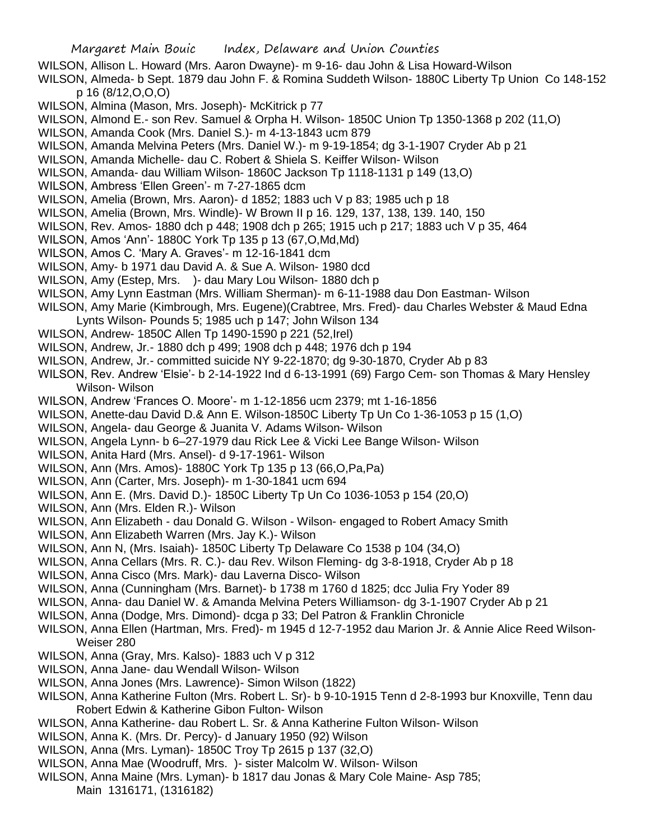- WILSON, Allison L. Howard (Mrs. Aaron Dwayne)- m 9-16- dau John & Lisa Howard-Wilson
- WILSON, Almeda- b Sept. 1879 dau John F. & Romina Suddeth Wilson- 1880C Liberty Tp Union Co 148-152 p 16 (8/12,O,O,O)
- WILSON, Almina (Mason, Mrs. Joseph)- McKitrick p 77
- WILSON, Almond E.- son Rev. Samuel & Orpha H. Wilson- 1850C Union Tp 1350-1368 p 202 (11,O)
- WILSON, Amanda Cook (Mrs. Daniel S.)- m 4-13-1843 ucm 879
- WILSON, Amanda Melvina Peters (Mrs. Daniel W.)- m 9-19-1854; dg 3-1-1907 Cryder Ab p 21
- WILSON, Amanda Michelle- dau C. Robert & Shiela S. Keiffer Wilson- Wilson
- WILSON, Amanda- dau William Wilson- 1860C Jackson Tp 1118-1131 p 149 (13,O)
- WILSON, Ambress 'Ellen Green'- m 7-27-1865 dcm
- WILSON, Amelia (Brown, Mrs. Aaron)- d 1852; 1883 uch V p 83; 1985 uch p 18
- WILSON, Amelia (Brown, Mrs. Windle)- W Brown II p 16. 129, 137, 138, 139. 140, 150
- WILSON, Rev. Amos- 1880 dch p 448; 1908 dch p 265; 1915 uch p 217; 1883 uch V p 35, 464
- WILSON, Amos 'Ann'- 1880C York Tp 135 p 13 (67,O,Md,Md)
- WILSON, Amos C. 'Mary A. Graves'- m 12-16-1841 dcm
- WILSON, Amy- b 1971 dau David A. & Sue A. Wilson- 1980 dcd
- WILSON, Amy (Estep, Mrs. )- dau Mary Lou Wilson- 1880 dch p
- WILSON, Amy Lynn Eastman (Mrs. William Sherman)- m 6-11-1988 dau Don Eastman- Wilson
- WILSON, Amy Marie (Kimbrough, Mrs. Eugene)(Crabtree, Mrs. Fred)- dau Charles Webster & Maud Edna Lynts Wilson- Pounds 5; 1985 uch p 147; John Wilson 134
- WILSON, Andrew- 1850C Allen Tp 1490-1590 p 221 (52,Irel)
- WILSON, Andrew, Jr.- 1880 dch p 499; 1908 dch p 448; 1976 dch p 194
- WILSON, Andrew, Jr.- committed suicide NY 9-22-1870; dg 9-30-1870, Cryder Ab p 83
- WILSON, Rev. Andrew 'Elsie'- b 2-14-1922 Ind d 6-13-1991 (69) Fargo Cem- son Thomas & Mary Hensley Wilson- Wilson
- WILSON, Andrew 'Frances O. Moore'- m 1-12-1856 ucm 2379; mt 1-16-1856
- WILSON, Anette-dau David D.& Ann E. Wilson-1850C Liberty Tp Un Co 1-36-1053 p 15 (1,O)
- WILSON, Angela- dau George & Juanita V. Adams Wilson- Wilson
- WILSON, Angela Lynn- b 6–27-1979 dau Rick Lee & Vicki Lee Bange Wilson- Wilson
- WILSON, Anita Hard (Mrs. Ansel)- d 9-17-1961- Wilson
- WILSON, Ann (Mrs. Amos)- 1880C York Tp 135 p 13 (66,O,Pa,Pa)
- WILSON, Ann (Carter, Mrs. Joseph)- m 1-30-1841 ucm 694
- WILSON, Ann E. (Mrs. David D.)- 1850C Liberty Tp Un Co 1036-1053 p 154 (20,O)
- WILSON, Ann (Mrs. Elden R.)- Wilson
- WILSON, Ann Elizabeth dau Donald G. Wilson Wilson- engaged to Robert Amacy Smith
- WILSON, Ann Elizabeth Warren (Mrs. Jay K.)- Wilson
- WILSON, Ann N, (Mrs. Isaiah)- 1850C Liberty Tp Delaware Co 1538 p 104 (34,O)
- WILSON, Anna Cellars (Mrs. R. C.)- dau Rev. Wilson Fleming- dg 3-8-1918, Cryder Ab p 18
- WILSON, Anna Cisco (Mrs. Mark)- dau Laverna Disco- Wilson
- WILSON, Anna (Cunningham (Mrs. Barnet)- b 1738 m 1760 d 1825; dcc Julia Fry Yoder 89
- WILSON, Anna- dau Daniel W. & Amanda Melvina Peters Williamson- dg 3-1-1907 Cryder Ab p 21
- WILSON, Anna (Dodge, Mrs. Dimond)- dcga p 33; Del Patron & Franklin Chronicle
- WILSON, Anna Ellen (Hartman, Mrs. Fred)- m 1945 d 12-7-1952 dau Marion Jr. & Annie Alice Reed Wilson-Weiser 280
- WILSON, Anna (Gray, Mrs. Kalso)- 1883 uch V p 312
- WILSON, Anna Jane- dau Wendall Wilson- Wilson
- WILSON, Anna Jones (Mrs. Lawrence)- Simon Wilson (1822)
- WILSON, Anna Katherine Fulton (Mrs. Robert L. Sr)- b 9-10-1915 Tenn d 2-8-1993 bur Knoxville, Tenn dau Robert Edwin & Katherine Gibon Fulton- Wilson
- WILSON, Anna Katherine- dau Robert L. Sr. & Anna Katherine Fulton Wilson- Wilson
- WILSON, Anna K. (Mrs. Dr. Percy)- d January 1950 (92) Wilson
- WILSON, Anna (Mrs. Lyman)- 1850C Troy Tp 2615 p 137 (32,O)
- WILSON, Anna Mae (Woodruff, Mrs. )- sister Malcolm W. Wilson- Wilson
- WILSON, Anna Maine (Mrs. Lyman)- b 1817 dau Jonas & Mary Cole Maine- Asp 785; Main 1316171, (1316182)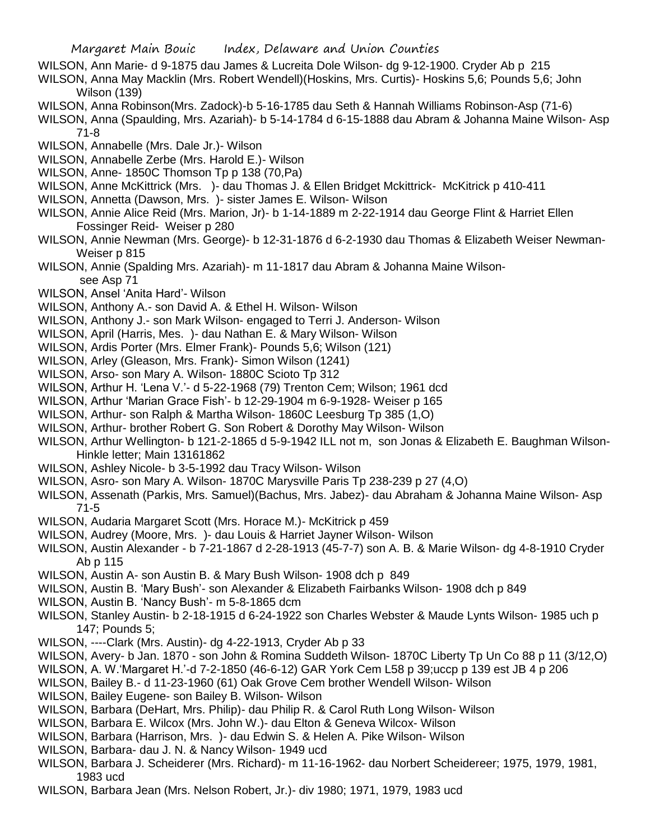- WILSON, Ann Marie- d 9-1875 dau James & Lucreita Dole Wilson- dg 9-12-1900. Cryder Ab p 215
- WILSON, Anna May Macklin (Mrs. Robert Wendell)(Hoskins, Mrs. Curtis)- Hoskins 5,6; Pounds 5,6; John Wilson (139)
- WILSON, Anna Robinson(Mrs. Zadock)-b 5-16-1785 dau Seth & Hannah Williams Robinson-Asp (71-6)
- WILSON, Anna (Spaulding, Mrs. Azariah)- b 5-14-1784 d 6-15-1888 dau Abram & Johanna Maine Wilson- Asp 71-8
- WILSON, Annabelle (Mrs. Dale Jr.)- Wilson
- WILSON, Annabelle Zerbe (Mrs. Harold E.)- Wilson
- WILSON, Anne- 1850C Thomson Tp p 138 (70,Pa)
- WILSON, Anne McKittrick (Mrs. )- dau Thomas J. & Ellen Bridget Mckittrick- McKitrick p 410-411
- WILSON, Annetta (Dawson, Mrs. )- sister James E. Wilson- Wilson
- WILSON, Annie Alice Reid (Mrs. Marion, Jr)- b 1-14-1889 m 2-22-1914 dau George Flint & Harriet Ellen Fossinger Reid- Weiser p 280
- WILSON, Annie Newman (Mrs. George)- b 12-31-1876 d 6-2-1930 dau Thomas & Elizabeth Weiser Newman-Weiser p 815
- WILSON, Annie (Spalding Mrs. Azariah)- m 11-1817 dau Abram & Johanna Maine Wilsonsee Asp 71
- WILSON, Ansel 'Anita Hard'- Wilson
- WILSON, Anthony A.- son David A. & Ethel H. Wilson- Wilson
- WILSON, Anthony J.- son Mark Wilson- engaged to Terri J. Anderson- Wilson
- WILSON, April (Harris, Mes. )- dau Nathan E. & Mary Wilson- Wilson
- WILSON, Ardis Porter (Mrs. Elmer Frank)- Pounds 5,6; Wilson (121)
- WILSON, Arley (Gleason, Mrs. Frank)- Simon Wilson (1241)
- WILSON, Arso- son Mary A. Wilson- 1880C Scioto Tp 312
- WILSON, Arthur H. 'Lena V.'- d 5-22-1968 (79) Trenton Cem; Wilson; 1961 dcd
- WILSON, Arthur 'Marian Grace Fish'- b 12-29-1904 m 6-9-1928- Weiser p 165
- WILSON, Arthur- son Ralph & Martha Wilson- 1860C Leesburg Tp 385 (1,O)
- WILSON, Arthur- brother Robert G. Son Robert & Dorothy May Wilson- Wilson
- WILSON, Arthur Wellington- b 121-2-1865 d 5-9-1942 ILL not m, son Jonas & Elizabeth E. Baughman Wilson-Hinkle letter; Main 13161862
- WILSON, Ashley Nicole- b 3-5-1992 dau Tracy Wilson- Wilson
- WILSON, Asro- son Mary A. Wilson- 1870C Marysville Paris Tp 238-239 p 27 (4,O)
- WILSON, Assenath (Parkis, Mrs. Samuel)(Bachus, Mrs. Jabez)- dau Abraham & Johanna Maine Wilson- Asp 71-5
- WILSON, Audaria Margaret Scott (Mrs. Horace M.)- McKitrick p 459
- WILSON, Audrey (Moore, Mrs. )- dau Louis & Harriet Jayner Wilson- Wilson
- WILSON, Austin Alexander b 7-21-1867 d 2-28-1913 (45-7-7) son A. B. & Marie Wilson- dg 4-8-1910 Cryder Ab p 115
- WILSON, Austin A- son Austin B. & Mary Bush Wilson- 1908 dch p 849
- WILSON, Austin B. 'Mary Bush'- son Alexander & Elizabeth Fairbanks Wilson- 1908 dch p 849
- WILSON, Austin B. 'Nancy Bush'- m 5-8-1865 dcm
- WILSON, Stanley Austin- b 2-18-1915 d 6-24-1922 son Charles Webster & Maude Lynts Wilson- 1985 uch p 147; Pounds 5;
- WILSON, ----Clark (Mrs. Austin)- dg 4-22-1913, Cryder Ab p 33
- WILSON, Avery- b Jan. 1870 son John & Romina Suddeth Wilson- 1870C Liberty Tp Un Co 88 p 11 (3/12,O)
- WILSON, A. W.'Margaret H.'-d 7-2-1850 (46-6-12) GAR York Cem L58 p 39;uccp p 139 est JB 4 p 206
- WILSON, Bailey B.- d 11-23-1960 (61) Oak Grove Cem brother Wendell Wilson- Wilson
- WILSON, Bailey Eugene- son Bailey B. Wilson- Wilson
- WILSON, Barbara (DeHart, Mrs. Philip)- dau Philip R. & Carol Ruth Long Wilson- Wilson
- WILSON, Barbara E. Wilcox (Mrs. John W.)- dau Elton & Geneva Wilcox- Wilson
- WILSON, Barbara (Harrison, Mrs. )- dau Edwin S. & Helen A. Pike Wilson- Wilson
- WILSON, Barbara- dau J. N. & Nancy Wilson- 1949 ucd
- WILSON, Barbara J. Scheiderer (Mrs. Richard)- m 11-16-1962- dau Norbert Scheidereer; 1975, 1979, 1981, 1983 ucd
- WILSON, Barbara Jean (Mrs. Nelson Robert, Jr.)- div 1980; 1971, 1979, 1983 ucd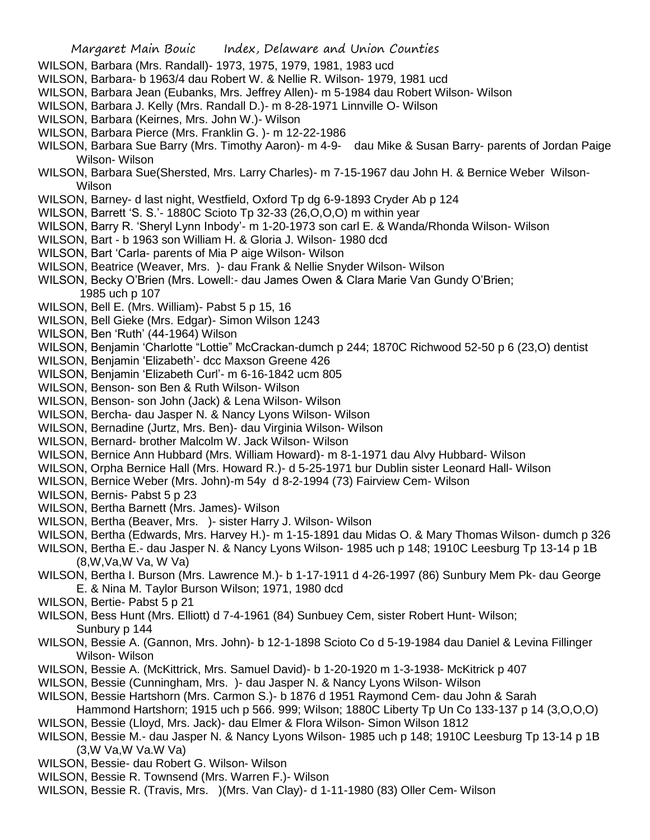- WILSON, Barbara (Mrs. Randall)- 1973, 1975, 1979, 1981, 1983 ucd
- WILSON, Barbara- b 1963/4 dau Robert W. & Nellie R. Wilson- 1979, 1981 ucd
- WILSON, Barbara Jean (Eubanks, Mrs. Jeffrey Allen)- m 5-1984 dau Robert Wilson- Wilson
- WILSON, Barbara J. Kelly (Mrs. Randall D.)- m 8-28-1971 Linnville O- Wilson
- WILSON, Barbara (Keirnes, Mrs. John W.)- Wilson
- WILSON, Barbara Pierce (Mrs. Franklin G. )- m 12-22-1986
- WILSON, Barbara Sue Barry (Mrs. Timothy Aaron)- m 4-9- dau Mike & Susan Barry- parents of Jordan Paige Wilson- Wilson
- WILSON, Barbara Sue(Shersted, Mrs. Larry Charles)- m 7-15-1967 dau John H. & Bernice Weber Wilson-Wilson
- WILSON, Barney- d last night, Westfield, Oxford Tp dg 6-9-1893 Cryder Ab p 124
- WILSON, Barrett 'S. S.'- 1880C Scioto Tp 32-33 (26,O,O,O) m within year
- WILSON, Barry R. 'Sheryl Lynn Inbody'- m 1-20-1973 son carl E. & Wanda/Rhonda Wilson- Wilson
- WILSON, Bart b 1963 son William H. & Gloria J. Wilson- 1980 dcd
- WILSON, Bart 'Carla- parents of Mia P aige Wilson- Wilson
- WILSON, Beatrice (Weaver, Mrs. )- dau Frank & Nellie Snyder Wilson- Wilson
- WILSON, Becky O'Brien (Mrs. Lowell:- dau James Owen & Clara Marie Van Gundy O'Brien; 1985 uch p 107
- WILSON, Bell E. (Mrs. William)- Pabst 5 p 15, 16
- WILSON, Bell Gieke (Mrs. Edgar)- Simon Wilson 1243
- WILSON, Ben 'Ruth' (44-1964) Wilson
- WILSON, Benjamin 'Charlotte "Lottie" McCrackan-dumch p 244; 1870C Richwood 52-50 p 6 (23,O) dentist
- WILSON, Benjamin 'Elizabeth'- dcc Maxson Greene 426
- WILSON, Benjamin 'Elizabeth Curl'- m 6-16-1842 ucm 805
- WILSON, Benson- son Ben & Ruth Wilson- Wilson
- WILSON, Benson- son John (Jack) & Lena Wilson- Wilson
- WILSON, Bercha- dau Jasper N. & Nancy Lyons Wilson- Wilson
- WILSON, Bernadine (Jurtz, Mrs. Ben)- dau Virginia Wilson- Wilson
- WILSON, Bernard- brother Malcolm W. Jack Wilson- Wilson
- WILSON, Bernice Ann Hubbard (Mrs. William Howard)- m 8-1-1971 dau Alvy Hubbard- Wilson
- WILSON, Orpha Bernice Hall (Mrs. Howard R.)- d 5-25-1971 bur Dublin sister Leonard Hall- Wilson
- WILSON, Bernice Weber (Mrs. John)-m 54y d 8-2-1994 (73) Fairview Cem- Wilson
- WILSON, Bernis- Pabst 5 p 23
- WILSON, Bertha Barnett (Mrs. James)- Wilson
- WILSON, Bertha (Beaver, Mrs. )- sister Harry J. Wilson- Wilson
- WILSON, Bertha (Edwards, Mrs. Harvey H.)- m 1-15-1891 dau Midas O. & Mary Thomas Wilson- dumch p 326
- WILSON, Bertha E.- dau Jasper N. & Nancy Lyons Wilson- 1985 uch p 148; 1910C Leesburg Tp 13-14 p 1B (8,W,Va,W Va, W Va)
- WILSON, Bertha I. Burson (Mrs. Lawrence M.)- b 1-17-1911 d 4-26-1997 (86) Sunbury Mem Pk- dau George E. & Nina M. Taylor Burson Wilson; 1971, 1980 dcd
- WILSON, Bertie- Pabst 5 p 21
- WILSON, Bess Hunt (Mrs. Elliott) d 7-4-1961 (84) Sunbuey Cem, sister Robert Hunt- Wilson; Sunbury p 144
- WILSON, Bessie A. (Gannon, Mrs. John)- b 12-1-1898 Scioto Co d 5-19-1984 dau Daniel & Levina Fillinger Wilson- Wilson
- WILSON, Bessie A. (McKittrick, Mrs. Samuel David)- b 1-20-1920 m 1-3-1938- McKitrick p 407
- WILSON, Bessie (Cunningham, Mrs. )- dau Jasper N. & Nancy Lyons Wilson- Wilson
- WILSON, Bessie Hartshorn (Mrs. Carmon S.)- b 1876 d 1951 Raymond Cem- dau John & Sarah
- Hammond Hartshorn; 1915 uch p 566. 999; Wilson; 1880C Liberty Tp Un Co 133-137 p 14 (3,O,O,O) WILSON, Bessie (Lloyd, Mrs. Jack)- dau Elmer & Flora Wilson- Simon Wilson 1812
- WILSON, Bessie M.- dau Jasper N. & Nancy Lyons Wilson- 1985 uch p 148; 1910C Leesburg Tp 13-14 p 1B (3,W Va,W Va.W Va)
- WILSON, Bessie- dau Robert G. Wilson- Wilson
- WILSON, Bessie R. Townsend (Mrs. Warren F.)- Wilson
- WILSON, Bessie R. (Travis, Mrs. )(Mrs. Van Clay)- d 1-11-1980 (83) Oller Cem- Wilson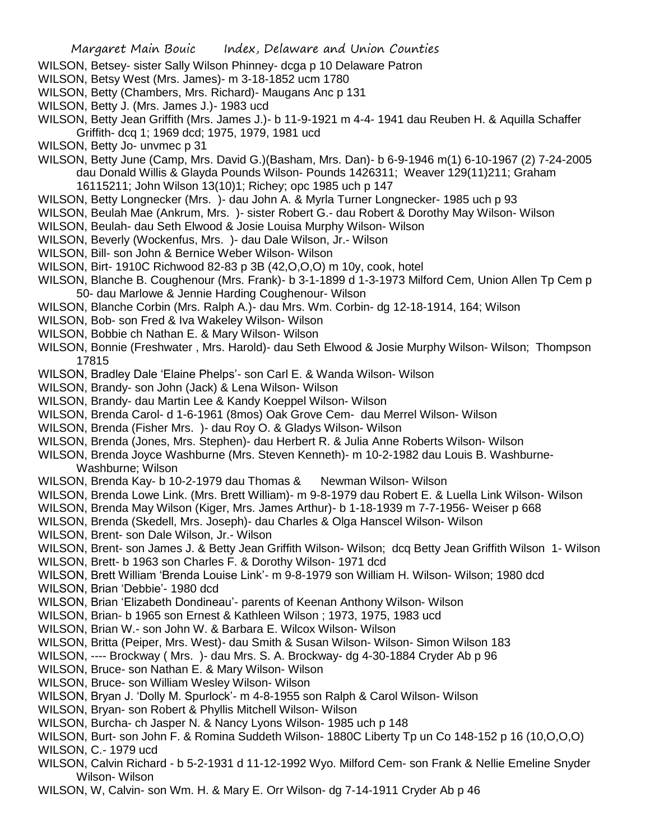- WILSON, Betsey- sister Sally Wilson Phinney- dcga p 10 Delaware Patron
- WILSON, Betsy West (Mrs. James)- m 3-18-1852 ucm 1780
- WILSON, Betty (Chambers, Mrs. Richard)- Maugans Anc p 131
- WILSON, Betty J. (Mrs. James J.)- 1983 ucd
- WILSON, Betty Jean Griffith (Mrs. James J.)- b 11-9-1921 m 4-4- 1941 dau Reuben H. & Aquilla Schaffer Griffith- dcq 1; 1969 dcd; 1975, 1979, 1981 ucd
- WILSON, Betty Jo- unvmec p 31
- WILSON, Betty June (Camp, Mrs. David G.)(Basham, Mrs. Dan)- b 6-9-1946 m(1) 6-10-1967 (2) 7-24-2005 dau Donald Willis & Glayda Pounds Wilson- Pounds 1426311; Weaver 129(11)211; Graham 16115211; John Wilson 13(10)1; Richey; opc 1985 uch p 147
- WILSON, Betty Longnecker (Mrs. )- dau John A. & Myrla Turner Longnecker- 1985 uch p 93
- WILSON, Beulah Mae (Ankrum, Mrs. )- sister Robert G.- dau Robert & Dorothy May Wilson- Wilson
- WILSON, Beulah- dau Seth Elwood & Josie Louisa Murphy Wilson- Wilson
- WILSON, Beverly (Wockenfus, Mrs. )- dau Dale Wilson, Jr.- Wilson
- WILSON, Bill- son John & Bernice Weber Wilson- Wilson
- WILSON, Birt- 1910C Richwood 82-83 p 3B (42,O,O,O) m 10y, cook, hotel
- WILSON, Blanche B. Coughenour (Mrs. Frank)- b 3-1-1899 d 1-3-1973 Milford Cem, Union Allen Tp Cem p 50- dau Marlowe & Jennie Harding Coughenour- Wilson
- WILSON, Blanche Corbin (Mrs. Ralph A.)- dau Mrs. Wm. Corbin- dg 12-18-1914, 164; Wilson
- WILSON, Bob- son Fred & Iva Wakeley Wilson- Wilson
- WILSON, Bobbie ch Nathan E. & Mary Wilson- Wilson
- WILSON, Bonnie (Freshwater , Mrs. Harold)- dau Seth Elwood & Josie Murphy Wilson- Wilson; Thompson 17815
- WILSON, Bradley Dale 'Elaine Phelps'- son Carl E. & Wanda Wilson- Wilson
- WILSON, Brandy- son John (Jack) & Lena Wilson- Wilson
- WILSON, Brandy- dau Martin Lee & Kandy Koeppel Wilson- Wilson
- WILSON, Brenda Carol- d 1-6-1961 (8mos) Oak Grove Cem- dau Merrel Wilson- Wilson
- WILSON, Brenda (Fisher Mrs. )- dau Roy O. & Gladys Wilson- Wilson
- WILSON, Brenda (Jones, Mrs. Stephen)- dau Herbert R. & Julia Anne Roberts Wilson- Wilson
- WILSON, Brenda Joyce Washburne (Mrs. Steven Kenneth)- m 10-2-1982 dau Louis B. Washburne-Washburne; Wilson
- WILSON, Brenda Kay- b 10-2-1979 dau Thomas & Newman Wilson- Wilson
- WILSON, Brenda Lowe Link. (Mrs. Brett William)- m 9-8-1979 dau Robert E. & Luella Link Wilson- Wilson
- WILSON, Brenda May Wilson (Kiger, Mrs. James Arthur)- b 1-18-1939 m 7-7-1956- Weiser p 668
- WILSON, Brenda (Skedell, Mrs. Joseph)- dau Charles & Olga Hanscel Wilson- Wilson
- WILSON, Brent- son Dale Wilson, Jr.- Wilson
- WILSON, Brent- son James J. & Betty Jean Griffith Wilson- Wilson; dcq Betty Jean Griffith Wilson 1- Wilson
- WILSON, Brett- b 1963 son Charles F. & Dorothy Wilson- 1971 dcd
- WILSON, Brett William 'Brenda Louise Link'- m 9-8-1979 son William H. Wilson- Wilson; 1980 dcd
- WILSON, Brian 'Debbie'- 1980 dcd
- WILSON, Brian 'Elizabeth Dondineau'- parents of Keenan Anthony Wilson- Wilson
- WILSON, Brian- b 1965 son Ernest & Kathleen Wilson ; 1973, 1975, 1983 ucd
- WILSON, Brian W.- son John W. & Barbara E. Wilcox Wilson- Wilson
- WILSON, Britta (Peiper, Mrs. West)- dau Smith & Susan Wilson- Wilson- Simon Wilson 183
- WILSON, ---- Brockway ( Mrs. )- dau Mrs. S. A. Brockway- dg 4-30-1884 Cryder Ab p 96
- WILSON, Bruce- son Nathan E. & Mary Wilson- Wilson
- WILSON, Bruce- son William Wesley Wilson- Wilson
- WILSON, Bryan J. 'Dolly M. Spurlock'- m 4-8-1955 son Ralph & Carol Wilson- Wilson
- WILSON, Bryan- son Robert & Phyllis Mitchell Wilson- Wilson
- WILSON, Burcha- ch Jasper N. & Nancy Lyons Wilson- 1985 uch p 148
- WILSON, Burt- son John F. & Romina Suddeth Wilson- 1880C Liberty Tp un Co 148-152 p 16 (10,O,O,O) WILSON, C.- 1979 ucd
- WILSON, Calvin Richard b 5-2-1931 d 11-12-1992 Wyo. Milford Cem- son Frank & Nellie Emeline Snyder Wilson- Wilson
- WILSON, W, Calvin- son Wm. H. & Mary E. Orr Wilson- dg 7-14-1911 Cryder Ab p 46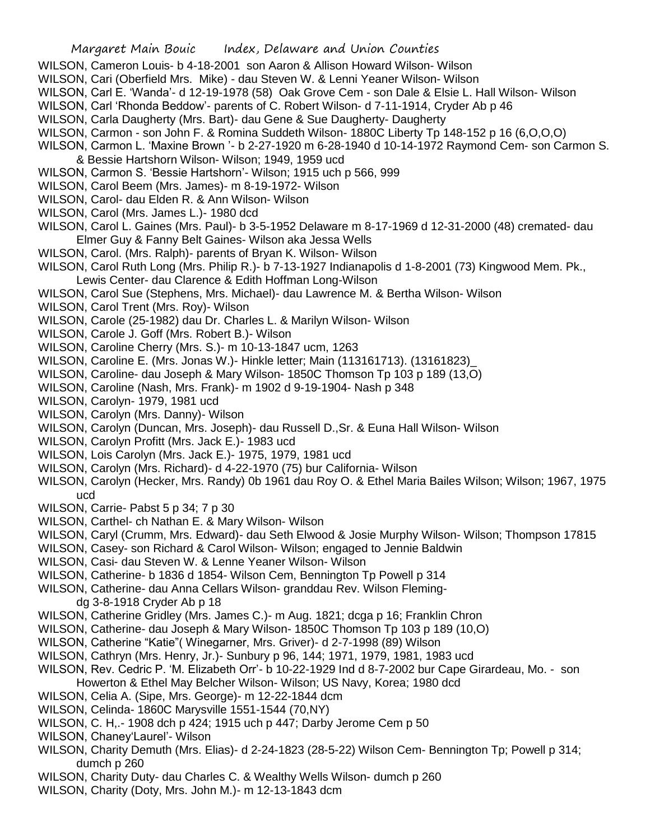- WILSON, Cameron Louis- b 4-18-2001 son Aaron & Allison Howard Wilson- Wilson
- WILSON, Cari (Oberfield Mrs. Mike) dau Steven W. & Lenni Yeaner Wilson- Wilson
- WILSON, Carl E. 'Wanda'- d 12-19-1978 (58) Oak Grove Cem son Dale & Elsie L. Hall Wilson- Wilson
- WILSON, Carl 'Rhonda Beddow'- parents of C. Robert Wilson- d 7-11-1914, Cryder Ab p 46
- WILSON, Carla Daugherty (Mrs. Bart)- dau Gene & Sue Daugherty- Daugherty
- WILSON, Carmon son John F. & Romina Suddeth Wilson- 1880C Liberty Tp 148-152 p 16 (6,O,O,O)
- WILSON, Carmon L. 'Maxine Brown '- b 2-27-1920 m 6-28-1940 d 10-14-1972 Raymond Cem- son Carmon S. & Bessie Hartshorn Wilson- Wilson; 1949, 1959 ucd
- WILSON, Carmon S. 'Bessie Hartshorn'- Wilson; 1915 uch p 566, 999
- WILSON, Carol Beem (Mrs. James)- m 8-19-1972- Wilson
- WILSON, Carol- dau Elden R. & Ann Wilson- Wilson
- WILSON, Carol (Mrs. James L.)- 1980 dcd
- WILSON, Carol L. Gaines (Mrs. Paul)- b 3-5-1952 Delaware m 8-17-1969 d 12-31-2000 (48) cremated- dau Elmer Guy & Fanny Belt Gaines- Wilson aka Jessa Wells
- WILSON, Carol. (Mrs. Ralph)- parents of Bryan K. Wilson- Wilson
- WILSON, Carol Ruth Long (Mrs. Philip R.)- b 7-13-1927 Indianapolis d 1-8-2001 (73) Kingwood Mem. Pk., Lewis Center- dau Clarence & Edith Hoffman Long-Wilson
- WILSON, Carol Sue (Stephens, Mrs. Michael)- dau Lawrence M. & Bertha Wilson- Wilson
- WILSON, Carol Trent (Mrs. Roy)- Wilson
- WILSON, Carole (25-1982) dau Dr. Charles L. & Marilyn Wilson- Wilson
- WILSON, Carole J. Goff (Mrs. Robert B.)- Wilson
- WILSON, Caroline Cherry (Mrs. S.)- m 10-13-1847 ucm, 1263
- WILSON, Caroline E. (Mrs. Jonas W.)- Hinkle letter; Main (113161713). (13161823)\_
- WILSON, Caroline- dau Joseph & Mary Wilson- 1850C Thomson Tp 103 p 189 (13,O)
- WILSON, Caroline (Nash, Mrs. Frank)- m 1902 d 9-19-1904- Nash p 348
- WILSON, Carolyn- 1979, 1981 ucd
- WILSON, Carolyn (Mrs. Danny)- Wilson
- WILSON, Carolyn (Duncan, Mrs. Joseph)- dau Russell D.,Sr. & Euna Hall Wilson- Wilson
- WILSON, Carolyn Profitt (Mrs. Jack E.)- 1983 ucd
- WILSON, Lois Carolyn (Mrs. Jack E.)- 1975, 1979, 1981 ucd
- WILSON, Carolyn (Mrs. Richard)- d 4-22-1970 (75) bur California- Wilson
- WILSON, Carolyn (Hecker, Mrs. Randy) 0b 1961 dau Roy O. & Ethel Maria Bailes Wilson; Wilson; 1967, 1975 ucd
- WILSON, Carrie- Pabst 5 p 34; 7 p 30
- WILSON, Carthel- ch Nathan E. & Mary Wilson- Wilson
- WILSON, Caryl (Crumm, Mrs. Edward)- dau Seth Elwood & Josie Murphy Wilson- Wilson; Thompson 17815
- WILSON, Casey- son Richard & Carol Wilson- Wilson; engaged to Jennie Baldwin
- WILSON, Casi- dau Steven W. & Lenne Yeaner Wilson- Wilson
- WILSON, Catherine- b 1836 d 1854- Wilson Cem, Bennington Tp Powell p 314
- WILSON, Catherine- dau Anna Cellars Wilson- granddau Rev. Wilson Fleming
	- dg 3-8-1918 Cryder Ab p 18
- WILSON, Catherine Gridley (Mrs. James C.)- m Aug. 1821; dcga p 16; Franklin Chron
- WILSON, Catherine- dau Joseph & Mary Wilson- 1850C Thomson Tp 103 p 189 (10,O)
- WILSON, Catherine "Katie"( Winegarner, Mrs. Griver)- d 2-7-1998 (89) Wilson
- WILSON, Cathryn (Mrs. Henry, Jr.)- Sunbury p 96, 144; 1971, 1979, 1981, 1983 ucd
- WILSON, Rev. Cedric P. 'M. Elizabeth Orr'- b 10-22-1929 Ind d 8-7-2002 bur Cape Girardeau, Mo. son Howerton & Ethel May Belcher Wilson- Wilson; US Navy, Korea; 1980 dcd
- WILSON, Celia A. (Sipe, Mrs. George)- m 12-22-1844 dcm
- WILSON, Celinda- 1860C Marysville 1551-1544 (70,NY)
- WILSON, C. H,.- 1908 dch p 424; 1915 uch p 447; Darby Jerome Cem p 50
- WILSON, Chaney'Laurel'- Wilson
- WILSON, Charity Demuth (Mrs. Elias)- d 2-24-1823 (28-5-22) Wilson Cem- Bennington Tp; Powell p 314; dumch p 260
- WILSON, Charity Duty- dau Charles C. & Wealthy Wells Wilson- dumch p 260
- WILSON, Charity (Doty, Mrs. John M.)- m 12-13-1843 dcm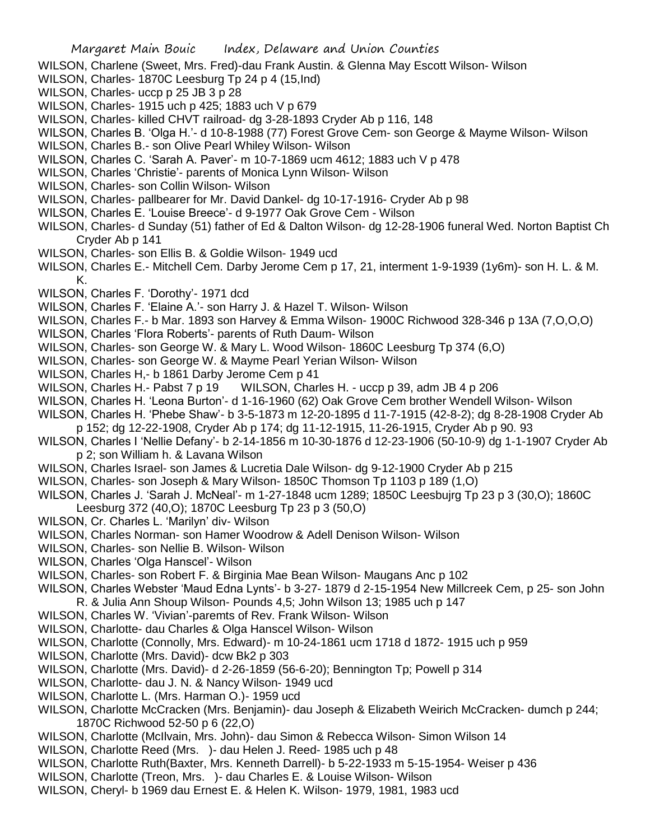- WILSON, Charlene (Sweet, Mrs. Fred)-dau Frank Austin. & Glenna May Escott Wilson- Wilson
- WILSON, Charles- 1870C Leesburg Tp 24 p 4 (15,Ind)
- WILSON, Charles- uccp p 25 JB 3 p 28
- WILSON, Charles- 1915 uch p 425; 1883 uch V p 679
- WILSON, Charles- killed CHVT railroad- dg 3-28-1893 Cryder Ab p 116, 148
- WILSON, Charles B. 'Olga H.'- d 10-8-1988 (77) Forest Grove Cem- son George & Mayme Wilson- Wilson
- WILSON, Charles B.- son Olive Pearl Whiley Wilson- Wilson
- WILSON, Charles C. 'Sarah A. Paver'- m 10-7-1869 ucm 4612; 1883 uch V p 478
- WILSON, Charles 'Christie'- parents of Monica Lynn Wilson- Wilson
- WILSON, Charles- son Collin Wilson- Wilson
- WILSON, Charles- pallbearer for Mr. David Dankel- dg 10-17-1916- Cryder Ab p 98
- WILSON, Charles E. 'Louise Breece'- d 9-1977 Oak Grove Cem Wilson
- WILSON, Charles- d Sunday (51) father of Ed & Dalton Wilson- dg 12-28-1906 funeral Wed. Norton Baptist Ch Cryder Ab p 141
- WILSON, Charles- son Ellis B. & Goldie Wilson- 1949 ucd
- WILSON, Charles E.- Mitchell Cem. Darby Jerome Cem p 17, 21, interment 1-9-1939 (1y6m)- son H. L. & M. K.
- WILSON, Charles F. 'Dorothy'- 1971 dcd
- WILSON, Charles F. 'Elaine A.'- son Harry J. & Hazel T. Wilson- Wilson
- WILSON, Charles F.- b Mar. 1893 son Harvey & Emma Wilson- 1900C Richwood 328-346 p 13A (7,O,O,O)
- WILSON, Charles 'Flora Roberts'- parents of Ruth Daum- Wilson
- WILSON, Charles- son George W. & Mary L. Wood Wilson- 1860C Leesburg Tp 374 (6,O)
- WILSON, Charles- son George W. & Mayme Pearl Yerian Wilson- Wilson
- WILSON, Charles H,- b 1861 Darby Jerome Cem p 41
- WILSON, Charles H.- Pabst 7 p 19 WILSON, Charles H. uccp p 39, adm JB 4 p 206
- WILSON, Charles H. 'Leona Burton'- d 1-16-1960 (62) Oak Grove Cem brother Wendell Wilson- Wilson
- WILSON, Charles H. 'Phebe Shaw'- b 3-5-1873 m 12-20-1895 d 11-7-1915 (42-8-2); dg 8-28-1908 Cryder Ab
- p 152; dg 12-22-1908, Cryder Ab p 174; dg 11-12-1915, 11-26-1915, Cryder Ab p 90. 93
- WILSON, Charles I 'Nellie Defany'- b 2-14-1856 m 10-30-1876 d 12-23-1906 (50-10-9) dg 1-1-1907 Cryder Ab p 2; son William h. & Lavana Wilson
- WILSON, Charles Israel- son James & Lucretia Dale Wilson- dg 9-12-1900 Cryder Ab p 215
- WILSON, Charles- son Joseph & Mary Wilson- 1850C Thomson Tp 1103 p 189 (1,O)
- WILSON, Charles J. 'Sarah J. McNeal'- m 1-27-1848 ucm 1289; 1850C Leesbujrg Tp 23 p 3 (30,O); 1860C Leesburg 372 (40,O); 1870C Leesburg Tp 23 p 3 (50,O)
- WILSON, Cr. Charles L. 'Marilyn' div- Wilson
- WILSON, Charles Norman- son Hamer Woodrow & Adell Denison Wilson- Wilson
- WILSON, Charles- son Nellie B. Wilson- Wilson
- WILSON, Charles 'Olga Hanscel'- Wilson
- WILSON, Charles- son Robert F. & Birginia Mae Bean Wilson- Maugans Anc p 102
- WILSON, Charles Webster 'Maud Edna Lynts'- b 3-27- 1879 d 2-15-1954 New Millcreek Cem, p 25- son John R. & Julia Ann Shoup Wilson- Pounds 4,5; John Wilson 13; 1985 uch p 147
- WILSON, Charles W. 'Vivian'-paremts of Rev. Frank Wilson- Wilson
- WILSON, Charlotte- dau Charles & Olga Hanscel Wilson- Wilson
- WILSON, Charlotte (Connolly, Mrs. Edward)- m 10-24-1861 ucm 1718 d 1872- 1915 uch p 959
- WILSON, Charlotte (Mrs. David)- dcw Bk2 p 303
- WILSON, Charlotte (Mrs. David)- d 2-26-1859 (56-6-20); Bennington Tp; Powell p 314
- WILSON, Charlotte- dau J. N. & Nancy Wilson- 1949 ucd
- WILSON, Charlotte L. (Mrs. Harman O.)- 1959 ucd
- WILSON, Charlotte McCracken (Mrs. Benjamin)- dau Joseph & Elizabeth Weirich McCracken- dumch p 244; 1870C Richwood 52-50 p 6 (22,O)
- WILSON, Charlotte (McIlvain, Mrs. John)- dau Simon & Rebecca Wilson- Simon Wilson 14
- WILSON, Charlotte Reed (Mrs. )- dau Helen J. Reed- 1985 uch p 48
- WILSON, Charlotte Ruth(Baxter, Mrs. Kenneth Darrell)- b 5-22-1933 m 5-15-1954- Weiser p 436
- WILSON, Charlotte (Treon, Mrs. )- dau Charles E. & Louise Wilson- Wilson
- WILSON, Cheryl- b 1969 dau Ernest E. & Helen K. Wilson- 1979, 1981, 1983 ucd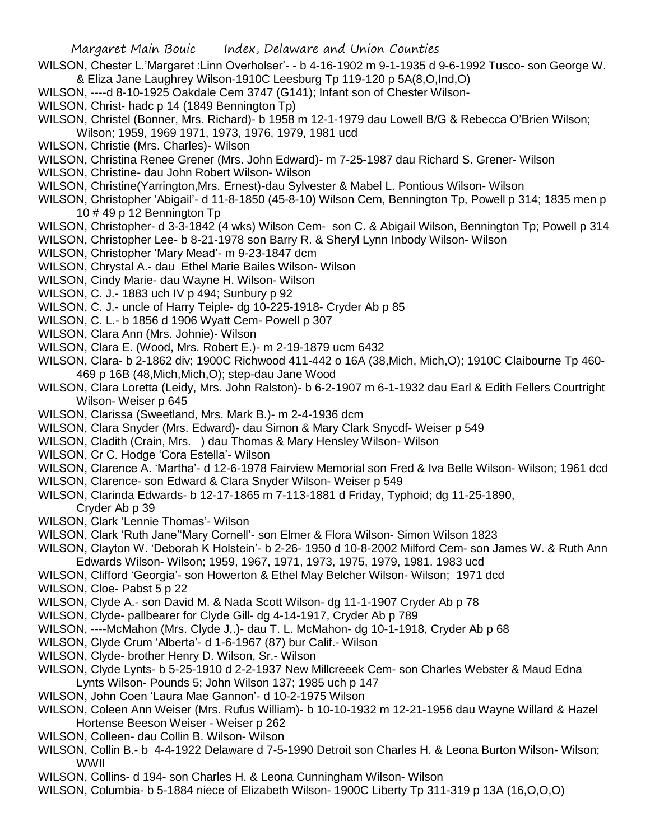- WILSON, Chester L.'Margaret :Linn Overholser'- b 4-16-1902 m 9-1-1935 d 9-6-1992 Tusco- son George W. & Eliza Jane Laughrey Wilson-1910C Leesburg Tp 119-120 p 5A(8,O,Ind,O)
- WILSON, ----d 8-10-1925 Oakdale Cem 3747 (G141); Infant son of Chester Wilson-
- WILSON, Christ- hadc p 14 (1849 Bennington Tp)
- WILSON, Christel (Bonner, Mrs. Richard)- b 1958 m 12-1-1979 dau Lowell B/G & Rebecca O'Brien Wilson; Wilson; 1959, 1969 1971, 1973, 1976, 1979, 1981 ucd
- WILSON, Christie (Mrs. Charles)- Wilson
- WILSON, Christina Renee Grener (Mrs. John Edward)- m 7-25-1987 dau Richard S. Grener- Wilson
- WILSON, Christine- dau John Robert Wilson- Wilson
- WILSON, Christine(Yarrington,Mrs. Ernest)-dau Sylvester & Mabel L. Pontious Wilson- Wilson
- WILSON, Christopher 'Abigail'- d 11-8-1850 (45-8-10) Wilson Cem, Bennington Tp, Powell p 314; 1835 men p 10 # 49 p 12 Bennington Tp
- WILSON, Christopher- d 3-3-1842 (4 wks) Wilson Cem- son C. & Abigail Wilson, Bennington Tp; Powell p 314
- WILSON, Christopher Lee- b 8-21-1978 son Barry R. & Sheryl Lynn Inbody Wilson- Wilson
- WILSON, Christopher 'Mary Mead'- m 9-23-1847 dcm
- WILSON, Chrystal A.- dau Ethel Marie Bailes Wilson- Wilson
- WILSON, Cindy Marie- dau Wayne H. Wilson- Wilson
- WILSON, C. J.- 1883 uch IV p 494; Sunbury p 92
- WILSON, C. J.- uncle of Harry Teiple- dg 10-225-1918- Cryder Ab p 85
- WILSON, C. L.- b 1856 d 1906 Wyatt Cem- Powell p 307
- WILSON, Clara Ann (Mrs. Johnie)- Wilson
- WILSON, Clara E. (Wood, Mrs. Robert E.)- m 2-19-1879 ucm 6432
- WILSON, Clara- b 2-1862 div; 1900C Richwood 411-442 o 16A (38,Mich, Mich,O); 1910C Claibourne Tp 460- 469 p 16B (48,Mich,Mich,O); step-dau Jane Wood
- WILSON, Clara Loretta (Leidy, Mrs. John Ralston)- b 6-2-1907 m 6-1-1932 dau Earl & Edith Fellers Courtright Wilson- Weiser p 645
- WILSON, Clarissa (Sweetland, Mrs. Mark B.)- m 2-4-1936 dcm
- WILSON, Clara Snyder (Mrs. Edward)- dau Simon & Mary Clark Snycdf- Weiser p 549
- WILSON, Cladith (Crain, Mrs. ) dau Thomas & Mary Hensley Wilson- Wilson
- WILSON, Cr C. Hodge 'Cora Estella'- Wilson
- WILSON, Clarence A. 'Martha'- d 12-6-1978 Fairview Memorial son Fred & Iva Belle Wilson- Wilson; 1961 dcd
- WILSON, Clarence- son Edward & Clara Snyder Wilson- Weiser p 549
- WILSON, Clarinda Edwards- b 12-17-1865 m 7-113-1881 d Friday, Typhoid; dg 11-25-1890, Cryder Ab p 39
- WILSON, Clark 'Lennie Thomas'- Wilson
- WILSON, Clark 'Ruth Jane''Mary Cornell'- son Elmer & Flora Wilson- Simon Wilson 1823
- WILSON, Clayton W. 'Deborah K Holstein'- b 2-26- 1950 d 10-8-2002 Milford Cem- son James W. & Ruth Ann Edwards Wilson- Wilson; 1959, 1967, 1971, 1973, 1975, 1979, 1981. 1983 ucd
- WILSON, Clifford 'Georgia'- son Howerton & Ethel May Belcher Wilson- Wilson; 1971 dcd
- WILSON, Cloe- Pabst 5 p 22
- WILSON, Clyde A.- son David M. & Nada Scott Wilson- dg 11-1-1907 Cryder Ab p 78
- WILSON, Clyde- pallbearer for Clyde Gill- dg 4-14-1917, Cryder Ab p 789
- WILSON, ----McMahon (Mrs. Clyde J,.)- dau T. L. McMahon- dg 10-1-1918, Cryder Ab p 68
- WILSON, Clyde Crum 'Alberta'- d 1-6-1967 (87) bur Calif.- Wilson
- WILSON, Clyde- brother Henry D. Wilson, Sr.- Wilson
- WILSON, Clyde Lynts- b 5-25-1910 d 2-2-1937 New Millcreeek Cem- son Charles Webster & Maud Edna Lynts Wilson- Pounds 5; John Wilson 137; 1985 uch p 147
- WILSON, John Coen 'Laura Mae Gannon'- d 10-2-1975 Wilson
- WILSON, Coleen Ann Weiser (Mrs. Rufus William)- b 10-10-1932 m 12-21-1956 dau Wayne Willard & Hazel Hortense Beeson Weiser - Weiser p 262
- WILSON, Colleen- dau Collin B. Wilson- Wilson
- WILSON, Collin B.- b 4-4-1922 Delaware d 7-5-1990 Detroit son Charles H. & Leona Burton Wilson- Wilson; WWII
- WILSON, Collins- d 194- son Charles H. & Leona Cunningham Wilson- Wilson
- WILSON, Columbia- b 5-1884 niece of Elizabeth Wilson- 1900C Liberty Tp 311-319 p 13A (16,O,O,O)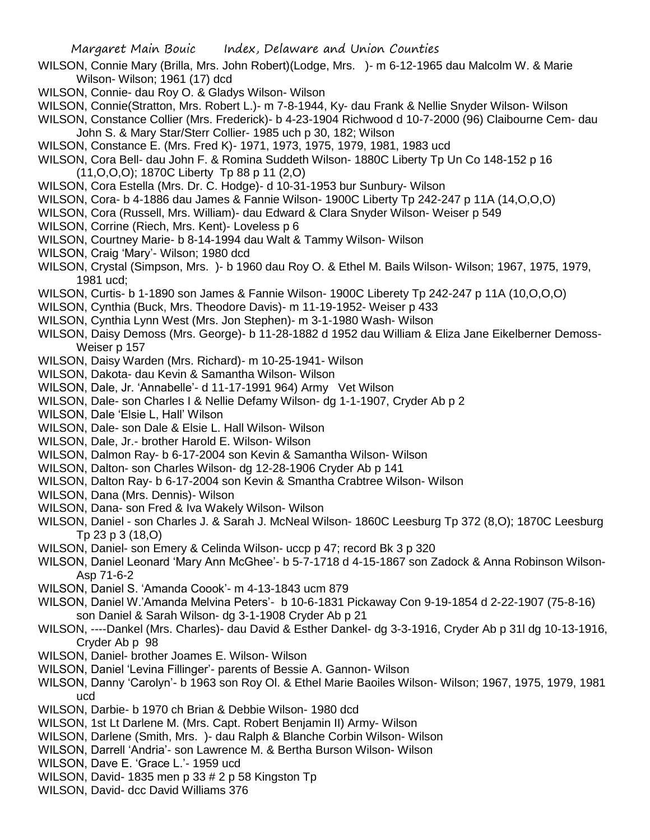- WILSON, Connie Mary (Brilla, Mrs. John Robert)(Lodge, Mrs. )- m 6-12-1965 dau Malcolm W. & Marie Wilson- Wilson; 1961 (17) dcd
- WILSON, Connie- dau Roy O. & Gladys Wilson- Wilson
- WILSON, Connie(Stratton, Mrs. Robert L.)- m 7-8-1944, Ky- dau Frank & Nellie Snyder Wilson- Wilson
- WILSON, Constance Collier (Mrs. Frederick)- b 4-23-1904 Richwood d 10-7-2000 (96) Claibourne Cem- dau John S. & Mary Star/Sterr Collier- 1985 uch p 30, 182; Wilson
- WILSON, Constance E. (Mrs. Fred K)- 1971, 1973, 1975, 1979, 1981, 1983 ucd
- WILSON, Cora Bell- dau John F. & Romina Suddeth Wilson- 1880C Liberty Tp Un Co 148-152 p 16 (11,O,O,O); 1870C Liberty Tp 88 p 11 (2,O)
- WILSON, Cora Estella (Mrs. Dr. C. Hodge)- d 10-31-1953 bur Sunbury- Wilson
- WILSON, Cora- b 4-1886 dau James & Fannie Wilson- 1900C Liberty Tp 242-247 p 11A (14,O,O,O)
- WILSON, Cora (Russell, Mrs. William)- dau Edward & Clara Snyder Wilson- Weiser p 549
- WILSON, Corrine (Riech, Mrs. Kent)- Loveless p 6
- WILSON, Courtney Marie- b 8-14-1994 dau Walt & Tammy Wilson- Wilson
- WILSON, Craig 'Mary'- Wilson; 1980 dcd
- WILSON, Crystal (Simpson, Mrs. )- b 1960 dau Roy O. & Ethel M. Bails Wilson- Wilson; 1967, 1975, 1979, 1981 ucd;
- WILSON, Curtis- b 1-1890 son James & Fannie Wilson- 1900C Liberety Tp 242-247 p 11A (10,O,O,O)
- WILSON, Cynthia (Buck, Mrs. Theodore Davis)- m 11-19-1952- Weiser p 433
- WILSON, Cynthia Lynn West (Mrs. Jon Stephen)- m 3-1-1980 Wash- Wilson
- WILSON, Daisy Demoss (Mrs. George)- b 11-28-1882 d 1952 dau William & Eliza Jane Eikelberner Demoss-Weiser p 157
- WILSON, Daisy Warden (Mrs. Richard)- m 10-25-1941- Wilson
- WILSON, Dakota- dau Kevin & Samantha Wilson- Wilson
- WILSON, Dale, Jr. 'Annabelle'- d 11-17-1991 964) Army Vet Wilson
- WILSON, Dale- son Charles I & Nellie Defamy Wilson- dg 1-1-1907, Cryder Ab p 2
- WILSON, Dale 'Elsie L, Hall' Wilson
- WILSON, Dale- son Dale & Elsie L. Hall Wilson- Wilson
- WILSON, Dale, Jr.- brother Harold E. Wilson- Wilson
- WILSON, Dalmon Ray- b 6-17-2004 son Kevin & Samantha Wilson- Wilson
- WILSON, Dalton- son Charles Wilson- dg 12-28-1906 Cryder Ab p 141
- WILSON, Dalton Ray- b 6-17-2004 son Kevin & Smantha Crabtree Wilson- Wilson
- WILSON, Dana (Mrs. Dennis)- Wilson
- WILSON, Dana- son Fred & Iva Wakely Wilson- Wilson
- WILSON, Daniel son Charles J. & Sarah J. McNeal Wilson- 1860C Leesburg Tp 372 (8,O); 1870C Leesburg Tp 23 p 3 (18,O)
- WILSON, Daniel- son Emery & Celinda Wilson- uccp p 47; record Bk 3 p 320
- WILSON, Daniel Leonard 'Mary Ann McGhee'- b 5-7-1718 d 4-15-1867 son Zadock & Anna Robinson Wilson-Asp 71-6-2
- WILSON, Daniel S. 'Amanda Coook'- m 4-13-1843 ucm 879
- WILSON, Daniel W.'Amanda Melvina Peters'- b 10-6-1831 Pickaway Con 9-19-1854 d 2-22-1907 (75-8-16) son Daniel & Sarah Wilson- dg 3-1-1908 Cryder Ab p 21
- WILSON, ----Dankel (Mrs. Charles)- dau David & Esther Dankel- dg 3-3-1916, Cryder Ab p 31l dg 10-13-1916, Cryder Ab p 98
- WILSON, Daniel- brother Joames E. Wilson- Wilson
- WILSON, Daniel 'Levina Fillinger'- parents of Bessie A. Gannon- Wilson
- WILSON, Danny 'Carolyn'- b 1963 son Roy Ol. & Ethel Marie Baoiles Wilson- Wilson; 1967, 1975, 1979, 1981 ucd
- WILSON, Darbie- b 1970 ch Brian & Debbie Wilson- 1980 dcd
- WILSON, 1st Lt Darlene M. (Mrs. Capt. Robert Benjamin II) Army- Wilson
- WILSON, Darlene (Smith, Mrs. )- dau Ralph & Blanche Corbin Wilson- Wilson
- WILSON, Darrell 'Andria'- son Lawrence M. & Bertha Burson Wilson- Wilson
- WILSON, Dave E. 'Grace L.'- 1959 ucd
- WILSON, David- 1835 men p 33 # 2 p 58 Kingston Tp
- WILSON, David- dcc David Williams 376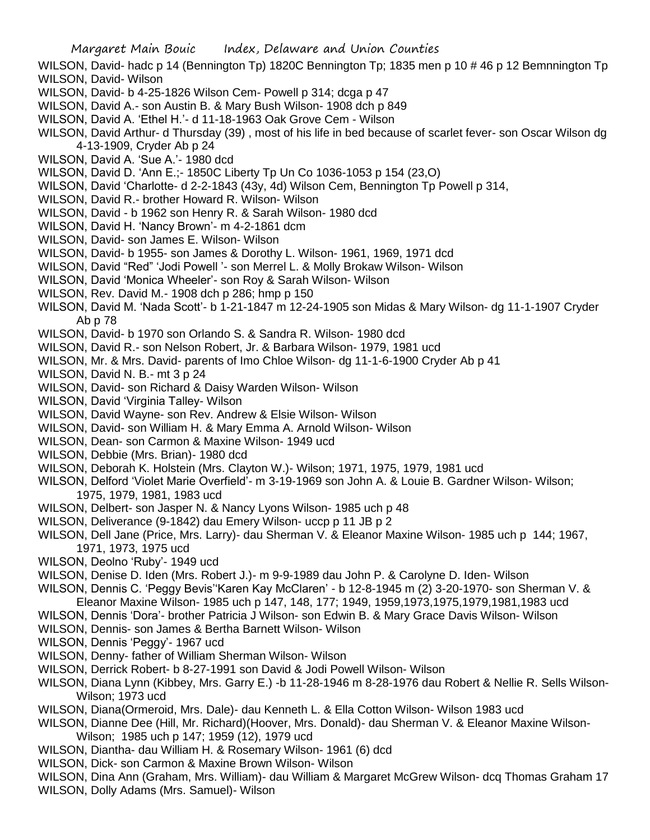WILSON, David- hadc p 14 (Bennington Tp) 1820C Bennington Tp; 1835 men p 10 # 46 p 12 Bemnnington Tp WILSON, David- Wilson

- WILSON, David- b 4-25-1826 Wilson Cem- Powell p 314; dcga p 47
- WILSON, David A.- son Austin B. & Mary Bush Wilson- 1908 dch p 849
- WILSON, David A. 'Ethel H.'- d 11-18-1963 Oak Grove Cem Wilson
- WILSON, David Arthur- d Thursday (39) , most of his life in bed because of scarlet fever- son Oscar Wilson dg 4-13-1909, Cryder Ab p 24
- WILSON, David A. 'Sue A.'- 1980 dcd
- WILSON, David D. 'Ann E.;- 1850C Liberty Tp Un Co 1036-1053 p 154 (23,O)
- WILSON, David 'Charlotte- d 2-2-1843 (43y, 4d) Wilson Cem, Bennington Tp Powell p 314,
- WILSON, David R.- brother Howard R. Wilson- Wilson
- WILSON, David b 1962 son Henry R. & Sarah Wilson- 1980 dcd
- WILSON, David H. 'Nancy Brown'- m 4-2-1861 dcm
- WILSON, David- son James E. Wilson- Wilson
- WILSON, David- b 1955- son James & Dorothy L. Wilson- 1961, 1969, 1971 dcd
- WILSON, David "Red" 'Jodi Powell '- son Merrel L. & Molly Brokaw Wilson- Wilson
- WILSON, David 'Monica Wheeler'- son Roy & Sarah Wilson- Wilson
- WILSON, Rev. David M.- 1908 dch p 286; hmp p 150
- WILSON, David M. 'Nada Scott'- b 1-21-1847 m 12-24-1905 son Midas & Mary Wilson- dg 11-1-1907 Cryder Ab p 78
- WILSON, David- b 1970 son Orlando S. & Sandra R. Wilson- 1980 dcd
- WILSON, David R.- son Nelson Robert, Jr. & Barbara Wilson- 1979, 1981 ucd
- WILSON, Mr. & Mrs. David- parents of Imo Chloe Wilson- dg 11-1-6-1900 Cryder Ab p 41
- WILSON, David N. B.- mt 3 p 24
- WILSON, David- son Richard & Daisy Warden Wilson- Wilson
- WILSON, David 'Virginia Talley- Wilson
- WILSON, David Wayne- son Rev. Andrew & Elsie Wilson- Wilson
- WILSON, David- son William H. & Mary Emma A. Arnold Wilson- Wilson
- WILSON, Dean- son Carmon & Maxine Wilson- 1949 ucd
- WILSON, Debbie (Mrs. Brian)- 1980 dcd
- WILSON, Deborah K. Holstein (Mrs. Clayton W.)- Wilson; 1971, 1975, 1979, 1981 ucd
- WILSON, Delford 'Violet Marie Overfield'- m 3-19-1969 son John A. & Louie B. Gardner Wilson- Wilson; 1975, 1979, 1981, 1983 ucd
- WILSON, Delbert- son Jasper N. & Nancy Lyons Wilson- 1985 uch p 48
- WILSON, Deliverance (9-1842) dau Emery Wilson- uccp p 11 JB p 2
- WILSON, Dell Jane (Price, Mrs. Larry)- dau Sherman V. & Eleanor Maxine Wilson- 1985 uch p 144; 1967, 1971, 1973, 1975 ucd
- WILSON, Deolno 'Ruby'- 1949 ucd
- WILSON, Denise D. Iden (Mrs. Robert J.)- m 9-9-1989 dau John P. & Carolyne D. Iden- Wilson
- WILSON, Dennis C. 'Peggy Bevis''Karen Kay McClaren' b 12-8-1945 m (2) 3-20-1970- son Sherman V. & Eleanor Maxine Wilson- 1985 uch p 147, 148, 177; 1949, 1959,1973,1975,1979,1981,1983 ucd
- WILSON, Dennis 'Dora'- brother Patricia J Wilson- son Edwin B. & Mary Grace Davis Wilson- Wilson
- WILSON, Dennis- son James & Bertha Barnett Wilson- Wilson
- WILSON, Dennis 'Peggy'- 1967 ucd
- WILSON, Denny- father of William Sherman Wilson- Wilson
- WILSON, Derrick Robert- b 8-27-1991 son David & Jodi Powell Wilson- Wilson
- WILSON, Diana Lynn (Kibbey, Mrs. Garry E.) -b 11-28-1946 m 8-28-1976 dau Robert & Nellie R. Sells Wilson-Wilson; 1973 ucd
- WILSON, Diana(Ormeroid, Mrs. Dale)- dau Kenneth L. & Ella Cotton Wilson- Wilson 1983 ucd
- WILSON, Dianne Dee (Hill, Mr. Richard)(Hoover, Mrs. Donald)- dau Sherman V. & Eleanor Maxine Wilson-Wilson; 1985 uch p 147; 1959 (12), 1979 ucd
- WILSON, Diantha- dau William H. & Rosemary Wilson- 1961 (6) dcd
- WILSON, Dick- son Carmon & Maxine Brown Wilson- Wilson
- WILSON, Dina Ann (Graham, Mrs. William)- dau William & Margaret McGrew Wilson- dcq Thomas Graham 17 WILSON, Dolly Adams (Mrs. Samuel)- Wilson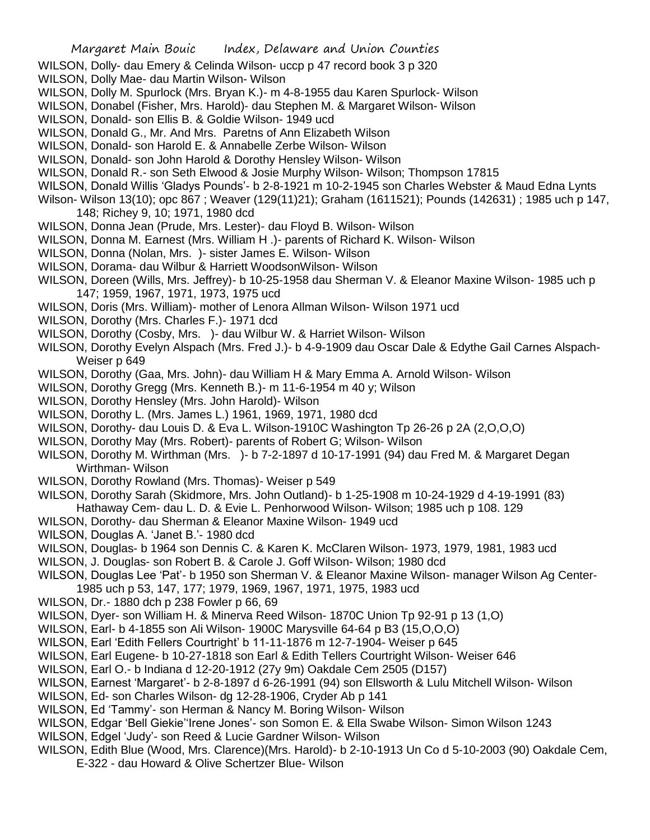- WILSON, Dolly- dau Emery & Celinda Wilson- uccp p 47 record book 3 p 320
- WILSON, Dolly Mae- dau Martin Wilson- Wilson
- WILSON, Dolly M. Spurlock (Mrs. Bryan K.)- m 4-8-1955 dau Karen Spurlock- Wilson
- WILSON, Donabel (Fisher, Mrs. Harold)- dau Stephen M. & Margaret Wilson- Wilson
- WILSON, Donald- son Ellis B. & Goldie Wilson- 1949 ucd
- WILSON, Donald G., Mr. And Mrs. Paretns of Ann Elizabeth Wilson
- WILSON, Donald- son Harold E. & Annabelle Zerbe Wilson- Wilson
- WILSON, Donald- son John Harold & Dorothy Hensley Wilson- Wilson
- WILSON, Donald R.- son Seth Elwood & Josie Murphy Wilson- Wilson; Thompson 17815
- WILSON, Donald Willis 'Gladys Pounds'- b 2-8-1921 m 10-2-1945 son Charles Webster & Maud Edna Lynts
- Wilson- Wilson 13(10); opc 867 ; Weaver (129(11)21); Graham (1611521); Pounds (142631) ; 1985 uch p 147,
	- 148; Richey 9, 10; 1971, 1980 dcd
- WILSON, Donna Jean (Prude, Mrs. Lester)- dau Floyd B. Wilson- Wilson
- WILSON, Donna M. Earnest (Mrs. William H .)- parents of Richard K. Wilson- Wilson
- WILSON, Donna (Nolan, Mrs. )- sister James E. Wilson- Wilson
- WILSON, Dorama- dau Wilbur & Harriett WoodsonWilson- Wilson
- WILSON, Doreen (Wills, Mrs. Jeffrey)- b 10-25-1958 dau Sherman V. & Eleanor Maxine Wilson- 1985 uch p 147; 1959, 1967, 1971, 1973, 1975 ucd
- WILSON, Doris (Mrs. William)- mother of Lenora Allman Wilson- Wilson 1971 ucd
- WILSON, Dorothy (Mrs. Charles F.)- 1971 dcd
- WILSON, Dorothy (Cosby, Mrs. )- dau Wilbur W. & Harriet Wilson- Wilson
- WILSON, Dorothy Evelyn Alspach (Mrs. Fred J.)- b 4-9-1909 dau Oscar Dale & Edythe Gail Carnes Alspach-Weiser p 649
- WILSON, Dorothy (Gaa, Mrs. John)- dau William H & Mary Emma A. Arnold Wilson- Wilson
- WILSON, Dorothy Gregg (Mrs. Kenneth B.)- m 11-6-1954 m 40 y; Wilson
- WILSON, Dorothy Hensley (Mrs. John Harold)- Wilson
- WILSON, Dorothy L. (Mrs. James L.) 1961, 1969, 1971, 1980 dcd
- WILSON, Dorothy- dau Louis D. & Eva L. Wilson-1910C Washington Tp 26-26 p 2A (2, O, O, O)
- WILSON, Dorothy May (Mrs. Robert)- parents of Robert G; Wilson- Wilson
- WILSON, Dorothy M. Wirthman (Mrs. )- b 7-2-1897 d 10-17-1991 (94) dau Fred M. & Margaret Degan Wirthman- Wilson
- WILSON, Dorothy Rowland (Mrs. Thomas)- Weiser p 549
- WILSON, Dorothy Sarah (Skidmore, Mrs. John Outland)- b 1-25-1908 m 10-24-1929 d 4-19-1991 (83) Hathaway Cem- dau L. D. & Evie L. Penhorwood Wilson- Wilson; 1985 uch p 108. 129
- WILSON, Dorothy- dau Sherman & Eleanor Maxine Wilson- 1949 ucd
- WILSON, Douglas A. 'Janet B.'- 1980 dcd
- WILSON, Douglas- b 1964 son Dennis C. & Karen K. McClaren Wilson- 1973, 1979, 1981, 1983 ucd
- WILSON, J. Douglas- son Robert B. & Carole J. Goff Wilson- Wilson; 1980 dcd
- WILSON, Douglas Lee 'Pat'- b 1950 son Sherman V. & Eleanor Maxine Wilson- manager Wilson Ag Center-
- 1985 uch p 53, 147, 177; 1979, 1969, 1967, 1971, 1975, 1983 ucd
- WILSON, Dr.- 1880 dch p 238 Fowler p 66, 69
- WILSON, Dyer- son William H. & Minerva Reed Wilson- 1870C Union Tp 92-91 p 13 (1,O)
- WILSON, Earl- b 4-1855 son Ali Wilson- 1900C Marysville 64-64 p B3 (15,O,O,O)
- WILSON, Earl 'Edith Fellers Courtright' b 11-11-1876 m 12-7-1904- Weiser p 645
- WILSON, Earl Eugene- b 10-27-1818 son Earl & Edith Tellers Courtright Wilson- Weiser 646
- WILSON, Earl O.- b Indiana d 12-20-1912 (27y 9m) Oakdale Cem 2505 (D157)
- WILSON, Earnest 'Margaret'- b 2-8-1897 d 6-26-1991 (94) son Ellsworth & Lulu Mitchell Wilson- Wilson
- WILSON, Ed- son Charles Wilson- dg 12-28-1906, Cryder Ab p 141
- WILSON, Ed 'Tammy'- son Herman & Nancy M. Boring Wilson- Wilson
- WILSON, Edgar 'Bell Giekie''Irene Jones'- son Somon E. & Ella Swabe Wilson- Simon Wilson 1243
- WILSON, Edgel 'Judy'- son Reed & Lucie Gardner Wilson- Wilson
- WILSON, Edith Blue (Wood, Mrs. Clarence)(Mrs. Harold)- b 2-10-1913 Un Co d 5-10-2003 (90) Oakdale Cem,
	- E-322 dau Howard & Olive Schertzer Blue- Wilson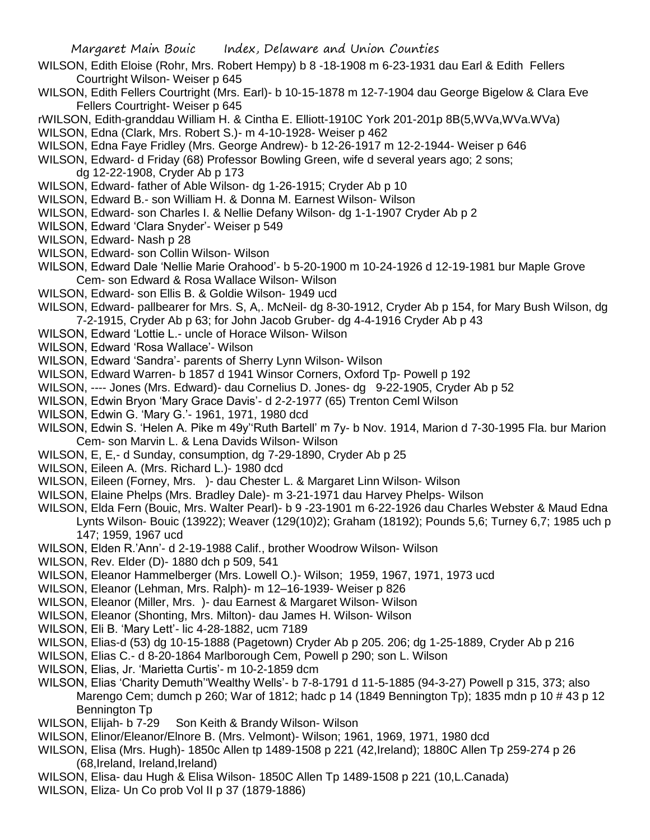- WILSON, Edith Eloise (Rohr, Mrs. Robert Hempy) b 8 -18-1908 m 6-23-1931 dau Earl & Edith Fellers Courtright Wilson- Weiser p 645
- WILSON, Edith Fellers Courtright (Mrs. Earl)- b 10-15-1878 m 12-7-1904 dau George Bigelow & Clara Eve Fellers Courtright- Weiser p 645
- rWILSON, Edith-granddau William H. & Cintha E. Elliott-1910C York 201-201p 8B(5,WVa,WVa.WVa)
- WILSON, Edna (Clark, Mrs. Robert S.)- m 4-10-1928- Weiser p 462
- WILSON, Edna Faye Fridley (Mrs. George Andrew)- b 12-26-1917 m 12-2-1944- Weiser p 646
- WILSON, Edward- d Friday (68) Professor Bowling Green, wife d several years ago; 2 sons; dg 12-22-1908, Cryder Ab p 173
- WILSON, Edward- father of Able Wilson- dg 1-26-1915; Cryder Ab p 10
- WILSON, Edward B.- son William H. & Donna M. Earnest Wilson- Wilson
- WILSON, Edward- son Charles I. & Nellie Defany Wilson- dg 1-1-1907 Cryder Ab p 2
- WILSON, Edward 'Clara Snyder'- Weiser p 549
- WILSON, Edward- Nash p 28
- WILSON, Edward- son Collin Wilson- Wilson
- WILSON, Edward Dale 'Nellie Marie Orahood'- b 5-20-1900 m 10-24-1926 d 12-19-1981 bur Maple Grove Cem- son Edward & Rosa Wallace Wilson- Wilson
- WILSON, Edward- son Ellis B. & Goldie Wilson- 1949 ucd
- WILSON, Edward- pallbearer for Mrs. S, A,. McNeil- dg 8-30-1912, Cryder Ab p 154, for Mary Bush Wilson, dg 7-2-1915, Cryder Ab p 63; for John Jacob Gruber- dg 4-4-1916 Cryder Ab p 43
- WILSON, Edward 'Lottie L.- uncle of Horace Wilson- Wilson
- WILSON, Edward 'Rosa Wallace'- Wilson
- WILSON, Edward 'Sandra'- parents of Sherry Lynn Wilson- Wilson
- WILSON, Edward Warren- b 1857 d 1941 Winsor Corners, Oxford Tp- Powell p 192
- WILSON, ---- Jones (Mrs. Edward)- dau Cornelius D. Jones- dg 9-22-1905, Cryder Ab p 52
- WILSON, Edwin Bryon 'Mary Grace Davis'- d 2-2-1977 (65) Trenton Ceml Wilson
- WILSON, Edwin G. 'Mary G.'- 1961, 1971, 1980 dcd
- WILSON, Edwin S. 'Helen A. Pike m 49y''Ruth Bartell' m 7y- b Nov. 1914, Marion d 7-30-1995 Fla. bur Marion Cem- son Marvin L. & Lena Davids Wilson- Wilson
- WILSON, E, E,- d Sunday, consumption, dg 7-29-1890, Cryder Ab p 25
- WILSON, Eileen A. (Mrs. Richard L.)- 1980 dcd
- WILSON, Eileen (Forney, Mrs. )- dau Chester L. & Margaret Linn Wilson- Wilson
- WILSON, Elaine Phelps (Mrs. Bradley Dale)- m 3-21-1971 dau Harvey Phelps- Wilson
- WILSON, Elda Fern (Bouic, Mrs. Walter Pearl)- b 9 -23-1901 m 6-22-1926 dau Charles Webster & Maud Edna Lynts Wilson- Bouic (13922); Weaver (129(10)2); Graham (18192); Pounds 5,6; Turney 6,7; 1985 uch p 147; 1959, 1967 ucd
- WILSON, Elden R.'Ann'- d 2-19-1988 Calif., brother Woodrow Wilson- Wilson
- WILSON, Rev. Elder (D)- 1880 dch p 509, 541
- WILSON, Eleanor Hammelberger (Mrs. Lowell O.)- Wilson; 1959, 1967, 1971, 1973 ucd
- WILSON, Eleanor (Lehman, Mrs. Ralph)- m 12–16-1939- Weiser p 826
- WILSON, Eleanor (Miller, Mrs. )- dau Earnest & Margaret Wilson- Wilson
- WILSON, Eleanor (Shonting, Mrs. Milton)- dau James H. Wilson- Wilson
- WILSON, Eli B. 'Mary Lett'- lic 4-28-1882, ucm 7189
- WILSON, Elias-d (53) dg 10-15-1888 (Pagetown) Cryder Ab p 205. 206; dg 1-25-1889, Cryder Ab p 216
- WILSON, Elias C.- d 8-20-1864 Marlborough Cem, Powell p 290; son L. Wilson
- WILSON, Elias, Jr. 'Marietta Curtis'- m 10-2-1859 dcm
- WILSON, Elias 'Charity Demuth''Wealthy Wells'- b 7-8-1791 d 11-5-1885 (94-3-27) Powell p 315, 373; also Marengo Cem; dumch p 260; War of 1812; hadc p 14 (1849 Bennington Tp); 1835 mdn p 10 # 43 p 12 Bennington Tp
- WILSON, Elijah- b 7-29 Son Keith & Brandy Wilson- Wilson
- WILSON, Elinor/Eleanor/Elnore B. (Mrs. Velmont)- Wilson; 1961, 1969, 1971, 1980 dcd
- WILSON, Elisa (Mrs. Hugh)- 1850c Allen tp 1489-1508 p 221 (42,Ireland); 1880C Allen Tp 259-274 p 26 (68,Ireland, Ireland,Ireland)
- WILSON, Elisa- dau Hugh & Elisa Wilson- 1850C Allen Tp 1489-1508 p 221 (10,L.Canada)
- WILSON, Eliza- Un Co prob Vol II p 37 (1879-1886)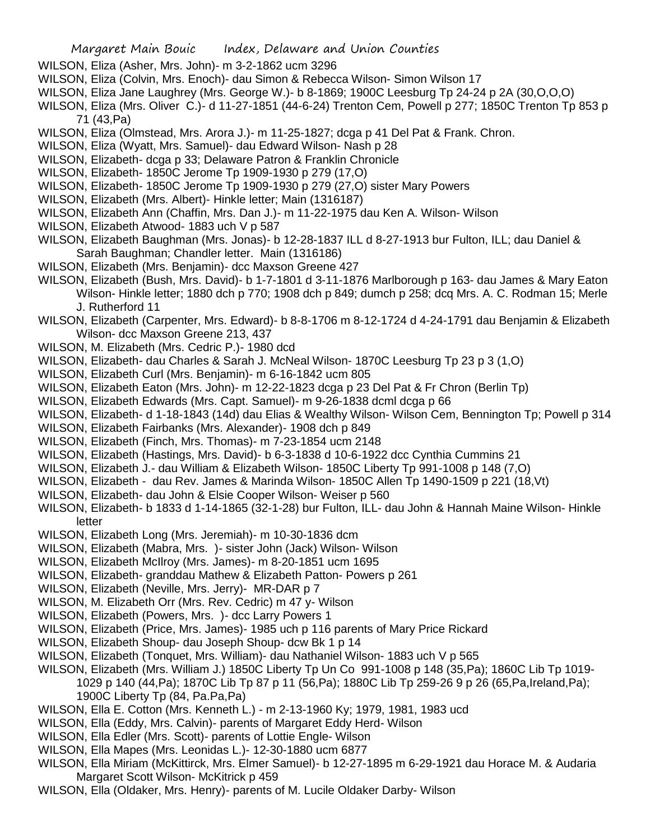- WILSON, Eliza (Asher, Mrs. John)- m 3-2-1862 ucm 3296
- WILSON, Eliza (Colvin, Mrs. Enoch)- dau Simon & Rebecca Wilson- Simon Wilson 17
- WILSON, Eliza Jane Laughrey (Mrs. George W.)- b 8-1869; 1900C Leesburg Tp 24-24 p 2A (30,O,O,O)
- WILSON, Eliza (Mrs. Oliver C.)- d 11-27-1851 (44-6-24) Trenton Cem, Powell p 277; 1850C Trenton Tp 853 p 71 (43,Pa)
- WILSON, Eliza (Olmstead, Mrs. Arora J.)- m 11-25-1827; dcga p 41 Del Pat & Frank. Chron.
- WILSON, Eliza (Wyatt, Mrs. Samuel)- dau Edward Wilson- Nash p 28
- WILSON, Elizabeth- dcga p 33; Delaware Patron & Franklin Chronicle
- WILSON, Elizabeth- 1850C Jerome Tp 1909-1930 p 279 (17,O)
- WILSON, Elizabeth- 1850C Jerome Tp 1909-1930 p 279 (27,O) sister Mary Powers
- WILSON, Elizabeth (Mrs. Albert)- Hinkle letter; Main (1316187)
- WILSON, Elizabeth Ann (Chaffin, Mrs. Dan J.)- m 11-22-1975 dau Ken A. Wilson- Wilson
- WILSON, Elizabeth Atwood- 1883 uch V p 587
- WILSON, Elizabeth Baughman (Mrs. Jonas)- b 12-28-1837 ILL d 8-27-1913 bur Fulton, ILL; dau Daniel & Sarah Baughman; Chandler letter. Main (1316186)
- WILSON, Elizabeth (Mrs. Benjamin)- dcc Maxson Greene 427
- WILSON, Elizabeth (Bush, Mrs. David)- b 1-7-1801 d 3-11-1876 Marlborough p 163- dau James & Mary Eaton
	- Wilson- Hinkle letter; 1880 dch p 770; 1908 dch p 849; dumch p 258; dcq Mrs. A. C. Rodman 15; Merle J. Rutherford 11
- WILSON, Elizabeth (Carpenter, Mrs. Edward)- b 8-8-1706 m 8-12-1724 d 4-24-1791 dau Benjamin & Elizabeth Wilson- dcc Maxson Greene 213, 437
- WILSON, M. Elizabeth (Mrs. Cedric P.)- 1980 dcd
- WILSON, Elizabeth- dau Charles & Sarah J. McNeal Wilson- 1870C Leesburg Tp 23 p 3 (1,O)
- WILSON, Elizabeth Curl (Mrs. Benjamin)- m 6-16-1842 ucm 805
- WILSON, Elizabeth Eaton (Mrs. John)- m 12-22-1823 dcga p 23 Del Pat & Fr Chron (Berlin Tp)
- WILSON, Elizabeth Edwards (Mrs. Capt. Samuel)- m 9-26-1838 dcml dcga p 66
- WILSON, Elizabeth- d 1-18-1843 (14d) dau Elias & Wealthy Wilson- Wilson Cem, Bennington Tp; Powell p 314
- WILSON, Elizabeth Fairbanks (Mrs. Alexander)- 1908 dch p 849
- WILSON, Elizabeth (Finch, Mrs. Thomas)- m 7-23-1854 ucm 2148
- WILSON, Elizabeth (Hastings, Mrs. David)- b 6-3-1838 d 10-6-1922 dcc Cynthia Cummins 21
- WILSON, Elizabeth J.- dau William & Elizabeth Wilson- 1850C Liberty Tp 991-1008 p 148 (7,O)
- WILSON, Elizabeth dau Rev. James & Marinda Wilson- 1850C Allen Tp 1490-1509 p 221 (18,Vt)
- WILSON, Elizabeth- dau John & Elsie Cooper Wilson- Weiser p 560
- WILSON, Elizabeth- b 1833 d 1-14-1865 (32-1-28) bur Fulton, ILL- dau John & Hannah Maine Wilson- Hinkle letter
- WILSON, Elizabeth Long (Mrs. Jeremiah)- m 10-30-1836 dcm
- WILSON, Elizabeth (Mabra, Mrs. )- sister John (Jack) Wilson- Wilson
- WILSON, Elizabeth McIlroy (Mrs. James)- m 8-20-1851 ucm 1695
- WILSON, Elizabeth- granddau Mathew & Elizabeth Patton- Powers p 261
- WILSON, Elizabeth (Neville, Mrs. Jerry)- MR-DAR p 7
- WILSON, M. Elizabeth Orr (Mrs. Rev. Cedric) m 47 y- Wilson
- WILSON, Elizabeth (Powers, Mrs. )- dcc Larry Powers 1
- WILSON, Elizabeth (Price, Mrs. James)- 1985 uch p 116 parents of Mary Price Rickard
- WILSON, Elizabeth Shoup- dau Joseph Shoup- dcw Bk 1 p 14
- WILSON, Elizabeth (Tonquet, Mrs. William)- dau Nathaniel Wilson- 1883 uch V p 565
- WILSON, Elizabeth (Mrs. William J.) 1850C Liberty Tp Un Co 991-1008 p 148 (35,Pa); 1860C Lib Tp 1019- 1029 p 140 (44,Pa); 1870C Lib Tp 87 p 11 (56,Pa); 1880C Lib Tp 259-26 9 p 26 (65,Pa,Ireland,Pa); 1900C Liberty Tp (84, Pa.Pa,Pa)
- WILSON, Ella E. Cotton (Mrs. Kenneth L.) m 2-13-1960 Ky; 1979, 1981, 1983 ucd
- WILSON, Ella (Eddy, Mrs. Calvin)- parents of Margaret Eddy Herd- Wilson
- WILSON, Ella Edler (Mrs. Scott)- parents of Lottie Engle- Wilson
- WILSON, Ella Mapes (Mrs. Leonidas L.)- 12-30-1880 ucm 6877
- WILSON, Ella Miriam (McKittirck, Mrs. Elmer Samuel)- b 12-27-1895 m 6-29-1921 dau Horace M. & Audaria Margaret Scott Wilson- McKitrick p 459
- WILSON, Ella (Oldaker, Mrs. Henry)- parents of M. Lucile Oldaker Darby- Wilson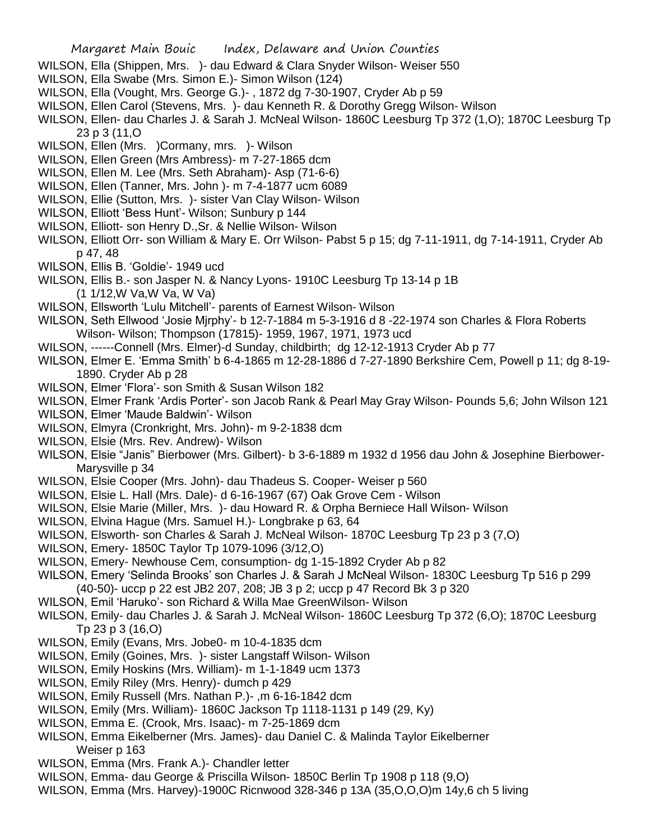- WILSON, Ella (Shippen, Mrs. )- dau Edward & Clara Snyder Wilson- Weiser 550
- WILSON, Ella Swabe (Mrs. Simon E.)- Simon Wilson (124)
- WILSON, Ella (Vought, Mrs. George G.)- , 1872 dg 7-30-1907, Cryder Ab p 59
- WILSON, Ellen Carol (Stevens, Mrs. )- dau Kenneth R. & Dorothy Gregg Wilson- Wilson
- WILSON, Ellen- dau Charles J. & Sarah J. McNeal Wilson- 1860C Leesburg Tp 372 (1,O); 1870C Leesburg Tp 23 p 3 (11,O
- WILSON, Ellen (Mrs. )Cormany, mrs. )- Wilson
- WILSON, Ellen Green (Mrs Ambress)- m 7-27-1865 dcm
- WILSON, Ellen M. Lee (Mrs. Seth Abraham)- Asp (71-6-6)
- WILSON, Ellen (Tanner, Mrs. John )- m 7-4-1877 ucm 6089
- WILSON, Ellie (Sutton, Mrs. )- sister Van Clay Wilson- Wilson
- WILSON, Elliott 'Bess Hunt'- Wilson; Sunbury p 144
- WILSON, Elliott- son Henry D.,Sr. & Nellie Wilson- Wilson
- WILSON, Elliott Orr- son William & Mary E. Orr Wilson- Pabst 5 p 15; dg 7-11-1911, dg 7-14-1911, Cryder Ab p 47, 48
- WILSON, Ellis B. 'Goldie'- 1949 ucd
- WILSON, Ellis B.- son Jasper N. & Nancy Lyons- 1910C Leesburg Tp 13-14 p 1B (1 1/12,W Va,W Va, W Va)
- WILSON, Ellsworth 'Lulu Mitchell'- parents of Earnest Wilson- Wilson
- WILSON, Seth Ellwood 'Josie Mjrphy'- b 12-7-1884 m 5-3-1916 d 8 -22-1974 son Charles & Flora Roberts Wilson- Wilson; Thompson (17815)- 1959, 1967, 1971, 1973 ucd
- WILSON, ------Connell (Mrs. Elmer)-d Sunday, childbirth; dg 12-12-1913 Cryder Ab p 77
- WILSON, Elmer E. 'Emma Smith' b 6-4-1865 m 12-28-1886 d 7-27-1890 Berkshire Cem, Powell p 11; dg 8-19- 1890. Cryder Ab p 28
- WILSON, Elmer 'Flora'- son Smith & Susan Wilson 182
- WILSON, Elmer Frank 'Ardis Porter'- son Jacob Rank & Pearl May Gray Wilson- Pounds 5,6; John Wilson 121
- WILSON, Elmer 'Maude Baldwin'- Wilson
- WILSON, Elmyra (Cronkright, Mrs. John)- m 9-2-1838 dcm
- WILSON, Elsie (Mrs. Rev. Andrew)- Wilson
- WILSON, Elsie "Janis" Bierbower (Mrs. Gilbert)- b 3-6-1889 m 1932 d 1956 dau John & Josephine Bierbower-Marysville p 34
- WILSON, Elsie Cooper (Mrs. John)- dau Thadeus S. Cooper- Weiser p 560
- WILSON, Elsie L. Hall (Mrs. Dale)- d 6-16-1967 (67) Oak Grove Cem Wilson
- WILSON, Elsie Marie (Miller, Mrs. )- dau Howard R. & Orpha Berniece Hall Wilson- Wilson
- WILSON, Elvina Hague (Mrs. Samuel H.)- Longbrake p 63, 64
- WILSON, Elsworth- son Charles & Sarah J. McNeal Wilson- 1870C Leesburg Tp 23 p 3 (7,O)
- WILSON, Emery- 1850C Taylor Tp 1079-1096 (3/12,O)
- WILSON, Emery- Newhouse Cem, consumption- dg 1-15-1892 Cryder Ab p 82
- WILSON, Emery 'Selinda Brooks' son Charles J. & Sarah J McNeal Wilson- 1830C Leesburg Tp 516 p 299 (40-50)- uccp p 22 est JB2 207, 208; JB 3 p 2; uccp p 47 Record Bk 3 p 320
- WILSON, Emil 'Haruko'- son Richard & Willa Mae GreenWilson- Wilson
- WILSON, Emily- dau Charles J. & Sarah J. McNeal Wilson- 1860C Leesburg Tp 372 (6,O); 1870C Leesburg Tp 23 p 3 (16,O)
- WILSON, Emily (Evans, Mrs. Jobe0- m 10-4-1835 dcm
- WILSON, Emily (Goines, Mrs. )- sister Langstaff Wilson- Wilson
- WILSON, Emily Hoskins (Mrs. William)- m 1-1-1849 ucm 1373
- WILSON, Emily Riley (Mrs. Henry)- dumch p 429
- WILSON, Emily Russell (Mrs. Nathan P.)- ,m 6-16-1842 dcm
- WILSON, Emily (Mrs. William)- 1860C Jackson Tp 1118-1131 p 149 (29, Ky)
- WILSON, Emma E. (Crook, Mrs. Isaac)- m 7-25-1869 dcm
- WILSON, Emma Eikelberner (Mrs. James)- dau Daniel C. & Malinda Taylor Eikelberner Weiser p 163
- WILSON, Emma (Mrs. Frank A.)- Chandler letter
- WILSON, Emma- dau George & Priscilla Wilson- 1850C Berlin Tp 1908 p 118 (9,O)
- WILSON, Emma (Mrs. Harvey)-1900C Ricnwood 328-346 p 13A (35,O,O,O)m 14y,6 ch 5 living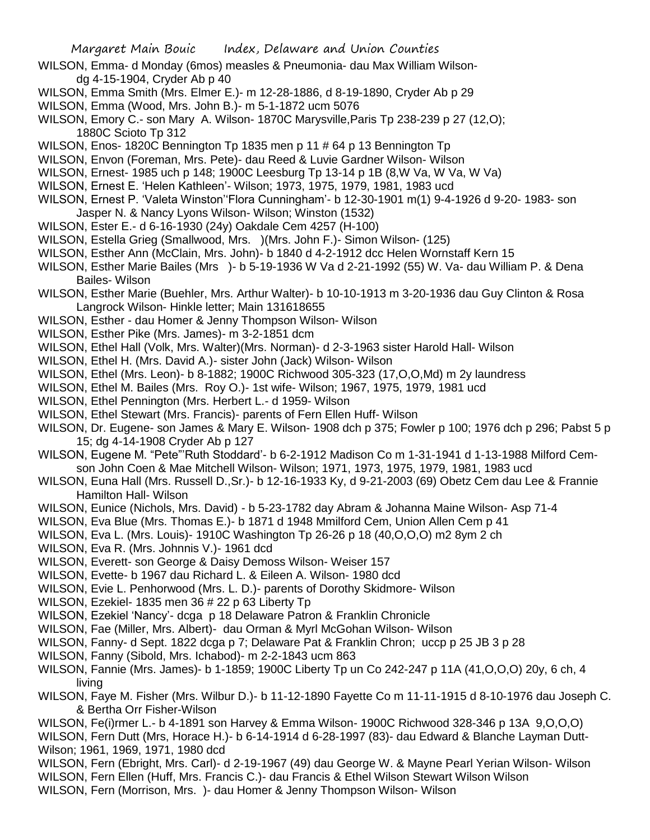- WILSON, Emma- d Monday (6mos) measles & Pneumonia- dau Max William Wilsondg 4-15-1904, Cryder Ab p 40
- WILSON, Emma Smith (Mrs. Elmer E.)- m 12-28-1886, d 8-19-1890, Cryder Ab p 29
- WILSON, Emma (Wood, Mrs. John B.)- m 5-1-1872 ucm 5076
- WILSON, Emory C.- son Mary A. Wilson- 1870C Marysville,Paris Tp 238-239 p 27 (12,O); 1880C Scioto Tp 312
- WILSON, Enos- 1820C Bennington Tp 1835 men p 11 # 64 p 13 Bennington Tp
- WILSON, Envon (Foreman, Mrs. Pete)- dau Reed & Luvie Gardner Wilson- Wilson
- WILSON, Ernest- 1985 uch p 148; 1900C Leesburg Tp 13-14 p 1B (8,W Va, W Va, W Va)
- WILSON, Ernest E. 'Helen Kathleen'- Wilson; 1973, 1975, 1979, 1981, 1983 ucd
- WILSON, Ernest P. 'Valeta Winston''Flora Cunningham'- b 12-30-1901 m(1) 9-4-1926 d 9-20- 1983- son Jasper N. & Nancy Lyons Wilson- Wilson; Winston (1532)
- WILSON, Ester E.- d 6-16-1930 (24y) Oakdale Cem 4257 (H-100)
- WILSON, Estella Grieg (Smallwood, Mrs. )(Mrs. John F.)- Simon Wilson- (125)
- WILSON, Esther Ann (McClain, Mrs. John)- b 1840 d 4-2-1912 dcc Helen Wornstaff Kern 15
- WILSON, Esther Marie Bailes (Mrs )- b 5-19-1936 W Va d 2-21-1992 (55) W. Va- dau William P. & Dena Bailes- Wilson
- WILSON, Esther Marie (Buehler, Mrs. Arthur Walter)- b 10-10-1913 m 3-20-1936 dau Guy Clinton & Rosa Langrock Wilson- Hinkle letter; Main 131618655
- WILSON, Esther dau Homer & Jenny Thompson Wilson- Wilson
- WILSON, Esther Pike (Mrs. James)- m 3-2-1851 dcm
- WILSON, Ethel Hall (Volk, Mrs. Walter)(Mrs. Norman)- d 2-3-1963 sister Harold Hall- Wilson
- WILSON, Ethel H. (Mrs. David A.)- sister John (Jack) Wilson- Wilson
- WILSON, Ethel (Mrs. Leon)- b 8-1882; 1900C Richwood 305-323 (17,O,O,Md) m 2y laundress
- WILSON, Ethel M. Bailes (Mrs. Roy O.)- 1st wife- Wilson; 1967, 1975, 1979, 1981 ucd
- WILSON, Ethel Pennington (Mrs. Herbert L.- d 1959- Wilson
- WILSON, Ethel Stewart (Mrs. Francis)- parents of Fern Ellen Huff- Wilson
- WILSON, Dr. Eugene- son James & Mary E. Wilson- 1908 dch p 375; Fowler p 100; 1976 dch p 296; Pabst 5 p 15; dg 4-14-1908 Cryder Ab p 127
- WILSON, Eugene M. "Pete"'Ruth Stoddard'- b 6-2-1912 Madison Co m 1-31-1941 d 1-13-1988 Milford Cemson John Coen & Mae Mitchell Wilson- Wilson; 1971, 1973, 1975, 1979, 1981, 1983 ucd
- WILSON, Euna Hall (Mrs. Russell D.,Sr.)- b 12-16-1933 Ky, d 9-21-2003 (69) Obetz Cem dau Lee & Frannie Hamilton Hall- Wilson
- WILSON, Eunice (Nichols, Mrs. David) b 5-23-1782 day Abram & Johanna Maine Wilson- Asp 71-4
- WILSON, Eva Blue (Mrs. Thomas E.)- b 1871 d 1948 Mmilford Cem, Union Allen Cem p 41
- WILSON, Eva L. (Mrs. Louis)- 1910C Washington Tp 26-26 p 18 (40,O,O,O) m2 8ym 2 ch
- WILSON, Eva R. (Mrs. Johnnis V.)- 1961 dcd
- WILSON, Everett- son George & Daisy Demoss Wilson- Weiser 157
- WILSON, Evette- b 1967 dau Richard L. & Eileen A. Wilson- 1980 dcd
- WILSON, Evie L. Penhorwood (Mrs. L. D.)- parents of Dorothy Skidmore- Wilson
- WILSON, Ezekiel- 1835 men 36 # 22 p 63 Liberty Tp
- WILSON, Ezekiel 'Nancy'- dcga p 18 Delaware Patron & Franklin Chronicle
- WILSON, Fae (Miller, Mrs. Albert)- dau Orman & Myrl McGohan Wilson- Wilson
- WILSON, Fanny- d Sept. 1822 dcga p 7; Delaware Pat & Franklin Chron; uccp p 25 JB 3 p 28
- WILSON, Fanny (Sibold, Mrs. Ichabod)- m 2-2-1843 ucm 863
- WILSON, Fannie (Mrs. James)- b 1-1859; 1900C Liberty Tp un Co 242-247 p 11A (41,O,O,O) 20y, 6 ch, 4 living
- WILSON, Faye M. Fisher (Mrs. Wilbur D.)- b 11-12-1890 Fayette Co m 11-11-1915 d 8-10-1976 dau Joseph C. & Bertha Orr Fisher-Wilson
- WILSON, Fe(i)rmer L.- b 4-1891 son Harvey & Emma Wilson- 1900C Richwood 328-346 p 13A 9,O,O,O) WILSON, Fern Dutt (Mrs, Horace H.)- b 6-14-1914 d 6-28-1997 (83)- dau Edward & Blanche Layman Dutt-Wilson; 1961, 1969, 1971, 1980 dcd
- WILSON, Fern (Ebright, Mrs. Carl)- d 2-19-1967 (49) dau George W. & Mayne Pearl Yerian Wilson- Wilson
- WILSON, Fern Ellen (Huff, Mrs. Francis C.)- dau Francis & Ethel Wilson Stewart Wilson Wilson
- WILSON, Fern (Morrison, Mrs. )- dau Homer & Jenny Thompson Wilson- Wilson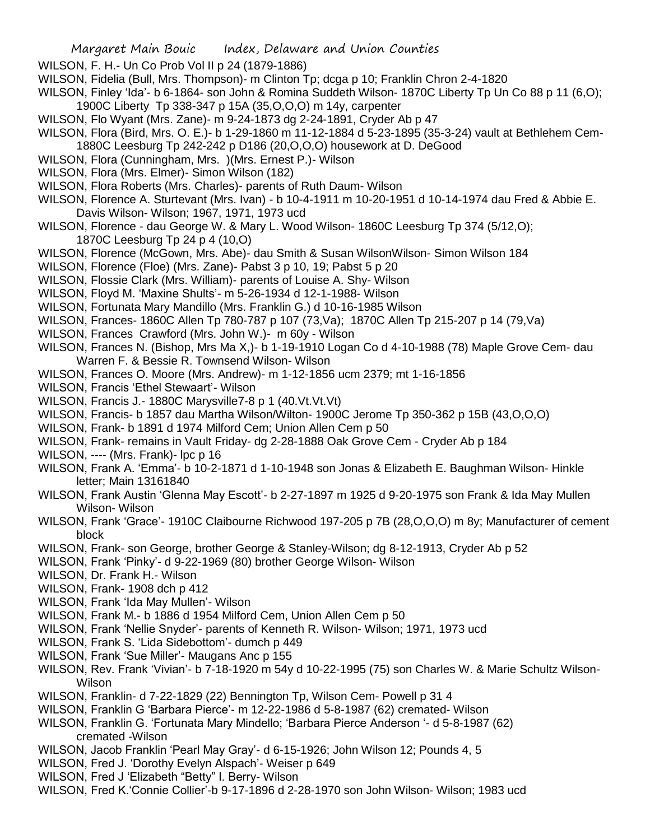- WILSON, F. H.- Un Co Prob Vol II p 24 (1879-1886)
- WILSON, Fidelia (Bull, Mrs. Thompson)- m Clinton Tp; dcga p 10; Franklin Chron 2-4-1820
- WILSON, Finley 'Ida'- b 6-1864- son John & Romina Suddeth Wilson- 1870C Liberty Tp Un Co 88 p 11 (6,O); 1900C Liberty Tp 338-347 p 15A (35,O,O,O) m 14y, carpenter
- WILSON, Flo Wyant (Mrs. Zane)- m 9-24-1873 dg 2-24-1891, Cryder Ab p 47
- WILSON, Flora (Bird, Mrs. O. E.)- b 1-29-1860 m 11-12-1884 d 5-23-1895 (35-3-24) vault at Bethlehem Cem-1880C Leesburg Tp 242-242 p D186 (20,O,O,O) housework at D. DeGood
- WILSON, Flora (Cunningham, Mrs. )(Mrs. Ernest P.)- Wilson
- WILSON, Flora (Mrs. Elmer)- Simon Wilson (182)
- WILSON, Flora Roberts (Mrs. Charles)- parents of Ruth Daum- Wilson
- WILSON, Florence A. Sturtevant (Mrs. Ivan) b 10-4-1911 m 10-20-1951 d 10-14-1974 dau Fred & Abbie E. Davis Wilson- Wilson; 1967, 1971, 1973 ucd
- WILSON, Florence dau George W. & Mary L. Wood Wilson- 1860C Leesburg Tp 374 (5/12,O); 1870C Leesburg Tp 24 p 4 (10,O)
- WILSON, Florence (McGown, Mrs. Abe)- dau Smith & Susan WilsonWilson- Simon Wilson 184
- WILSON, Florence (Floe) (Mrs. Zane)- Pabst 3 p 10, 19; Pabst 5 p 20
- WILSON, Flossie Clark (Mrs. William)- parents of Louise A. Shy- Wilson
- WILSON, Floyd M. 'Maxine Shults'- m 5-26-1934 d 12-1-1988- Wilson
- WILSON, Fortunata Mary Mandillo (Mrs. Franklin G.) d 10-16-1985 Wilson
- WILSON, Frances- 1860C Allen Tp 780-787 p 107 (73,Va); 1870C Allen Tp 215-207 p 14 (79,Va)
- WILSON, Frances Crawford (Mrs. John W.)- m 60y Wilson
- WILSON, Frances N. (Bishop, Mrs Ma X,)- b 1-19-1910 Logan Co d 4-10-1988 (78) Maple Grove Cem- dau Warren F. & Bessie R. Townsend Wilson- Wilson
- WILSON, Frances O. Moore (Mrs. Andrew)- m 1-12-1856 ucm 2379; mt 1-16-1856
- WILSON, Francis 'Ethel Stewaart'- Wilson
- WILSON, Francis J.- 1880C Marysville7-8 p 1 (40.Vt.Vt.Vt)
- WILSON, Francis- b 1857 dau Martha Wilson/Wilton- 1900C Jerome Tp 350-362 p 15B (43,O,O,O)
- WILSON, Frank- b 1891 d 1974 Milford Cem; Union Allen Cem p 50
- WILSON, Frank- remains in Vault Friday- dg 2-28-1888 Oak Grove Cem Cryder Ab p 184
- WILSON, ---- (Mrs. Frank)- lpc p 16
- WILSON, Frank A. 'Emma'- b 10-2-1871 d 1-10-1948 son Jonas & Elizabeth E. Baughman Wilson- Hinkle letter; Main 13161840
- WILSON, Frank Austin 'Glenna May Escott'- b 2-27-1897 m 1925 d 9-20-1975 son Frank & Ida May Mullen Wilson- Wilson
- WILSON, Frank 'Grace'- 1910C Claibourne Richwood 197-205 p 7B (28,O,O,O) m 8y; Manufacturer of cement block
- WILSON, Frank- son George, brother George & Stanley-Wilson; dg 8-12-1913, Cryder Ab p 52
- WILSON, Frank 'Pinky'- d 9-22-1969 (80) brother George Wilson- Wilson
- WILSON, Dr. Frank H.- Wilson
- WILSON, Frank- 1908 dch p 412
- WILSON, Frank 'Ida May Mullen'- Wilson
- WILSON, Frank M.- b 1886 d 1954 Milford Cem, Union Allen Cem p 50
- WILSON, Frank 'Nellie Snyder'- parents of Kenneth R. Wilson- Wilson; 1971, 1973 ucd
- WILSON, Frank S. 'Lida Sidebottom'- dumch p 449
- WILSON, Frank 'Sue Miller'- Maugans Anc p 155
- WILSON, Rev. Frank 'Vivian'- b 7-18-1920 m 54y d 10-22-1995 (75) son Charles W. & Marie Schultz Wilson-Wilson
- WILSON, Franklin- d 7-22-1829 (22) Bennington Tp, Wilson Cem- Powell p 31 4
- WILSON, Franklin G 'Barbara Pierce'- m 12-22-1986 d 5-8-1987 (62) cremated- Wilson
- WILSON, Franklin G. 'Fortunata Mary Mindello; 'Barbara Pierce Anderson '- d 5-8-1987 (62) cremated -Wilson
- WILSON, Jacob Franklin 'Pearl May Gray'- d 6-15-1926; John Wilson 12; Pounds 4, 5
- WILSON, Fred J. 'Dorothy Evelyn Alspach'- Weiser p 649
- WILSON, Fred J 'Elizabeth "Betty" I. Berry- Wilson
- WILSON, Fred K.'Connie Collier'-b 9-17-1896 d 2-28-1970 son John Wilson- Wilson; 1983 ucd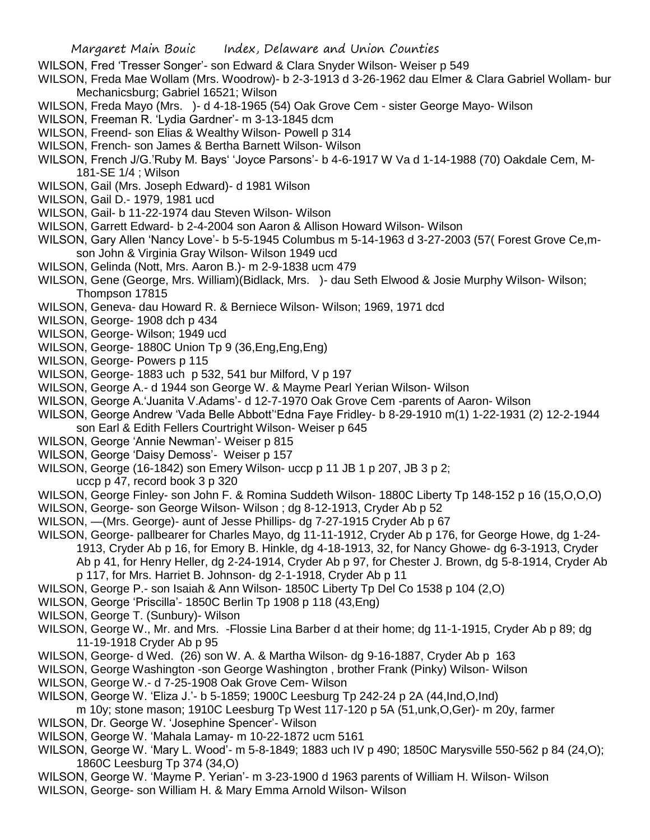- WILSON, Fred 'Tresser Songer'- son Edward & Clara Snyder Wilson- Weiser p 549
- WILSON, Freda Mae Wollam (Mrs. Woodrow)- b 2-3-1913 d 3-26-1962 dau Elmer & Clara Gabriel Wollam- bur Mechanicsburg; Gabriel 16521; Wilson
- WILSON, Freda Mayo (Mrs. )- d 4-18-1965 (54) Oak Grove Cem sister George Mayo- Wilson
- WILSON, Freeman R. 'Lydia Gardner'- m 3-13-1845 dcm
- WILSON, Freend- son Elias & Wealthy Wilson- Powell p 314
- WILSON, French- son James & Bertha Barnett Wilson- Wilson
- WILSON, French J/G.'Ruby M. Bays' 'Joyce Parsons'- b 4-6-1917 W Va d 1-14-1988 (70) Oakdale Cem, M-181-SE 1/4 ; Wilson
- WILSON, Gail (Mrs. Joseph Edward)- d 1981 Wilson
- WILSON, Gail D.- 1979, 1981 ucd
- WILSON, Gail- b 11-22-1974 dau Steven Wilson- Wilson
- WILSON, Garrett Edward- b 2-4-2004 son Aaron & Allison Howard Wilson- Wilson
- WILSON, Gary Allen 'Nancy Love'- b 5-5-1945 Columbus m 5-14-1963 d 3-27-2003 (57( Forest Grove Ce,mson John & Virginia Gray Wilson- Wilson 1949 ucd
- WILSON, Gelinda (Nott, Mrs. Aaron B.)- m 2-9-1838 ucm 479
- WILSON, Gene (George, Mrs. William)(Bidlack, Mrs. )- dau Seth Elwood & Josie Murphy Wilson- Wilson; Thompson 17815
- WILSON, Geneva- dau Howard R. & Berniece Wilson- Wilson; 1969, 1971 dcd
- WILSON, George- 1908 dch p 434
- WILSON, George- Wilson; 1949 ucd
- WILSON, George- 1880C Union Tp 9 (36, Eng, Eng, Eng)
- WILSON, George- Powers p 115
- WILSON, George- 1883 uch p 532, 541 bur Milford, V p 197
- WILSON, George A.- d 1944 son George W. & Mayme Pearl Yerian Wilson- Wilson
- WILSON, George A.'Juanita V.Adams'- d 12-7-1970 Oak Grove Cem -parents of Aaron- Wilson
- WILSON, George Andrew 'Vada Belle Abbott''Edna Faye Fridley- b 8-29-1910 m(1) 1-22-1931 (2) 12-2-1944 son Earl & Edith Fellers Courtright Wilson- Weiser p 645
- WILSON, George 'Annie Newman'- Weiser p 815
- WILSON, George 'Daisy Demoss'- Weiser p 157
- WILSON, George (16-1842) son Emery Wilson- uccp p 11 JB 1 p 207, JB 3 p 2;
- uccp p 47, record book 3 p 320
- WILSON, George Finley- son John F. & Romina Suddeth Wilson- 1880C Liberty Tp 148-152 p 16 (15,O,O,O)
- WILSON, George- son George Wilson- Wilson ; dg 8-12-1913, Cryder Ab p 52
- WILSON, —(Mrs. George)- aunt of Jesse Phillips- dg 7-27-1915 Cryder Ab p 67
- WILSON, George- pallbearer for Charles Mayo, dg 11-11-1912, Cryder Ab p 176, for George Howe, dg 1-24- 1913, Cryder Ab p 16, for Emory B. Hinkle, dg 4-18-1913, 32, for Nancy Ghowe- dg 6-3-1913, Cryder Ab p 41, for Henry Heller, dg 2-24-1914, Cryder Ab p 97, for Chester J. Brown, dg 5-8-1914, Cryder Ab p 117, for Mrs. Harriet B. Johnson- dg 2-1-1918, Cryder Ab p 11
- WILSON, George P.- son Isaiah & Ann Wilson- 1850C Liberty Tp Del Co 1538 p 104 (2,O)
- WILSON, George 'Priscilla'- 1850C Berlin Tp 1908 p 118 (43,Eng)
- WILSON, George T. (Sunbury)- Wilson
- WILSON, George W., Mr. and Mrs. -Flossie Lina Barber d at their home; dg 11-1-1915, Cryder Ab p 89; dg 11-19-1918 Cryder Ab p 95
- WILSON, George- d Wed. (26) son W. A. & Martha Wilson- dg 9-16-1887, Cryder Ab p 163
- WILSON, George Washington -son George Washington , brother Frank (Pinky) Wilson- Wilson
- WILSON, George W.- d 7-25-1908 Oak Grove Cem- Wilson
- WILSON, George W. 'Eliza J.'- b 5-1859; 1900C Leesburg Tp 242-24 p 2A (44,Ind,O,Ind)

m 10y; stone mason; 1910C Leesburg Tp West 117-120 p 5A (51,unk,O,Ger)- m 20y, farmer WILSON, Dr. George W. 'Josephine Spencer'- Wilson

- WILSON, George W. 'Mahala Lamay- m 10-22-1872 ucm 5161
- WILSON, George W. 'Mary L. Wood'- m 5-8-1849; 1883 uch IV p 490; 1850C Marysville 550-562 p 84 (24,O); 1860C Leesburg Tp 374 (34,O)
- WILSON, George W. 'Mayme P. Yerian'- m 3-23-1900 d 1963 parents of William H. Wilson- Wilson WILSON, George- son William H. & Mary Emma Arnold Wilson- Wilson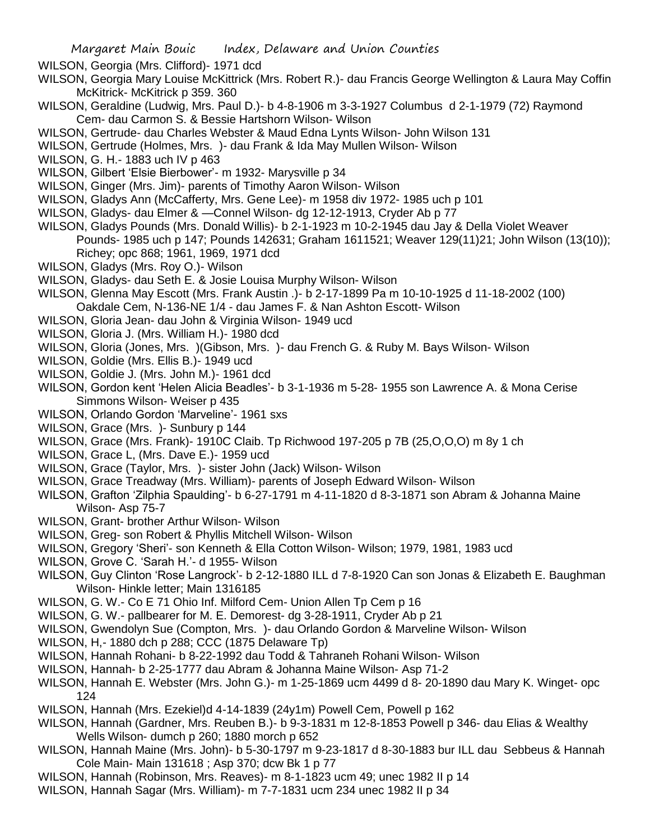- WILSON, Georgia (Mrs. Clifford)- 1971 dcd
- WILSON, Georgia Mary Louise McKittrick (Mrs. Robert R.)- dau Francis George Wellington & Laura May Coffin McKitrick- McKitrick p 359. 360
- WILSON, Geraldine (Ludwig, Mrs. Paul D.)- b 4-8-1906 m 3-3-1927 Columbus d 2-1-1979 (72) Raymond Cem- dau Carmon S. & Bessie Hartshorn Wilson- Wilson
- WILSON, Gertrude- dau Charles Webster & Maud Edna Lynts Wilson- John Wilson 131
- WILSON, Gertrude (Holmes, Mrs. )- dau Frank & Ida May Mullen Wilson- Wilson
- WILSON, G. H.- 1883 uch IV p 463
- WILSON, Gilbert 'Elsie Bierbower'- m 1932- Marysville p 34
- WILSON, Ginger (Mrs. Jim)- parents of Timothy Aaron Wilson- Wilson
- WILSON, Gladys Ann (McCafferty, Mrs. Gene Lee)- m 1958 div 1972- 1985 uch p 101
- WILSON, Gladys- dau Elmer & —Connel Wilson- dg 12-12-1913, Cryder Ab p 77
- WILSON, Gladys Pounds (Mrs. Donald Willis)- b 2-1-1923 m 10-2-1945 dau Jay & Della Violet Weaver Pounds- 1985 uch p 147; Pounds 142631; Graham 1611521; Weaver 129(11)21; John Wilson (13(10)); Richey; opc 868; 1961, 1969, 1971 dcd
- WILSON, Gladys (Mrs. Roy O.)- Wilson
- WILSON, Gladys- dau Seth E. & Josie Louisa Murphy Wilson- Wilson
- WILSON, Glenna May Escott (Mrs. Frank Austin .)- b 2-17-1899 Pa m 10-10-1925 d 11-18-2002 (100)
- Oakdale Cem, N-136-NE 1/4 dau James F. & Nan Ashton Escott- Wilson
- WILSON, Gloria Jean- dau John & Virginia Wilson- 1949 ucd
- WILSON, Gloria J. (Mrs. William H.)- 1980 dcd
- WILSON, Gloria (Jones, Mrs. )(Gibson, Mrs. )- dau French G. & Ruby M. Bays Wilson- Wilson
- WILSON, Goldie (Mrs. Ellis B.)- 1949 ucd
- WILSON, Goldie J. (Mrs. John M.)- 1961 dcd
- WILSON, Gordon kent 'Helen Alicia Beadles'- b 3-1-1936 m 5-28- 1955 son Lawrence A. & Mona Cerise Simmons Wilson- Weiser p 435
- WILSON, Orlando Gordon 'Marveline'- 1961 sxs
- WILSON, Grace (Mrs. ) Sunbury p 144
- WILSON, Grace (Mrs. Frank)- 1910C Claib. Tp Richwood 197-205 p 7B (25,O,O,O) m 8y 1 ch
- WILSON, Grace L, (Mrs. Dave E.)- 1959 ucd
- WILSON, Grace (Taylor, Mrs. )- sister John (Jack) Wilson- Wilson
- WILSON, Grace Treadway (Mrs. William)- parents of Joseph Edward Wilson- Wilson
- WILSON, Grafton 'Zilphia Spaulding'- b 6-27-1791 m 4-11-1820 d 8-3-1871 son Abram & Johanna Maine Wilson- Asp 75-7
- WILSON, Grant- brother Arthur Wilson- Wilson
- WILSON, Greg- son Robert & Phyllis Mitchell Wilson- Wilson
- WILSON, Gregory 'Sheri'- son Kenneth & Ella Cotton Wilson- Wilson; 1979, 1981, 1983 ucd
- WILSON, Grove C. 'Sarah H.'- d 1955- Wilson
- WILSON, Guy Clinton 'Rose Langrock'- b 2-12-1880 ILL d 7-8-1920 Can son Jonas & Elizabeth E. Baughman Wilson- Hinkle letter; Main 1316185
- WILSON, G. W.- Co E 71 Ohio Inf. Milford Cem- Union Allen Tp Cem p 16
- WILSON, G. W.- pallbearer for M. E. Demorest- dg 3-28-1911, Cryder Ab p 21
- WILSON, Gwendolyn Sue (Compton, Mrs. )- dau Orlando Gordon & Marveline Wilson- Wilson
- WILSON, H,- 1880 dch p 288; CCC (1875 Delaware Tp)
- WILSON, Hannah Rohani- b 8-22-1992 dau Todd & Tahraneh Rohani Wilson- Wilson
- WILSON, Hannah- b 2-25-1777 dau Abram & Johanna Maine Wilson- Asp 71-2
- WILSON, Hannah E. Webster (Mrs. John G.)- m 1-25-1869 ucm 4499 d 8- 20-1890 dau Mary K. Winget- opc 124
- WILSON, Hannah (Mrs. Ezekiel)d 4-14-1839 (24y1m) Powell Cem, Powell p 162
- WILSON, Hannah (Gardner, Mrs. Reuben B.)- b 9-3-1831 m 12-8-1853 Powell p 346- dau Elias & Wealthy Wells Wilson- dumch p 260; 1880 morch p 652
- WILSON, Hannah Maine (Mrs. John)- b 5-30-1797 m 9-23-1817 d 8-30-1883 bur ILL dau Sebbeus & Hannah Cole Main- Main 131618 ; Asp 370; dcw Bk 1 p 77
- WILSON, Hannah (Robinson, Mrs. Reaves)- m 8-1-1823 ucm 49; unec 1982 II p 14
- WILSON, Hannah Sagar (Mrs. William)- m 7-7-1831 ucm 234 unec 1982 II p 34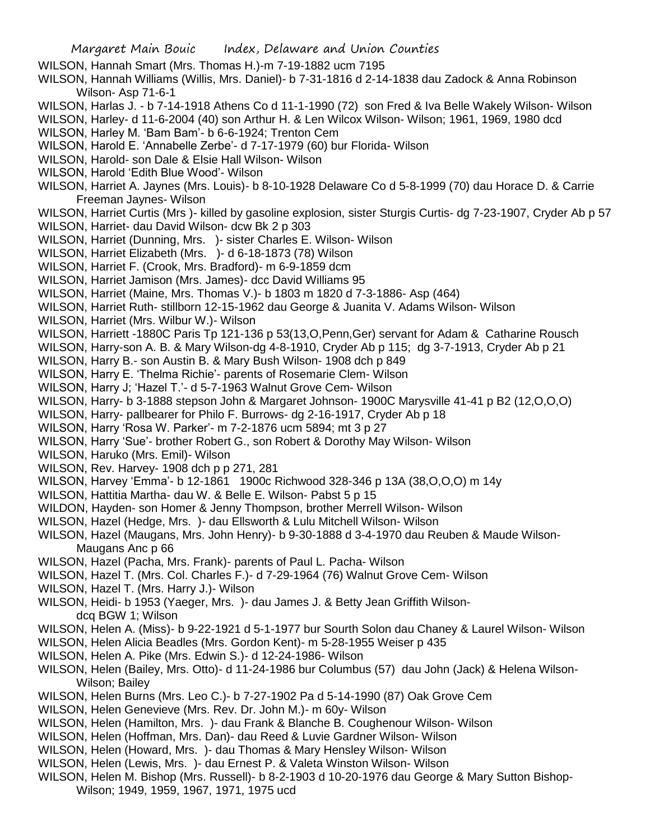- WILSON, Hannah Smart (Mrs. Thomas H.)-m 7-19-1882 ucm 7195
- WILSON, Hannah Williams (Willis, Mrs. Daniel)- b 7-31-1816 d 2-14-1838 dau Zadock & Anna Robinson Wilson- Asp 71-6-1
- WILSON, Harlas J. b 7-14-1918 Athens Co d 11-1-1990 (72) son Fred & Iva Belle Wakely Wilson- Wilson
- WILSON, Harley- d 11-6-2004 (40) son Arthur H. & Len Wilcox Wilson- Wilson; 1961, 1969, 1980 dcd
- WILSON, Harley M. 'Bam Bam'- b 6-6-1924; Trenton Cem
- WILSON, Harold E. 'Annabelle Zerbe'- d 7-17-1979 (60) bur Florida- Wilson
- WILSON, Harold- son Dale & Elsie Hall Wilson- Wilson
- WILSON, Harold 'Edith Blue Wood'- Wilson
- WILSON, Harriet A. Jaynes (Mrs. Louis)- b 8-10-1928 Delaware Co d 5-8-1999 (70) dau Horace D. & Carrie Freeman Jaynes- Wilson
- WILSON, Harriet Curtis (Mrs )- killed by gasoline explosion, sister Sturgis Curtis- dg 7-23-1907, Cryder Ab p 57 WILSON, Harriet- dau David Wilson- dcw Bk 2 p 303
- WILSON, Harriet (Dunning, Mrs. )- sister Charles E. Wilson- Wilson
- WILSON, Harriet Elizabeth (Mrs. )- d 6-18-1873 (78) Wilson
- WILSON, Harriet F. (Crook, Mrs. Bradford)- m 6-9-1859 dcm
- WILSON, Harriet Jamison (Mrs. James)- dcc David Williams 95
- WILSON, Harriet (Maine, Mrs. Thomas V.)- b 1803 m 1820 d 7-3-1886- Asp (464)
- WILSON, Harriet Ruth- stillborn 12-15-1962 dau George & Juanita V. Adams Wilson- Wilson
- WILSON, Harriet (Mrs. Wilbur W.)- Wilson
- WILSON, Harriett -1880C Paris Tp 121-136 p 53(13,O,Penn,Ger) servant for Adam & Catharine Rousch
- WILSON, Harry-son A. B. & Mary Wilson-dg 4-8-1910, Cryder Ab p 115; dg 3-7-1913, Cryder Ab p 21
- WILSON, Harry B.- son Austin B. & Mary Bush Wilson- 1908 dch p 849
- WILSON, Harry E. 'Thelma Richie'- parents of Rosemarie Clem- Wilson
- WILSON, Harry J; 'Hazel T.'- d 5-7-1963 Walnut Grove Cem- Wilson
- WILSON, Harry- b 3-1888 stepson John & Margaret Johnson- 1900C Marysville 41-41 p B2 (12,O,O,O)
- WILSON, Harry- pallbearer for Philo F. Burrows- dg 2-16-1917, Cryder Ab p 18
- WILSON, Harry 'Rosa W. Parker'- m 7-2-1876 ucm 5894; mt 3 p 27
- WILSON, Harry 'Sue'- brother Robert G., son Robert & Dorothy May Wilson- Wilson
- WILSON, Haruko (Mrs. Emil)- Wilson
- WILSON, Rev. Harvey- 1908 dch p p 271, 281
- WILSON, Harvey 'Emma'- b 12-1861 1900c Richwood 328-346 p 13A (38,O,O,O) m 14y
- WILSON, Hattitia Martha- dau W. & Belle E. Wilson- Pabst 5 p 15
- WILDON, Hayden- son Homer & Jenny Thompson, brother Merrell Wilson- Wilson
- WILSON, Hazel (Hedge, Mrs. )- dau Ellsworth & Lulu Mitchell Wilson- Wilson
- WILSON, Hazel (Maugans, Mrs. John Henry)- b 9-30-1888 d 3-4-1970 dau Reuben & Maude Wilson-Maugans Anc p 66
- WILSON, Hazel (Pacha, Mrs. Frank)- parents of Paul L. Pacha- Wilson
- WILSON, Hazel T. (Mrs. Col. Charles F.)- d 7-29-1964 (76) Walnut Grove Cem- Wilson
- WILSON, Hazel T. (Mrs. Harry J.)- Wilson
- WILSON, Heidi- b 1953 (Yaeger, Mrs. )- dau James J. & Betty Jean Griffith Wilsondcq BGW 1; Wilson
- WILSON, Helen A. (Miss)- b 9-22-1921 d 5-1-1977 bur Sourth Solon dau Chaney & Laurel Wilson- Wilson
- WILSON, Helen Alicia Beadles (Mrs. Gordon Kent)- m 5-28-1955 Weiser p 435
- WILSON, Helen A. Pike (Mrs. Edwin S.)- d 12-24-1986- Wilson
- WILSON, Helen (Bailey, Mrs. Otto)- d 11-24-1986 bur Columbus (57) dau John (Jack) & Helena Wilson-Wilson; Bailey
- WILSON, Helen Burns (Mrs. Leo C.)- b 7-27-1902 Pa d 5-14-1990 (87) Oak Grove Cem
- WILSON, Helen Genevieve (Mrs. Rev. Dr. John M.)- m 60y- Wilson
- WILSON, Helen (Hamilton, Mrs. )- dau Frank & Blanche B. Coughenour Wilson- Wilson
- WILSON, Helen (Hoffman, Mrs. Dan)- dau Reed & Luvie Gardner Wilson- Wilson
- WILSON, Helen (Howard, Mrs. )- dau Thomas & Mary Hensley Wilson- Wilson
- WILSON, Helen (Lewis, Mrs. )- dau Ernest P. & Valeta Winston Wilson- Wilson
- WILSON, Helen M. Bishop (Mrs. Russell)- b 8-2-1903 d 10-20-1976 dau George & Mary Sutton Bishop-Wilson; 1949, 1959, 1967, 1971, 1975 ucd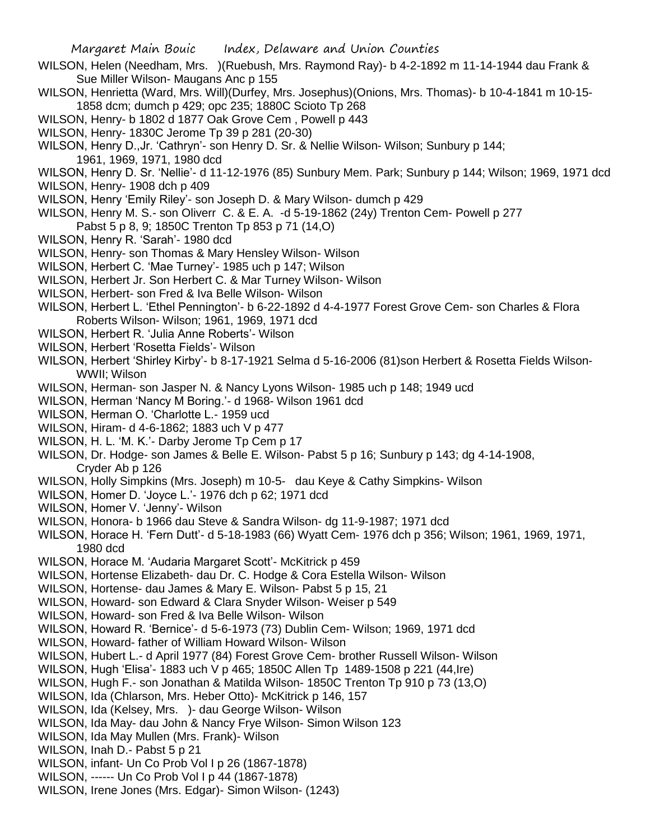- WILSON, Helen (Needham, Mrs. )(Ruebush, Mrs. Raymond Ray)- b 4-2-1892 m 11-14-1944 dau Frank & Sue Miller Wilson- Maugans Anc p 155
- WILSON, Henrietta (Ward, Mrs. Will)(Durfey, Mrs. Josephus)(Onions, Mrs. Thomas)- b 10-4-1841 m 10-15- 1858 dcm; dumch p 429; opc 235; 1880C Scioto Tp 268
- WILSON, Henry- b 1802 d 1877 Oak Grove Cem , Powell p 443
- WILSON, Henry- 1830C Jerome Tp 39 p 281 (20-30)
- WILSON, Henry D.,Jr. 'Cathryn'- son Henry D. Sr. & Nellie Wilson- Wilson; Sunbury p 144; 1961, 1969, 1971, 1980 dcd
- WILSON, Henry D. Sr. 'Nellie'- d 11-12-1976 (85) Sunbury Mem. Park; Sunbury p 144; Wilson; 1969, 1971 dcd
- WILSON, Henry- 1908 dch p 409
- WILSON, Henry 'Emily Riley'- son Joseph D. & Mary Wilson- dumch p 429
- WILSON, Henry M. S.- son Oliverr C. & E. A. -d 5-19-1862 (24y) Trenton Cem- Powell p 277 Pabst 5 p 8, 9; 1850C Trenton Tp 853 p 71 (14,O)
- WILSON, Henry R. 'Sarah'- 1980 dcd
- WILSON, Henry- son Thomas & Mary Hensley Wilson- Wilson
- WILSON, Herbert C. 'Mae Turney'- 1985 uch p 147; Wilson
- WILSON, Herbert Jr. Son Herbert C. & Mar Turney Wilson- Wilson
- WILSON, Herbert- son Fred & Iva Belle Wilson- Wilson
- WILSON, Herbert L. 'Ethel Pennington'- b 6-22-1892 d 4-4-1977 Forest Grove Cem- son Charles & Flora Roberts Wilson- Wilson; 1961, 1969, 1971 dcd
- WILSON, Herbert R. 'Julia Anne Roberts'- Wilson
- WILSON, Herbert 'Rosetta Fields'- Wilson
- WILSON, Herbert 'Shirley Kirby'- b 8-17-1921 Selma d 5-16-2006 (81)son Herbert & Rosetta Fields Wilson-WWII; Wilson
- WILSON, Herman- son Jasper N. & Nancy Lyons Wilson- 1985 uch p 148; 1949 ucd
- WILSON, Herman 'Nancy M Boring.'- d 1968- Wilson 1961 dcd
- WILSON, Herman O. 'Charlotte L.- 1959 ucd
- WILSON, Hiram- d 4-6-1862; 1883 uch V p 477
- WILSON, H. L. 'M. K.'- Darby Jerome Tp Cem p 17
- WILSON, Dr. Hodge- son James & Belle E. Wilson- Pabst 5 p 16; Sunbury p 143; dg 4-14-1908, Cryder Ab p 126
- WILSON, Holly Simpkins (Mrs. Joseph) m 10-5- dau Keye & Cathy Simpkins- Wilson
- WILSON, Homer D. 'Joyce L.'- 1976 dch p 62; 1971 dcd
- WILSON, Homer V. 'Jenny'- Wilson
- WILSON, Honora- b 1966 dau Steve & Sandra Wilson- dg 11-9-1987; 1971 dcd
- WILSON, Horace H. 'Fern Dutt'- d 5-18-1983 (66) Wyatt Cem- 1976 dch p 356; Wilson; 1961, 1969, 1971, 1980 dcd
- WILSON, Horace M. 'Audaria Margaret Scott'- McKitrick p 459
- WILSON, Hortense Elizabeth- dau Dr. C. Hodge & Cora Estella Wilson- Wilson
- WILSON, Hortense- dau James & Mary E. Wilson- Pabst 5 p 15, 21
- WILSON, Howard- son Edward & Clara Snyder Wilson- Weiser p 549
- WILSON, Howard- son Fred & Iva Belle Wilson- Wilson
- WILSON, Howard R. 'Bernice'- d 5-6-1973 (73) Dublin Cem- Wilson; 1969, 1971 dcd
- WILSON, Howard- father of William Howard Wilson- Wilson
- WILSON, Hubert L.- d April 1977 (84) Forest Grove Cem- brother Russell Wilson- Wilson
- WILSON, Hugh 'Elisa'- 1883 uch V p 465; 1850C Allen Tp 1489-1508 p 221 (44,Ire)
- WILSON, Hugh F.- son Jonathan & Matilda Wilson- 1850C Trenton Tp 910 p 73 (13,O)
- WILSON, Ida (Chlarson, Mrs. Heber Otto)- McKitrick p 146, 157
- WILSON, Ida (Kelsey, Mrs. )- dau George Wilson- Wilson
- WILSON, Ida May- dau John & Nancy Frye Wilson- Simon Wilson 123
- WILSON, Ida May Mullen (Mrs. Frank)- Wilson
- WILSON, Inah D.- Pabst 5 p 21
- WILSON, infant- Un Co Prob Vol I p 26 (1867-1878)
- WILSON, ------ Un Co Prob Vol I p 44 (1867-1878)
- WILSON, Irene Jones (Mrs. Edgar)- Simon Wilson- (1243)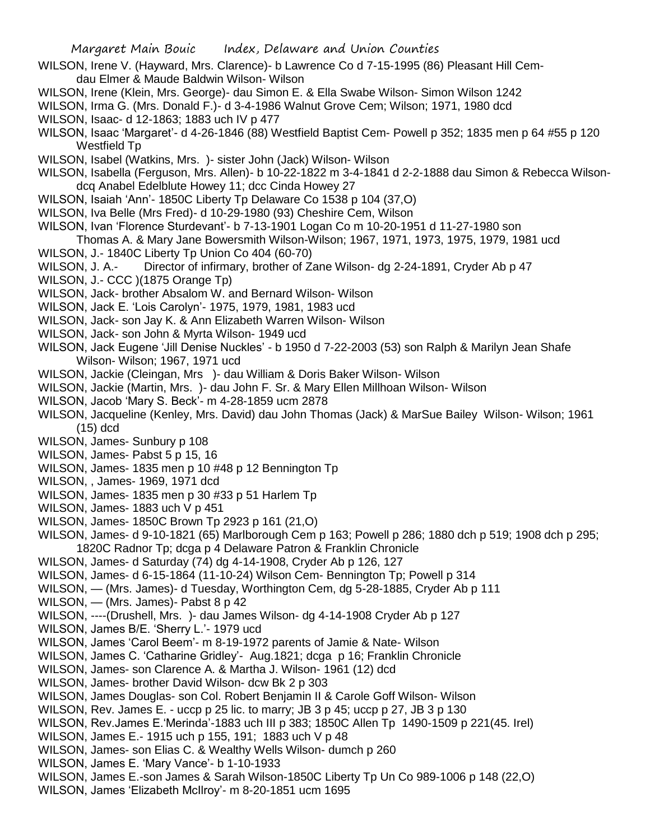- WILSON, Irene V. (Hayward, Mrs. Clarence)- b Lawrence Co d 7-15-1995 (86) Pleasant Hill Cemdau Elmer & Maude Baldwin Wilson- Wilson
- WILSON, Irene (Klein, Mrs. George)- dau Simon E. & Ella Swabe Wilson- Simon Wilson 1242
- WILSON, Irma G. (Mrs. Donald F.)- d 3-4-1986 Walnut Grove Cem; Wilson; 1971, 1980 dcd
- WILSON, Isaac- d 12-1863; 1883 uch IV p 477
- WILSON, Isaac 'Margaret'- d 4-26-1846 (88) Westfield Baptist Cem- Powell p 352; 1835 men p 64 #55 p 120 Westfield Tp
- WILSON, Isabel (Watkins, Mrs. )- sister John (Jack) Wilson- Wilson
- WILSON, Isabella (Ferguson, Mrs. Allen)- b 10-22-1822 m 3-4-1841 d 2-2-1888 dau Simon & Rebecca Wilsondcq Anabel Edelblute Howey 11; dcc Cinda Howey 27
- WILSON, Isaiah 'Ann'- 1850C Liberty Tp Delaware Co 1538 p 104 (37,O)
- WILSON, Iva Belle (Mrs Fred)- d 10-29-1980 (93) Cheshire Cem, Wilson
- WILSON, Ivan 'Florence Sturdevant'- b 7-13-1901 Logan Co m 10-20-1951 d 11-27-1980 son
- Thomas A. & Mary Jane Bowersmith Wilson-Wilson; 1967, 1971, 1973, 1975, 1979, 1981 ucd
- WILSON, J.- 1840C Liberty Tp Union Co 404 (60-70)
- WILSON, J. A.- Director of infirmary, brother of Zane Wilson- dg 2-24-1891, Cryder Ab p 47
- WILSON, J.- CCC )(1875 Orange Tp)
- WILSON, Jack- brother Absalom W. and Bernard Wilson- Wilson
- WILSON, Jack E. 'Lois Carolyn'- 1975, 1979, 1981, 1983 ucd
- WILSON, Jack- son Jay K. & Ann Elizabeth Warren Wilson- Wilson
- WILSON, Jack- son John & Myrta Wilson- 1949 ucd
- WILSON, Jack Eugene 'Jill Denise Nuckles' b 1950 d 7-22-2003 (53) son Ralph & Marilyn Jean Shafe Wilson- Wilson; 1967, 1971 ucd
- WILSON, Jackie (Cleingan, Mrs )- dau William & Doris Baker Wilson- Wilson
- WILSON, Jackie (Martin, Mrs. )- dau John F. Sr. & Mary Ellen Millhoan Wilson- Wilson
- WILSON, Jacob 'Mary S. Beck'- m 4-28-1859 ucm 2878
- WILSON, Jacqueline (Kenley, Mrs. David) dau John Thomas (Jack) & MarSue Bailey Wilson- Wilson; 1961 (15) dcd
- WILSON, James- Sunbury p 108
- WILSON, James- Pabst 5 p 15, 16
- WILSON, James- 1835 men p 10 #48 p 12 Bennington Tp
- WILSON, , James- 1969, 1971 dcd
- WILSON, James- 1835 men p 30 #33 p 51 Harlem Tp
- WILSON, James- 1883 uch V p 451
- WILSON, James- 1850C Brown Tp 2923 p 161 (21,O)
- WILSON, James- d 9-10-1821 (65) Marlborough Cem p 163; Powell p 286; 1880 dch p 519; 1908 dch p 295; 1820C Radnor Tp; dcga p 4 Delaware Patron & Franklin Chronicle
- WILSON, James- d Saturday (74) dg 4-14-1908, Cryder Ab p 126, 127
- WILSON, James- d 6-15-1864 (11-10-24) Wilson Cem- Bennington Tp; Powell p 314
- WILSON, (Mrs. James)- d Tuesday, Worthington Cem, dg 5-28-1885, Cryder Ab p 111
- WILSON, (Mrs. James)- Pabst 8 p 42
- WILSON, ----(Drushell, Mrs. )- dau James Wilson- dg 4-14-1908 Cryder Ab p 127
- WILSON, James B/E. 'Sherry L.'- 1979 ucd
- WILSON, James 'Carol Beem'- m 8-19-1972 parents of Jamie & Nate- Wilson
- WILSON, James C. 'Catharine Gridley'- Aug.1821; dcga p 16; Franklin Chronicle
- WILSON, James- son Clarence A. & Martha J. Wilson- 1961 (12) dcd
- WILSON, James- brother David Wilson- dcw Bk 2 p 303
- WILSON, James Douglas- son Col. Robert Benjamin II & Carole Goff Wilson- Wilson
- WILSON, Rev. James E. uccp p 25 lic. to marry; JB 3 p 45; uccp p 27, JB 3 p 130
- WILSON, Rev.James E.'Merinda'-1883 uch III p 383; 1850C Allen Tp 1490-1509 p 221(45. Irel)
- WILSON, James E.- 1915 uch p 155, 191; 1883 uch V p 48
- WILSON, James- son Elias C. & Wealthy Wells Wilson- dumch p 260
- WILSON, James E. 'Mary Vance'- b 1-10-1933
- WILSON, James E.-son James & Sarah Wilson-1850C Liberty Tp Un Co 989-1006 p 148 (22,O)
- WILSON, James 'Elizabeth McIlroy'- m 8-20-1851 ucm 1695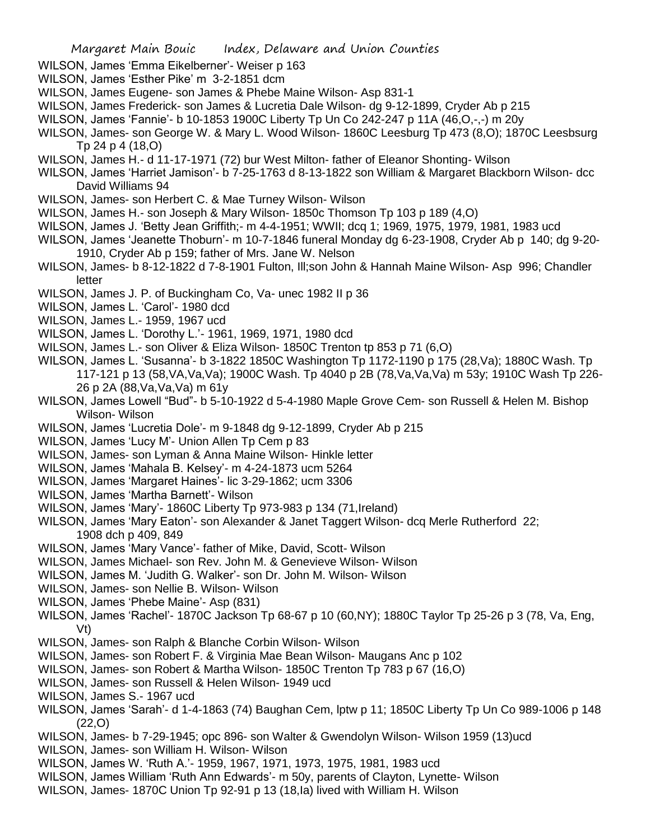- WILSON, James 'Emma Eikelberner'- Weiser p 163
- WILSON, James 'Esther Pike' m 3-2-1851 dcm
- WILSON, James Eugene- son James & Phebe Maine Wilson- Asp 831-1
- WILSON, James Frederick- son James & Lucretia Dale Wilson- dg 9-12-1899, Cryder Ab p 215
- WILSON, James 'Fannie'- b 10-1853 1900C Liberty Tp Un Co 242-247 p 11A (46,O,-,-) m 20y
- WILSON, James- son George W. & Mary L. Wood Wilson- 1860C Leesburg Tp 473 (8,O); 1870C Leesbsurg Tp 24 p 4 (18,O)
- WILSON, James H.- d 11-17-1971 (72) bur West Milton- father of Eleanor Shonting- Wilson
- WILSON, James 'Harriet Jamison'- b 7-25-1763 d 8-13-1822 son William & Margaret Blackborn Wilson- dcc David Williams 94
- WILSON, James- son Herbert C. & Mae Turney Wilson- Wilson
- WILSON, James H.- son Joseph & Mary Wilson- 1850c Thomson Tp 103 p 189 (4,O)
- WILSON, James J. 'Betty Jean Griffith;- m 4-4-1951; WWII; dcq 1; 1969, 1975, 1979, 1981, 1983 ucd
- WILSON, James 'Jeanette Thoburn'- m 10-7-1846 funeral Monday dg 6-23-1908, Cryder Ab p 140; dg 9-20- 1910, Cryder Ab p 159; father of Mrs. Jane W. Nelson
- WILSON, James- b 8-12-1822 d 7-8-1901 Fulton, Ill;son John & Hannah Maine Wilson- Asp 996; Chandler letter
- WILSON, James J. P. of Buckingham Co, Va- unec 1982 II p 36
- WILSON, James L. 'Carol'- 1980 dcd
- WILSON, James L.- 1959, 1967 ucd
- WILSON, James L. 'Dorothy L.'- 1961, 1969, 1971, 1980 dcd
- WILSON, James L.- son Oliver & Eliza Wilson- 1850C Trenton tp 853 p 71 (6,O)
- WILSON, James L. 'Susanna'- b 3-1822 1850C Washington Tp 1172-1190 p 175 (28,Va); 1880C Wash. Tp 117-121 p 13 (58,VA,Va,Va); 1900C Wash. Tp 4040 p 2B (78,Va,Va,Va) m 53y; 1910C Wash Tp 226- 26 p 2A (88,Va,Va,Va) m 61y
- WILSON, James Lowell "Bud"- b 5-10-1922 d 5-4-1980 Maple Grove Cem- son Russell & Helen M. Bishop Wilson- Wilson
- WILSON, James 'Lucretia Dole'- m 9-1848 dg 9-12-1899, Cryder Ab p 215
- WILSON, James 'Lucy M'- Union Allen Tp Cem p 83
- WILSON, James- son Lyman & Anna Maine Wilson- Hinkle letter
- WILSON, James 'Mahala B. Kelsey'- m 4-24-1873 ucm 5264
- WILSON, James 'Margaret Haines'- lic 3-29-1862; ucm 3306
- WILSON, James 'Martha Barnett'- Wilson
- WILSON, James 'Mary'- 1860C Liberty Tp 973-983 p 134 (71,Ireland)
- WILSON, James 'Mary Eaton'- son Alexander & Janet Taggert Wilson- dcq Merle Rutherford 22; 1908 dch p 409, 849
- WILSON, James 'Mary Vance'- father of Mike, David, Scott- Wilson
- WILSON, James Michael- son Rev. John M. & Genevieve Wilson- Wilson
- WILSON, James M. 'Judith G. Walker'- son Dr. John M. Wilson- Wilson
- WILSON, James- son Nellie B. Wilson- Wilson
- WILSON, James 'Phebe Maine'- Asp (831)
- WILSON, James 'Rachel'- 1870C Jackson Tp 68-67 p 10 (60,NY); 1880C Taylor Tp 25-26 p 3 (78, Va, Eng, Vt)
- WILSON, James- son Ralph & Blanche Corbin Wilson- Wilson
- WILSON, James- son Robert F. & Virginia Mae Bean Wilson- Maugans Anc p 102
- WILSON, James- son Robert & Martha Wilson- 1850C Trenton Tp 783 p 67 (16,O)
- WILSON, James- son Russell & Helen Wilson- 1949 ucd
- WILSON, James S.- 1967 ucd
- WILSON, James 'Sarah'- d 1-4-1863 (74) Baughan Cem, lptw p 11; 1850C Liberty Tp Un Co 989-1006 p 148 (22,O)
- WILSON, James- b 7-29-1945; opc 896- son Walter & Gwendolyn Wilson- Wilson 1959 (13)ucd
- WILSON, James- son William H. Wilson- Wilson
- WILSON, James W. 'Ruth A.'- 1959, 1967, 1971, 1973, 1975, 1981, 1983 ucd
- WILSON, James William 'Ruth Ann Edwards'- m 50y, parents of Clayton, Lynette- Wilson
- WILSON, James- 1870C Union Tp 92-91 p 13 (18,Ia) lived with William H. Wilson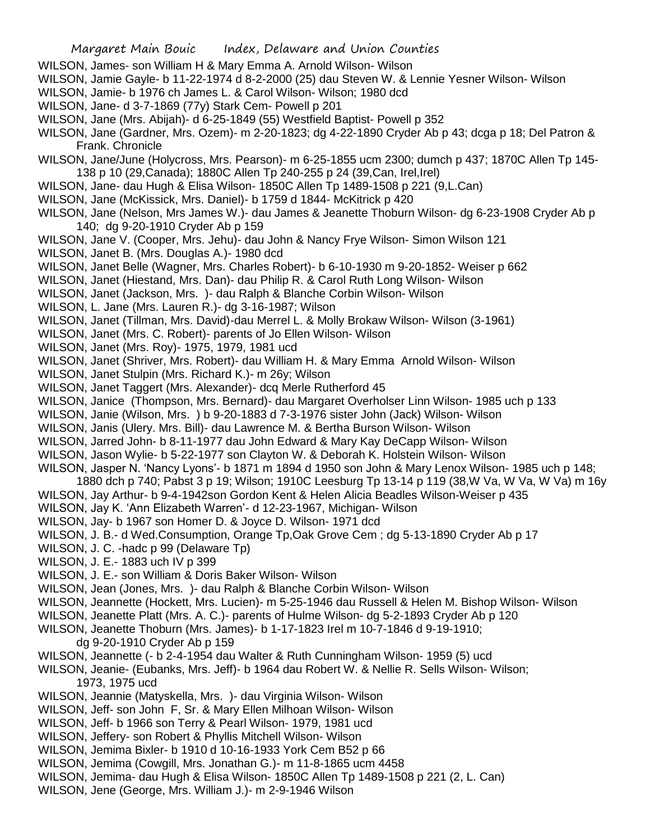- WILSON, James- son William H & Mary Emma A. Arnold Wilson- Wilson
- WILSON, Jamie Gayle- b 11-22-1974 d 8-2-2000 (25) dau Steven W. & Lennie Yesner Wilson- Wilson
- WILSON, Jamie- b 1976 ch James L. & Carol Wilson- Wilson; 1980 dcd
- WILSON, Jane- d 3-7-1869 (77y) Stark Cem- Powell p 201
- WILSON, Jane (Mrs. Abijah)- d 6-25-1849 (55) Westfield Baptist- Powell p 352
- WILSON, Jane (Gardner, Mrs. Ozem)- m 2-20-1823; dg 4-22-1890 Cryder Ab p 43; dcga p 18; Del Patron & Frank. Chronicle
- WILSON, Jane/June (Holycross, Mrs. Pearson)- m 6-25-1855 ucm 2300; dumch p 437; 1870C Allen Tp 145- 138 p 10 (29,Canada); 1880C Allen Tp 240-255 p 24 (39,Can, Irel,Irel)
- WILSON, Jane- dau Hugh & Elisa Wilson- 1850C Allen Tp 1489-1508 p 221 (9,L.Can)
- WILSON, Jane (McKissick, Mrs. Daniel)- b 1759 d 1844- McKitrick p 420
- WILSON, Jane (Nelson, Mrs James W.)- dau James & Jeanette Thoburn Wilson- dg 6-23-1908 Cryder Ab p 140; dg 9-20-1910 Cryder Ab p 159
- WILSON, Jane V. (Cooper, Mrs. Jehu)- dau John & Nancy Frye Wilson- Simon Wilson 121
- WILSON, Janet B. (Mrs. Douglas A.)- 1980 dcd
- WILSON, Janet Belle (Wagner, Mrs. Charles Robert)- b 6-10-1930 m 9-20-1852- Weiser p 662
- WILSON, Janet (Hiestand, Mrs. Dan)- dau Philip R. & Carol Ruth Long Wilson- Wilson
- WILSON, Janet (Jackson, Mrs. )- dau Ralph & Blanche Corbin Wilson- Wilson
- WILSON, L. Jane (Mrs. Lauren R.)- dg 3-16-1987; Wilson
- WILSON, Janet (Tillman, Mrs. David)-dau Merrel L. & Molly Brokaw Wilson- Wilson (3-1961)
- WILSON, Janet (Mrs. C. Robert)- parents of Jo Ellen Wilson- Wilson
- WILSON, Janet (Mrs. Roy)- 1975, 1979, 1981 ucd
- WILSON, Janet (Shriver, Mrs. Robert)- dau William H. & Mary Emma Arnold Wilson- Wilson
- WILSON, Janet Stulpin (Mrs. Richard K.)- m 26y; Wilson
- WILSON, Janet Taggert (Mrs. Alexander)- dcq Merle Rutherford 45
- WILSON, Janice (Thompson, Mrs. Bernard)- dau Margaret Overholser Linn Wilson- 1985 uch p 133
- WILSON, Janie (Wilson, Mrs. ) b 9-20-1883 d 7-3-1976 sister John (Jack) Wilson- Wilson
- WILSON, Janis (Ulery. Mrs. Bill)- dau Lawrence M. & Bertha Burson Wilson- Wilson
- WILSON, Jarred John- b 8-11-1977 dau John Edward & Mary Kay DeCapp Wilson- Wilson
- WILSON, Jason Wylie- b 5-22-1977 son Clayton W. & Deborah K. Holstein Wilson- Wilson
- WILSON, Jasper N. 'Nancy Lyons'- b 1871 m 1894 d 1950 son John & Mary Lenox Wilson- 1985 uch p 148;
- 1880 dch p 740; Pabst 3 p 19; Wilson; 1910C Leesburg Tp 13-14 p 119 (38,W Va, W Va, W Va) m 16y
- WILSON, Jay Arthur- b 9-4-1942son Gordon Kent & Helen Alicia Beadles Wilson-Weiser p 435
- WILSON, Jay K. 'Ann Elizabeth Warren'- d 12-23-1967, Michigan- Wilson
- WILSON, Jay- b 1967 son Homer D. & Joyce D. Wilson- 1971 dcd
- WILSON, J. B.- d Wed.Consumption, Orange Tp,Oak Grove Cem ; dg 5-13-1890 Cryder Ab p 17
- WILSON, J. C. -hadc p 99 (Delaware Tp)
- WILSON, J. E.- 1883 uch IV p 399
- WILSON, J. E.- son William & Doris Baker Wilson- Wilson
- WILSON, Jean (Jones, Mrs. )- dau Ralph & Blanche Corbin Wilson- Wilson
- WILSON, Jeannette (Hockett, Mrs. Lucien)- m 5-25-1946 dau Russell & Helen M. Bishop Wilson- Wilson
- WILSON, Jeanette Platt (Mrs. A. C.)- parents of Hulme Wilson- dg 5-2-1893 Cryder Ab p 120
- WILSON, Jeanette Thoburn (Mrs. James)- b 1-17-1823 Irel m 10-7-1846 d 9-19-1910;
	- dg 9-20-1910 Cryder Ab p 159
- WILSON, Jeannette (- b 2-4-1954 dau Walter & Ruth Cunningham Wilson- 1959 (5) ucd
- WILSON, Jeanie- (Eubanks, Mrs. Jeff)- b 1964 dau Robert W. & Nellie R. Sells Wilson- Wilson; 1973, 1975 ucd
- WILSON, Jeannie (Matyskella, Mrs. )- dau Virginia Wilson- Wilson
- WILSON, Jeff- son John F, Sr. & Mary Ellen Milhoan Wilson- Wilson
- WILSON, Jeff- b 1966 son Terry & Pearl Wilson- 1979, 1981 ucd
- WILSON, Jeffery- son Robert & Phyllis Mitchell Wilson- Wilson
- WILSON, Jemima Bixler- b 1910 d 10-16-1933 York Cem B52 p 66
- WILSON, Jemima (Cowgill, Mrs. Jonathan G.)- m 11-8-1865 ucm 4458
- WILSON, Jemima- dau Hugh & Elisa Wilson- 1850C Allen Tp 1489-1508 p 221 (2, L. Can)
- WILSON, Jene (George, Mrs. William J.)- m 2-9-1946 Wilson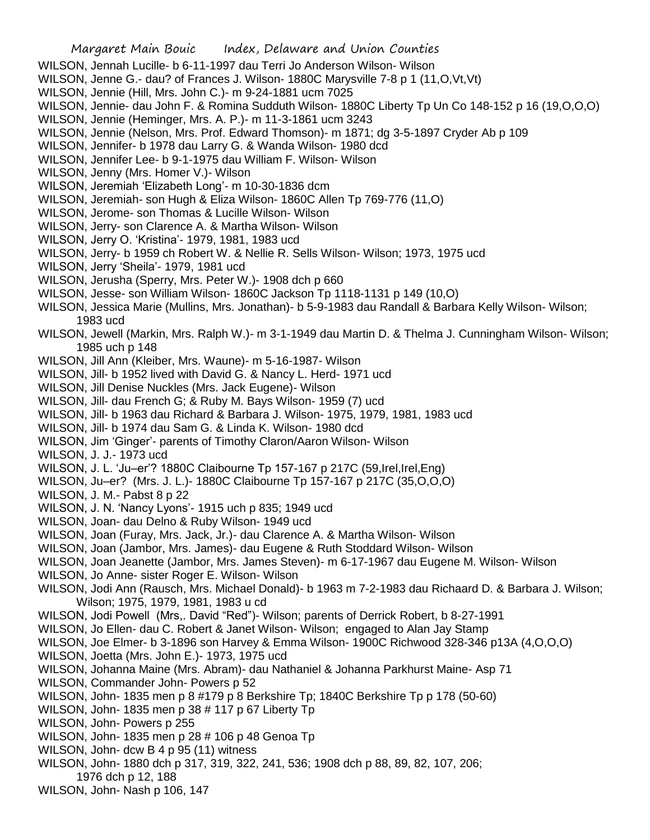- WILSON, Jennah Lucille- b 6-11-1997 dau Terri Jo Anderson Wilson- Wilson
- WILSON, Jenne G.- dau? of Frances J. Wilson- 1880C Marysville 7-8 p 1 (11,O,Vt,Vt)
- WILSON, Jennie (Hill, Mrs. John C.)- m 9-24-1881 ucm 7025
- WILSON, Jennie- dau John F. & Romina Sudduth Wilson- 1880C Liberty Tp Un Co 148-152 p 16 (19,O,O,O)
- WILSON, Jennie (Heminger, Mrs. A. P.)- m 11-3-1861 ucm 3243
- WILSON, Jennie (Nelson, Mrs. Prof. Edward Thomson)- m 1871; dg 3-5-1897 Cryder Ab p 109
- WILSON, Jennifer- b 1978 dau Larry G. & Wanda Wilson- 1980 dcd
- WILSON, Jennifer Lee- b 9-1-1975 dau William F. Wilson- Wilson
- WILSON, Jenny (Mrs. Homer V.)- Wilson
- WILSON, Jeremiah 'Elizabeth Long'- m 10-30-1836 dcm
- WILSON, Jeremiah- son Hugh & Eliza Wilson- 1860C Allen Tp 769-776 (11,O)
- WILSON, Jerome- son Thomas & Lucille Wilson- Wilson
- WILSON, Jerry- son Clarence A. & Martha Wilson- Wilson
- WILSON, Jerry O. 'Kristina'- 1979, 1981, 1983 ucd
- WILSON, Jerry- b 1959 ch Robert W. & Nellie R. Sells Wilson- Wilson; 1973, 1975 ucd
- WILSON, Jerry 'Sheila'- 1979, 1981 ucd
- WILSON, Jerusha (Sperry, Mrs. Peter W.)- 1908 dch p 660
- WILSON, Jesse- son William Wilson- 1860C Jackson Tp 1118-1131 p 149 (10,O)
- WILSON, Jessica Marie (Mullins, Mrs. Jonathan)- b 5-9-1983 dau Randall & Barbara Kelly Wilson- Wilson; 1983 ucd
- WILSON, Jewell (Markin, Mrs. Ralph W.)- m 3-1-1949 dau Martin D. & Thelma J. Cunningham Wilson- Wilson; 1985 uch p 148
- WILSON, Jill Ann (Kleiber, Mrs. Waune)- m 5-16-1987- Wilson
- WILSON, Jill- b 1952 lived with David G. & Nancy L. Herd- 1971 ucd
- WILSON, Jill Denise Nuckles (Mrs. Jack Eugene)- Wilson
- WILSON, Jill- dau French G; & Ruby M. Bays Wilson- 1959 (7) ucd
- WILSON, Jill- b 1963 dau Richard & Barbara J. Wilson- 1975, 1979, 1981, 1983 ucd
- WILSON, Jill- b 1974 dau Sam G. & Linda K. Wilson- 1980 dcd
- WILSON, Jim 'Ginger'- parents of Timothy Claron/Aaron Wilson- Wilson
- WILSON, J. J.- 1973 ucd
- WILSON, J. L. 'Ju–er'? 1880C Claibourne Tp 157-167 p 217C (59,Irel,Irel,Eng)
- WILSON, Ju–er? (Mrs. J. L.)- 1880C Claibourne Tp 157-167 p 217C (35,O,O,O)
- WILSON, J. M.- Pabst 8 p 22
- WILSON, J. N. 'Nancy Lyons'- 1915 uch p 835; 1949 ucd
- WILSON, Joan- dau Delno & Ruby Wilson- 1949 ucd
- WILSON, Joan (Furay, Mrs. Jack, Jr.)- dau Clarence A. & Martha Wilson- Wilson
- WILSON, Joan (Jambor, Mrs. James)- dau Eugene & Ruth Stoddard Wilson- Wilson
- WILSON, Joan Jeanette (Jambor, Mrs. James Steven)- m 6-17-1967 dau Eugene M. Wilson- Wilson
- WILSON, Jo Anne- sister Roger E. Wilson- Wilson
- WILSON, Jodi Ann (Rausch, Mrs. Michael Donald)- b 1963 m 7-2-1983 dau Richaard D. & Barbara J. Wilson; Wilson; 1975, 1979, 1981, 1983 u cd
- WILSON, Jodi Powell (Mrs,. David "Red")- Wilson; parents of Derrick Robert, b 8-27-1991
- WILSON, Jo Ellen- dau C. Robert & Janet Wilson- Wilson; engaged to Alan Jay Stamp
- WILSON, Joe Elmer- b 3-1896 son Harvey & Emma Wilson- 1900C Richwood 328-346 p13A (4,O,O,O)
- WILSON, Joetta (Mrs. John E.)- 1973, 1975 ucd
- WILSON, Johanna Maine (Mrs. Abram)- dau Nathaniel & Johanna Parkhurst Maine- Asp 71
- WILSON, Commander John- Powers p 52
- WILSON, John- 1835 men p 8 #179 p 8 Berkshire Tp; 1840C Berkshire Tp p 178 (50-60)
- WILSON, John- 1835 men p 38 # 117 p 67 Liberty Tp
- WILSON, John- Powers p 255
- WILSON, John- 1835 men p 28 # 106 p 48 Genoa Tp
- WILSON, John- dcw B 4 p 95 (11) witness
- WILSON, John- 1880 dch p 317, 319, 322, 241, 536; 1908 dch p 88, 89, 82, 107, 206; 1976 dch p 12, 188
- WILSON, John- Nash p 106, 147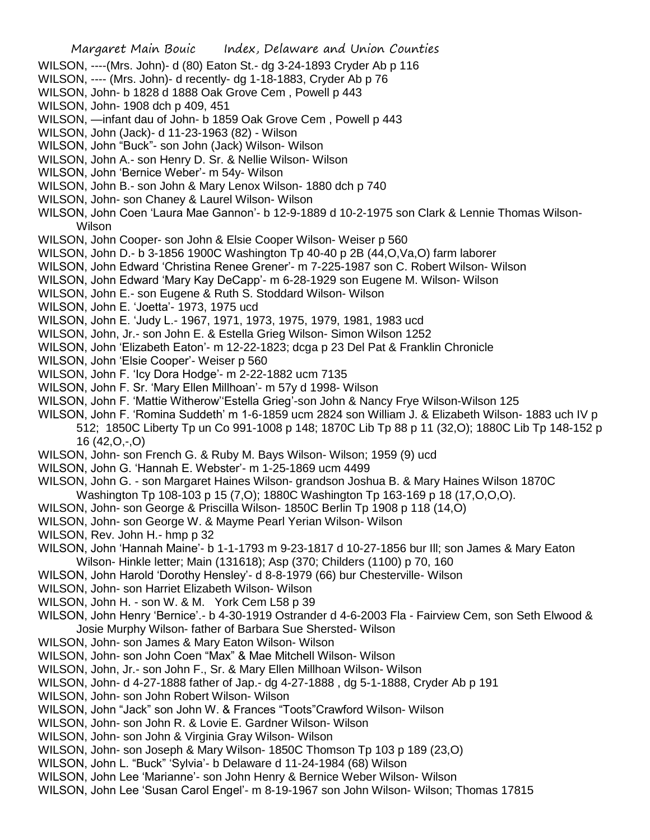- WILSON, ----(Mrs. John)- d (80) Eaton St.- dg 3-24-1893 Cryder Ab p 116
- WILSON, ---- (Mrs. John)- d recently- dg 1-18-1883, Cryder Ab p 76
- WILSON, John- b 1828 d 1888 Oak Grove Cem , Powell p 443
- WILSON, John- 1908 dch p 409, 451
- WILSON, —infant dau of John- b 1859 Oak Grove Cem , Powell p 443
- WILSON, John (Jack)- d 11-23-1963 (82) Wilson
- WILSON, John "Buck"- son John (Jack) Wilson- Wilson
- WILSON, John A.- son Henry D. Sr. & Nellie Wilson- Wilson
- WILSON, John 'Bernice Weber'- m 54y- Wilson
- WILSON, John B.- son John & Mary Lenox Wilson- 1880 dch p 740
- WILSON, John- son Chaney & Laurel Wilson- Wilson
- WILSON, John Coen 'Laura Mae Gannon'- b 12-9-1889 d 10-2-1975 son Clark & Lennie Thomas Wilson-Wilson
- WILSON, John Cooper- son John & Elsie Cooper Wilson- Weiser p 560
- WILSON, John D.- b 3-1856 1900C Washington Tp 40-40 p 2B (44,O,Va,O) farm laborer
- WILSON, John Edward 'Christina Renee Grener'- m 7-225-1987 son C. Robert Wilson- Wilson
- WILSON, John Edward 'Mary Kay DeCapp'- m 6-28-1929 son Eugene M. Wilson- Wilson
- WILSON, John E.- son Eugene & Ruth S. Stoddard Wilson- Wilson
- WILSON, John E. 'Joetta'- 1973, 1975 ucd
- WILSON, John E. 'Judy L.- 1967, 1971, 1973, 1975, 1979, 1981, 1983 ucd
- WILSON, John, Jr.- son John E. & Estella Grieg Wilson- Simon Wilson 1252
- WILSON, John 'Elizabeth Eaton'- m 12-22-1823; dcga p 23 Del Pat & Franklin Chronicle
- WILSON, John 'Elsie Cooper'- Weiser p 560
- WILSON, John F. 'Icy Dora Hodge'- m 2-22-1882 ucm 7135
- WILSON, John F. Sr. 'Mary Ellen Millhoan'- m 57y d 1998- Wilson
- WILSON, John F. 'Mattie Witherow''Estella Grieg'-son John & Nancy Frye Wilson-Wilson 125
- WILSON, John F. 'Romina Suddeth' m 1-6-1859 ucm 2824 son William J. & Elizabeth Wilson- 1883 uch IV p 512; 1850C Liberty Tp un Co 991-1008 p 148; 1870C Lib Tp 88 p 11 (32,O); 1880C Lib Tp 148-152 p 16 (42,O,-,O)
- WILSON, John- son French G. & Ruby M. Bays Wilson- Wilson; 1959 (9) ucd
- WILSON, John G. 'Hannah E. Webster'- m 1-25-1869 ucm 4499
- WILSON, John G. son Margaret Haines Wilson- grandson Joshua B. & Mary Haines Wilson 1870C Washington Tp 108-103 p 15 (7,O); 1880C Washington Tp 163-169 p 18 (17,O,O,O).
- WILSON, John- son George & Priscilla Wilson- 1850C Berlin Tp 1908 p 118 (14,O)
- WILSON, John- son George W. & Mayme Pearl Yerian Wilson- Wilson
- WILSON, Rev. John H.- hmp p 32
- WILSON, John 'Hannah Maine'- b 1-1-1793 m 9-23-1817 d 10-27-1856 bur Ill; son James & Mary Eaton Wilson- Hinkle letter; Main (131618); Asp (370; Childers (1100) p 70, 160
- WILSON, John Harold 'Dorothy Hensley'- d 8-8-1979 (66) bur Chesterville- Wilson
- WILSON, John- son Harriet Elizabeth Wilson- Wilson
- WILSON, John H. son W. & M. York Cem L58 p 39
- WILSON, John Henry 'Bernice'.- b 4-30-1919 Ostrander d 4-6-2003 Fla Fairview Cem, son Seth Elwood & Josie Murphy Wilson- father of Barbara Sue Shersted- Wilson
- WILSON, John- son James & Mary Eaton Wilson- Wilson
- WILSON, John- son John Coen "Max" & Mae Mitchell Wilson- Wilson
- WILSON, John, Jr.- son John F., Sr. & Mary Ellen Millhoan Wilson- Wilson
- WILSON, John- d 4-27-1888 father of Jap.- dg 4-27-1888 , dg 5-1-1888, Cryder Ab p 191
- WILSON, John- son John Robert Wilson- Wilson
- WILSON, John "Jack" son John W. & Frances "Toots"Crawford Wilson- Wilson
- WILSON, John- son John R. & Lovie E. Gardner Wilson- Wilson
- WILSON, John- son John & Virginia Gray Wilson- Wilson
- WILSON, John- son Joseph & Mary Wilson- 1850C Thomson Tp 103 p 189 (23,O)
- WILSON, John L. "Buck" 'Sylvia'- b Delaware d 11-24-1984 (68) Wilson
- WILSON, John Lee 'Marianne'- son John Henry & Bernice Weber Wilson- Wilson
- WILSON, John Lee 'Susan Carol Engel'- m 8-19-1967 son John Wilson- Wilson; Thomas 17815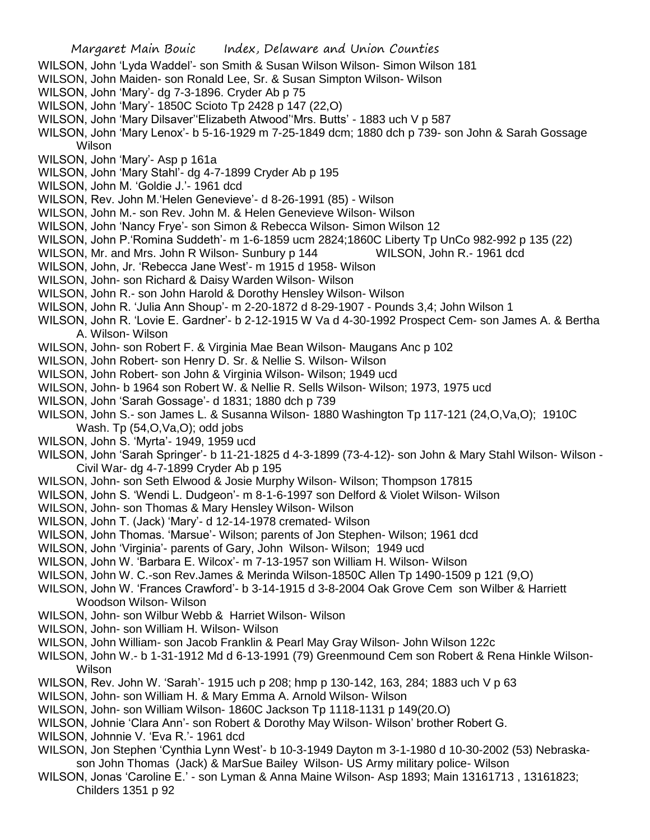- WILSON, John 'Lyda Waddel'- son Smith & Susan Wilson Wilson- Simon Wilson 181
- WILSON, John Maiden- son Ronald Lee, Sr. & Susan Simpton Wilson- Wilson
- WILSON, John 'Mary'- dg 7-3-1896. Cryder Ab p 75
- WILSON, John 'Mary'- 1850C Scioto Tp 2428 p 147 (22,O)
- WILSON, John 'Mary Dilsaver''Elizabeth Atwood''Mrs. Butts' 1883 uch V p 587
- WILSON, John 'Mary Lenox'- b 5-16-1929 m 7-25-1849 dcm; 1880 dch p 739- son John & Sarah Gossage Wilson
- WILSON, John 'Mary'- Asp p 161a
- WILSON, John 'Mary Stahl'- dg 4-7-1899 Cryder Ab p 195
- WILSON, John M. 'Goldie J.'- 1961 dcd
- WILSON, Rev. John M.'Helen Genevieve'- d 8-26-1991 (85) Wilson
- WILSON, John M.- son Rev. John M. & Helen Genevieve Wilson- Wilson
- WILSON, John 'Nancy Frye'- son Simon & Rebecca Wilson- Simon Wilson 12
- WILSON, John P.'Romina Suddeth'- m 1-6-1859 ucm 2824;1860C Liberty Tp UnCo 982-992 p 135 (22)
- WILSON, Mr. and Mrs. John R Wilson- Sunbury p 144 WILSON, John R.- 1961 dcd
- WILSON, John, Jr. 'Rebecca Jane West'- m 1915 d 1958- Wilson
- WILSON, John- son Richard & Daisy Warden Wilson- Wilson
- WILSON, John R.- son John Harold & Dorothy Hensley Wilson- Wilson
- WILSON, John R. 'Julia Ann Shoup'- m 2-20-1872 d 8-29-1907 Pounds 3,4; John Wilson 1
- WILSON, John R. 'Lovie E. Gardner'- b 2-12-1915 W Va d 4-30-1992 Prospect Cem- son James A. & Bertha A. Wilson- Wilson
- WILSON, John- son Robert F. & Virginia Mae Bean Wilson- Maugans Anc p 102
- WILSON, John Robert- son Henry D. Sr. & Nellie S. Wilson- Wilson
- WILSON, John Robert- son John & Virginia Wilson- Wilson; 1949 ucd
- WILSON, John- b 1964 son Robert W. & Nellie R. Sells Wilson- Wilson; 1973, 1975 ucd
- WILSON, John 'Sarah Gossage'- d 1831; 1880 dch p 739
- WILSON, John S.- son James L. & Susanna Wilson- 1880 Washington Tp 117-121 (24,O,Va,O); 1910C
	- Wash. Tp (54.O.Va.O); odd jobs
- WILSON, John S. 'Myrta'- 1949, 1959 ucd
- WILSON, John 'Sarah Springer'- b 11-21-1825 d 4-3-1899 (73-4-12)- son John & Mary Stahl Wilson- Wilson Civil War- dg 4-7-1899 Cryder Ab p 195
- WILSON, John- son Seth Elwood & Josie Murphy Wilson- Wilson; Thompson 17815
- WILSON, John S. 'Wendi L. Dudgeon'- m 8-1-6-1997 son Delford & Violet Wilson- Wilson
- WILSON, John- son Thomas & Mary Hensley Wilson- Wilson
- WILSON, John T. (Jack) 'Mary'- d 12-14-1978 cremated- Wilson
- WILSON, John Thomas. 'Marsue'- Wilson; parents of Jon Stephen- Wilson; 1961 dcd
- WILSON, John 'Virginia'- parents of Gary, John Wilson- Wilson; 1949 ucd
- WILSON, John W. 'Barbara E. Wilcox'- m 7-13-1957 son William H. Wilson- Wilson
- WILSON, John W. C.-son Rev.James & Merinda Wilson-1850C Allen Tp 1490-1509 p 121 (9,O)
- WILSON, John W. 'Frances Crawford'- b 3-14-1915 d 3-8-2004 Oak Grove Cem son Wilber & Harriett Woodson Wilson- Wilson
- WILSON, John- son Wilbur Webb & Harriet Wilson- Wilson
- WILSON, John- son William H. Wilson- Wilson
- WILSON, John William- son Jacob Franklin & Pearl May Gray Wilson- John Wilson 122c
- WILSON, John W.- b 1-31-1912 Md d 6-13-1991 (79) Greenmound Cem son Robert & Rena Hinkle Wilson-Wilson
- WILSON, Rev. John W. 'Sarah'- 1915 uch p 208; hmp p 130-142, 163, 284; 1883 uch V p 63
- WILSON, John- son William H. & Mary Emma A. Arnold Wilson- Wilson
- WILSON, John- son William Wilson- 1860C Jackson Tp 1118-1131 p 149(20.O)
- WILSON, Johnie 'Clara Ann'- son Robert & Dorothy May Wilson- Wilson' brother Robert G.
- WILSON, Johnnie V. 'Eva R.'- 1961 dcd
- WILSON, Jon Stephen 'Cynthia Lynn West'- b 10-3-1949 Dayton m 3-1-1980 d 10-30-2002 (53) Nebraskason John Thomas (Jack) & MarSue Bailey Wilson- US Army military police- Wilson
- WILSON, Jonas 'Caroline E.' son Lyman & Anna Maine Wilson- Asp 1893; Main 13161713 , 13161823; Childers 1351 p 92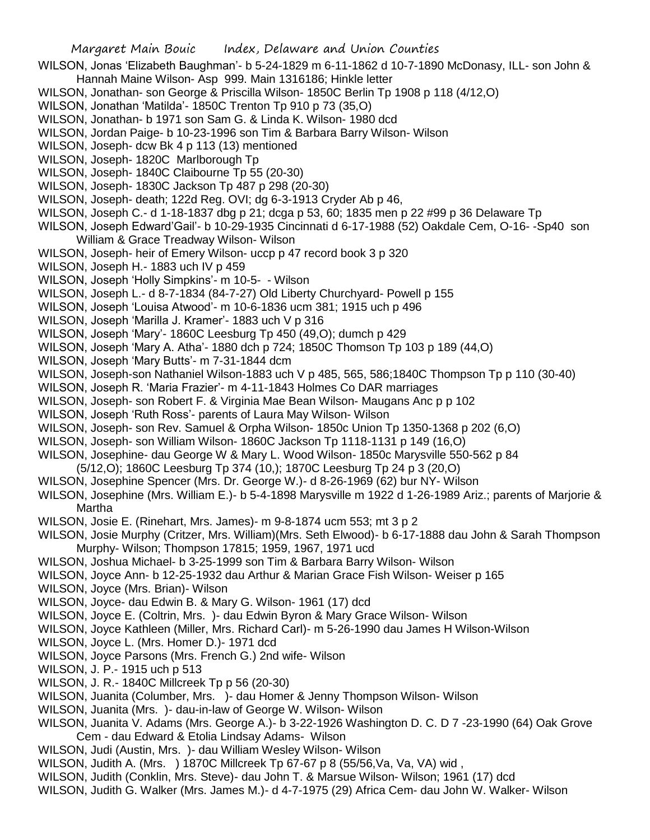- WILSON, Jonas 'Elizabeth Baughman'- b 5-24-1829 m 6-11-1862 d 10-7-1890 McDonasy, ILL- son John & Hannah Maine Wilson- Asp 999. Main 1316186; Hinkle letter
- WILSON, Jonathan- son George & Priscilla Wilson- 1850C Berlin Tp 1908 p 118 (4/12,O)
- WILSON, Jonathan 'Matilda'- 1850C Trenton Tp 910 p 73 (35,O)
- WILSON, Jonathan- b 1971 son Sam G. & Linda K. Wilson- 1980 dcd
- WILSON, Jordan Paige- b 10-23-1996 son Tim & Barbara Barry Wilson- Wilson
- WILSON, Joseph- dcw Bk 4 p 113 (13) mentioned
- WILSON, Joseph- 1820C Marlborough Tp
- WILSON, Joseph- 1840C Claibourne Tp 55 (20-30)
- WILSON, Joseph- 1830C Jackson Tp 487 p 298 (20-30)
- WILSON, Joseph- death; 122d Reg. OVI; dg 6-3-1913 Cryder Ab p 46,
- WILSON, Joseph C.- d 1-18-1837 dbg p 21; dcga p 53, 60; 1835 men p 22 #99 p 36 Delaware Tp
- WILSON, Joseph Edward'Gail'- b 10-29-1935 Cincinnati d 6-17-1988 (52) Oakdale Cem, O-16- -Sp40 son
	- William & Grace Treadway Wilson- Wilson
- WILSON, Joseph- heir of Emery Wilson- uccp p 47 record book 3 p 320
- WILSON, Joseph H.- 1883 uch IV p 459
- WILSON, Joseph 'Holly Simpkins'- m 10-5- Wilson
- WILSON, Joseph L.- d 8-7-1834 (84-7-27) Old Liberty Churchyard- Powell p 155
- WILSON, Joseph 'Louisa Atwood'- m 10-6-1836 ucm 381; 1915 uch p 496
- WILSON, Joseph 'Marilla J. Kramer'- 1883 uch V p 316
- WILSON, Joseph 'Mary'- 1860C Leesburg Tp 450 (49,O); dumch p 429
- WILSON, Joseph 'Mary A. Atha'- 1880 dch p 724; 1850C Thomson Tp 103 p 189 (44,O)
- WILSON, Joseph 'Mary Butts'- m 7-31-1844 dcm
- WILSON, Joseph-son Nathaniel Wilson-1883 uch V p 485, 565, 586;1840C Thompson Tp p 110 (30-40)
- WILSON, Joseph R. 'Maria Frazier'- m 4-11-1843 Holmes Co DAR marriages
- WILSON, Joseph- son Robert F. & Virginia Mae Bean Wilson- Maugans Anc p p 102
- WILSON, Joseph 'Ruth Ross'- parents of Laura May Wilson- Wilson
- WILSON, Joseph- son Rev. Samuel & Orpha Wilson- 1850c Union Tp 1350-1368 p 202 (6,O)
- WILSON, Joseph- son William Wilson- 1860C Jackson Tp 1118-1131 p 149 (16,O)
- WILSON, Josephine- dau George W & Mary L. Wood Wilson- 1850c Marysville 550-562 p 84
- (5/12,O); 1860C Leesburg Tp 374 (10,); 1870C Leesburg Tp 24 p 3 (20,O)
- WILSON, Josephine Spencer (Mrs. Dr. George W.)- d 8-26-1969 (62) bur NY- Wilson
- WILSON, Josephine (Mrs. William E.)- b 5-4-1898 Marysville m 1922 d 1-26-1989 Ariz.; parents of Marjorie & Martha
- WILSON, Josie E. (Rinehart, Mrs. James)- m 9-8-1874 ucm 553; mt 3 p 2
- WILSON, Josie Murphy (Critzer, Mrs. William)(Mrs. Seth Elwood)- b 6-17-1888 dau John & Sarah Thompson Murphy- Wilson; Thompson 17815; 1959, 1967, 1971 ucd
- WILSON, Joshua Michael- b 3-25-1999 son Tim & Barbara Barry Wilson- Wilson
- WILSON, Joyce Ann- b 12-25-1932 dau Arthur & Marian Grace Fish Wilson- Weiser p 165
- WILSON, Joyce (Mrs. Brian)- Wilson
- WILSON, Joyce- dau Edwin B. & Mary G. Wilson- 1961 (17) dcd
- WILSON, Joyce E. (Coltrin, Mrs. )- dau Edwin Byron & Mary Grace Wilson- Wilson
- WILSON, Joyce Kathleen (Miller, Mrs. Richard Carl)- m 5-26-1990 dau James H Wilson-Wilson
- WILSON, Joyce L. (Mrs. Homer D.)- 1971 dcd
- WILSON, Joyce Parsons (Mrs. French G.) 2nd wife- Wilson
- WILSON, J. P.- 1915 uch p 513
- WILSON, J. R.- 1840C Millcreek Tp p 56 (20-30)
- WILSON, Juanita (Columber, Mrs. )- dau Homer & Jenny Thompson Wilson- Wilson
- WILSON, Juanita (Mrs. )- dau-in-law of George W. Wilson- Wilson
- WILSON, Juanita V. Adams (Mrs. George A.)- b 3-22-1926 Washington D. C. D 7 -23-1990 (64) Oak Grove Cem - dau Edward & Etolia Lindsay Adams- Wilson
- WILSON, Judi (Austin, Mrs. )- dau William Wesley Wilson- Wilson
- WILSON, Judith A. (Mrs. ) 1870C Millcreek Tp 67-67 p 8 (55/56, Va, Va, VA) wid,
- WILSON, Judith (Conklin, Mrs. Steve)- dau John T. & Marsue Wilson- Wilson; 1961 (17) dcd
- WILSON, Judith G. Walker (Mrs. James M.)- d 4-7-1975 (29) Africa Cem- dau John W. Walker- Wilson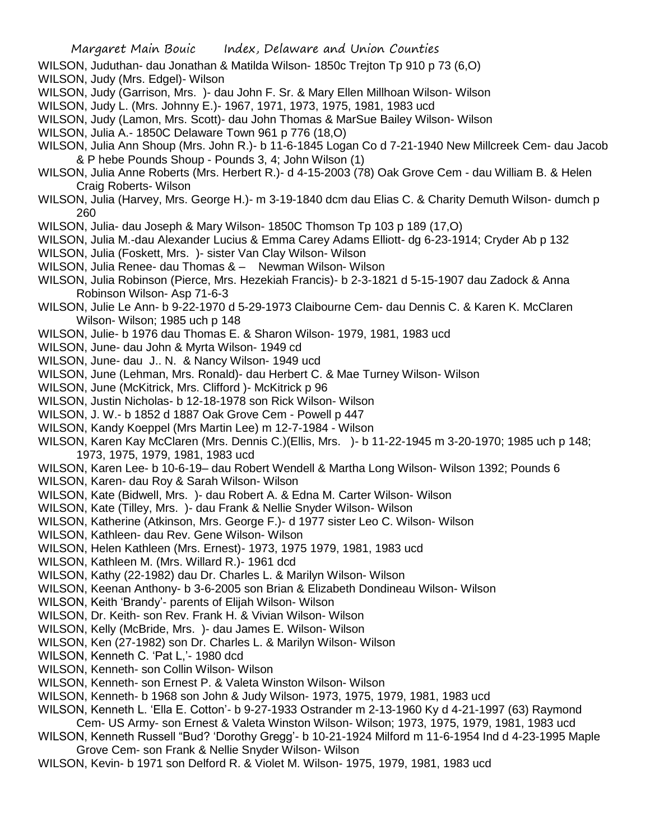- WILSON, Juduthan- dau Jonathan & Matilda Wilson- 1850c Trejton Tp 910 p 73 (6,O)
- WILSON, Judy (Mrs. Edgel)- Wilson
- WILSON, Judy (Garrison, Mrs. )- dau John F. Sr. & Mary Ellen Millhoan Wilson- Wilson
- WILSON, Judy L. (Mrs. Johnny E.)- 1967, 1971, 1973, 1975, 1981, 1983 ucd
- WILSON, Judy (Lamon, Mrs. Scott)- dau John Thomas & MarSue Bailey Wilson- Wilson
- WILSON, Julia A.- 1850C Delaware Town 961 p 776 (18,O)
- WILSON, Julia Ann Shoup (Mrs. John R.)- b 11-6-1845 Logan Co d 7-21-1940 New Millcreek Cem- dau Jacob & P hebe Pounds Shoup - Pounds 3, 4; John Wilson (1)
- WILSON, Julia Anne Roberts (Mrs. Herbert R.)- d 4-15-2003 (78) Oak Grove Cem dau William B. & Helen Craig Roberts- Wilson
- WILSON, Julia (Harvey, Mrs. George H.)- m 3-19-1840 dcm dau Elias C. & Charity Demuth Wilson- dumch p 260
- WILSON, Julia- dau Joseph & Mary Wilson- 1850C Thomson Tp 103 p 189 (17,O)
- WILSON, Julia M.-dau Alexander Lucius & Emma Carey Adams Elliott- dg 6-23-1914; Cryder Ab p 132
- WILSON, Julia (Foskett, Mrs. )- sister Van Clay Wilson- Wilson
- WILSON, Julia Renee- dau Thomas & Newman Wilson- Wilson
- WILSON, Julia Robinson (Pierce, Mrs. Hezekiah Francis)- b 2-3-1821 d 5-15-1907 dau Zadock & Anna Robinson Wilson- Asp 71-6-3
- WILSON, Julie Le Ann- b 9-22-1970 d 5-29-1973 Claibourne Cem- dau Dennis C. & Karen K. McClaren Wilson- Wilson; 1985 uch p 148
- WILSON, Julie- b 1976 dau Thomas E. & Sharon Wilson- 1979, 1981, 1983 ucd
- WILSON, June- dau John & Myrta Wilson- 1949 cd
- WILSON, June- dau J.. N. & Nancy Wilson- 1949 ucd
- WILSON, June (Lehman, Mrs. Ronald)- dau Herbert C. & Mae Turney Wilson- Wilson
- WILSON, June (McKitrick, Mrs. Clifford )- McKitrick p 96
- WILSON, Justin Nicholas- b 12-18-1978 son Rick Wilson- Wilson
- WILSON, J. W.- b 1852 d 1887 Oak Grove Cem Powell p 447
- WILSON, Kandy Koeppel (Mrs Martin Lee) m 12-7-1984 Wilson
- WILSON, Karen Kay McClaren (Mrs. Dennis C.)(Ellis, Mrs. )- b 11-22-1945 m 3-20-1970; 1985 uch p 148; 1973, 1975, 1979, 1981, 1983 ucd
- WILSON, Karen Lee- b 10-6-19– dau Robert Wendell & Martha Long Wilson- Wilson 1392; Pounds 6
- WILSON, Karen- dau Roy & Sarah Wilson- Wilson
- WILSON, Kate (Bidwell, Mrs. )- dau Robert A. & Edna M. Carter Wilson- Wilson
- WILSON, Kate (Tilley, Mrs. )- dau Frank & Nellie Snyder Wilson- Wilson
- WILSON, Katherine (Atkinson, Mrs. George F.)- d 1977 sister Leo C. Wilson- Wilson
- WILSON, Kathleen- dau Rev. Gene Wilson- Wilson
- WILSON, Helen Kathleen (Mrs. Ernest)- 1973, 1975 1979, 1981, 1983 ucd
- WILSON, Kathleen M. (Mrs. Willard R.)- 1961 dcd
- WILSON, Kathy (22-1982) dau Dr. Charles L. & Marilyn Wilson- Wilson
- WILSON, Keenan Anthony- b 3-6-2005 son Brian & Elizabeth Dondineau Wilson- Wilson
- WILSON, Keith 'Brandy'- parents of Elijah Wilson- Wilson
- WILSON, Dr. Keith- son Rev. Frank H. & Vivian Wilson- Wilson
- WILSON, Kelly (McBride, Mrs. )- dau James E. Wilson- Wilson
- WILSON, Ken (27-1982) son Dr. Charles L. & Marilyn Wilson- Wilson
- WILSON, Kenneth C. 'Pat L,'- 1980 dcd
- WILSON, Kenneth- son Collin Wilson- Wilson
- WILSON, Kenneth- son Ernest P. & Valeta Winston Wilson- Wilson
- WILSON, Kenneth- b 1968 son John & Judy Wilson- 1973, 1975, 1979, 1981, 1983 ucd
- WILSON, Kenneth L. 'Ella E. Cotton'- b 9-27-1933 Ostrander m 2-13-1960 Ky d 4-21-1997 (63) Raymond Cem- US Army- son Ernest & Valeta Winston Wilson- Wilson; 1973, 1975, 1979, 1981, 1983 ucd
- WILSON, Kenneth Russell "Bud? 'Dorothy Gregg'- b 10-21-1924 Milford m 11-6-1954 Ind d 4-23-1995 Maple Grove Cem- son Frank & Nellie Snyder Wilson- Wilson
- WILSON, Kevin- b 1971 son Delford R. & Violet M. Wilson- 1975, 1979, 1981, 1983 ucd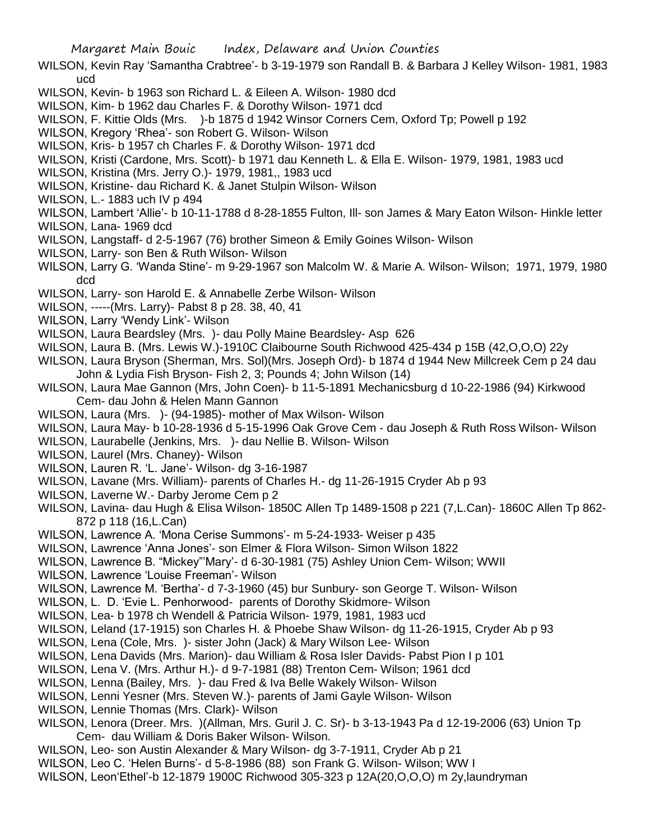- WILSON, Kevin Ray 'Samantha Crabtree'- b 3-19-1979 son Randall B. & Barbara J Kelley Wilson- 1981, 1983 ucd
- WILSON, Kevin- b 1963 son Richard L. & Eileen A. Wilson- 1980 dcd
- WILSON, Kim- b 1962 dau Charles F. & Dorothy Wilson- 1971 dcd
- WILSON, F. Kittie Olds (Mrs. )-b 1875 d 1942 Winsor Corners Cem, Oxford Tp; Powell p 192
- WILSON, Kregory 'Rhea'- son Robert G. Wilson- Wilson
- WILSON, Kris- b 1957 ch Charles F. & Dorothy Wilson- 1971 dcd
- WILSON, Kristi (Cardone, Mrs. Scott)- b 1971 dau Kenneth L. & Ella E. Wilson- 1979, 1981, 1983 ucd
- WILSON, Kristina (Mrs. Jerry O.)- 1979, 1981,, 1983 ucd
- WILSON, Kristine- dau Richard K. & Janet Stulpin Wilson- Wilson
- WILSON, L.- 1883 uch IV p 494
- WILSON, Lambert 'Allie'- b 10-11-1788 d 8-28-1855 Fulton, Ill- son James & Mary Eaton Wilson- Hinkle letter WILSON, Lana- 1969 dcd
- WILSON, Langstaff- d 2-5-1967 (76) brother Simeon & Emily Goines Wilson- Wilson
- WILSON, Larry- son Ben & Ruth Wilson- Wilson
- WILSON, Larry G. 'Wanda Stine'- m 9-29-1967 son Malcolm W. & Marie A. Wilson- Wilson; 1971, 1979, 1980 dcd
- WILSON, Larry- son Harold E. & Annabelle Zerbe Wilson- Wilson
- WILSON, -----(Mrs. Larry)- Pabst 8 p 28. 38, 40, 41
- WILSON, Larry 'Wendy Link'- Wilson
- WILSON, Laura Beardsley (Mrs. )- dau Polly Maine Beardsley- Asp 626
- WILSON, Laura B. (Mrs. Lewis W.)-1910C Claibourne South Richwood 425-434 p 15B (42,O,O,O) 22y
- WILSON, Laura Bryson (Sherman, Mrs. Sol)(Mrs. Joseph Ord)- b 1874 d 1944 New Millcreek Cem p 24 dau John & Lydia Fish Bryson- Fish 2, 3; Pounds 4; John Wilson (14)
- WILSON, Laura Mae Gannon (Mrs, John Coen)- b 11-5-1891 Mechanicsburg d 10-22-1986 (94) Kirkwood Cem- dau John & Helen Mann Gannon
- WILSON, Laura (Mrs. )- (94-1985)- mother of Max Wilson- Wilson
- WILSON, Laura May- b 10-28-1936 d 5-15-1996 Oak Grove Cem dau Joseph & Ruth Ross Wilson- Wilson
- WILSON, Laurabelle (Jenkins, Mrs. )- dau Nellie B. Wilson- Wilson
- WILSON, Laurel (Mrs. Chaney)- Wilson
- WILSON, Lauren R. 'L. Jane'- Wilson- dg 3-16-1987
- WILSON, Lavane (Mrs. William)- parents of Charles H.- dg 11-26-1915 Cryder Ab p 93
- WILSON, Laverne W.- Darby Jerome Cem p 2
- WILSON, Lavina- dau Hugh & Elisa Wilson- 1850C Allen Tp 1489-1508 p 221 (7,L.Can)- 1860C Allen Tp 862- 872 p 118 (16,L.Can)
- WILSON, Lawrence A. 'Mona Cerise Summons'- m 5-24-1933- Weiser p 435
- WILSON, Lawrence 'Anna Jones'- son Elmer & Flora Wilson- Simon Wilson 1822
- WILSON, Lawrence B. "Mickey"'Mary'- d 6-30-1981 (75) Ashley Union Cem- Wilson; WWII
- WILSON, Lawrence 'Louise Freeman'- Wilson
- WILSON, Lawrence M. 'Bertha'- d 7-3-1960 (45) bur Sunbury- son George T. Wilson- Wilson
- WILSON, L. D. 'Evie L. Penhorwood- parents of Dorothy Skidmore- Wilson
- WILSON, Lea- b 1978 ch Wendell & Patricia Wilson- 1979, 1981, 1983 ucd
- WILSON, Leland (17-1915) son Charles H. & Phoebe Shaw Wilson- dg 11-26-1915, Cryder Ab p 93
- WILSON, Lena (Cole, Mrs. )- sister John (Jack) & Mary Wilson Lee- Wilson
- WILSON, Lena Davids (Mrs. Marion)- dau William & Rosa Isler Davids- Pabst Pion I p 101
- WILSON, Lena V. (Mrs. Arthur H.)- d 9-7-1981 (88) Trenton Cem- Wilson; 1961 dcd
- WILSON, Lenna (Bailey, Mrs. )- dau Fred & Iva Belle Wakely Wilson- Wilson
- WILSON, Lenni Yesner (Mrs. Steven W.)- parents of Jami Gayle Wilson- Wilson
- WILSON, Lennie Thomas (Mrs. Clark)- Wilson
- WILSON, Lenora (Dreer. Mrs. )(Allman, Mrs. Guril J. C. Sr)- b 3-13-1943 Pa d 12-19-2006 (63) Union Tp Cem- dau William & Doris Baker Wilson- Wilson.
- WILSON, Leo- son Austin Alexander & Mary Wilson- dg 3-7-1911, Cryder Ab p 21
- WILSON, Leo C. 'Helen Burns'- d 5-8-1986 (88) son Frank G. Wilson- Wilson; WW I
- WILSON, Leon'Ethel'-b 12-1879 1900C Richwood 305-323 p 12A(20,O,O,O) m 2y,laundryman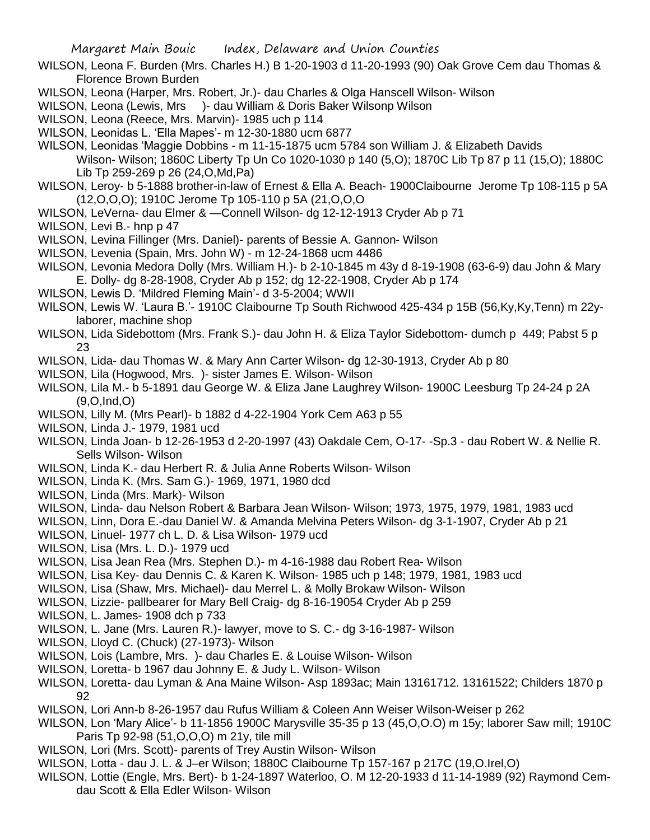- WILSON, Leona F. Burden (Mrs. Charles H.) B 1-20-1903 d 11-20-1993 (90) Oak Grove Cem dau Thomas & Florence Brown Burden
- WILSON, Leona (Harper, Mrs. Robert, Jr.)- dau Charles & Olga Hanscell Wilson- Wilson
- WILSON, Leona (Lewis, Mrs )- dau William & Doris Baker Wilsonp Wilson
- WILSON, Leona (Reece, Mrs. Marvin)- 1985 uch p 114
- WILSON, Leonidas L. 'Ella Mapes'- m 12-30-1880 ucm 6877
- WILSON, Leonidas 'Maggie Dobbins m 11-15-1875 ucm 5784 son William J. & Elizabeth Davids Wilson- Wilson; 1860C Liberty Tp Un Co 1020-1030 p 140 (5,O); 1870C Lib Tp 87 p 11 (15,O); 1880C Lib Tp 259-269 p 26 (24,O,Md,Pa)
- WILSON, Leroy- b 5-1888 brother-in-law of Ernest & Ella A. Beach- 1900Claibourne Jerome Tp 108-115 p 5A (12,O,O,O); 1910C Jerome Tp 105-110 p 5A (21,O,O,O
- WILSON, LeVerna- dau Elmer & —Connell Wilson- dg 12-12-1913 Cryder Ab p 71
- WILSON, Levi B.- hnp p 47
- WILSON, Levina Fillinger (Mrs. Daniel)- parents of Bessie A. Gannon- Wilson
- WILSON, Levenia (Spain, Mrs. John W) m 12-24-1868 ucm 4486
- WILSON, Levonia Medora Dolly (Mrs. William H.)- b 2-10-1845 m 43y d 8-19-1908 (63-6-9) dau John & Mary E. Dolly- dg 8-28-1908, Cryder Ab p 152; dg 12-22-1908, Cryder Ab p 174
- WILSON, Lewis D. 'Mildred Fleming Main'- d 3-5-2004; WWII
- WILSON, Lewis W. 'Laura B.'- 1910C Claibourne Tp South Richwood 425-434 p 15B (56,Ky,Ky,Tenn) m 22ylaborer, machine shop
- WILSON, Lida Sidebottom (Mrs. Frank S.)- dau John H. & Eliza Taylor Sidebottom- dumch p 449; Pabst 5 p 23
- WILSON, Lida- dau Thomas W. & Mary Ann Carter Wilson- dg 12-30-1913, Cryder Ab p 80
- WILSON, Lila (Hogwood, Mrs. )- sister James E. Wilson- Wilson
- WILSON, Lila M.- b 5-1891 dau George W. & Eliza Jane Laughrey Wilson- 1900C Leesburg Tp 24-24 p 2A (9,O,Ind,O)
- WILSON, Lilly M. (Mrs Pearl)- b 1882 d 4-22-1904 York Cem A63 p 55
- WILSON, Linda J.- 1979, 1981 ucd
- WILSON, Linda Joan- b 12-26-1953 d 2-20-1997 (43) Oakdale Cem, O-17- -Sp.3 dau Robert W. & Nellie R. Sells Wilson- Wilson
- WILSON, Linda K.- dau Herbert R. & Julia Anne Roberts Wilson- Wilson
- WILSON, Linda K. (Mrs. Sam G.)- 1969, 1971, 1980 dcd
- WILSON, Linda (Mrs. Mark)- Wilson
- WILSON, Linda- dau Nelson Robert & Barbara Jean Wilson- Wilson; 1973, 1975, 1979, 1981, 1983 ucd
- WILSON, Linn, Dora E.-dau Daniel W. & Amanda Melvina Peters Wilson- dg 3-1-1907, Cryder Ab p 21
- WILSON, Linuel- 1977 ch L. D. & Lisa Wilson- 1979 ucd
- WILSON, Lisa (Mrs. L. D.)- 1979 ucd
- WILSON, Lisa Jean Rea (Mrs. Stephen D.)- m 4-16-1988 dau Robert Rea- Wilson
- WILSON, Lisa Key- dau Dennis C. & Karen K. Wilson- 1985 uch p 148; 1979, 1981, 1983 ucd
- WILSON, Lisa (Shaw, Mrs. Michael)- dau Merrel L. & Molly Brokaw Wilson- Wilson
- WILSON, Lizzie- pallbearer for Mary Bell Craig- dg 8-16-19054 Cryder Ab p 259
- WILSON, L. James- 1908 dch p 733
- WILSON, L. Jane (Mrs. Lauren R.)- lawyer, move to S. C.- dg 3-16-1987- Wilson
- WILSON, Lloyd C. (Chuck) (27-1973)- Wilson
- WILSON, Lois (Lambre, Mrs. )- dau Charles E. & Louise Wilson- Wilson
- WILSON, Loretta- b 1967 dau Johnny E. & Judy L. Wilson- Wilson
- WILSON, Loretta- dau Lyman & Ana Maine Wilson- Asp 1893ac; Main 13161712. 13161522; Childers 1870 p 92
- WILSON, Lori Ann-b 8-26-1957 dau Rufus William & Coleen Ann Weiser Wilson-Weiser p 262
- WILSON, Lon 'Mary Alice'- b 11-1856 1900C Marysville 35-35 p 13 (45,O,O.O) m 15y; laborer Saw mill; 1910C Paris Tp 92-98 (51,O,O,O) m 21y, tile mill
- WILSON, Lori (Mrs. Scott)- parents of Trey Austin Wilson- Wilson
- WILSON, Lotta dau J. L. & J–er Wilson; 1880C Claibourne Tp 157-167 p 217C (19,O.Irel,O)
- WILSON, Lottie (Engle, Mrs. Bert)- b 1-24-1897 Waterloo, O. M 12-20-1933 d 11-14-1989 (92) Raymond Cemdau Scott & Ella Edler Wilson- Wilson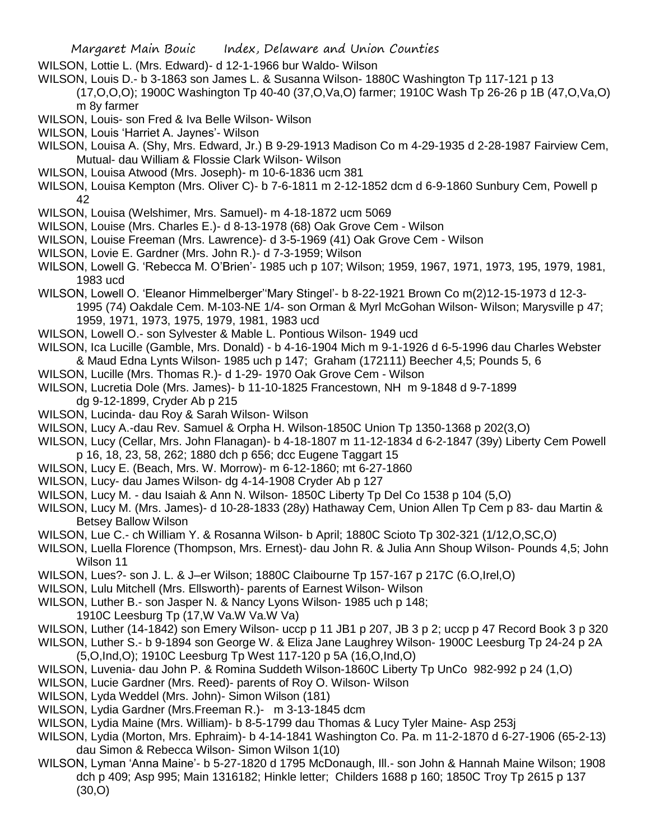Margaret Main Bouic Index, Delaware and Union Counties

- WILSON, Lottie L. (Mrs. Edward)- d 12-1-1966 bur Waldo- Wilson
- WILSON, Louis D.- b 3-1863 son James L. & Susanna Wilson- 1880C Washington Tp 117-121 p 13 (17,O,O,O); 1900C Washington Tp 40-40 (37,O,Va,O) farmer; 1910C Wash Tp 26-26 p 1B (47,O,Va,O) m 8y farmer
- WILSON, Louis- son Fred & Iva Belle Wilson- Wilson
- WILSON, Louis 'Harriet A. Jaynes'- Wilson
- WILSON, Louisa A. (Shy, Mrs. Edward, Jr.) B 9-29-1913 Madison Co m 4-29-1935 d 2-28-1987 Fairview Cem, Mutual- dau William & Flossie Clark Wilson- Wilson
- WILSON, Louisa Atwood (Mrs. Joseph)- m 10-6-1836 ucm 381
- WILSON, Louisa Kempton (Mrs. Oliver C)- b 7-6-1811 m 2-12-1852 dcm d 6-9-1860 Sunbury Cem, Powell p 42
- WILSON, Louisa (Welshimer, Mrs. Samuel)- m 4-18-1872 ucm 5069
- WILSON, Louise (Mrs. Charles E.)- d 8-13-1978 (68) Oak Grove Cem Wilson
- WILSON, Louise Freeman (Mrs. Lawrence)- d 3-5-1969 (41) Oak Grove Cem Wilson
- WILSON, Lovie E. Gardner (Mrs. John R.)- d 7-3-1959; Wilson
- WILSON, Lowell G. 'Rebecca M. O'Brien'- 1985 uch p 107; Wilson; 1959, 1967, 1971, 1973, 195, 1979, 1981, 1983 ucd
- WILSON, Lowell O. 'Eleanor Himmelberger''Mary Stingel'- b 8-22-1921 Brown Co m(2)12-15-1973 d 12-3- 1995 (74) Oakdale Cem. M-103-NE 1/4- son Orman & Myrl McGohan Wilson- Wilson; Marysville p 47;
	- 1959, 1971, 1973, 1975, 1979, 1981, 1983 ucd
- WILSON, Lowell O.- son Sylvester & Mable L. Pontious Wilson- 1949 ucd
- WILSON, Ica Lucille (Gamble, Mrs. Donald) b 4-16-1904 Mich m 9-1-1926 d 6-5-1996 dau Charles Webster & Maud Edna Lynts Wilson- 1985 uch p 147; Graham (172111) Beecher 4,5; Pounds 5, 6
- WILSON, Lucille (Mrs. Thomas R.)- d 1-29- 1970 Oak Grove Cem Wilson
- WILSON, Lucretia Dole (Mrs. James)- b 11-10-1825 Francestown, NH m 9-1848 d 9-7-1899 dg 9-12-1899, Cryder Ab p 215
- WILSON, Lucinda- dau Roy & Sarah Wilson- Wilson
- WILSON, Lucy A.-dau Rev. Samuel & Orpha H. Wilson-1850C Union Tp 1350-1368 p 202(3,O)
- WILSON, Lucy (Cellar, Mrs. John Flanagan)- b 4-18-1807 m 11-12-1834 d 6-2-1847 (39y) Liberty Cem Powell p 16, 18, 23, 58, 262; 1880 dch p 656; dcc Eugene Taggart 15
- WILSON, Lucy E. (Beach, Mrs. W. Morrow)- m 6-12-1860; mt 6-27-1860
- WILSON, Lucy- dau James Wilson- dg 4-14-1908 Cryder Ab p 127
- WILSON, Lucy M. dau Isaiah & Ann N. Wilson- 1850C Liberty Tp Del Co 1538 p 104 (5,O)
- WILSON, Lucy M. (Mrs. James)- d 10-28-1833 (28y) Hathaway Cem, Union Allen Tp Cem p 83- dau Martin & Betsey Ballow Wilson
- WILSON, Lue C.- ch William Y. & Rosanna Wilson- b April; 1880C Scioto Tp 302-321 (1/12,O,SC,O)
- WILSON, Luella Florence (Thompson, Mrs. Ernest)- dau John R. & Julia Ann Shoup Wilson- Pounds 4,5; John Wilson 11
- WILSON, Lues?- son J. L. & J–er Wilson; 1880C Claibourne Tp 157-167 p 217C (6.O,Irel,O)
- WILSON, Lulu Mitchell (Mrs. Ellsworth)- parents of Earnest Wilson- Wilson
- WILSON, Luther B.- son Jasper N. & Nancy Lyons Wilson- 1985 uch p 148;
	- 1910C Leesburg Tp (17,W Va.W Va.W Va)
- WILSON, Luther (14-1842) son Emery Wilson- uccp p 11 JB1 p 207, JB 3 p 2; uccp p 47 Record Book 3 p 320
- WILSON, Luther S.- b 9-1894 son George W. & Eliza Jane Laughrey Wilson- 1900C Leesburg Tp 24-24 p 2A (5,O,Ind,O); 1910C Leesburg Tp West 117-120 p 5A (16,O,Ind,O)
- WILSON, Luvenia- dau John P. & Romina Suddeth Wilson-1860C Liberty Tp UnCo 982-992 p 24 (1,O)
- WILSON, Lucie Gardner (Mrs. Reed)- parents of Roy O. Wilson- Wilson
- WILSON, Lyda Weddel (Mrs. John)- Simon Wilson (181)
- WILSON, Lydia Gardner (Mrs.Freeman R.)- m 3-13-1845 dcm
- WILSON, Lydia Maine (Mrs. William)- b 8-5-1799 dau Thomas & Lucy Tyler Maine- Asp 253j
- WILSON, Lydia (Morton, Mrs. Ephraim)- b 4-14-1841 Washington Co. Pa. m 11-2-1870 d 6-27-1906 (65-2-13) dau Simon & Rebecca Wilson- Simon Wilson 1(10)
- WILSON, Lyman 'Anna Maine'- b 5-27-1820 d 1795 McDonaugh, Ill.- son John & Hannah Maine Wilson; 1908 dch p 409; Asp 995; Main 1316182; Hinkle letter; Childers 1688 p 160; 1850C Troy Tp 2615 p 137 (30,O)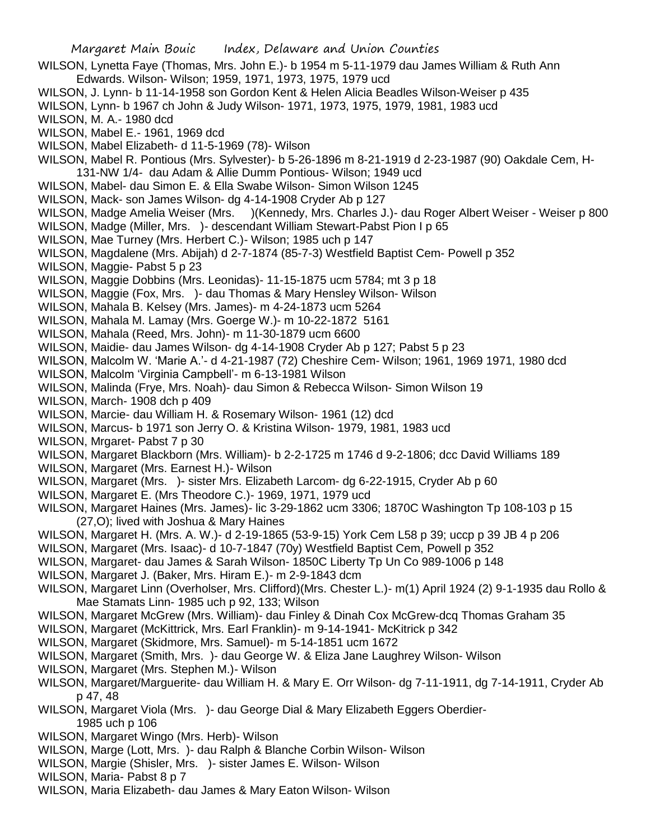- WILSON, Lynetta Faye (Thomas, Mrs. John E.)- b 1954 m 5-11-1979 dau James William & Ruth Ann Edwards. Wilson- Wilson; 1959, 1971, 1973, 1975, 1979 ucd WILSON, J. Lynn- b 11-14-1958 son Gordon Kent & Helen Alicia Beadles Wilson-Weiser p 435 WILSON, Lynn- b 1967 ch John & Judy Wilson- 1971, 1973, 1975, 1979, 1981, 1983 ucd WILSON, M. A.- 1980 dcd WILSON, Mabel E.- 1961, 1969 dcd WILSON, Mabel Elizabeth- d 11-5-1969 (78)- Wilson WILSON, Mabel R. Pontious (Mrs. Sylvester)- b 5-26-1896 m 8-21-1919 d 2-23-1987 (90) Oakdale Cem, H-131-NW 1/4- dau Adam & Allie Dumm Pontious- Wilson; 1949 ucd WILSON, Mabel- dau Simon E. & Ella Swabe Wilson- Simon Wilson 1245 WILSON, Mack- son James Wilson- dg 4-14-1908 Cryder Ab p 127 WILSON, Madge Amelia Weiser (Mrs. )(Kennedy, Mrs. Charles J.)- dau Roger Albert Weiser - Weiser p 800 WILSON, Madge (Miller, Mrs. )- descendant William Stewart-Pabst Pion I p 65 WILSON, Mae Turney (Mrs. Herbert C.)- Wilson; 1985 uch p 147 WILSON, Magdalene (Mrs. Abijah) d 2-7-1874 (85-7-3) Westfield Baptist Cem- Powell p 352 WILSON, Maggie- Pabst 5 p 23 WILSON, Maggie Dobbins (Mrs. Leonidas)- 11-15-1875 ucm 5784; mt 3 p 18 WILSON, Maggie (Fox, Mrs. )- dau Thomas & Mary Hensley Wilson- Wilson WILSON, Mahala B. Kelsey (Mrs. James)- m 4-24-1873 ucm 5264 WILSON, Mahala M. Lamay (Mrs. Goerge W.)- m 10-22-1872 5161 WILSON, Mahala (Reed, Mrs. John)- m 11-30-1879 ucm 6600 WILSON, Maidie- dau James Wilson- dg 4-14-1908 Cryder Ab p 127; Pabst 5 p 23 WILSON, Malcolm W. 'Marie A.'- d 4-21-1987 (72) Cheshire Cem- Wilson; 1961, 1969 1971, 1980 dcd WILSON, Malcolm 'Virginia Campbell'- m 6-13-1981 Wilson WILSON, Malinda (Frye, Mrs. Noah)- dau Simon & Rebecca Wilson- Simon Wilson 19 WILSON, March- 1908 dch p 409 WILSON, Marcie- dau William H. & Rosemary Wilson- 1961 (12) dcd WILSON, Marcus- b 1971 son Jerry O. & Kristina Wilson- 1979, 1981, 1983 ucd WILSON, Mrgaret- Pabst 7 p 30 WILSON, Margaret Blackborn (Mrs. William)- b 2-2-1725 m 1746 d 9-2-1806; dcc David Williams 189 WILSON, Margaret (Mrs. Earnest H.)- Wilson WILSON, Margaret (Mrs. )- sister Mrs. Elizabeth Larcom- dg 6-22-1915, Cryder Ab p 60 WILSON, Margaret E. (Mrs Theodore C.)- 1969, 1971, 1979 ucd WILSON, Margaret Haines (Mrs. James)- lic 3-29-1862 ucm 3306; 1870C Washington Tp 108-103 p 15 (27,O); lived with Joshua & Mary Haines WILSON, Margaret H. (Mrs. A. W.)- d 2-19-1865 (53-9-15) York Cem L58 p 39; uccp p 39 JB 4 p 206 WILSON, Margaret (Mrs. Isaac)- d 10-7-1847 (70y) Westfield Baptist Cem, Powell p 352 WILSON, Margaret- dau James & Sarah Wilson- 1850C Liberty Tp Un Co 989-1006 p 148 WILSON, Margaret J. (Baker, Mrs. Hiram E.)- m 2-9-1843 dcm WILSON, Margaret Linn (Overholser, Mrs. Clifford)(Mrs. Chester L.)- m(1) April 1924 (2) 9-1-1935 dau Rollo & Mae Stamats Linn- 1985 uch p 92, 133; Wilson WILSON, Margaret McGrew (Mrs. William)- dau Finley & Dinah Cox McGrew-dcq Thomas Graham 35 WILSON, Margaret (McKittrick, Mrs. Earl Franklin)- m 9-14-1941- McKitrick p 342 WILSON, Margaret (Skidmore, Mrs. Samuel)- m 5-14-1851 ucm 1672 WILSON, Margaret (Smith, Mrs. )- dau George W. & Eliza Jane Laughrey Wilson- Wilson WILSON, Margaret (Mrs. Stephen M.)- Wilson WILSON, Margaret/Marguerite- dau William H. & Mary E. Orr Wilson- dg 7-11-1911, dg 7-14-1911, Cryder Ab p 47, 48
- WILSON, Margaret Viola (Mrs. )- dau George Dial & Mary Elizabeth Eggers Oberdier-1985 uch p 106
- WILSON, Margaret Wingo (Mrs. Herb)- Wilson
- WILSON, Marge (Lott, Mrs. )- dau Ralph & Blanche Corbin Wilson- Wilson
- WILSON, Margie (Shisler, Mrs. )- sister James E. Wilson- Wilson
- WILSON, Maria- Pabst 8 p 7
- WILSON, Maria Elizabeth- dau James & Mary Eaton Wilson- Wilson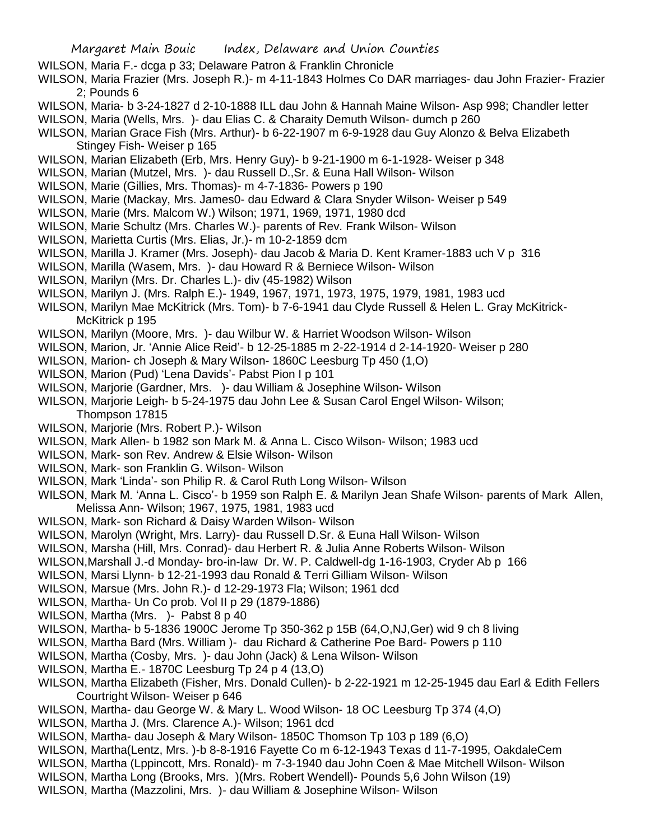- WILSON, Maria F.- dcga p 33; Delaware Patron & Franklin Chronicle
- WILSON, Maria Frazier (Mrs. Joseph R.)- m 4-11-1843 Holmes Co DAR marriages- dau John Frazier- Frazier 2; Pounds 6
- WILSON, Maria- b 3-24-1827 d 2-10-1888 ILL dau John & Hannah Maine Wilson- Asp 998; Chandler letter
- WILSON, Maria (Wells, Mrs. )- dau Elias C. & Charaity Demuth Wilson- dumch p 260
- WILSON, Marian Grace Fish (Mrs. Arthur)- b 6-22-1907 m 6-9-1928 dau Guy Alonzo & Belva Elizabeth Stingey Fish- Weiser p 165
- WILSON, Marian Elizabeth (Erb, Mrs. Henry Guy)- b 9-21-1900 m 6-1-1928- Weiser p 348
- WILSON, Marian (Mutzel, Mrs. )- dau Russell D.,Sr. & Euna Hall Wilson- Wilson
- WILSON, Marie (Gillies, Mrs. Thomas)- m 4-7-1836- Powers p 190
- WILSON, Marie (Mackay, Mrs. James0- dau Edward & Clara Snyder Wilson- Weiser p 549
- WILSON, Marie (Mrs. Malcom W.) Wilson; 1971, 1969, 1971, 1980 dcd
- WILSON, Marie Schultz (Mrs. Charles W.)- parents of Rev. Frank Wilson- Wilson
- WILSON, Marietta Curtis (Mrs. Elias, Jr.)- m 10-2-1859 dcm
- WILSON, Marilla J. Kramer (Mrs. Joseph)- dau Jacob & Maria D. Kent Kramer-1883 uch V p 316
- WILSON, Marilla (Wasem, Mrs. )- dau Howard R & Berniece Wilson- Wilson
- WILSON, Marilyn (Mrs. Dr. Charles L.)- div (45-1982) Wilson
- WILSON, Marilyn J. (Mrs. Ralph E.)- 1949, 1967, 1971, 1973, 1975, 1979, 1981, 1983 ucd
- WILSON, Marilyn Mae McKitrick (Mrs. Tom)- b 7-6-1941 dau Clyde Russell & Helen L. Gray McKitrick-McKitrick p 195
- WILSON, Marilyn (Moore, Mrs. )- dau Wilbur W. & Harriet Woodson Wilson- Wilson
- WILSON, Marion, Jr. 'Annie Alice Reid'- b 12-25-1885 m 2-22-1914 d 2-14-1920- Weiser p 280
- WILSON, Marion- ch Joseph & Mary Wilson- 1860C Leesburg Tp 450 (1,O)
- WILSON, Marion (Pud) 'Lena Davids'- Pabst Pion I p 101
- WILSON, Marjorie (Gardner, Mrs. )- dau William & Josephine Wilson- Wilson
- WILSON, Marjorie Leigh- b 5-24-1975 dau John Lee & Susan Carol Engel Wilson- Wilson; Thompson 17815
- WILSON, Marjorie (Mrs. Robert P.)- Wilson
- WILSON, Mark Allen- b 1982 son Mark M. & Anna L. Cisco Wilson- Wilson; 1983 ucd
- WILSON, Mark- son Rev. Andrew & Elsie Wilson- Wilson
- WILSON, Mark- son Franklin G. Wilson- Wilson
- WILSON, Mark 'Linda'- son Philip R. & Carol Ruth Long Wilson- Wilson
- WILSON, Mark M. 'Anna L. Cisco'- b 1959 son Ralph E. & Marilyn Jean Shafe Wilson- parents of Mark Allen, Melissa Ann- Wilson; 1967, 1975, 1981, 1983 ucd
- WILSON, Mark- son Richard & Daisy Warden Wilson- Wilson
- WILSON, Marolyn (Wright, Mrs. Larry)- dau Russell D.Sr. & Euna Hall Wilson- Wilson
- WILSON, Marsha (Hill, Mrs. Conrad)- dau Herbert R. & Julia Anne Roberts Wilson- Wilson
- WILSON,Marshall J.-d Monday- bro-in-law Dr. W. P. Caldwell-dg 1-16-1903, Cryder Ab p 166
- WILSON, Marsi Llynn- b 12-21-1993 dau Ronald & Terri Gilliam Wilson- Wilson
- WILSON, Marsue (Mrs. John R.)- d 12-29-1973 Fla; Wilson; 1961 dcd
- WILSON, Martha- Un Co prob. Vol II p 29 (1879-1886)
- WILSON, Martha (Mrs. )- Pabst 8 p 40
- WILSON, Martha- b 5-1836 1900C Jerome Tp 350-362 p 15B (64,O,NJ,Ger) wid 9 ch 8 living
- WILSON, Martha Bard (Mrs. William )- dau Richard & Catherine Poe Bard- Powers p 110
- WILSON, Martha (Cosby, Mrs. )- dau John (Jack) & Lena Wilson- Wilson
- WILSON, Martha E.- 1870C Leesburg Tp 24 p 4 (13,O)
- WILSON, Martha Elizabeth (Fisher, Mrs. Donald Cullen)- b 2-22-1921 m 12-25-1945 dau Earl & Edith Fellers Courtright Wilson- Weiser p 646
- WILSON, Martha- dau George W. & Mary L. Wood Wilson- 18 OC Leesburg Tp 374 (4,O)
- WILSON, Martha J. (Mrs. Clarence A.)- Wilson; 1961 dcd
- WILSON, Martha- dau Joseph & Mary Wilson- 1850C Thomson Tp 103 p 189 (6,O)
- WILSON, Martha(Lentz, Mrs. )-b 8-8-1916 Fayette Co m 6-12-1943 Texas d 11-7-1995, OakdaleCem
- WILSON, Martha (Lppincott, Mrs. Ronald)- m 7-3-1940 dau John Coen & Mae Mitchell Wilson- Wilson
- WILSON, Martha Long (Brooks, Mrs. )(Mrs. Robert Wendell)- Pounds 5,6 John Wilson (19)
- WILSON, Martha (Mazzolini, Mrs. )- dau William & Josephine Wilson- Wilson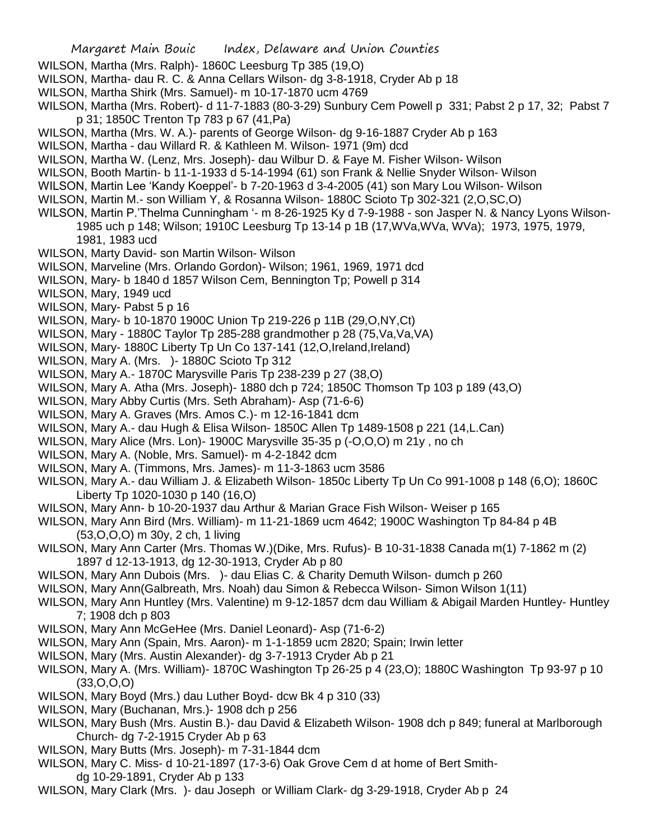- WILSON, Martha (Mrs. Ralph)- 1860C Leesburg Tp 385 (19,O)
- WILSON, Martha- dau R. C. & Anna Cellars Wilson- dg 3-8-1918, Cryder Ab p 18
- WILSON, Martha Shirk (Mrs. Samuel)- m 10-17-1870 ucm 4769
- WILSON, Martha (Mrs. Robert)- d 11-7-1883 (80-3-29) Sunbury Cem Powell p 331; Pabst 2 p 17, 32; Pabst 7 p 31; 1850C Trenton Tp 783 p 67 (41,Pa)
- WILSON, Martha (Mrs. W. A.)- parents of George Wilson- dg 9-16-1887 Cryder Ab p 163
- WILSON, Martha dau Willard R. & Kathleen M. Wilson- 1971 (9m) dcd
- WILSON, Martha W. (Lenz, Mrs. Joseph)- dau Wilbur D. & Faye M. Fisher Wilson- Wilson
- WILSON, Booth Martin- b 11-1-1933 d 5-14-1994 (61) son Frank & Nellie Snyder Wilson- Wilson
- WILSON, Martin Lee 'Kandy Koeppel'- b 7-20-1963 d 3-4-2005 (41) son Mary Lou Wilson- Wilson
- WILSON, Martin M.- son William Y, & Rosanna Wilson- 1880C Scioto Tp 302-321 (2,O,SC,O)
- WILSON, Martin P.'Thelma Cunningham '- m 8-26-1925 Ky d 7-9-1988 son Jasper N. & Nancy Lyons Wilson-1985 uch p 148; Wilson; 1910C Leesburg Tp 13-14 p 1B (17,WVa,WVa, WVa); 1973, 1975, 1979, 1981, 1983 ucd
- WILSON, Marty David- son Martin Wilson- Wilson
- WILSON, Marveline (Mrs. Orlando Gordon)- Wilson; 1961, 1969, 1971 dcd
- WILSON, Mary- b 1840 d 1857 Wilson Cem, Bennington Tp; Powell p 314
- WILSON, Mary, 1949 ucd
- WILSON, Mary- Pabst 5 p 16
- WILSON, Mary- b 10-1870 1900C Union Tp 219-226 p 11B (29,O,NY,Ct)
- WILSON, Mary 1880C Taylor Tp 285-288 grandmother p 28 (75,Va,Va,VA)
- WILSON, Mary- 1880C Liberty Tp Un Co 137-141 (12, O, Ireland, Ireland)
- WILSON, Mary A. (Mrs. )- 1880C Scioto Tp 312
- WILSON, Mary A.- 1870C Marysville Paris Tp 238-239 p 27 (38,O)
- WILSON, Mary A. Atha (Mrs. Joseph)- 1880 dch p 724; 1850C Thomson Tp 103 p 189 (43,O)
- WILSON, Mary Abby Curtis (Mrs. Seth Abraham)- Asp (71-6-6)
- WILSON, Mary A. Graves (Mrs. Amos C.)- m 12-16-1841 dcm
- WILSON, Mary A.- dau Hugh & Elisa Wilson- 1850C Allen Tp 1489-1508 p 221 (14,L.Can)
- WILSON, Mary Alice (Mrs. Lon)- 1900C Marysville 35-35 p (-O,O,O) m 21y , no ch
- WILSON, Mary A. (Noble, Mrs. Samuel)- m 4-2-1842 dcm
- WILSON, Mary A. (Timmons, Mrs. James)- m 11-3-1863 ucm 3586
- WILSON, Mary A.- dau William J. & Elizabeth Wilson- 1850c Liberty Tp Un Co 991-1008 p 148 (6,O); 1860C Liberty Tp 1020-1030 p 140 (16,O)
- WILSON, Mary Ann- b 10-20-1937 dau Arthur & Marian Grace Fish Wilson- Weiser p 165
- WILSON, Mary Ann Bird (Mrs. William)- m 11-21-1869 ucm 4642; 1900C Washington Tp 84-84 p 4B (53,O,O,O) m 30y, 2 ch, 1 living
- WILSON, Mary Ann Carter (Mrs. Thomas W.)(Dike, Mrs. Rufus)- B 10-31-1838 Canada m(1) 7-1862 m (2) 1897 d 12-13-1913, dg 12-30-1913, Cryder Ab p 80
- WILSON, Mary Ann Dubois (Mrs. )- dau Elias C. & Charity Demuth Wilson- dumch p 260
- WILSON, Mary Ann(Galbreath, Mrs. Noah) dau Simon & Rebecca Wilson- Simon Wilson 1(11)
- WILSON, Mary Ann Huntley (Mrs. Valentine) m 9-12-1857 dcm dau William & Abigail Marden Huntley- Huntley 7; 1908 dch p 803
- WILSON, Mary Ann McGeHee (Mrs. Daniel Leonard)- Asp (71-6-2)
- WILSON, Mary Ann (Spain, Mrs. Aaron)- m 1-1-1859 ucm 2820; Spain; Irwin letter
- WILSON, Mary (Mrs. Austin Alexander)- dg 3-7-1913 Cryder Ab p 21
- WILSON, Mary A. (Mrs. William)- 1870C Washington Tp 26-25 p 4 (23,O); 1880C Washington Tp 93-97 p 10  $(33,0,0,0)$
- WILSON, Mary Boyd (Mrs.) dau Luther Boyd- dcw Bk 4 p 310 (33)
- WILSON, Mary (Buchanan, Mrs.)- 1908 dch p 256
- WILSON, Mary Bush (Mrs. Austin B.)- dau David & Elizabeth Wilson- 1908 dch p 849; funeral at Marlborough Church- dg 7-2-1915 Cryder Ab p 63
- WILSON, Mary Butts (Mrs. Joseph)- m 7-31-1844 dcm
- WILSON, Mary C. Miss- d 10-21-1897 (17-3-6) Oak Grove Cem d at home of Bert Smithdg 10-29-1891, Cryder Ab p 133
- WILSON, Mary Clark (Mrs. )- dau Joseph or William Clark- dg 3-29-1918, Cryder Ab p 24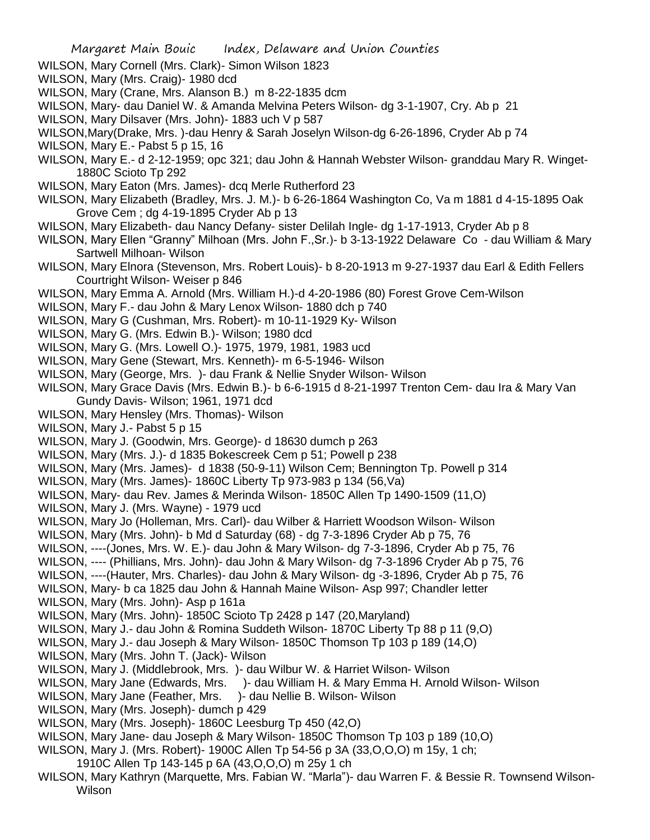- WILSON, Mary Cornell (Mrs. Clark)- Simon Wilson 1823
- WILSON, Mary (Mrs. Craig)- 1980 dcd
- WILSON, Mary (Crane, Mrs. Alanson B.) m 8-22-1835 dcm
- WILSON, Mary- dau Daniel W. & Amanda Melvina Peters Wilson- dg 3-1-1907, Cry. Ab p 21
- WILSON, Mary Dilsaver (Mrs. John)- 1883 uch V p 587
- WILSON,Mary(Drake, Mrs. )-dau Henry & Sarah Joselyn Wilson-dg 6-26-1896, Cryder Ab p 74
- WILSON, Mary E.- Pabst 5 p 15, 16
- WILSON, Mary E.- d 2-12-1959; opc 321; dau John & Hannah Webster Wilson- granddau Mary R. Winget-1880C Scioto Tp 292
- WILSON, Mary Eaton (Mrs. James)- dcq Merle Rutherford 23
- WILSON, Mary Elizabeth (Bradley, Mrs. J. M.)- b 6-26-1864 Washington Co, Va m 1881 d 4-15-1895 Oak Grove Cem ; dg 4-19-1895 Cryder Ab p 13
- WILSON, Mary Elizabeth- dau Nancy Defany- sister Delilah Ingle- dg 1-17-1913, Cryder Ab p 8
- WILSON, Mary Ellen "Granny" Milhoan (Mrs. John F.,Sr.)- b 3-13-1922 Delaware Co dau William & Mary Sartwell Milhoan- Wilson
- WILSON, Mary Elnora (Stevenson, Mrs. Robert Louis)- b 8-20-1913 m 9-27-1937 dau Earl & Edith Fellers Courtright Wilson- Weiser p 846
- WILSON, Mary Emma A. Arnold (Mrs. William H.)-d 4-20-1986 (80) Forest Grove Cem-Wilson
- WILSON, Mary F.- dau John & Mary Lenox Wilson- 1880 dch p 740
- WILSON, Mary G (Cushman, Mrs. Robert)- m 10-11-1929 Ky- Wilson
- WILSON, Mary G. (Mrs. Edwin B.)- Wilson; 1980 dcd
- WILSON, Mary G. (Mrs. Lowell O.)- 1975, 1979, 1981, 1983 ucd
- WILSON, Mary Gene (Stewart, Mrs. Kenneth)- m 6-5-1946- Wilson
- WILSON, Mary (George, Mrs. )- dau Frank & Nellie Snyder Wilson- Wilson
- WILSON, Mary Grace Davis (Mrs. Edwin B.)- b 6-6-1915 d 8-21-1997 Trenton Cem- dau Ira & Mary Van Gundy Davis- Wilson; 1961, 1971 dcd
- WILSON, Mary Hensley (Mrs. Thomas)- Wilson
- WILSON, Mary J.- Pabst 5 p 15
- WILSON, Mary J. (Goodwin, Mrs. George)- d 18630 dumch p 263
- WILSON, Mary (Mrs. J.)- d 1835 Bokescreek Cem p 51; Powell p 238
- WILSON, Mary (Mrs. James)- d 1838 (50-9-11) Wilson Cem; Bennington Tp. Powell p 314
- WILSON, Mary (Mrs. James)- 1860C Liberty Tp 973-983 p 134 (56,Va)
- WILSON, Mary- dau Rev. James & Merinda Wilson- 1850C Allen Tp 1490-1509 (11,O)
- WILSON, Mary J. (Mrs. Wayne) 1979 ucd
- WILSON, Mary Jo (Holleman, Mrs. Carl)- dau Wilber & Harriett Woodson Wilson- Wilson
- WILSON, Mary (Mrs. John)- b Md d Saturday (68) dg 7-3-1896 Cryder Ab p 75, 76
- WILSON, ----(Jones, Mrs. W. E.)- dau John & Mary Wilson- dg 7-3-1896, Cryder Ab p 75, 76
- WILSON, ---- (Phillians, Mrs. John)- dau John & Mary Wilson- dg 7-3-1896 Cryder Ab p 75, 76
- WILSON, ----(Hauter, Mrs. Charles)- dau John & Mary Wilson- dg -3-1896, Cryder Ab p 75, 76
- WILSON, Mary- b ca 1825 dau John & Hannah Maine Wilson- Asp 997; Chandler letter
- WILSON, Mary (Mrs. John)- Asp p 161a
- WILSON, Mary (Mrs. John)- 1850C Scioto Tp 2428 p 147 (20,Maryland)
- WILSON, Mary J.- dau John & Romina Suddeth Wilson- 1870C Liberty Tp 88 p 11 (9,O)
- WILSON, Mary J.- dau Joseph & Mary Wilson- 1850C Thomson Tp 103 p 189 (14,O)
- WILSON, Mary (Mrs. John T. (Jack)- Wilson
- WILSON, Mary J. (Middlebrook, Mrs. )- dau Wilbur W. & Harriet Wilson- Wilson
- WILSON, Mary Jane (Edwards, Mrs. )- dau William H. & Mary Emma H. Arnold Wilson- Wilson
- WILSON, Mary Jane (Feather, Mrs. )- dau Nellie B. Wilson- Wilson
- WILSON, Mary (Mrs. Joseph)- dumch p 429
- WILSON, Mary (Mrs. Joseph)- 1860C Leesburg Tp 450 (42,O)
- WILSON, Mary Jane- dau Joseph & Mary Wilson- 1850C Thomson Tp 103 p 189 (10,O)
- WILSON, Mary J. (Mrs. Robert)- 1900C Allen Tp 54-56 p 3A (33,O,O,O) m 15y, 1 ch;
	- 1910C Allen Tp 143-145 p 6A (43,O,O,O) m 25y 1 ch
- WILSON, Mary Kathryn (Marquette, Mrs. Fabian W. "Marla")- dau Warren F. & Bessie R. Townsend Wilson-Wilson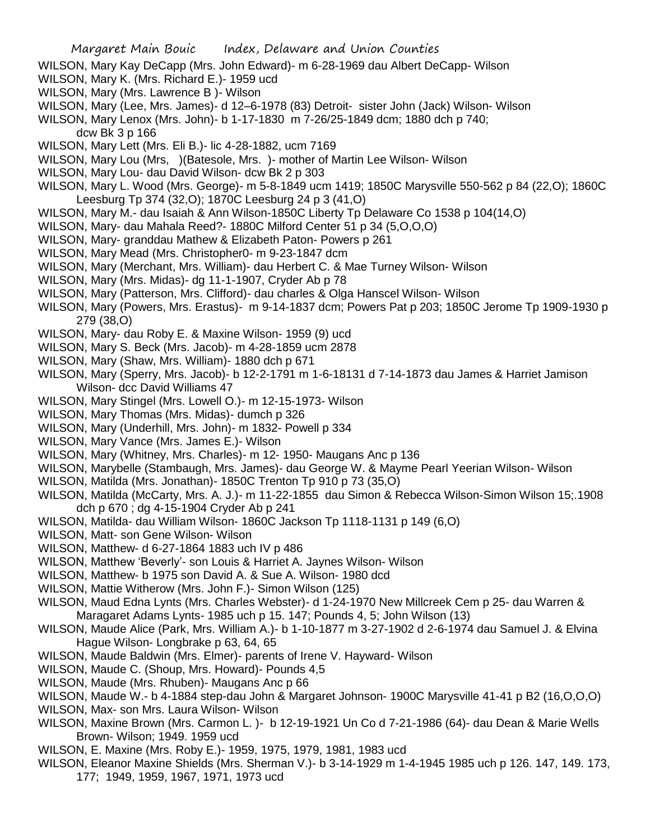- WILSON, Mary Kay DeCapp (Mrs. John Edward)- m 6-28-1969 dau Albert DeCapp- Wilson
- WILSON, Mary K. (Mrs. Richard E.)- 1959 ucd
- WILSON, Mary (Mrs. Lawrence B )- Wilson
- WILSON, Mary (Lee, Mrs. James)- d 12–6-1978 (83) Detroit- sister John (Jack) Wilson- Wilson
- WILSON, Mary Lenox (Mrs. John)- b 1-17-1830 m 7-26/25-1849 dcm; 1880 dch p 740;
	- dcw Bk 3 p 166
- WILSON, Mary Lett (Mrs. Eli B.)- lic 4-28-1882, ucm 7169
- WILSON, Mary Lou (Mrs, )(Batesole, Mrs. )- mother of Martin Lee Wilson- Wilson
- WILSON, Mary Lou- dau David Wilson- dcw Bk 2 p 303
- WILSON, Mary L. Wood (Mrs. George)- m 5-8-1849 ucm 1419; 1850C Marysville 550-562 p 84 (22,O); 1860C Leesburg Tp 374 (32,O); 1870C Leesburg 24 p 3 (41,O)
- WILSON, Mary M.- dau Isaiah & Ann Wilson-1850C Liberty Tp Delaware Co 1538 p 104(14,O)
- WILSON, Mary- dau Mahala Reed?- 1880C Milford Center 51 p 34 (5,O,O,O)
- WILSON, Mary- granddau Mathew & Elizabeth Paton- Powers p 261
- WILSON, Mary Mead (Mrs. Christopher0- m 9-23-1847 dcm
- WILSON, Mary (Merchant, Mrs. William)- dau Herbert C. & Mae Turney Wilson- Wilson
- WILSON, Mary (Mrs. Midas)- dg 11-1-1907, Cryder Ab p 78
- WILSON, Mary (Patterson, Mrs. Clifford)- dau charles & Olga Hanscel Wilson- Wilson
- WILSON, Mary (Powers, Mrs. Erastus)- m 9-14-1837 dcm; Powers Pat p 203; 1850C Jerome Tp 1909-1930 p 279 (38,O)
- WILSON, Mary- dau Roby E. & Maxine Wilson- 1959 (9) ucd
- WILSON, Mary S. Beck (Mrs. Jacob)- m 4-28-1859 ucm 2878
- WILSON, Mary (Shaw, Mrs. William)- 1880 dch p 671
- WILSON, Mary (Sperry, Mrs. Jacob)- b 12-2-1791 m 1-6-18131 d 7-14-1873 dau James & Harriet Jamison Wilson- dcc David Williams 47
- WILSON, Mary Stingel (Mrs. Lowell O.)- m 12-15-1973- Wilson
- WILSON, Mary Thomas (Mrs. Midas)- dumch p 326
- WILSON, Mary (Underhill, Mrs. John)- m 1832- Powell p 334
- WILSON, Mary Vance (Mrs. James E.)- Wilson
- WILSON, Mary (Whitney, Mrs. Charles)- m 12- 1950- Maugans Anc p 136
- WILSON, Marybelle (Stambaugh, Mrs. James)- dau George W. & Mayme Pearl Yeerian Wilson- Wilson
- WILSON, Matilda (Mrs. Jonathan)- 1850C Trenton Tp 910 p 73 (35,O)
- WILSON, Matilda (McCarty, Mrs. A. J.)- m 11-22-1855 dau Simon & Rebecca Wilson-Simon Wilson 15;.1908 dch p 670 ; dg 4-15-1904 Cryder Ab p 241
- WILSON, Matilda- dau William Wilson- 1860C Jackson Tp 1118-1131 p 149 (6,O)
- WILSON, Matt- son Gene Wilson- Wilson
- WILSON, Matthew- d 6-27-1864 1883 uch IV p 486
- WILSON, Matthew 'Beverly'- son Louis & Harriet A. Jaynes Wilson- Wilson
- WILSON, Matthew- b 1975 son David A. & Sue A. Wilson- 1980 dcd
- WILSON, Mattie Witherow (Mrs. John F.)- Simon Wilson (125)
- WILSON, Maud Edna Lynts (Mrs. Charles Webster)- d 1-24-1970 New Millcreek Cem p 25- dau Warren & Maragaret Adams Lynts- 1985 uch p 15. 147; Pounds 4, 5; John Wilson (13)
- WILSON, Maude Alice (Park, Mrs. William A.)- b 1-10-1877 m 3-27-1902 d 2-6-1974 dau Samuel J. & Elvina Hague Wilson- Longbrake p 63, 64, 65
- WILSON, Maude Baldwin (Mrs. Elmer)- parents of Irene V. Hayward- Wilson
- WILSON, Maude C. (Shoup, Mrs. Howard)- Pounds 4,5
- WILSON, Maude (Mrs. Rhuben)- Maugans Anc p 66
- WILSON, Maude W.- b 4-1884 step-dau John & Margaret Johnson- 1900C Marysville 41-41 p B2 (16,O,O,O)
- WILSON, Max- son Mrs. Laura Wilson- Wilson
- WILSON, Maxine Brown (Mrs. Carmon L. )- b 12-19-1921 Un Co d 7-21-1986 (64)- dau Dean & Marie Wells Brown- Wilson; 1949. 1959 ucd
- WILSON, E. Maxine (Mrs. Roby E.)- 1959, 1975, 1979, 1981, 1983 ucd
- WILSON, Eleanor Maxine Shields (Mrs. Sherman V.)- b 3-14-1929 m 1-4-1945 1985 uch p 126. 147, 149. 173, 177; 1949, 1959, 1967, 1971, 1973 ucd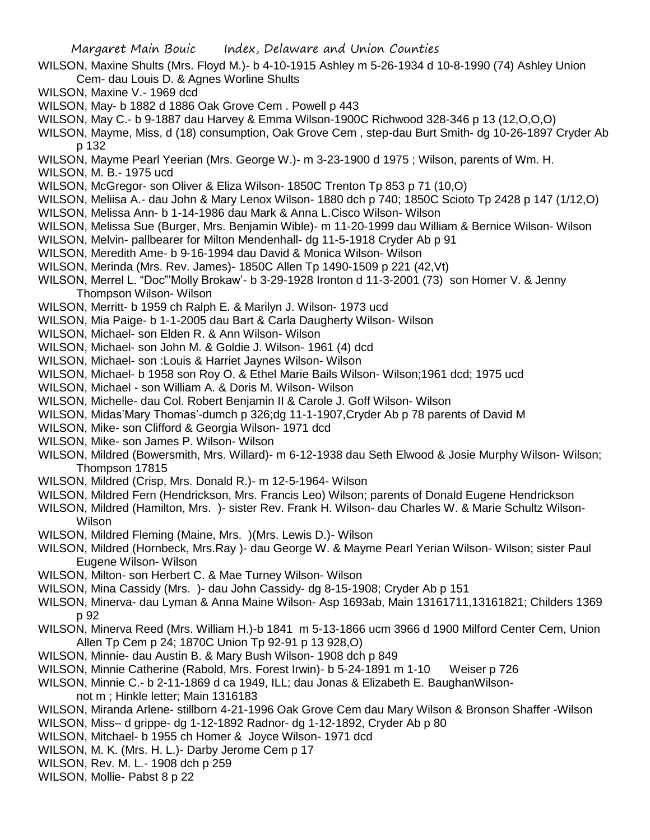- WILSON, Maxine Shults (Mrs. Floyd M.)- b 4-10-1915 Ashley m 5-26-1934 d 10-8-1990 (74) Ashley Union Cem- dau Louis D. & Agnes Worline Shults
- WILSON, Maxine V.- 1969 dcd
- WILSON, May- b 1882 d 1886 Oak Grove Cem . Powell p 443
- WILSON, May C.- b 9-1887 dau Harvey & Emma Wilson-1900C Richwood 328-346 p 13 (12,O,O,O)
- WILSON, Mayme, Miss, d (18) consumption, Oak Grove Cem , step-dau Burt Smith- dg 10-26-1897 Cryder Ab p 132
- WILSON, Mayme Pearl Yeerian (Mrs. George W.)- m 3-23-1900 d 1975 ; Wilson, parents of Wm. H.
- WILSON, M. B.- 1975 ucd
- WILSON, McGregor- son Oliver & Eliza Wilson- 1850C Trenton Tp 853 p 71 (10,O)
- WILSON, Meliisa A.- dau John & Mary Lenox Wilson- 1880 dch p 740; 1850C Scioto Tp 2428 p 147 (1/12,O)
- WILSON, Melissa Ann- b 1-14-1986 dau Mark & Anna L.Cisco Wilson- Wilson
- WILSON, Melissa Sue (Burger, Mrs. Benjamin Wible)- m 11-20-1999 dau William & Bernice Wilson- Wilson
- WILSON, Melvin- pallbearer for Milton Mendenhall- dg 11-5-1918 Cryder Ab p 91
- WILSON, Meredith Ame- b 9-16-1994 dau David & Monica Wilson- Wilson
- WILSON, Merinda (Mrs. Rev. James)- 1850C Allen Tp 1490-1509 p 221 (42,Vt)
- WILSON, Merrel L. "Doc"'Molly Brokaw'- b 3-29-1928 Ironton d 11-3-2001 (73) son Homer V. & Jenny Thompson Wilson- Wilson
- WILSON, Merritt- b 1959 ch Ralph E. & Marilyn J. Wilson- 1973 ucd
- WILSON, Mia Paige- b 1-1-2005 dau Bart & Carla Daugherty Wilson- Wilson
- WILSON, Michael- son Elden R. & Ann Wilson- Wilson
- WILSON, Michael- son John M. & Goldie J. Wilson- 1961 (4) dcd
- WILSON, Michael- son :Louis & Harriet Jaynes Wilson- Wilson
- WILSON, Michael- b 1958 son Roy O. & Ethel Marie Bails Wilson- Wilson;1961 dcd; 1975 ucd
- WILSON, Michael son William A. & Doris M. Wilson- Wilson
- WILSON, Michelle- dau Col. Robert Benjamin II & Carole J. Goff Wilson- Wilson
- WILSON, Midas'Mary Thomas'-dumch p 326;dg 11-1-1907,Cryder Ab p 78 parents of David M
- WILSON, Mike- son Clifford & Georgia Wilson- 1971 dcd
- WILSON, Mike- son James P. Wilson- Wilson
- WILSON, Mildred (Bowersmith, Mrs. Willard)- m 6-12-1938 dau Seth Elwood & Josie Murphy Wilson- Wilson; Thompson 17815
- WILSON, Mildred (Crisp, Mrs. Donald R.)- m 12-5-1964- Wilson
- WILSON, Mildred Fern (Hendrickson, Mrs. Francis Leo) Wilson; parents of Donald Eugene Hendrickson
- WILSON, Mildred (Hamilton, Mrs. )- sister Rev. Frank H. Wilson- dau Charles W. & Marie Schultz Wilson-**Wilson**
- WILSON, Mildred Fleming (Maine, Mrs. )(Mrs. Lewis D.)- Wilson
- WILSON, Mildred (Hornbeck, Mrs.Ray )- dau George W. & Mayme Pearl Yerian Wilson- Wilson; sister Paul Eugene Wilson- Wilson
- WILSON, Milton- son Herbert C. & Mae Turney Wilson- Wilson
- WILSON, Mina Cassidy (Mrs. )- dau John Cassidy- dg 8-15-1908; Cryder Ab p 151
- WILSON, Minerva- dau Lyman & Anna Maine Wilson- Asp 1693ab, Main 13161711,13161821; Childers 1369 p 92
- WILSON, Minerva Reed (Mrs. William H.)-b 1841 m 5-13-1866 ucm 3966 d 1900 Milford Center Cem, Union Allen Tp Cem p 24; 1870C Union Tp 92-91 p 13 928,O)
- WILSON, Minnie- dau Austin B. & Mary Bush Wilson- 1908 dch p 849
- WILSON, Minnie Catherine (Rabold, Mrs. Forest Irwin)- b 5-24-1891 m 1-10 Weiser p 726
- WILSON, Minnie C.- b 2-11-1869 d ca 1949, ILL; dau Jonas & Elizabeth E. BaughanWilsonnot m ; Hinkle letter; Main 1316183
- WILSON, Miranda Arlene- stillborn 4-21-1996 Oak Grove Cem dau Mary Wilson & Bronson Shaffer -Wilson
- WILSON, Miss– d grippe- dg 1-12-1892 Radnor- dg 1-12-1892, Cryder Ab p 80
- WILSON, Mitchael- b 1955 ch Homer & Joyce Wilson- 1971 dcd
- WILSON, M. K. (Mrs. H. L.)- Darby Jerome Cem p 17
- WILSON, Rev. M. L.- 1908 dch p 259
- WILSON, Mollie- Pabst 8 p 22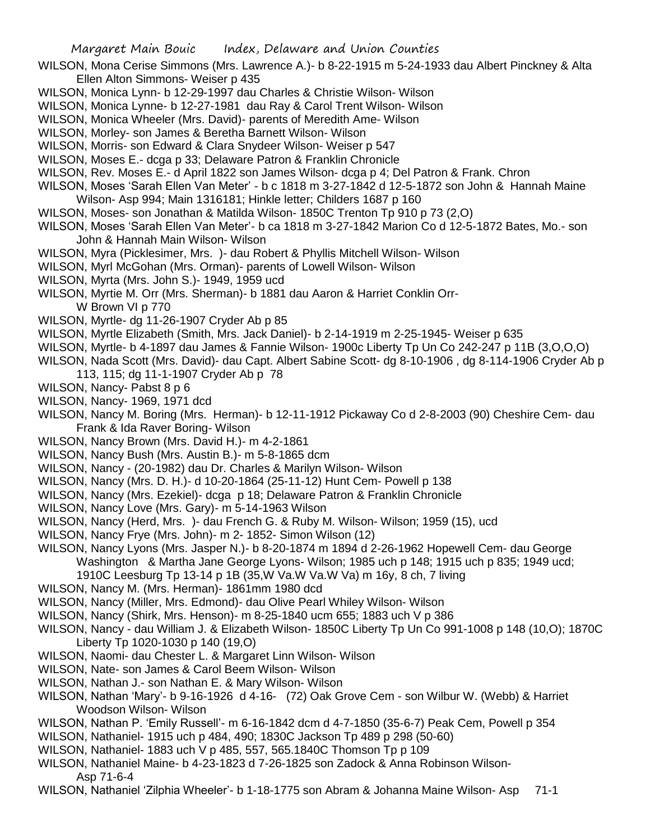- WILSON, Mona Cerise Simmons (Mrs. Lawrence A.)- b 8-22-1915 m 5-24-1933 dau Albert Pinckney & Alta Ellen Alton Simmons- Weiser p 435
- WILSON, Monica Lynn- b 12-29-1997 dau Charles & Christie Wilson- Wilson
- WILSON, Monica Lynne- b 12-27-1981 dau Ray & Carol Trent Wilson- Wilson
- WILSON, Monica Wheeler (Mrs. David)- parents of Meredith Ame- Wilson
- WILSON, Morley- son James & Beretha Barnett Wilson- Wilson
- WILSON, Morris- son Edward & Clara Snydeer Wilson- Weiser p 547
- WILSON, Moses E.- dcga p 33; Delaware Patron & Franklin Chronicle
- WILSON, Rev. Moses E.- d April 1822 son James Wilson- dcga p 4; Del Patron & Frank. Chron
- WILSON, Moses 'Sarah Ellen Van Meter' b c 1818 m 3-27-1842 d 12-5-1872 son John & Hannah Maine Wilson- Asp 994; Main 1316181; Hinkle letter; Childers 1687 p 160
- WILSON, Moses- son Jonathan & Matilda Wilson- 1850C Trenton Tp 910 p 73 (2,O)
- WILSON, Moses 'Sarah Ellen Van Meter'- b ca 1818 m 3-27-1842 Marion Co d 12-5-1872 Bates, Mo.- son John & Hannah Main Wilson- Wilson
- WILSON, Myra (Picklesimer, Mrs. )- dau Robert & Phyllis Mitchell Wilson- Wilson
- WILSON, Myrl McGohan (Mrs. Orman)- parents of Lowell Wilson- Wilson
- WILSON, Myrta (Mrs. John S.)- 1949, 1959 ucd
- WILSON, Myrtie M. Orr (Mrs. Sherman)- b 1881 dau Aaron & Harriet Conklin Orr-W Brown VI p 770
- WILSON, Myrtle- dg 11-26-1907 Cryder Ab p 85
- WILSON, Myrtle Elizabeth (Smith, Mrs. Jack Daniel)- b 2-14-1919 m 2-25-1945- Weiser p 635
- WILSON, Myrtle- b 4-1897 dau James & Fannie Wilson- 1900c Liberty Tp Un Co 242-247 p 11B (3,O,O,O)
- WILSON, Nada Scott (Mrs. David)- dau Capt. Albert Sabine Scott- dg 8-10-1906 , dg 8-114-1906 Cryder Ab p 113, 115; dg 11-1-1907 Cryder Ab p 78
- WILSON, Nancy- Pabst 8 p 6
- WILSON, Nancy- 1969, 1971 dcd
- WILSON, Nancy M. Boring (Mrs. Herman)- b 12-11-1912 Pickaway Co d 2-8-2003 (90) Cheshire Cem- dau Frank & Ida Raver Boring- Wilson
- WILSON, Nancy Brown (Mrs. David H.)- m 4-2-1861
- WILSON, Nancy Bush (Mrs. Austin B.)- m 5-8-1865 dcm
- WILSON, Nancy (20-1982) dau Dr. Charles & Marilyn Wilson- Wilson
- WILSON, Nancy (Mrs. D. H.)- d 10-20-1864 (25-11-12) Hunt Cem- Powell p 138
- WILSON, Nancy (Mrs. Ezekiel)- dcga p 18; Delaware Patron & Franklin Chronicle
- WILSON, Nancy Love (Mrs. Gary)- m 5-14-1963 Wilson
- WILSON, Nancy (Herd, Mrs. )- dau French G. & Ruby M. Wilson- Wilson; 1959 (15), ucd
- WILSON, Nancy Frye (Mrs. John)- m 2- 1852- Simon Wilson (12)
- WILSON, Nancy Lyons (Mrs. Jasper N.)- b 8-20-1874 m 1894 d 2-26-1962 Hopewell Cem- dau George Washington & Martha Jane George Lyons- Wilson; 1985 uch p 148; 1915 uch p 835; 1949 ucd; 1910C Leesburg Tp 13-14 p 1B (35,W Va.W Va.W Va) m 16y, 8 ch, 7 living
- WILSON, Nancy M. (Mrs. Herman)- 1861mm 1980 dcd
- WILSON, Nancy (Miller, Mrs. Edmond)- dau Olive Pearl Whiley Wilson- Wilson
- WILSON, Nancy (Shirk, Mrs. Henson)- m 8-25-1840 ucm 655; 1883 uch V p 386
- WILSON, Nancy dau William J. & Elizabeth Wilson- 1850C Liberty Tp Un Co 991-1008 p 148 (10,O); 1870C Liberty Tp 1020-1030 p 140 (19,O)
- WILSON, Naomi- dau Chester L. & Margaret Linn Wilson- Wilson
- WILSON, Nate- son James & Carol Beem Wilson- Wilson
- WILSON, Nathan J.- son Nathan E. & Mary Wilson- Wilson
- WILSON, Nathan 'Mary'- b 9-16-1926 d 4-16- (72) Oak Grove Cem son Wilbur W. (Webb) & Harriet Woodson Wilson- Wilson
- WILSON, Nathan P. 'Emily Russell'- m 6-16-1842 dcm d 4-7-1850 (35-6-7) Peak Cem, Powell p 354
- WILSON, Nathaniel- 1915 uch p 484, 490; 1830C Jackson Tp 489 p 298 (50-60)
- WILSON, Nathaniel- 1883 uch V p 485, 557, 565.1840C Thomson Tp p 109
- WILSON, Nathaniel Maine- b 4-23-1823 d 7-26-1825 son Zadock & Anna Robinson Wilson-Asp 71-6-4
- WILSON, Nathaniel 'Zilphia Wheeler'- b 1-18-1775 son Abram & Johanna Maine Wilson- Asp 71-1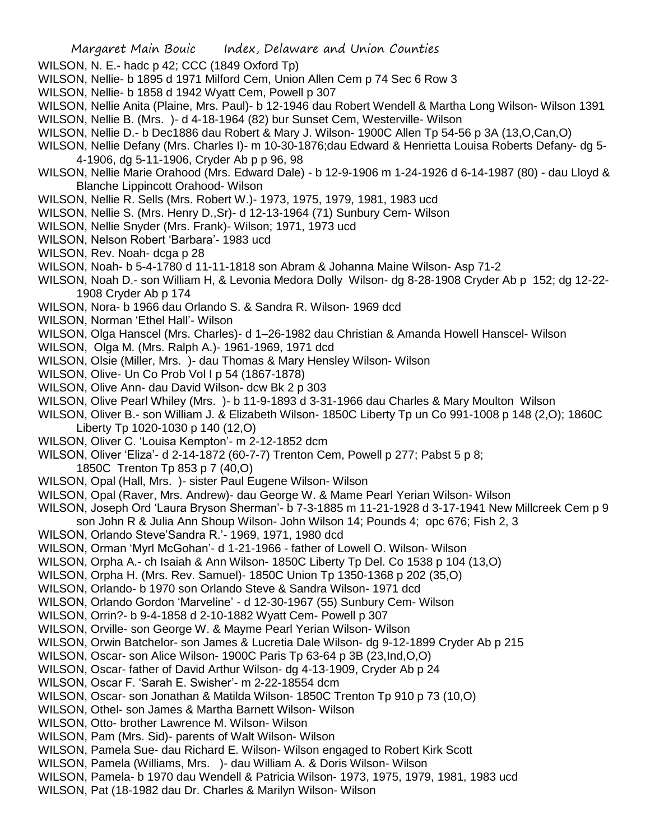- WILSON, N. E.- hadc p 42; CCC (1849 Oxford Tp)
- WILSON, Nellie- b 1895 d 1971 Milford Cem, Union Allen Cem p 74 Sec 6 Row 3
- WILSON, Nellie- b 1858 d 1942 Wyatt Cem, Powell p 307
- WILSON, Nellie Anita (Plaine, Mrs. Paul)- b 12-1946 dau Robert Wendell & Martha Long Wilson- Wilson 1391
- WILSON, Nellie B. (Mrs. )- d 4-18-1964 (82) bur Sunset Cem, Westerville- Wilson
- WILSON, Nellie D.- b Dec1886 dau Robert & Mary J. Wilson- 1900C Allen Tp 54-56 p 3A (13,O,Can,O)
- WILSON, Nellie Defany (Mrs. Charles I)- m 10-30-1876;dau Edward & Henrietta Louisa Roberts Defany- dg 5- 4-1906, dg 5-11-1906, Cryder Ab p p 96, 98
- WILSON, Nellie Marie Orahood (Mrs. Edward Dale) b 12-9-1906 m 1-24-1926 d 6-14-1987 (80) dau Lloyd & Blanche Lippincott Orahood- Wilson
- WILSON, Nellie R. Sells (Mrs. Robert W.)- 1973, 1975, 1979, 1981, 1983 ucd
- WILSON, Nellie S. (Mrs. Henry D.,Sr)- d 12-13-1964 (71) Sunbury Cem- Wilson
- WILSON, Nellie Snyder (Mrs. Frank)- Wilson; 1971, 1973 ucd
- WILSON, Nelson Robert 'Barbara'- 1983 ucd
- WILSON, Rev. Noah- dcga p 28
- WILSON, Noah- b 5-4-1780 d 11-11-1818 son Abram & Johanna Maine Wilson- Asp 71-2
- WILSON, Noah D.- son William H, & Levonia Medora Dolly Wilson- dg 8-28-1908 Cryder Ab p 152; dg 12-22- 1908 Cryder Ab p 174
- WILSON, Nora- b 1966 dau Orlando S. & Sandra R. Wilson- 1969 dcd
- WILSON, Norman 'Ethel Hall'- Wilson
- WILSON, Olga Hanscel (Mrs. Charles)- d 1–26-1982 dau Christian & Amanda Howell Hanscel- Wilson
- WILSON, Olga M. (Mrs. Ralph A.)- 1961-1969, 1971 dcd
- WILSON, Olsie (Miller, Mrs. )- dau Thomas & Mary Hensley Wilson- Wilson
- WILSON, Olive- Un Co Prob Vol I p 54 (1867-1878)
- WILSON, Olive Ann- dau David Wilson- dcw Bk 2 p 303
- WILSON, Olive Pearl Whiley (Mrs. )- b 11-9-1893 d 3-31-1966 dau Charles & Mary Moulton Wilson
- WILSON, Oliver B.- son William J. & Elizabeth Wilson- 1850C Liberty Tp un Co 991-1008 p 148 (2,O); 1860C Liberty Tp 1020-1030 p 140 (12,O)
- WILSON, Oliver C. 'Louisa Kempton'- m 2-12-1852 dcm
- WILSON, Oliver 'Eliza'- d 2-14-1872 (60-7-7) Trenton Cem, Powell p 277; Pabst 5 p 8;
	- 1850C Trenton Tp 853 p 7 (40,O)
- WILSON, Opal (Hall, Mrs. )- sister Paul Eugene Wilson- Wilson
- WILSON, Opal (Raver, Mrs. Andrew)- dau George W. & Mame Pearl Yerian Wilson- Wilson
- WILSON, Joseph Ord 'Laura Bryson Sherman'- b 7-3-1885 m 11-21-1928 d 3-17-1941 New Millcreek Cem p 9
- son John R & Julia Ann Shoup Wilson- John Wilson 14; Pounds 4; opc 676; Fish 2, 3
- WILSON, Orlando Steve'Sandra R.'- 1969, 1971, 1980 dcd
- WILSON, Orman 'Myrl McGohan'- d 1-21-1966 father of Lowell O. Wilson- Wilson
- WILSON, Orpha A.- ch Isaiah & Ann Wilson- 1850C Liberty Tp Del. Co 1538 p 104 (13,O)
- WILSON, Orpha H. (Mrs. Rev. Samuel)- 1850C Union Tp 1350-1368 p 202 (35,O)
- WILSON, Orlando- b 1970 son Orlando Steve & Sandra Wilson- 1971 dcd
- WILSON, Orlando Gordon 'Marveline' d 12-30-1967 (55) Sunbury Cem- Wilson
- WILSON, Orrin?- b 9-4-1858 d 2-10-1882 Wyatt Cem- Powell p 307
- WILSON, Orville- son George W. & Mayme Pearl Yerian Wilson- Wilson
- WILSON, Orwin Batchelor- son James & Lucretia Dale Wilson- dg 9-12-1899 Cryder Ab p 215
- WILSON, Oscar- son Alice Wilson- 1900C Paris Tp 63-64 p 3B (23,Ind,O,O)
- WILSON, Oscar- father of David Arthur Wilson- dg 4-13-1909, Cryder Ab p 24
- WILSON, Oscar F. 'Sarah E. Swisher'- m 2-22-18554 dcm
- WILSON, Oscar- son Jonathan & Matilda Wilson- 1850C Trenton Tp 910 p 73 (10,O)
- WILSON, Othel- son James & Martha Barnett Wilson- Wilson
- WILSON, Otto- brother Lawrence M. Wilson- Wilson
- WILSON, Pam (Mrs. Sid)- parents of Walt Wilson- Wilson
- WILSON, Pamela Sue- dau Richard E. Wilson- Wilson engaged to Robert Kirk Scott
- WILSON, Pamela (Williams, Mrs. )- dau William A. & Doris Wilson- Wilson
- WILSON, Pamela- b 1970 dau Wendell & Patricia Wilson- 1973, 1975, 1979, 1981, 1983 ucd
- WILSON, Pat (18-1982 dau Dr. Charles & Marilyn Wilson- Wilson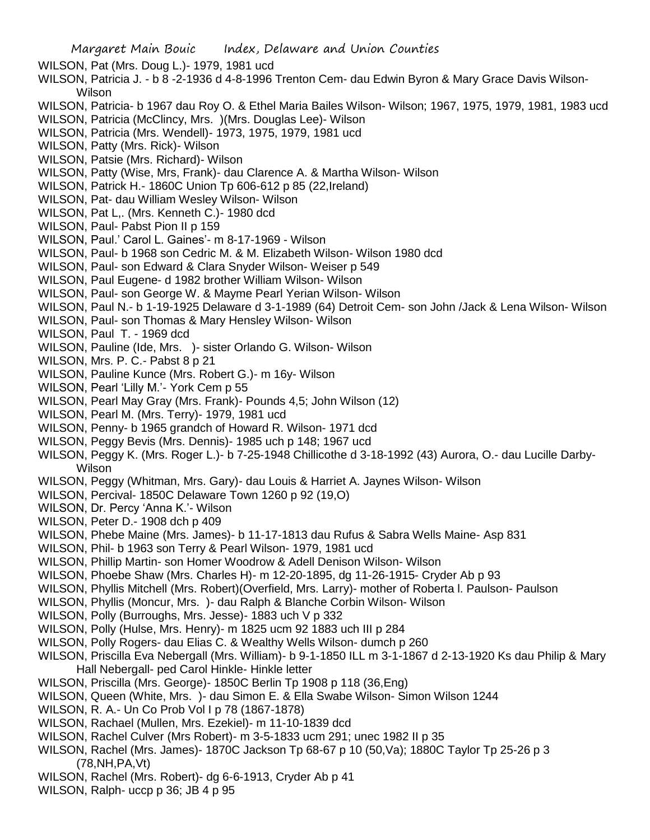- WILSON, Pat (Mrs. Doug L.)- 1979, 1981 ucd
- WILSON, Patricia J. b 8 -2-1936 d 4-8-1996 Trenton Cem- dau Edwin Byron & Mary Grace Davis Wilson-Wilson
- WILSON, Patricia- b 1967 dau Roy O. & Ethel Maria Bailes Wilson- Wilson; 1967, 1975, 1979, 1981, 1983 ucd
- WILSON, Patricia (McClincy, Mrs. )(Mrs. Douglas Lee)- Wilson
- WILSON, Patricia (Mrs. Wendell)- 1973, 1975, 1979, 1981 ucd
- WILSON, Patty (Mrs. Rick)- Wilson
- WILSON, Patsie (Mrs. Richard)- Wilson
- WILSON, Patty (Wise, Mrs, Frank)- dau Clarence A. & Martha Wilson- Wilson
- WILSON, Patrick H.- 1860C Union Tp 606-612 p 85 (22,Ireland)
- WILSON, Pat- dau William Wesley Wilson- Wilson
- WILSON, Pat L,. (Mrs. Kenneth C.)- 1980 dcd
- WILSON, Paul- Pabst Pion II p 159
- WILSON, Paul.' Carol L. Gaines'- m 8-17-1969 Wilson
- WILSON, Paul- b 1968 son Cedric M. & M. Elizabeth Wilson- Wilson 1980 dcd
- WILSON, Paul- son Edward & Clara Snyder Wilson- Weiser p 549
- WILSON, Paul Eugene- d 1982 brother William Wilson- Wilson
- WILSON, Paul- son George W. & Mayme Pearl Yerian Wilson- Wilson
- WILSON, Paul N.- b 1-19-1925 Delaware d 3-1-1989 (64) Detroit Cem- son John /Jack & Lena Wilson- Wilson
- WILSON, Paul- son Thomas & Mary Hensley Wilson- Wilson
- WILSON, Paul T. 1969 dcd
- WILSON, Pauline (Ide, Mrs. )- sister Orlando G. Wilson- Wilson
- WILSON, Mrs. P. C.- Pabst 8 p 21
- WILSON, Pauline Kunce (Mrs. Robert G.)- m 16y- Wilson
- WILSON, Pearl 'Lilly M.'- York Cem p 55
- WILSON, Pearl May Gray (Mrs. Frank)- Pounds 4,5; John Wilson (12)
- WILSON, Pearl M. (Mrs. Terry)- 1979, 1981 ucd
- WILSON, Penny- b 1965 grandch of Howard R. Wilson- 1971 dcd
- WILSON, Peggy Bevis (Mrs. Dennis)- 1985 uch p 148; 1967 ucd
- WILSON, Peggy K. (Mrs. Roger L.)- b 7-25-1948 Chillicothe d 3-18-1992 (43) Aurora, O.- dau Lucille Darby-Wilson
- WILSON, Peggy (Whitman, Mrs. Gary)- dau Louis & Harriet A. Jaynes Wilson- Wilson
- WILSON, Percival- 1850C Delaware Town 1260 p 92 (19,O)
- WILSON, Dr. Percy 'Anna K.'- Wilson
- WILSON, Peter D.- 1908 dch p 409
- WILSON, Phebe Maine (Mrs. James)- b 11-17-1813 dau Rufus & Sabra Wells Maine- Asp 831
- WILSON, Phil- b 1963 son Terry & Pearl Wilson- 1979, 1981 ucd
- WILSON, Phillip Martin- son Homer Woodrow & Adell Denison Wilson- Wilson
- WILSON, Phoebe Shaw (Mrs. Charles H)- m 12-20-1895, dg 11-26-1915- Cryder Ab p 93
- WILSON, Phyllis Mitchell (Mrs. Robert)(Overfield, Mrs. Larry)- mother of Roberta l. Paulson- Paulson
- WILSON, Phyllis (Moncur, Mrs. )- dau Ralph & Blanche Corbin Wilson- Wilson
- WILSON, Polly (Burroughs, Mrs. Jesse)- 1883 uch V p 332
- WILSON, Polly (Hulse, Mrs. Henry)- m 1825 ucm 92 1883 uch III p 284
- WILSON, Polly Rogers- dau Elias C. & Wealthy Wells Wilson- dumch p 260
- WILSON, Priscilla Eva Nebergall (Mrs. William)- b 9-1-1850 ILL m 3-1-1867 d 2-13-1920 Ks dau Philip & Mary Hall Nebergall- ped Carol Hinkle- Hinkle letter
- WILSON, Priscilla (Mrs. George)- 1850C Berlin Tp 1908 p 118 (36,Eng)
- WILSON, Queen (White, Mrs. )- dau Simon E. & Ella Swabe Wilson- Simon Wilson 1244
- WILSON, R. A.- Un Co Prob Vol I p 78 (1867-1878)
- WILSON, Rachael (Mullen, Mrs. Ezekiel)- m 11-10-1839 dcd
- WILSON, Rachel Culver (Mrs Robert)- m 3-5-1833 ucm 291; unec 1982 II p 35
- WILSON, Rachel (Mrs. James)- 1870C Jackson Tp 68-67 p 10 (50,Va); 1880C Taylor Tp 25-26 p 3 (78,NH,PA,Vt)
- WILSON, Rachel (Mrs. Robert)- dg 6-6-1913, Cryder Ab p 41
- WILSON, Ralph- uccp p 36; JB 4 p 95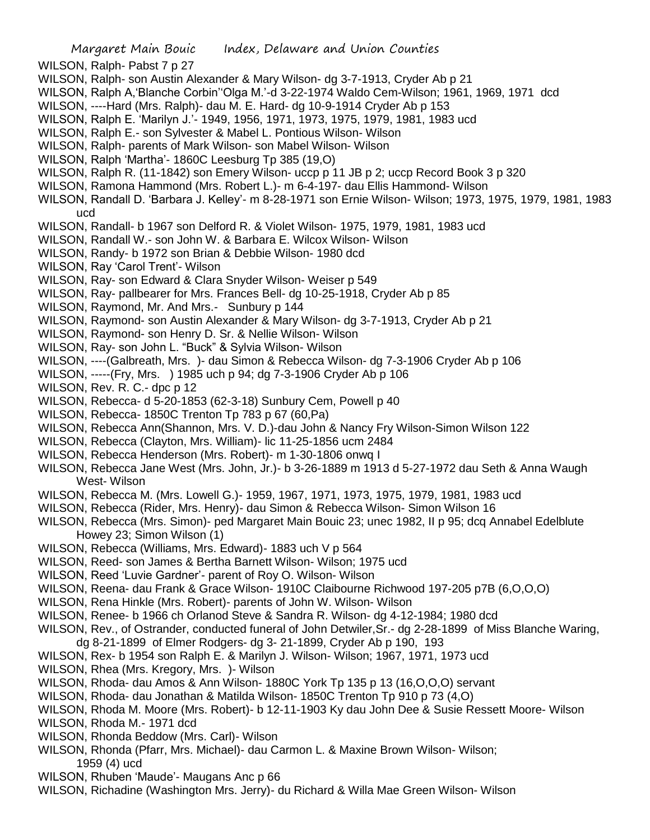WILSON, Ralph- Pabst 7 p 27

- WILSON, Ralph- son Austin Alexander & Mary Wilson- dg 3-7-1913, Cryder Ab p 21
- WILSON, Ralph A,'Blanche Corbin''Olga M.'-d 3-22-1974 Waldo Cem-Wilson; 1961, 1969, 1971 dcd
- WILSON, ----Hard (Mrs. Ralph)- dau M. E. Hard- dg 10-9-1914 Cryder Ab p 153
- WILSON, Ralph E. 'Marilyn J.'- 1949, 1956, 1971, 1973, 1975, 1979, 1981, 1983 ucd
- WILSON, Ralph E.- son Sylvester & Mabel L. Pontious Wilson- Wilson
- WILSON, Ralph- parents of Mark Wilson- son Mabel Wilson- Wilson
- WILSON, Ralph 'Martha'- 1860C Leesburg Tp 385 (19,O)
- WILSON, Ralph R. (11-1842) son Emery Wilson- uccp p 11 JB p 2; uccp Record Book 3 p 320
- WILSON, Ramona Hammond (Mrs. Robert L.)- m 6-4-197- dau Ellis Hammond- Wilson
- WILSON, Randall D. 'Barbara J. Kelley'- m 8-28-1971 son Ernie Wilson- Wilson; 1973, 1975, 1979, 1981, 1983 ucd
- WILSON, Randall- b 1967 son Delford R. & Violet Wilson- 1975, 1979, 1981, 1983 ucd
- WILSON, Randall W.- son John W. & Barbara E. Wilcox Wilson- Wilson
- WILSON, Randy- b 1972 son Brian & Debbie Wilson- 1980 dcd
- WILSON, Ray 'Carol Trent'- Wilson
- WILSON, Ray- son Edward & Clara Snyder Wilson- Weiser p 549
- WILSON, Ray- pallbearer for Mrs. Frances Bell- dg 10-25-1918, Cryder Ab p 85
- WILSON, Raymond, Mr. And Mrs.- Sunbury p 144
- WILSON, Raymond- son Austin Alexander & Mary Wilson- dg 3-7-1913, Cryder Ab p 21
- WILSON, Raymond- son Henry D. Sr. & Nellie Wilson- Wilson
- WILSON, Ray- son John L. "Buck" & Sylvia Wilson- Wilson
- WILSON, ----(Galbreath, Mrs. )- dau Simon & Rebecca Wilson- dg 7-3-1906 Cryder Ab p 106
- WILSON, -----(Fry, Mrs. ) 1985 uch p 94; dg 7-3-1906 Cryder Ab p 106
- WILSON, Rev. R. C.- dpc p 12
- WILSON, Rebecca- d 5-20-1853 (62-3-18) Sunbury Cem, Powell p 40
- WILSON, Rebecca- 1850C Trenton Tp 783 p 67 (60,Pa)
- WILSON, Rebecca Ann(Shannon, Mrs. V. D.)-dau John & Nancy Fry Wilson-Simon Wilson 122
- WILSON, Rebecca (Clayton, Mrs. William)- lic 11-25-1856 ucm 2484
- WILSON, Rebecca Henderson (Mrs. Robert)- m 1-30-1806 onwq I
- WILSON, Rebecca Jane West (Mrs. John, Jr.)- b 3-26-1889 m 1913 d 5-27-1972 dau Seth & Anna Waugh West- Wilson
- WILSON, Rebecca M. (Mrs. Lowell G.)- 1959, 1967, 1971, 1973, 1975, 1979, 1981, 1983 ucd
- WILSON, Rebecca (Rider, Mrs. Henry)- dau Simon & Rebecca Wilson- Simon Wilson 16
- WILSON, Rebecca (Mrs. Simon)- ped Margaret Main Bouic 23; unec 1982, II p 95; dcq Annabel Edelblute Howey 23; Simon Wilson (1)
- WILSON, Rebecca (Williams, Mrs. Edward)- 1883 uch V p 564
- WILSON, Reed- son James & Bertha Barnett Wilson- Wilson; 1975 ucd
- WILSON, Reed 'Luvie Gardner'- parent of Roy O. Wilson- Wilson
- WILSON, Reena- dau Frank & Grace Wilson- 1910C Claibourne Richwood 197-205 p7B (6,O,O,O)
- WILSON, Rena Hinkle (Mrs. Robert)- parents of John W. Wilson- Wilson
- WILSON, Renee- b 1966 ch Orlanod Steve & Sandra R. Wilson- dg 4-12-1984; 1980 dcd
- WILSON, Rev., of Ostrander, conducted funeral of John Detwiler,Sr.- dg 2-28-1899 of Miss Blanche Waring,
- dg 8-21-1899 of Elmer Rodgers- dg 3- 21-1899, Cryder Ab p 190, 193
- WILSON, Rex- b 1954 son Ralph E. & Marilyn J. Wilson- Wilson; 1967, 1971, 1973 ucd
- WILSON, Rhea (Mrs. Kregory, Mrs. )- Wilson
- WILSON, Rhoda- dau Amos & Ann Wilson- 1880C York Tp 135 p 13 (16,O,O,O) servant
- WILSON, Rhoda- dau Jonathan & Matilda Wilson- 1850C Trenton Tp 910 p 73 (4,O)
- WILSON, Rhoda M. Moore (Mrs. Robert)- b 12-11-1903 Ky dau John Dee & Susie Ressett Moore- Wilson
- WILSON, Rhoda M.- 1971 dcd
- WILSON, Rhonda Beddow (Mrs. Carl)- Wilson
- WILSON, Rhonda (Pfarr, Mrs. Michael)- dau Carmon L. & Maxine Brown Wilson- Wilson; 1959 (4) ucd
- WILSON, Rhuben 'Maude'- Maugans Anc p 66
- WILSON, Richadine (Washington Mrs. Jerry)- du Richard & Willa Mae Green Wilson- Wilson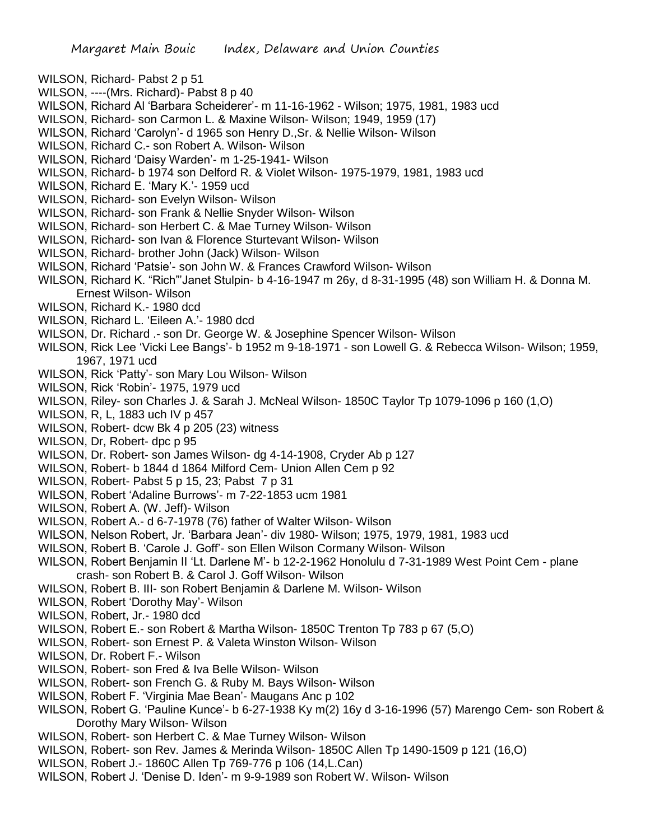- WILSON, Richard- Pabst 2 p 51
- WILSON, ----(Mrs. Richard)- Pabst 8 p 40
- WILSON, Richard Al 'Barbara Scheiderer'- m 11-16-1962 Wilson; 1975, 1981, 1983 ucd
- WILSON, Richard- son Carmon L. & Maxine Wilson- Wilson; 1949, 1959 (17)
- WILSON, Richard 'Carolyn'- d 1965 son Henry D.,Sr. & Nellie Wilson- Wilson
- WILSON, Richard C.- son Robert A. Wilson- Wilson
- WILSON, Richard 'Daisy Warden'- m 1-25-1941- Wilson
- WILSON, Richard- b 1974 son Delford R. & Violet Wilson- 1975-1979, 1981, 1983 ucd
- WILSON, Richard E. 'Mary K.'- 1959 ucd
- WILSON, Richard- son Evelyn Wilson- Wilson
- WILSON, Richard- son Frank & Nellie Snyder Wilson- Wilson
- WILSON, Richard- son Herbert C. & Mae Turney Wilson- Wilson
- WILSON, Richard- son Ivan & Florence Sturtevant Wilson- Wilson
- WILSON, Richard- brother John (Jack) Wilson- Wilson
- WILSON, Richard 'Patsie'- son John W. & Frances Crawford Wilson- Wilson
- WILSON, Richard K. "Rich"'Janet Stulpin- b 4-16-1947 m 26y, d 8-31-1995 (48) son William H. & Donna M. Ernest Wilson- Wilson
- WILSON, Richard K.- 1980 dcd
- WILSON, Richard L. 'Eileen A.'- 1980 dcd
- WILSON, Dr. Richard .- son Dr. George W. & Josephine Spencer Wilson- Wilson
- WILSON, Rick Lee 'Vicki Lee Bangs'- b 1952 m 9-18-1971 son Lowell G. & Rebecca Wilson- Wilson; 1959, 1967, 1971 ucd
- WILSON, Rick 'Patty'- son Mary Lou Wilson- Wilson
- WILSON, Rick 'Robin'- 1975, 1979 ucd
- WILSON, Riley- son Charles J. & Sarah J. McNeal Wilson- 1850C Taylor Tp 1079-1096 p 160 (1,O)
- WILSON, R, L, 1883 uch IV p 457
- WILSON, Robert- dcw Bk 4 p 205 (23) witness
- WILSON, Dr, Robert- dpc p 95
- WILSON, Dr. Robert- son James Wilson- dg 4-14-1908, Cryder Ab p 127
- WILSON, Robert- b 1844 d 1864 Milford Cem- Union Allen Cem p 92
- WILSON, Robert- Pabst 5 p 15, 23; Pabst 7 p 31
- WILSON, Robert 'Adaline Burrows'- m 7-22-1853 ucm 1981
- WILSON, Robert A. (W. Jeff)- Wilson
- WILSON, Robert A.- d 6-7-1978 (76) father of Walter Wilson- Wilson
- WILSON, Nelson Robert, Jr. 'Barbara Jean'- div 1980- Wilson; 1975, 1979, 1981, 1983 ucd
- WILSON, Robert B. 'Carole J. Goff'- son Ellen Wilson Cormany Wilson- Wilson
- WILSON, Robert Benjamin II 'Lt. Darlene M'- b 12-2-1962 Honolulu d 7-31-1989 West Point Cem plane crash- son Robert B. & Carol J. Goff Wilson- Wilson
- WILSON, Robert B. III- son Robert Benjamin & Darlene M. Wilson- Wilson
- WILSON, Robert 'Dorothy May'- Wilson
- WILSON, Robert, Jr.- 1980 dcd
- WILSON, Robert E.- son Robert & Martha Wilson- 1850C Trenton Tp 783 p 67 (5,O)
- WILSON, Robert- son Ernest P. & Valeta Winston Wilson- Wilson
- WILSON, Dr. Robert F.- Wilson
- WILSON, Robert- son Fred & Iva Belle Wilson- Wilson
- WILSON, Robert- son French G. & Ruby M. Bays Wilson- Wilson
- WILSON, Robert F. 'Virginia Mae Bean'- Maugans Anc p 102
- WILSON, Robert G. 'Pauline Kunce'- b 6-27-1938 Ky m(2) 16y d 3-16-1996 (57) Marengo Cem- son Robert & Dorothy Mary Wilson- Wilson
- WILSON, Robert- son Herbert C. & Mae Turney Wilson- Wilson
- WILSON, Robert- son Rev. James & Merinda Wilson- 1850C Allen Tp 1490-1509 p 121 (16,O)
- WILSON, Robert J.- 1860C Allen Tp 769-776 p 106 (14,L.Can)
- WILSON, Robert J. 'Denise D. Iden'- m 9-9-1989 son Robert W. Wilson- Wilson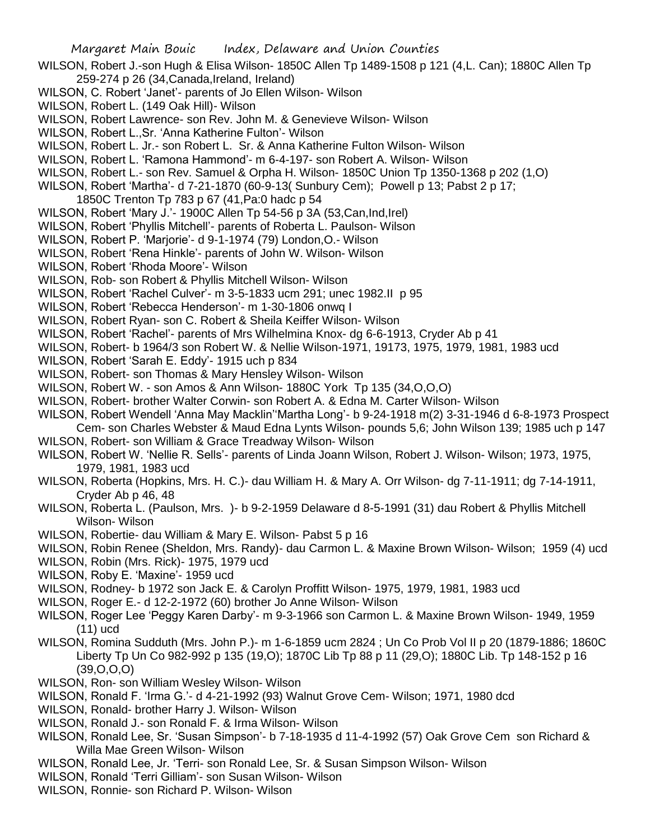- WILSON, Robert J.-son Hugh & Elisa Wilson- 1850C Allen Tp 1489-1508 p 121 (4,L. Can); 1880C Allen Tp 259-274 p 26 (34,Canada,Ireland, Ireland)
- WILSON, C. Robert 'Janet'- parents of Jo Ellen Wilson- Wilson
- WILSON, Robert L. (149 Oak Hill)- Wilson
- WILSON, Robert Lawrence- son Rev. John M. & Genevieve Wilson- Wilson
- WILSON, Robert L.,Sr. 'Anna Katherine Fulton'- Wilson
- WILSON, Robert L. Jr.- son Robert L. Sr. & Anna Katherine Fulton Wilson- Wilson
- WILSON, Robert L. 'Ramona Hammond'- m 6-4-197- son Robert A. Wilson- Wilson
- WILSON, Robert L.- son Rev. Samuel & Orpha H. Wilson- 1850C Union Tp 1350-1368 p 202 (1,O)
- WILSON, Robert 'Martha'- d 7-21-1870 (60-9-13( Sunbury Cem); Powell p 13; Pabst 2 p 17;
	- 1850C Trenton Tp 783 p 67 (41,Pa:0 hadc p 54
- WILSON, Robert 'Mary J.'- 1900C Allen Tp 54-56 p 3A (53,Can,Ind,Irel)
- WILSON, Robert 'Phyllis Mitchell'- parents of Roberta L. Paulson- Wilson
- WILSON, Robert P. 'Marjorie'- d 9-1-1974 (79) London,O.- Wilson
- WILSON, Robert 'Rena Hinkle'- parents of John W. Wilson- Wilson
- WILSON, Robert 'Rhoda Moore'- Wilson
- WILSON, Rob- son Robert & Phyllis Mitchell Wilson- Wilson
- WILSON, Robert 'Rachel Culver'- m 3-5-1833 ucm 291; unec 1982.II p 95
- WILSON, Robert 'Rebecca Henderson'- m 1-30-1806 onwq I
- WILSON, Robert Ryan- son C. Robert & Sheila Keiffer Wilson- Wilson
- WILSON, Robert 'Rachel'- parents of Mrs Wilhelmina Knox- dg 6-6-1913, Cryder Ab p 41
- WILSON, Robert- b 1964/3 son Robert W. & Nellie Wilson-1971, 19173, 1975, 1979, 1981, 1983 ucd
- WILSON, Robert 'Sarah E. Eddy'- 1915 uch p 834
- WILSON, Robert- son Thomas & Mary Hensley Wilson- Wilson
- WILSON, Robert W. son Amos & Ann Wilson- 1880C York Tp 135 (34,O,O,O)
- WILSON, Robert- brother Walter Corwin- son Robert A. & Edna M. Carter Wilson- Wilson
- WILSON, Robert Wendell 'Anna May Macklin''Martha Long'- b 9-24-1918 m(2) 3-31-1946 d 6-8-1973 Prospect
- Cem- son Charles Webster & Maud Edna Lynts Wilson- pounds 5,6; John Wilson 139; 1985 uch p 147 WILSON, Robert- son William & Grace Treadway Wilson- Wilson
- WILSON, Robert W. 'Nellie R. Sells'- parents of Linda Joann Wilson, Robert J. Wilson- Wilson; 1973, 1975, 1979, 1981, 1983 ucd
- WILSON, Roberta (Hopkins, Mrs. H. C.)- dau William H. & Mary A. Orr Wilson- dg 7-11-1911; dg 7-14-1911, Cryder Ab p 46, 48
- WILSON, Roberta L. (Paulson, Mrs. )- b 9-2-1959 Delaware d 8-5-1991 (31) dau Robert & Phyllis Mitchell Wilson- Wilson
- WILSON, Robertie- dau William & Mary E. Wilson- Pabst 5 p 16
- WILSON, Robin Renee (Sheldon, Mrs. Randy)- dau Carmon L. & Maxine Brown Wilson- Wilson; 1959 (4) ucd
- WILSON, Robin (Mrs. Rick)- 1975, 1979 ucd
- WILSON, Roby E. 'Maxine'- 1959 ucd
- WILSON, Rodney- b 1972 son Jack E. & Carolyn Proffitt Wilson- 1975, 1979, 1981, 1983 ucd
- WILSON, Roger E.- d 12-2-1972 (60) brother Jo Anne Wilson- Wilson
- WILSON, Roger Lee 'Peggy Karen Darby'- m 9-3-1966 son Carmon L. & Maxine Brown Wilson- 1949, 1959 (11) ucd
- WILSON, Romina Sudduth (Mrs. John P.)- m 1-6-1859 ucm 2824 ; Un Co Prob Vol II p 20 (1879-1886; 1860C Liberty Tp Un Co 982-992 p 135 (19,O); 1870C Lib Tp 88 p 11 (29,O); 1880C Lib. Tp 148-152 p 16 (39,O,O,O)
- WILSON, Ron- son William Wesley Wilson- Wilson
- WILSON, Ronald F. 'Irma G.'- d 4-21-1992 (93) Walnut Grove Cem- Wilson; 1971, 1980 dcd
- WILSON, Ronald- brother Harry J. Wilson- Wilson
- WILSON, Ronald J.- son Ronald F. & Irma Wilson- Wilson
- WILSON, Ronald Lee, Sr. 'Susan Simpson'- b 7-18-1935 d 11-4-1992 (57) Oak Grove Cem son Richard & Willa Mae Green Wilson- Wilson
- WILSON, Ronald Lee, Jr. 'Terri- son Ronald Lee, Sr. & Susan Simpson Wilson- Wilson
- WILSON, Ronald 'Terri Gilliam'- son Susan Wilson- Wilson
- WILSON, Ronnie- son Richard P. Wilson- Wilson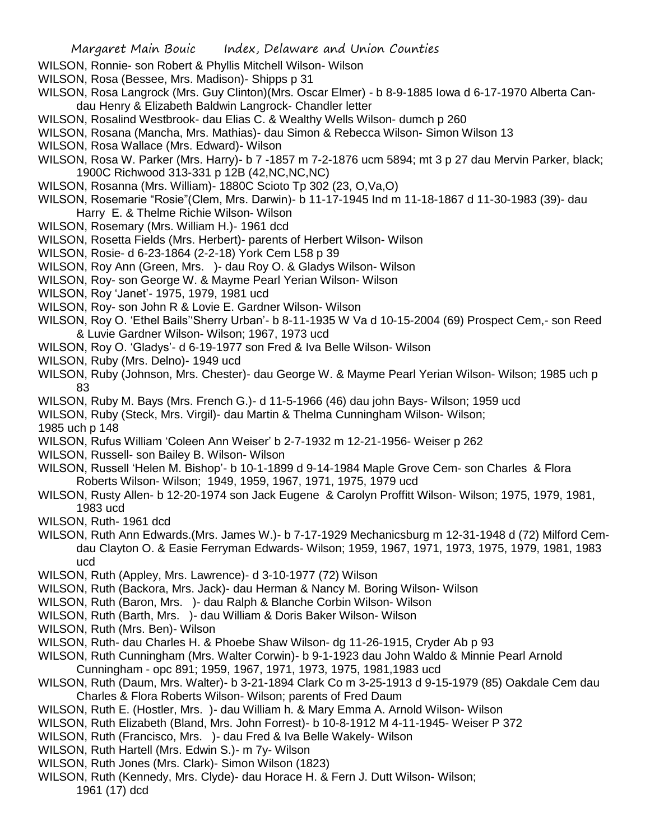- WILSON, Ronnie- son Robert & Phyllis Mitchell Wilson- Wilson
- WILSON, Rosa (Bessee, Mrs. Madison)- Shipps p 31
- WILSON, Rosa Langrock (Mrs. Guy Clinton)(Mrs. Oscar Elmer) b 8-9-1885 Iowa d 6-17-1970 Alberta Candau Henry & Elizabeth Baldwin Langrock- Chandler letter
- WILSON, Rosalind Westbrook- dau Elias C. & Wealthy Wells Wilson- dumch p 260
- WILSON, Rosana (Mancha, Mrs. Mathias)- dau Simon & Rebecca Wilson- Simon Wilson 13
- WILSON, Rosa Wallace (Mrs. Edward)- Wilson
- WILSON, Rosa W. Parker (Mrs. Harry)- b 7 -1857 m 7-2-1876 ucm 5894; mt 3 p 27 dau Mervin Parker, black; 1900C Richwood 313-331 p 12B (42,NC,NC,NC)
- WILSON, Rosanna (Mrs. William)- 1880C Scioto Tp 302 (23, O,Va,O)
- WILSON, Rosemarie "Rosie"(Clem, Mrs. Darwin)- b 11-17-1945 Ind m 11-18-1867 d 11-30-1983 (39)- dau Harry E. & Thelme Richie Wilson- Wilson
- WILSON, Rosemary (Mrs. William H.)- 1961 dcd
- WILSON, Rosetta Fields (Mrs. Herbert)- parents of Herbert Wilson- Wilson
- WILSON, Rosie- d 6-23-1864 (2-2-18) York Cem L58 p 39
- WILSON, Roy Ann (Green, Mrs. )- dau Roy O. & Gladys Wilson- Wilson
- WILSON, Roy- son George W. & Mayme Pearl Yerian Wilson- Wilson
- WILSON, Roy 'Janet'- 1975, 1979, 1981 ucd
- WILSON, Roy- son John R & Lovie E. Gardner Wilson- Wilson
- WILSON, Roy O. 'Ethel Bails''Sherry Urban'- b 8-11-1935 W Va d 10-15-2004 (69) Prospect Cem,- son Reed & Luvie Gardner Wilson- Wilson; 1967, 1973 ucd
- WILSON, Roy O. 'Gladys'- d 6-19-1977 son Fred & Iva Belle Wilson- Wilson
- WILSON, Ruby (Mrs. Delno)- 1949 ucd
- WILSON, Ruby (Johnson, Mrs. Chester)- dau George W. & Mayme Pearl Yerian Wilson- Wilson; 1985 uch p 83
- WILSON, Ruby M. Bays (Mrs. French G.)- d 11-5-1966 (46) dau john Bays- Wilson; 1959 ucd
- WILSON, Ruby (Steck, Mrs. Virgil)- dau Martin & Thelma Cunningham Wilson- Wilson;
- 1985 uch p 148
- WILSON, Rufus William 'Coleen Ann Weiser' b 2-7-1932 m 12-21-1956- Weiser p 262
- WILSON, Russell- son Bailey B. Wilson- Wilson
- WILSON, Russell 'Helen M. Bishop'- b 10-1-1899 d 9-14-1984 Maple Grove Cem- son Charles & Flora Roberts Wilson- Wilson; 1949, 1959, 1967, 1971, 1975, 1979 ucd
- WILSON, Rusty Allen- b 12-20-1974 son Jack Eugene & Carolyn Proffitt Wilson- Wilson; 1975, 1979, 1981, 1983 ucd
- WILSON, Ruth- 1961 dcd
- WILSON, Ruth Ann Edwards.(Mrs. James W.)- b 7-17-1929 Mechanicsburg m 12-31-1948 d (72) Milford Cemdau Clayton O. & Easie Ferryman Edwards- Wilson; 1959, 1967, 1971, 1973, 1975, 1979, 1981, 1983 ucd
- WILSON, Ruth (Appley, Mrs. Lawrence)- d 3-10-1977 (72) Wilson
- WILSON, Ruth (Backora, Mrs. Jack)- dau Herman & Nancy M. Boring Wilson- Wilson
- WILSON, Ruth (Baron, Mrs. )- dau Ralph & Blanche Corbin Wilson- Wilson
- WILSON, Ruth (Barth, Mrs. )- dau William & Doris Baker Wilson- Wilson
- WILSON, Ruth (Mrs. Ben)- Wilson
- WILSON, Ruth- dau Charles H. & Phoebe Shaw Wilson- dg 11-26-1915, Cryder Ab p 93
- WILSON, Ruth Cunningham (Mrs. Walter Corwin)- b 9-1-1923 dau John Waldo & Minnie Pearl Arnold Cunningham - opc 891; 1959, 1967, 1971, 1973, 1975, 1981,1983 ucd
- WILSON, Ruth (Daum, Mrs. Walter)- b 3-21-1894 Clark Co m 3-25-1913 d 9-15-1979 (85) Oakdale Cem dau Charles & Flora Roberts Wilson- Wilson; parents of Fred Daum
- WILSON, Ruth E. (Hostler, Mrs. )- dau William h. & Mary Emma A. Arnold Wilson- Wilson
- WILSON, Ruth Elizabeth (Bland, Mrs. John Forrest)- b 10-8-1912 M 4-11-1945- Weiser P 372
- WILSON, Ruth (Francisco, Mrs. )- dau Fred & Iva Belle Wakely- Wilson
- WILSON, Ruth Hartell (Mrs. Edwin S.)- m 7y- Wilson
- WILSON, Ruth Jones (Mrs. Clark)- Simon Wilson (1823)
- WILSON, Ruth (Kennedy, Mrs. Clyde)- dau Horace H. & Fern J. Dutt Wilson- Wilson; 1961 (17) dcd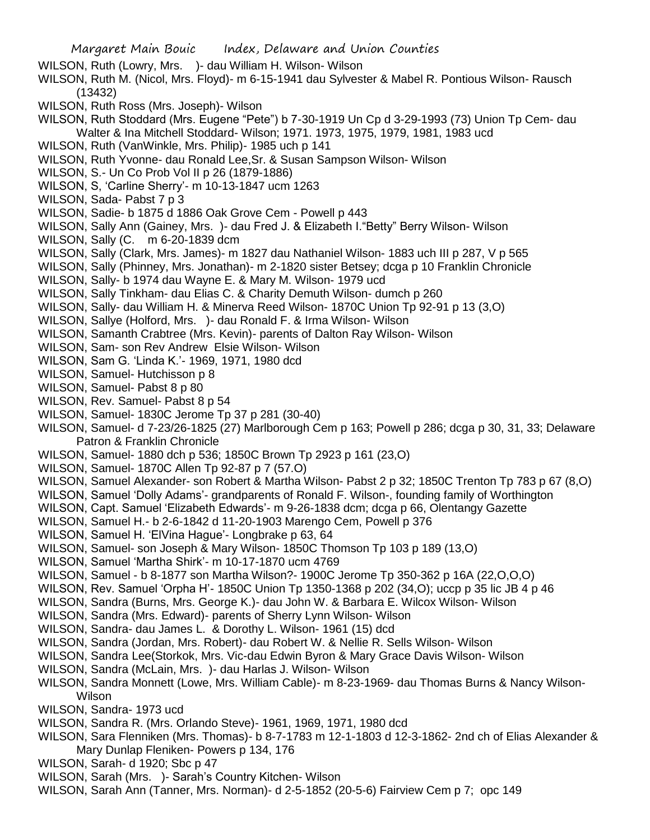- WILSON, Ruth (Lowry, Mrs. )- dau William H. Wilson- Wilson
- WILSON, Ruth M. (Nicol, Mrs. Floyd)- m 6-15-1941 dau Sylvester & Mabel R. Pontious Wilson- Rausch (13432)
- WILSON, Ruth Ross (Mrs. Joseph)- Wilson
- WILSON, Ruth Stoddard (Mrs. Eugene "Pete") b 7-30-1919 Un Cp d 3-29-1993 (73) Union Tp Cem- dau Walter & Ina Mitchell Stoddard- Wilson; 1971. 1973, 1975, 1979, 1981, 1983 ucd
- WILSON, Ruth (VanWinkle, Mrs. Philip)- 1985 uch p 141
- WILSON, Ruth Yvonne- dau Ronald Lee,Sr. & Susan Sampson Wilson- Wilson
- WILSON, S.- Un Co Prob Vol II p 26 (1879-1886)
- WILSON, S, 'Carline Sherry'- m 10-13-1847 ucm 1263
- WILSON, Sada- Pabst 7 p 3
- WILSON, Sadie- b 1875 d 1886 Oak Grove Cem Powell p 443
- WILSON, Sally Ann (Gainey, Mrs. )- dau Fred J. & Elizabeth I."Betty" Berry Wilson- Wilson
- WILSON, Sally (C. m 6-20-1839 dcm
- WILSON, Sally (Clark, Mrs. James)- m 1827 dau Nathaniel Wilson- 1883 uch III p 287, V p 565
- WILSON, Sally (Phinney, Mrs. Jonathan)- m 2-1820 sister Betsey; dcga p 10 Franklin Chronicle
- WILSON, Sally- b 1974 dau Wayne E. & Mary M. Wilson- 1979 ucd
- WILSON, Sally Tinkham- dau Elias C. & Charity Demuth Wilson- dumch p 260
- WILSON, Sally- dau William H. & Minerva Reed Wilson- 1870C Union Tp 92-91 p 13 (3,O)
- WILSON, Sallye (Holford, Mrs. )- dau Ronald F. & Irma Wilson- Wilson
- WILSON, Samanth Crabtree (Mrs. Kevin)- parents of Dalton Ray Wilson- Wilson
- WILSON, Sam- son Rev Andrew Elsie Wilson- Wilson
- WILSON, Sam G. 'Linda K.'- 1969, 1971, 1980 dcd
- WILSON, Samuel- Hutchisson p 8
- WILSON, Samuel- Pabst 8 p 80
- WILSON, Rev. Samuel- Pabst 8 p 54
- WILSON, Samuel- 1830C Jerome Tp 37 p 281 (30-40)
- WILSON, Samuel- d 7-23/26-1825 (27) Marlborough Cem p 163; Powell p 286; dcga p 30, 31, 33; Delaware Patron & Franklin Chronicle
- WILSON, Samuel- 1880 dch p 536; 1850C Brown Tp 2923 p 161 (23,O)
- WILSON, Samuel- 1870C Allen Tp 92-87 p 7 (57.O)
- WILSON, Samuel Alexander- son Robert & Martha Wilson- Pabst 2 p 32; 1850C Trenton Tp 783 p 67 (8,O)
- WILSON, Samuel 'Dolly Adams'- grandparents of Ronald F. Wilson-, founding family of Worthington
- WILSON, Capt. Samuel 'Elizabeth Edwards'- m 9-26-1838 dcm; dcga p 66, Olentangy Gazette
- WILSON, Samuel H.- b 2-6-1842 d 11-20-1903 Marengo Cem, Powell p 376
- WILSON, Samuel H. 'ElVina Hague'- Longbrake p 63, 64
- WILSON, Samuel- son Joseph & Mary Wilson- 1850C Thomson Tp 103 p 189 (13,O)
- WILSON, Samuel 'Martha Shirk'- m 10-17-1870 ucm 4769
- WILSON, Samuel b 8-1877 son Martha Wilson?- 1900C Jerome Tp 350-362 p 16A (22,O,O,O)
- WILSON, Rev. Samuel 'Orpha H'- 1850C Union Tp 1350-1368 p 202 (34,O); uccp p 35 lic JB 4 p 46
- WILSON, Sandra (Burns, Mrs. George K.)- dau John W. & Barbara E. Wilcox Wilson- Wilson
- WILSON, Sandra (Mrs. Edward)- parents of Sherry Lynn Wilson- Wilson
- WILSON, Sandra- dau James L. & Dorothy L. Wilson- 1961 (15) dcd
- WILSON, Sandra (Jordan, Mrs. Robert)- dau Robert W. & Nellie R. Sells Wilson- Wilson
- WILSON, Sandra Lee(Storkok, Mrs. Vic-dau Edwin Byron & Mary Grace Davis Wilson- Wilson
- WILSON, Sandra (McLain, Mrs. )- dau Harlas J. Wilson- Wilson
- WILSON, Sandra Monnett (Lowe, Mrs. William Cable)- m 8-23-1969- dau Thomas Burns & Nancy Wilson-Wilson
- WILSON, Sandra- 1973 ucd
- WILSON, Sandra R. (Mrs. Orlando Steve)- 1961, 1969, 1971, 1980 dcd
- WILSON, Sara Flenniken (Mrs. Thomas)- b 8-7-1783 m 12-1-1803 d 12-3-1862- 2nd ch of Elias Alexander & Mary Dunlap Fleniken- Powers p 134, 176
- WILSON, Sarah- d 1920; Sbc p 47
- WILSON, Sarah (Mrs. )- Sarah's Country Kitchen- Wilson
- WILSON, Sarah Ann (Tanner, Mrs. Norman)- d 2-5-1852 (20-5-6) Fairview Cem p 7; opc 149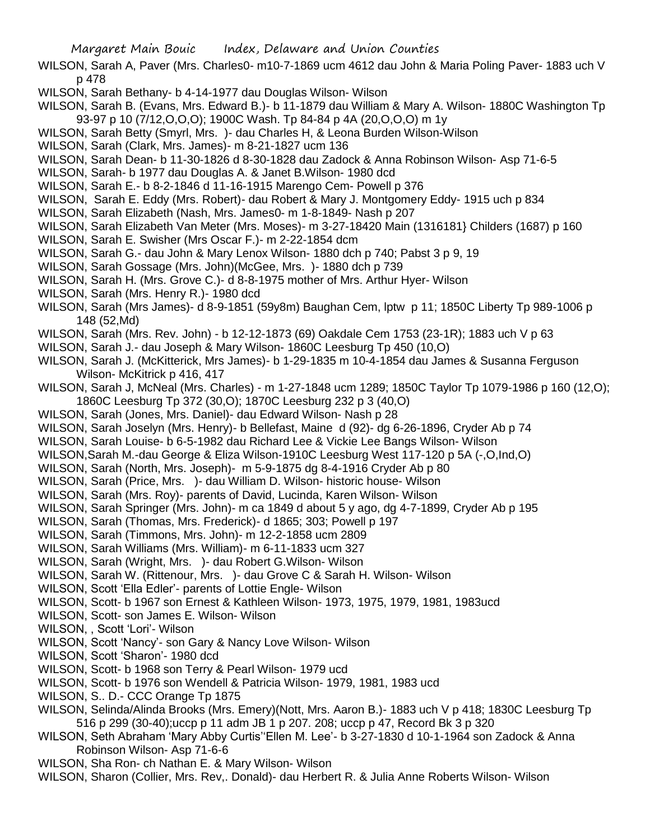- WILSON, Sarah A, Paver (Mrs. Charles0- m10-7-1869 ucm 4612 dau John & Maria Poling Paver- 1883 uch V p 478
- WILSON, Sarah Bethany- b 4-14-1977 dau Douglas Wilson- Wilson
- WILSON, Sarah B. (Evans, Mrs. Edward B.)- b 11-1879 dau William & Mary A. Wilson- 1880C Washington Tp 93-97 p 10 (7/12,O,O,O); 1900C Wash. Tp 84-84 p 4A (20,O,O,O) m 1y
- WILSON, Sarah Betty (Smyrl, Mrs. )- dau Charles H, & Leona Burden Wilson-Wilson
- WILSON, Sarah (Clark, Mrs. James)- m 8-21-1827 ucm 136
- WILSON, Sarah Dean- b 11-30-1826 d 8-30-1828 dau Zadock & Anna Robinson Wilson- Asp 71-6-5
- WILSON, Sarah- b 1977 dau Douglas A. & Janet B.Wilson- 1980 dcd
- WILSON, Sarah E.- b 8-2-1846 d 11-16-1915 Marengo Cem- Powell p 376
- WILSON, Sarah E. Eddy (Mrs. Robert)- dau Robert & Mary J. Montgomery Eddy- 1915 uch p 834
- WILSON, Sarah Elizabeth (Nash, Mrs. James0- m 1-8-1849- Nash p 207
- WILSON, Sarah Elizabeth Van Meter (Mrs. Moses)- m 3-27-18420 Main (1316181} Childers (1687) p 160
- WILSON, Sarah E. Swisher (Mrs Oscar F.)- m 2-22-1854 dcm
- WILSON, Sarah G.- dau John & Mary Lenox Wilson- 1880 dch p 740; Pabst 3 p 9, 19
- WILSON, Sarah Gossage (Mrs. John)(McGee, Mrs. )- 1880 dch p 739
- WILSON, Sarah H. (Mrs. Grove C.)- d 8-8-1975 mother of Mrs. Arthur Hyer- Wilson
- WILSON, Sarah (Mrs. Henry R.)- 1980 dcd
- WILSON, Sarah (Mrs James)- d 8-9-1851 (59y8m) Baughan Cem, lptw p 11; 1850C Liberty Tp 989-1006 p 148 (52,Md)
- WILSON, Sarah (Mrs. Rev. John) b 12-12-1873 (69) Oakdale Cem 1753 (23-1R); 1883 uch V p 63
- WILSON, Sarah J.- dau Joseph & Mary Wilson- 1860C Leesburg Tp 450 (10,O)
- WILSON, Sarah J. (McKitterick, Mrs James)- b 1-29-1835 m 10-4-1854 dau James & Susanna Ferguson Wilson- McKitrick p 416, 417
- WILSON, Sarah J, McNeal (Mrs. Charles) m 1-27-1848 ucm 1289; 1850C Taylor Tp 1079-1986 p 160 (12,O); 1860C Leesburg Tp 372 (30,O); 1870C Leesburg 232 p 3 (40,O)
- WILSON, Sarah (Jones, Mrs. Daniel)- dau Edward Wilson- Nash p 28
- WILSON, Sarah Joselyn (Mrs. Henry)- b Bellefast, Maine d (92)- dg 6-26-1896, Cryder Ab p 74
- WILSON, Sarah Louise- b 6-5-1982 dau Richard Lee & Vickie Lee Bangs Wilson- Wilson
- WILSON,Sarah M.-dau George & Eliza Wilson-1910C Leesburg West 117-120 p 5A (-,O,Ind,O)
- WILSON, Sarah (North, Mrs. Joseph)- m 5-9-1875 dg 8-4-1916 Cryder Ab p 80
- WILSON, Sarah (Price, Mrs. )- dau William D. Wilson- historic house- Wilson
- WILSON, Sarah (Mrs. Roy)- parents of David, Lucinda, Karen Wilson- Wilson
- WILSON, Sarah Springer (Mrs. John)- m ca 1849 d about 5 y ago, dg 4-7-1899, Cryder Ab p 195
- WILSON, Sarah (Thomas, Mrs. Frederick)- d 1865; 303; Powell p 197
- WILSON, Sarah (Timmons, Mrs. John)- m 12-2-1858 ucm 2809
- WILSON, Sarah Williams (Mrs. William)- m 6-11-1833 ucm 327
- WILSON, Sarah (Wright, Mrs. )- dau Robert G.Wilson- Wilson
- WILSON, Sarah W. (Rittenour, Mrs. )- dau Grove C & Sarah H. Wilson- Wilson
- WILSON, Scott 'Ella Edler'- parents of Lottie Engle- Wilson
- WILSON, Scott- b 1967 son Ernest & Kathleen Wilson- 1973, 1975, 1979, 1981, 1983ucd
- WILSON, Scott- son James E. Wilson- Wilson
- WILSON, , Scott 'Lori'- Wilson
- WILSON, Scott 'Nancy'- son Gary & Nancy Love Wilson- Wilson
- WILSON, Scott 'Sharon'- 1980 dcd
- WILSON, Scott- b 1968 son Terry & Pearl Wilson- 1979 ucd
- WILSON, Scott- b 1976 son Wendell & Patricia Wilson- 1979, 1981, 1983 ucd
- WILSON, S.. D.- CCC Orange Tp 1875
- WILSON, Selinda/Alinda Brooks (Mrs. Emery)(Nott, Mrs. Aaron B.)- 1883 uch V p 418; 1830C Leesburg Tp 516 p 299 (30-40);uccp p 11 adm JB 1 p 207. 208; uccp p 47, Record Bk 3 p 320
- WILSON, Seth Abraham 'Mary Abby Curtis''Ellen M. Lee'- b 3-27-1830 d 10-1-1964 son Zadock & Anna Robinson Wilson- Asp 71-6-6
- WILSON, Sha Ron- ch Nathan E. & Mary Wilson- Wilson
- WILSON, Sharon (Collier, Mrs. Rev,. Donald)- dau Herbert R. & Julia Anne Roberts Wilson- Wilson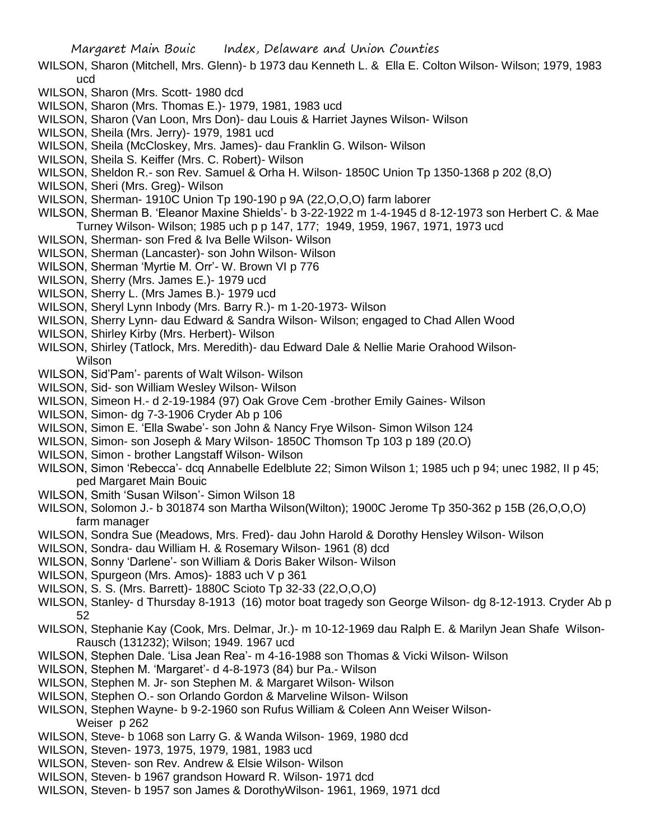Margaret Main Bouic Index, Delaware and Union Counties

- WILSON, Sharon (Mitchell, Mrs. Glenn)- b 1973 dau Kenneth L. & Ella E. Colton Wilson- Wilson; 1979, 1983 ucd
- WILSON, Sharon (Mrs. Scott- 1980 dcd
- WILSON, Sharon (Mrs. Thomas E.)- 1979, 1981, 1983 ucd
- WILSON, Sharon (Van Loon, Mrs Don)- dau Louis & Harriet Jaynes Wilson- Wilson
- WILSON, Sheila (Mrs. Jerry)- 1979, 1981 ucd
- WILSON, Sheila (McCloskey, Mrs. James)- dau Franklin G. Wilson- Wilson
- WILSON, Sheila S. Keiffer (Mrs. C. Robert)- Wilson
- WILSON, Sheldon R.- son Rev. Samuel & Orha H. Wilson- 1850C Union Tp 1350-1368 p 202 (8,O)
- WILSON, Sheri (Mrs. Greg)- Wilson
- WILSON, Sherman- 1910C Union Tp 190-190 p 9A (22,O,O,O) farm laborer
- WILSON, Sherman B. 'Eleanor Maxine Shields'- b 3-22-1922 m 1-4-1945 d 8-12-1973 son Herbert C. & Mae Turney Wilson- Wilson; 1985 uch p p 147, 177; 1949, 1959, 1967, 1971, 1973 ucd
- WILSON, Sherman- son Fred & Iva Belle Wilson- Wilson
- WILSON, Sherman (Lancaster)- son John Wilson- Wilson
- WILSON, Sherman 'Myrtie M. Orr'- W. Brown VI p 776
- WILSON, Sherry (Mrs. James E.)- 1979 ucd
- WILSON, Sherry L. (Mrs James B.)- 1979 ucd
- WILSON, Sheryl Lynn Inbody (Mrs. Barry R.)- m 1-20-1973- Wilson
- WILSON, Sherry Lynn- dau Edward & Sandra Wilson- Wilson; engaged to Chad Allen Wood
- WILSON, Shirley Kirby (Mrs. Herbert)- Wilson
- WILSON, Shirley (Tatlock, Mrs. Meredith)- dau Edward Dale & Nellie Marie Orahood Wilson-Wilson
- WILSON, Sid'Pam'- parents of Walt Wilson- Wilson
- WILSON, Sid- son William Wesley Wilson- Wilson
- WILSON, Simeon H.- d 2-19-1984 (97) Oak Grove Cem -brother Emily Gaines- Wilson
- WILSON, Simon- dg 7-3-1906 Cryder Ab p 106
- WILSON, Simon E. 'Ella Swabe'- son John & Nancy Frye Wilson- Simon Wilson 124
- WILSON, Simon- son Joseph & Mary Wilson- 1850C Thomson Tp 103 p 189 (20.O)
- WILSON, Simon brother Langstaff Wilson- Wilson
- WILSON, Simon 'Rebecca'- dcq Annabelle Edelblute 22; Simon Wilson 1; 1985 uch p 94; unec 1982, II p 45; ped Margaret Main Bouic
- WILSON, Smith 'Susan Wilson'- Simon Wilson 18
- WILSON, Solomon J.- b 301874 son Martha Wilson(Wilton); 1900C Jerome Tp 350-362 p 15B (26,O,O,O) farm manager
- WILSON, Sondra Sue (Meadows, Mrs. Fred)- dau John Harold & Dorothy Hensley Wilson- Wilson
- WILSON, Sondra- dau William H. & Rosemary Wilson- 1961 (8) dcd
- WILSON, Sonny 'Darlene'- son William & Doris Baker Wilson- Wilson
- WILSON, Spurgeon (Mrs. Amos)- 1883 uch V p 361
- WILSON, S. S. (Mrs. Barrett)- 1880C Scioto Tp 32-33 (22,O,O,O)
- WILSON, Stanley- d Thursday 8-1913 (16) motor boat tragedy son George Wilson- dg 8-12-1913. Cryder Ab p 52
- WILSON, Stephanie Kay (Cook, Mrs. Delmar, Jr.)- m 10-12-1969 dau Ralph E. & Marilyn Jean Shafe Wilson-Rausch (131232); Wilson; 1949. 1967 ucd
- WILSON, Stephen Dale. 'Lisa Jean Rea'- m 4-16-1988 son Thomas & Vicki Wilson- Wilson
- WILSON, Stephen M. 'Margaret'- d 4-8-1973 (84) bur Pa.- Wilson
- WILSON, Stephen M. Jr- son Stephen M. & Margaret Wilson- Wilson
- WILSON, Stephen O.- son Orlando Gordon & Marveline Wilson- Wilson
- WILSON, Stephen Wayne- b 9-2-1960 son Rufus William & Coleen Ann Weiser Wilson-Weiser p 262
- WILSON, Steve- b 1068 son Larry G. & Wanda Wilson- 1969, 1980 dcd
- WILSON, Steven- 1973, 1975, 1979, 1981, 1983 ucd
- WILSON, Steven- son Rev. Andrew & Elsie Wilson- Wilson
- WILSON, Steven- b 1967 grandson Howard R. Wilson- 1971 dcd
- WILSON, Steven- b 1957 son James & DorothyWilson- 1961, 1969, 1971 dcd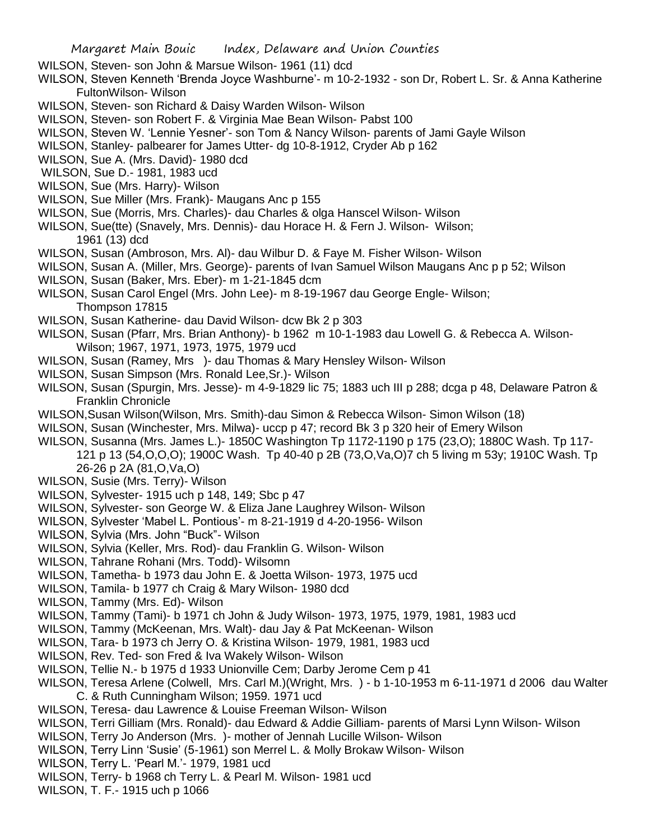- WILSON, Steven- son John & Marsue Wilson- 1961 (11) dcd
- WILSON, Steven Kenneth 'Brenda Joyce Washburne'- m 10-2-1932 son Dr, Robert L. Sr. & Anna Katherine FultonWilson- Wilson
- WILSON, Steven- son Richard & Daisy Warden Wilson- Wilson
- WILSON, Steven- son Robert F. & Virginia Mae Bean Wilson- Pabst 100
- WILSON, Steven W. 'Lennie Yesner'- son Tom & Nancy Wilson- parents of Jami Gayle Wilson
- WILSON, Stanley- palbearer for James Utter- dg 10-8-1912, Cryder Ab p 162
- WILSON, Sue A. (Mrs. David)- 1980 dcd
- WILSON, Sue D.- 1981, 1983 ucd
- WILSON, Sue (Mrs. Harry)- Wilson
- WILSON, Sue Miller (Mrs. Frank)- Maugans Anc p 155
- WILSON, Sue (Morris, Mrs. Charles)- dau Charles & olga Hanscel Wilson- Wilson
- WILSON, Sue(tte) (Snavely, Mrs. Dennis)- dau Horace H. & Fern J. Wilson- Wilson;
	- 1961 (13) dcd
- WILSON, Susan (Ambroson, Mrs. Al)- dau Wilbur D. & Faye M. Fisher Wilson- Wilson
- WILSON, Susan A. (Miller, Mrs. George)- parents of Ivan Samuel Wilson Maugans Anc p p 52; Wilson
- WILSON, Susan (Baker, Mrs. Eber)- m 1-21-1845 dcm
- WILSON, Susan Carol Engel (Mrs. John Lee)- m 8-19-1967 dau George Engle- Wilson; Thompson 17815
- WILSON, Susan Katherine- dau David Wilson- dcw Bk 2 p 303
- WILSON, Susan (Pfarr, Mrs. Brian Anthony)- b 1962 m 10-1-1983 dau Lowell G. & Rebecca A. Wilson-Wilson; 1967, 1971, 1973, 1975, 1979 ucd
- WILSON, Susan (Ramey, Mrs )- dau Thomas & Mary Hensley Wilson- Wilson
- WILSON, Susan Simpson (Mrs. Ronald Lee,Sr.)- Wilson
- WILSON, Susan (Spurgin, Mrs. Jesse)- m 4-9-1829 lic 75; 1883 uch III p 288; dcga p 48, Delaware Patron & Franklin Chronicle
- WILSON,Susan Wilson(Wilson, Mrs. Smith)-dau Simon & Rebecca Wilson- Simon Wilson (18)
- WILSON, Susan (Winchester, Mrs. Milwa)- uccp p 47; record Bk 3 p 320 heir of Emery Wilson
- WILSON, Susanna (Mrs. James L.)- 1850C Washington Tp 1172-1190 p 175 (23,O); 1880C Wash. Tp 117- 121 p 13 (54,O,O,O); 1900C Wash. Tp 40-40 p 2B (73,O,Va,O)7 ch 5 living m 53y; 1910C Wash. Tp 26-26 p 2A (81,O,Va,O)
- WILSON, Susie (Mrs. Terry)- Wilson
- WILSON, Sylvester- 1915 uch p 148, 149; Sbc p 47
- WILSON, Sylvester- son George W. & Eliza Jane Laughrey Wilson- Wilson
- WILSON, Sylvester 'Mabel L. Pontious'- m 8-21-1919 d 4-20-1956- Wilson
- WILSON, Sylvia (Mrs. John "Buck"- Wilson
- WILSON, Sylvia (Keller, Mrs. Rod)- dau Franklin G. Wilson- Wilson
- WILSON, Tahrane Rohani (Mrs. Todd)- Wilsomn
- WILSON, Tametha- b 1973 dau John E. & Joetta Wilson- 1973, 1975 ucd
- WILSON, Tamila- b 1977 ch Craig & Mary Wilson- 1980 dcd
- WILSON, Tammy (Mrs. Ed)- Wilson
- WILSON, Tammy (Tami)- b 1971 ch John & Judy Wilson- 1973, 1975, 1979, 1981, 1983 ucd
- WILSON, Tammy (McKeenan, Mrs. Walt)- dau Jay & Pat McKeenan- Wilson
- WILSON, Tara- b 1973 ch Jerry O. & Kristina Wilson- 1979, 1981, 1983 ucd
- WILSON, Rev. Ted- son Fred & Iva Wakely Wilson- Wilson
- WILSON, Tellie N.- b 1975 d 1933 Unionville Cem; Darby Jerome Cem p 41
- WILSON, Teresa Arlene (Colwell, Mrs. Carl M.)(Wright, Mrs. ) b 1-10-1953 m 6-11-1971 d 2006 dau Walter C. & Ruth Cunningham Wilson; 1959. 1971 ucd
- WILSON, Teresa- dau Lawrence & Louise Freeman Wilson- Wilson
- WILSON, Terri Gilliam (Mrs. Ronald)- dau Edward & Addie Gilliam- parents of Marsi Lynn Wilson- Wilson
- WILSON, Terry Jo Anderson (Mrs. )- mother of Jennah Lucille Wilson- Wilson
- WILSON, Terry Linn 'Susie' (5-1961) son Merrel L. & Molly Brokaw Wilson- Wilson
- WILSON, Terry L. 'Pearl M.'- 1979, 1981 ucd
- WILSON, Terry- b 1968 ch Terry L. & Pearl M. Wilson- 1981 ucd
- WILSON, T. F.- 1915 uch p 1066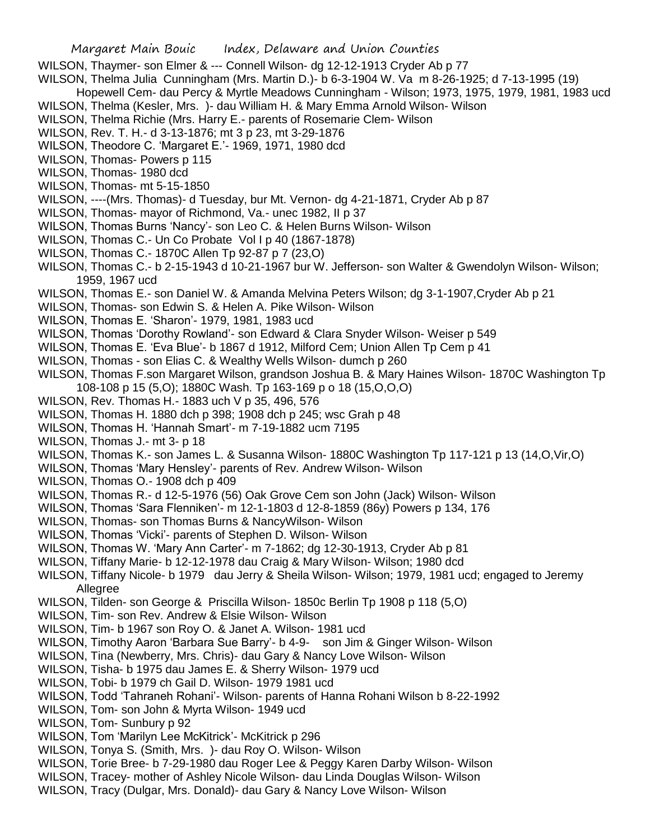## Margaret Main Bouic Index, Delaware and Union Counties

- WILSON, Thaymer- son Elmer & --- Connell Wilson- dg 12-12-1913 Cryder Ab p 77
- WILSON, Thelma Julia Cunningham (Mrs. Martin D.)- b 6-3-1904 W. Va m 8-26-1925; d 7-13-1995 (19)

Hopewell Cem- dau Percy & Myrtle Meadows Cunningham - Wilson; 1973, 1975, 1979, 1981, 1983 ucd WILSON, Thelma (Kesler, Mrs. )- dau William H. & Mary Emma Arnold Wilson- Wilson

- WILSON, Thelma Richie (Mrs. Harry E.- parents of Rosemarie Clem- Wilson
- WILSON, Rev. T. H.- d 3-13-1876; mt 3 p 23, mt 3-29-1876
- WILSON, Theodore C. 'Margaret E.'- 1969, 1971, 1980 dcd
- WILSON, Thomas- Powers p 115
- WILSON, Thomas- 1980 dcd
- WILSON, Thomas- mt 5-15-1850
- WILSON, ----(Mrs. Thomas)- d Tuesday, bur Mt. Vernon- dg 4-21-1871, Cryder Ab p 87
- WILSON, Thomas- mayor of Richmond, Va.- unec 1982, II p 37
- WILSON, Thomas Burns 'Nancy'- son Leo C. & Helen Burns Wilson- Wilson
- WILSON, Thomas C.- Un Co Probate Vol I p 40 (1867-1878)
- WILSON, Thomas C.- 1870C Allen Tp 92-87 p 7 (23,O)
- WILSON, Thomas C.- b 2-15-1943 d 10-21-1967 bur W. Jefferson- son Walter & Gwendolyn Wilson- Wilson; 1959, 1967 ucd
- WILSON, Thomas E.- son Daniel W. & Amanda Melvina Peters Wilson; dg 3-1-1907,Cryder Ab p 21
- WILSON, Thomas- son Edwin S. & Helen A. Pike Wilson- Wilson
- WILSON, Thomas E. 'Sharon'- 1979, 1981, 1983 ucd
- WILSON, Thomas 'Dorothy Rowland'- son Edward & Clara Snyder Wilson- Weiser p 549
- WILSON, Thomas E. 'Eva Blue'- b 1867 d 1912, Milford Cem; Union Allen Tp Cem p 41
- WILSON, Thomas son Elias C. & Wealthy Wells Wilson- dumch p 260
- WILSON, Thomas F.son Margaret Wilson, grandson Joshua B. & Mary Haines Wilson- 1870C Washington Tp 108-108 p 15 (5,O); 1880C Wash. Tp 163-169 p o 18 (15,O,O,O)
- WILSON, Rev. Thomas H.- 1883 uch V p 35, 496, 576
- WILSON, Thomas H. 1880 dch p 398; 1908 dch p 245; wsc Grah p 48
- WILSON, Thomas H. 'Hannah Smart'- m 7-19-1882 ucm 7195
- WILSON, Thomas J.- mt 3- p 18
- WILSON, Thomas K.- son James L. & Susanna Wilson- 1880C Washington Tp 117-121 p 13 (14,O,Vir,O)
- WILSON, Thomas 'Mary Hensley'- parents of Rev. Andrew Wilson- Wilson
- WILSON, Thomas O.- 1908 dch p 409
- WILSON, Thomas R.- d 12-5-1976 (56) Oak Grove Cem son John (Jack) Wilson- Wilson
- WILSON, Thomas 'Sara Flenniken'- m 12-1-1803 d 12-8-1859 (86y) Powers p 134, 176
- WILSON, Thomas- son Thomas Burns & NancyWilson- Wilson
- WILSON, Thomas 'Vicki'- parents of Stephen D. Wilson- Wilson
- WILSON, Thomas W. 'Mary Ann Carter'- m 7-1862; dg 12-30-1913, Cryder Ab p 81
- WILSON, Tiffany Marie- b 12-12-1978 dau Craig & Mary Wilson- Wilson; 1980 dcd
- WILSON, Tiffany Nicole- b 1979 dau Jerry & Sheila Wilson- Wilson; 1979, 1981 ucd; engaged to Jeremy Allegree
- WILSON, Tilden- son George & Priscilla Wilson- 1850c Berlin Tp 1908 p 118 (5,O)
- WILSON, Tim- son Rev. Andrew & Elsie Wilson- Wilson
- WILSON, Tim- b 1967 son Roy O. & Janet A. Wilson- 1981 ucd
- WILSON, Timothy Aaron 'Barbara Sue Barry'- b 4-9- son Jim & Ginger Wilson- Wilson
- WILSON, Tina (Newberry, Mrs. Chris)- dau Gary & Nancy Love Wilson- Wilson
- WILSON, Tisha- b 1975 dau James E. & Sherry Wilson- 1979 ucd
- WILSON, Tobi- b 1979 ch Gail D. Wilson- 1979 1981 ucd
- WILSON, Todd 'Tahraneh Rohani'- Wilson- parents of Hanna Rohani Wilson b 8-22-1992
- WILSON, Tom- son John & Myrta Wilson- 1949 ucd
- WILSON, Tom- Sunbury p 92
- WILSON, Tom 'Marilyn Lee McKitrick'- McKitrick p 296
- WILSON, Tonya S. (Smith, Mrs. )- dau Roy O. Wilson- Wilson
- WILSON, Torie Bree- b 7-29-1980 dau Roger Lee & Peggy Karen Darby Wilson- Wilson
- WILSON, Tracey- mother of Ashley Nicole Wilson- dau Linda Douglas Wilson- Wilson
- WILSON, Tracy (Dulgar, Mrs. Donald)- dau Gary & Nancy Love Wilson- Wilson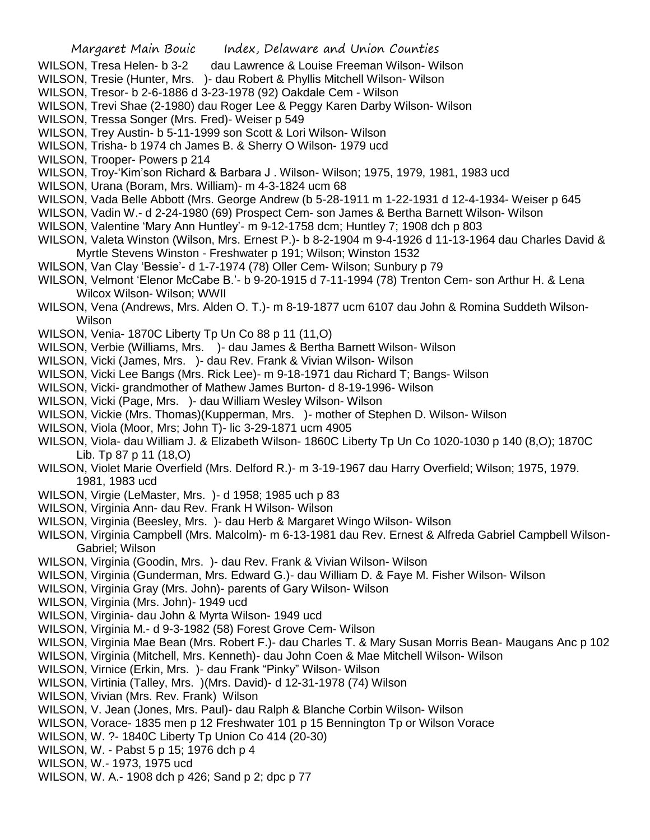## Margaret Main Bouic Index, Delaware and Union Counties

- WILSON, Tresa Helen- b 3-2 dau Lawrence & Louise Freeman Wilson- Wilson
- WILSON, Tresie (Hunter, Mrs. )- dau Robert & Phyllis Mitchell Wilson- Wilson
- WILSON, Tresor- b 2-6-1886 d 3-23-1978 (92) Oakdale Cem Wilson
- WILSON, Trevi Shae (2-1980) dau Roger Lee & Peggy Karen Darby Wilson- Wilson
- WILSON, Tressa Songer (Mrs. Fred)- Weiser p 549
- WILSON, Trey Austin- b 5-11-1999 son Scott & Lori Wilson- Wilson
- WILSON, Trisha- b 1974 ch James B. & Sherry O Wilson- 1979 ucd
- WILSON, Trooper- Powers p 214
- WILSON, Troy-'Kim'son Richard & Barbara J . Wilson- Wilson; 1975, 1979, 1981, 1983 ucd
- WILSON, Urana (Boram, Mrs. William)- m 4-3-1824 ucm 68
- WILSON, Vada Belle Abbott (Mrs. George Andrew (b 5-28-1911 m 1-22-1931 d 12-4-1934- Weiser p 645
- WILSON, Vadin W.- d 2-24-1980 (69) Prospect Cem- son James & Bertha Barnett Wilson- Wilson
- WILSON, Valentine 'Mary Ann Huntley'- m 9-12-1758 dcm; Huntley 7; 1908 dch p 803
- WILSON, Valeta Winston (Wilson, Mrs. Ernest P.)- b 8-2-1904 m 9-4-1926 d 11-13-1964 dau Charles David & Myrtle Stevens Winston - Freshwater p 191; Wilson; Winston 1532
- WILSON, Van Clay 'Bessie'- d 1-7-1974 (78) Oller Cem- Wilson; Sunbury p 79
- WILSON, Velmont 'Elenor McCabe B.'- b 9-20-1915 d 7-11-1994 (78) Trenton Cem- son Arthur H. & Lena Wilcox Wilson- Wilson; WWII
- WILSON, Vena (Andrews, Mrs. Alden O. T.)- m 8-19-1877 ucm 6107 dau John & Romina Suddeth Wilson-Wilson
- WILSON, Venia- 1870C Liberty Tp Un Co 88 p 11 (11,O)
- WILSON, Verbie (Williams, Mrs. )- dau James & Bertha Barnett Wilson- Wilson
- WILSON, Vicki (James, Mrs. )- dau Rev. Frank & Vivian Wilson- Wilson
- WILSON, Vicki Lee Bangs (Mrs. Rick Lee)- m 9-18-1971 dau Richard T; Bangs- Wilson
- WILSON, Vicki- grandmother of Mathew James Burton- d 8-19-1996- Wilson
- WILSON, Vicki (Page, Mrs. )- dau William Wesley Wilson- Wilson
- WILSON, Vickie (Mrs. Thomas)(Kupperman, Mrs. )- mother of Stephen D. Wilson- Wilson
- WILSON, Viola (Moor, Mrs; John T)- lic 3-29-1871 ucm 4905
- WILSON, Viola- dau William J. & Elizabeth Wilson- 1860C Liberty Tp Un Co 1020-1030 p 140 (8,O); 1870C Lib. Tp 87 p 11 (18,O)
- WILSON, Violet Marie Overfield (Mrs. Delford R.)- m 3-19-1967 dau Harry Overfield; Wilson; 1975, 1979. 1981, 1983 ucd
- WILSON, Virgie (LeMaster, Mrs. )- d 1958; 1985 uch p 83
- WILSON, Virginia Ann- dau Rev. Frank H Wilson- Wilson
- WILSON, Virginia (Beesley, Mrs. )- dau Herb & Margaret Wingo Wilson- Wilson
- WILSON, Virginia Campbell (Mrs. Malcolm)- m 6-13-1981 dau Rev. Ernest & Alfreda Gabriel Campbell Wilson-Gabriel; Wilson
- WILSON, Virginia (Goodin, Mrs. )- dau Rev. Frank & Vivian Wilson- Wilson
- WILSON, Virginia (Gunderman, Mrs. Edward G.)- dau William D. & Faye M. Fisher Wilson- Wilson
- WILSON, Virginia Gray (Mrs. John)- parents of Gary Wilson- Wilson
- WILSON, Virginia (Mrs. John)- 1949 ucd
- WILSON, Virginia- dau John & Myrta Wilson- 1949 ucd
- WILSON, Virginia M.- d 9-3-1982 (58) Forest Grove Cem- Wilson
- WILSON, Virginia Mae Bean (Mrs. Robert F.)- dau Charles T. & Mary Susan Morris Bean- Maugans Anc p 102
- WILSON, Virginia (Mitchell, Mrs. Kenneth)- dau John Coen & Mae Mitchell Wilson- Wilson
- WILSON, Virnice (Erkin, Mrs. )- dau Frank "Pinky" Wilson- Wilson
- WILSON, Virtinia (Talley, Mrs. )(Mrs. David)- d 12-31-1978 (74) Wilson
- WILSON, Vivian (Mrs. Rev. Frank) Wilson
- WILSON, V. Jean (Jones, Mrs. Paul)- dau Ralph & Blanche Corbin Wilson- Wilson
- WILSON, Vorace- 1835 men p 12 Freshwater 101 p 15 Bennington Tp or Wilson Vorace
- WILSON, W. ?- 1840C Liberty Tp Union Co 414 (20-30)
- WILSON, W. Pabst 5 p 15; 1976 dch p 4
- WILSON, W.- 1973, 1975 ucd
- WILSON, W. A.- 1908 dch p 426; Sand p 2; dpc p 77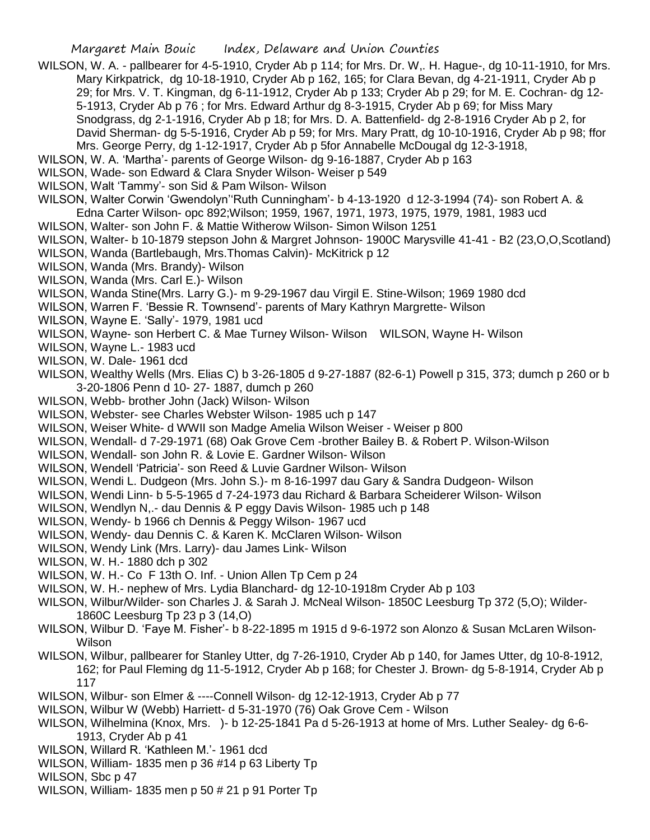- WILSON, W. A. pallbearer for 4-5-1910, Cryder Ab p 114; for Mrs. Dr. W,. H. Hague-, dg 10-11-1910, for Mrs. Mary Kirkpatrick, dg 10-18-1910, Cryder Ab p 162, 165; for Clara Bevan, dg 4-21-1911, Cryder Ab p 29; for Mrs. V. T. Kingman, dg 6-11-1912, Cryder Ab p 133; Cryder Ab p 29; for M. E. Cochran- dg 12- 5-1913, Cryder Ab p 76 ; for Mrs. Edward Arthur dg 8-3-1915, Cryder Ab p 69; for Miss Mary Snodgrass, dg 2-1-1916, Cryder Ab p 18; for Mrs. D. A. Battenfield- dg 2-8-1916 Cryder Ab p 2, for David Sherman- dg 5-5-1916, Cryder Ab p 59; for Mrs. Mary Pratt, dg 10-10-1916, Cryder Ab p 98; ffor Mrs. George Perry, dg 1-12-1917, Cryder Ab p 5for Annabelle McDougal dg 12-3-1918,
- WILSON, W. A. 'Martha'- parents of George Wilson- dg 9-16-1887, Cryder Ab p 163
- WILSON, Wade- son Edward & Clara Snyder Wilson- Weiser p 549
- WILSON, Walt 'Tammy'- son Sid & Pam Wilson- Wilson
- WILSON, Walter Corwin 'Gwendolyn''Ruth Cunningham'- b 4-13-1920 d 12-3-1994 (74)- son Robert A. & Edna Carter Wilson- opc 892;Wilson; 1959, 1967, 1971, 1973, 1975, 1979, 1981, 1983 ucd
- WILSON, Walter- son John F. & Mattie Witherow Wilson- Simon Wilson 1251
- WILSON, Walter- b 10-1879 stepson John & Margret Johnson- 1900C Marysville 41-41 B2 (23,O,O,Scotland)
- WILSON, Wanda (Bartlebaugh, Mrs.Thomas Calvin)- McKitrick p 12
- WILSON, Wanda (Mrs. Brandy)- Wilson
- WILSON, Wanda (Mrs. Carl E.)- Wilson
- WILSON, Wanda Stine(Mrs. Larry G.)- m 9-29-1967 dau Virgil E. Stine-Wilson; 1969 1980 dcd
- WILSON, Warren F. 'Bessie R. Townsend'- parents of Mary Kathryn Margrette- Wilson
- WILSON, Wayne E. 'Sally'- 1979, 1981 ucd
- WILSON, Wayne- son Herbert C. & Mae Turney Wilson- Wilson WILSON, Wayne H- Wilson
- WILSON, Wayne L.- 1983 ucd
- WILSON, W. Dale- 1961 dcd
- WILSON, Wealthy Wells (Mrs. Elias C) b 3-26-1805 d 9-27-1887 (82-6-1) Powell p 315, 373; dumch p 260 or b 3-20-1806 Penn d 10- 27- 1887, dumch p 260
- WILSON, Webb- brother John (Jack) Wilson- Wilson
- WILSON, Webster- see Charles Webster Wilson- 1985 uch p 147
- WILSON, Weiser White- d WWII son Madge Amelia Wilson Weiser Weiser p 800
- WILSON, Wendall- d 7-29-1971 (68) Oak Grove Cem -brother Bailey B. & Robert P. Wilson-Wilson
- WILSON, Wendall- son John R. & Lovie E. Gardner Wilson- Wilson
- WILSON, Wendell 'Patricia'- son Reed & Luvie Gardner Wilson- Wilson
- WILSON, Wendi L. Dudgeon (Mrs. John S.)- m 8-16-1997 dau Gary & Sandra Dudgeon- Wilson
- WILSON, Wendi Linn- b 5-5-1965 d 7-24-1973 dau Richard & Barbara Scheiderer Wilson- Wilson
- WILSON, Wendlyn N,.- dau Dennis & P eggy Davis Wilson- 1985 uch p 148
- WILSON, Wendy- b 1966 ch Dennis & Peggy Wilson- 1967 ucd
- WILSON, Wendy- dau Dennis C. & Karen K. McClaren Wilson- Wilson
- WILSON, Wendy Link (Mrs. Larry)- dau James Link- Wilson
- WILSON, W. H.- 1880 dch p 302
- WILSON, W. H.- Co F 13th O. Inf. Union Allen Tp Cem p 24
- WILSON, W. H.- nephew of Mrs. Lydia Blanchard- dg 12-10-1918m Cryder Ab p 103
- WILSON, Wilbur/Wilder- son Charles J. & Sarah J. McNeal Wilson- 1850C Leesburg Tp 372 (5,O); Wilder-1860C Leesburg Tp 23 p 3 (14,O)
- WILSON, Wilbur D. 'Faye M. Fisher'- b 8-22-1895 m 1915 d 9-6-1972 son Alonzo & Susan McLaren Wilson-Wilson
- WILSON, Wilbur, pallbearer for Stanley Utter, dg 7-26-1910, Cryder Ab p 140, for James Utter, dg 10-8-1912, 162; for Paul Fleming dg 11-5-1912, Cryder Ab p 168; for Chester J. Brown- dg 5-8-1914, Cryder Ab p 117
- WILSON, Wilbur- son Elmer & ----Connell Wilson- dg 12-12-1913, Cryder Ab p 77
- WILSON, Wilbur W (Webb) Harriett- d 5-31-1970 (76) Oak Grove Cem Wilson
- WILSON, Wilhelmina (Knox, Mrs. )- b 12-25-1841 Pa d 5-26-1913 at home of Mrs. Luther Sealey- dg 6-6- 1913, Cryder Ab p 41
- WILSON, Willard R. 'Kathleen M.'- 1961 dcd
- WILSON, William- 1835 men p 36 #14 p 63 Liberty Tp
- WILSON, Sbc p 47
- WILSON, William- 1835 men p 50 # 21 p 91 Porter Tp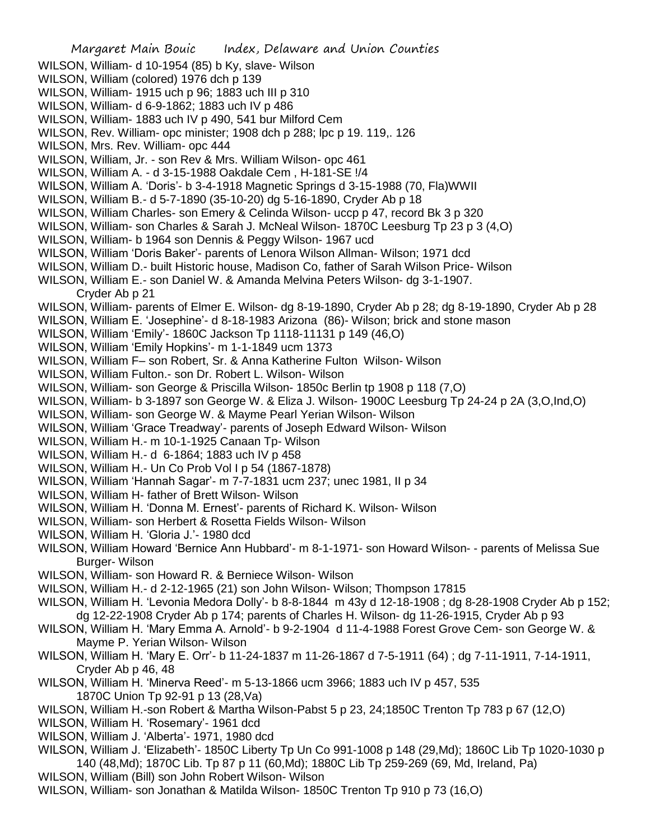Margaret Main Bouic Index, Delaware and Union Counties WILSON, William- d 10-1954 (85) b Ky, slave- Wilson WILSON, William (colored) 1976 dch p 139 WILSON, William- 1915 uch p 96; 1883 uch III p 310 WILSON, William- d 6-9-1862; 1883 uch IV p 486 WILSON, William- 1883 uch IV p 490, 541 bur Milford Cem WILSON, Rev. William- opc minister; 1908 dch p 288; lpc p 19. 119,. 126 WILSON, Mrs. Rev. William- opc 444 WILSON, William, Jr. - son Rev & Mrs. William Wilson- opc 461 WILSON, William A. - d 3-15-1988 Oakdale Cem , H-181-SE !/4 WILSON, William A. 'Doris'- b 3-4-1918 Magnetic Springs d 3-15-1988 (70, Fla)WWII WILSON, William B.- d 5-7-1890 (35-10-20) dg 5-16-1890, Cryder Ab p 18 WILSON, William Charles- son Emery & Celinda Wilson- uccp p 47, record Bk 3 p 320 WILSON, William- son Charles & Sarah J. McNeal Wilson- 1870C Leesburg Tp 23 p 3 (4,O) WILSON, William- b 1964 son Dennis & Peggy Wilson- 1967 ucd WILSON, William 'Doris Baker'- parents of Lenora Wilson Allman- Wilson; 1971 dcd WILSON, William D.- built Historic house, Madison Co, father of Sarah Wilson Price- Wilson WILSON, William E.- son Daniel W. & Amanda Melvina Peters Wilson- dg 3-1-1907. Cryder Ab p 21 WILSON, William- parents of Elmer E. Wilson- dg 8-19-1890, Cryder Ab p 28; dg 8-19-1890, Cryder Ab p 28 WILSON, William E. 'Josephine'- d 8-18-1983 Arizona (86)- Wilson; brick and stone mason WILSON, William 'Emily'- 1860C Jackson Tp 1118-11131 p 149 (46,O) WILSON, William 'Emily Hopkins'- m 1-1-1849 ucm 1373 WILSON, William F– son Robert, Sr. & Anna Katherine Fulton Wilson- Wilson WILSON, William Fulton.- son Dr. Robert L. Wilson- Wilson WILSON, William- son George & Priscilla Wilson- 1850c Berlin tp 1908 p 118 (7,O) WILSON, William- b 3-1897 son George W. & Eliza J. Wilson- 1900C Leesburg Tp 24-24 p 2A (3,O,Ind,O) WILSON, William- son George W. & Mayme Pearl Yerian Wilson- Wilson WILSON, William 'Grace Treadway'- parents of Joseph Edward Wilson- Wilson WILSON, William H.- m 10-1-1925 Canaan Tp- Wilson WILSON, William H.- d 6-1864; 1883 uch IV p 458 WILSON, William H.- Un Co Prob Vol I p 54 (1867-1878) WILSON, William 'Hannah Sagar'- m 7-7-1831 ucm 237; unec 1981, II p 34 WILSON, William H- father of Brett Wilson- Wilson WILSON, William H. 'Donna M. Ernest'- parents of Richard K. Wilson- Wilson WILSON, William- son Herbert & Rosetta Fields Wilson- Wilson WILSON, William H. 'Gloria J.'- 1980 dcd WILSON, William Howard 'Bernice Ann Hubbard'- m 8-1-1971- son Howard Wilson- - parents of Melissa Sue Burger- Wilson WILSON, William- son Howard R. & Berniece Wilson- Wilson WILSON, William H.- d 2-12-1965 (21) son John Wilson- Wilson; Thompson 17815 WILSON, William H. 'Levonia Medora Dolly'- b 8-8-1844 m 43y d 12-18-1908 ; dg 8-28-1908 Cryder Ab p 152; dg 12-22-1908 Cryder Ab p 174; parents of Charles H. Wilson- dg 11-26-1915, Cryder Ab p 93 WILSON, William H. 'Mary Emma A. Arnold'- b 9-2-1904 d 11-4-1988 Forest Grove Cem- son George W. & Mayme P. Yerian Wilson- Wilson WILSON, William H. 'Mary E. Orr'- b 11-24-1837 m 11-26-1867 d 7-5-1911 (64) ; dg 7-11-1911, 7-14-1911, Cryder Ab p 46, 48 WILSON, William H. 'Minerva Reed'- m 5-13-1866 ucm 3966; 1883 uch IV p 457, 535 1870C Union Tp 92-91 p 13 (28,Va) WILSON, William H.-son Robert & Martha Wilson-Pabst 5 p 23, 24;1850C Trenton Tp 783 p 67 (12,O) WILSON, William H. 'Rosemary'- 1961 dcd WILSON, William J. 'Alberta'- 1971, 1980 dcd

WILSON, William J. 'Elizabeth'- 1850C Liberty Tp Un Co 991-1008 p 148 (29,Md); 1860C Lib Tp 1020-1030 p 140 (48,Md); 1870C Lib. Tp 87 p 11 (60,Md); 1880C Lib Tp 259-269 (69, Md, Ireland, Pa)

- WILSON, William (Bill) son John Robert Wilson- Wilson
- WILSON, William- son Jonathan & Matilda Wilson- 1850C Trenton Tp 910 p 73 (16,O)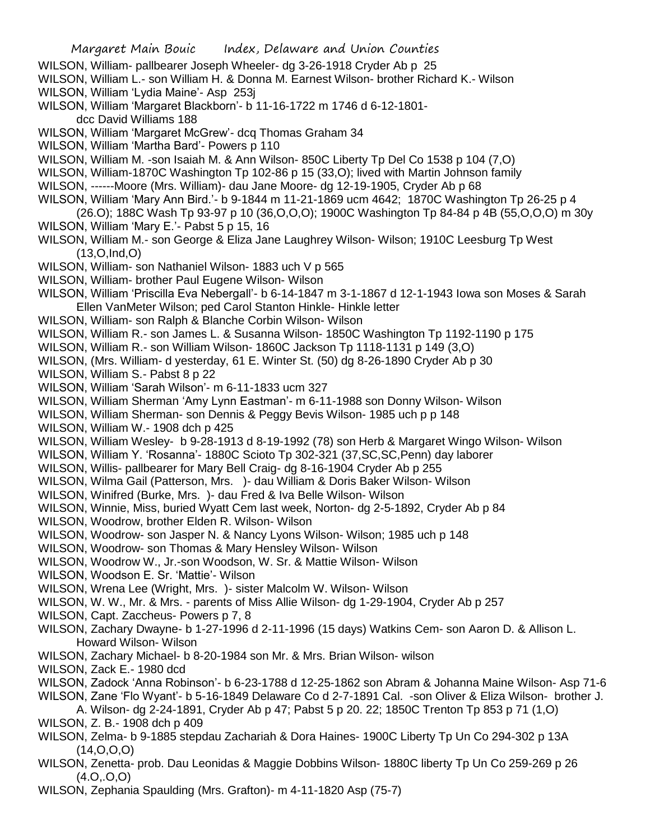- WILSON, William- pallbearer Joseph Wheeler- dg 3-26-1918 Cryder Ab p 25
- WILSON, William L.- son William H. & Donna M. Earnest Wilson- brother Richard K.- Wilson WILSON, William 'Lydia Maine'- Asp 253j
- WILSON, William 'Margaret Blackborn'- b 11-16-1722 m 1746 d 6-12-1801
	- dcc David Williams 188
- WILSON, William 'Margaret McGrew'- dcq Thomas Graham 34
- WILSON, William 'Martha Bard'- Powers p 110
- WILSON, William M. -son Isaiah M. & Ann Wilson- 850C Liberty Tp Del Co 1538 p 104 (7,O)
- WILSON, William-1870C Washington Tp 102-86 p 15 (33,O); lived with Martin Johnson family
- WILSON, ------Moore (Mrs. William)- dau Jane Moore- dg 12-19-1905, Cryder Ab p 68
- WILSON, William 'Mary Ann Bird.'- b 9-1844 m 11-21-1869 ucm 4642; 1870C Washington Tp 26-25 p 4 (26.O); 188C Wash Tp 93-97 p 10 (36,O,O,O); 1900C Washington Tp 84-84 p 4B (55,O,O,O) m 30y
- WILSON, William 'Mary E.'- Pabst 5 p 15, 16
- WILSON, William M.- son George & Eliza Jane Laughrey Wilson- Wilson; 1910C Leesburg Tp West (13,O,Ind,O)
- WILSON, William- son Nathaniel Wilson- 1883 uch V p 565
- WILSON, William- brother Paul Eugene Wilson- Wilson
- WILSON, William 'Priscilla Eva Nebergall'- b 6-14-1847 m 3-1-1867 d 12-1-1943 Iowa son Moses & Sarah Ellen VanMeter Wilson; ped Carol Stanton Hinkle- Hinkle letter
- WILSON, William- son Ralph & Blanche Corbin Wilson- Wilson
- WILSON, William R.- son James L. & Susanna Wilson- 1850C Washington Tp 1192-1190 p 175
- WILSON, William R.- son William Wilson- 1860C Jackson Tp 1118-1131 p 149 (3,O)
- WILSON, (Mrs. William- d yesterday, 61 E. Winter St. (50) dg 8-26-1890 Cryder Ab p 30
- WILSON, William S.- Pabst 8 p 22
- WILSON, William 'Sarah Wilson'- m 6-11-1833 ucm 327
- WILSON, William Sherman 'Amy Lynn Eastman'- m 6-11-1988 son Donny Wilson- Wilson
- WILSON, William Sherman- son Dennis & Peggy Bevis Wilson- 1985 uch p p 148
- WILSON, William W.- 1908 dch p 425
- WILSON, William Wesley- b 9-28-1913 d 8-19-1992 (78) son Herb & Margaret Wingo Wilson- Wilson
- WILSON, William Y. 'Rosanna'- 1880C Scioto Tp 302-321 (37,SC,SC,Penn) day laborer
- WILSON, Willis- pallbearer for Mary Bell Craig- dg 8-16-1904 Cryder Ab p 255
- WILSON, Wilma Gail (Patterson, Mrs. )- dau William & Doris Baker Wilson- Wilson
- WILSON, Winifred (Burke, Mrs. )- dau Fred & Iva Belle Wilson- Wilson
- WILSON, Winnie, Miss, buried Wyatt Cem last week, Norton- dg 2-5-1892, Cryder Ab p 84
- WILSON, Woodrow, brother Elden R. Wilson- Wilson
- WILSON, Woodrow- son Jasper N. & Nancy Lyons Wilson- Wilson; 1985 uch p 148
- WILSON, Woodrow- son Thomas & Mary Hensley Wilson- Wilson
- WILSON, Woodrow W., Jr.-son Woodson, W. Sr. & Mattie Wilson- Wilson
- WILSON, Woodson E. Sr. 'Mattie'- Wilson
- WILSON, Wrena Lee (Wright, Mrs. )- sister Malcolm W. Wilson- Wilson
- WILSON, W. W., Mr. & Mrs. parents of Miss Allie Wilson- dg 1-29-1904, Cryder Ab p 257
- WILSON, Capt. Zaccheus- Powers p 7, 8
- WILSON, Zachary Dwayne- b 1-27-1996 d 2-11-1996 (15 days) Watkins Cem- son Aaron D. & Allison L. Howard Wilson- Wilson
- WILSON, Zachary Michael- b 8-20-1984 son Mr. & Mrs. Brian Wilson- wilson
- WILSON, Zack E.- 1980 dcd
- WILSON, Zadock 'Anna Robinson'- b 6-23-1788 d 12-25-1862 son Abram & Johanna Maine Wilson- Asp 71-6
- WILSON, Zane 'Flo Wyant'- b 5-16-1849 Delaware Co d 2-7-1891 Cal. -son Oliver & Eliza Wilson- brother J.
- A. Wilson- dg 2-24-1891, Cryder Ab p 47; Pabst 5 p 20. 22; 1850C Trenton Tp 853 p 71 (1,O) WILSON, Z. B.- 1908 dch p 409
- WILSON, Zelma- b 9-1885 stepdau Zachariah & Dora Haines- 1900C Liberty Tp Un Co 294-302 p 13A  $(14, 0, 0, 0)$
- WILSON, Zenetta- prob. Dau Leonidas & Maggie Dobbins Wilson- 1880C liberty Tp Un Co 259-269 p 26  $(4.0, 0.0)$
- WILSON, Zephania Spaulding (Mrs. Grafton)- m 4-11-1820 Asp (75-7)